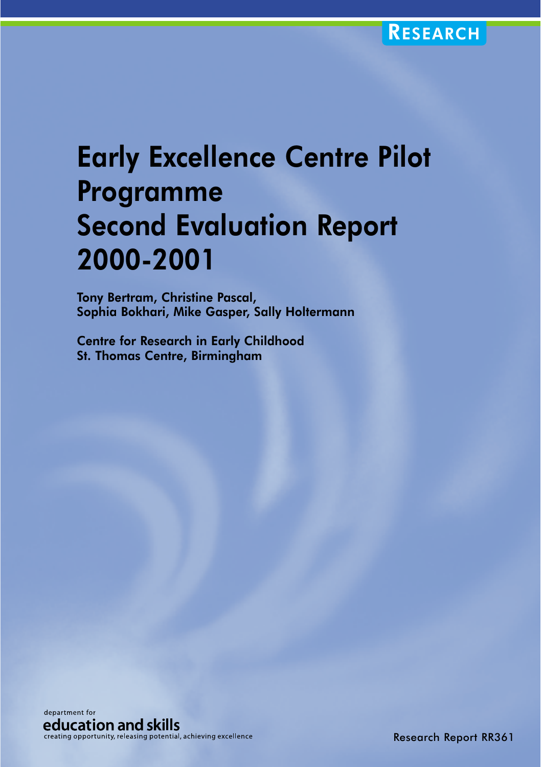# Early Excellence Centre Pilot Programme Second Evaluation Report 2000-2001

Tony Bertram, Christine Pascal, Sophia Bokhari, Mike Gasper, Sally Holtermann

Centre for Research in Early Childhood St. Thomas Centre, Birmingham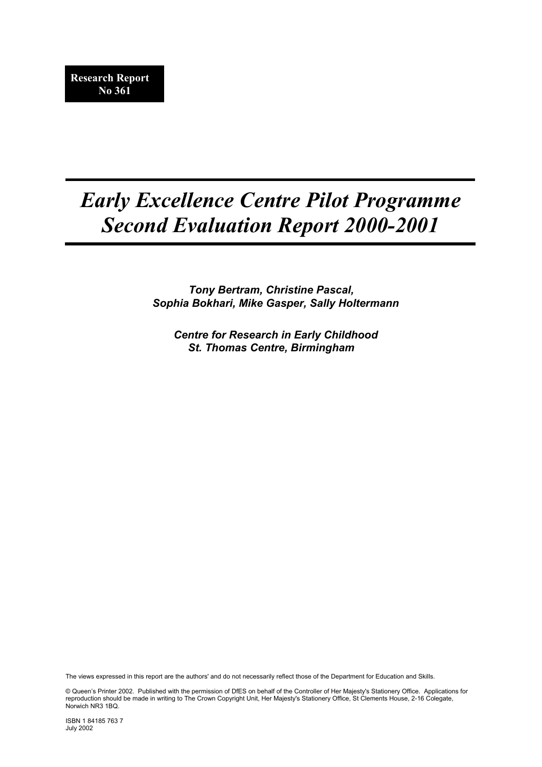# *Early Excellence Centre Pilot Programme Second Evaluation Report 2000-2001*

*Tony Bertram, Christine Pascal, Sophia Bokhari, Mike Gasper, Sally Holtermann* 

*Centre for Research in Early Childhood St. Thomas Centre, Birmingham*

The views expressed in this report are the authors' and do not necessarily reflect those of the Department for Education and Skills.

© Queen's Printer 2002. Published with the permission of DfES on behalf of the Controller of Her Majesty's Stationery Office. Applications for reproduction should be made in writing to The Crown Copyright Unit, Her Majesty's Stationery Office, St Clements House, 2-16 Colegate, Norwich NR3 1BQ.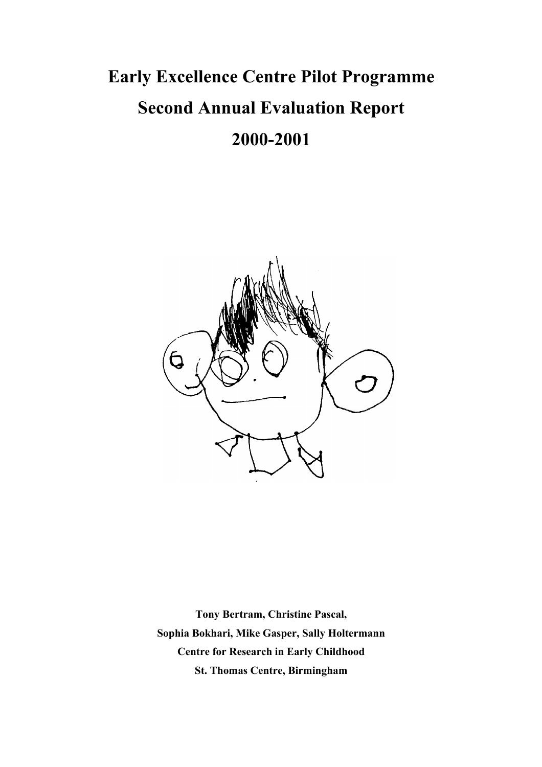# **Early Excellence Centre Pilot Programme Second Annual Evaluation Report 2000-2001**



**Tony Bertram, Christine Pascal, Sophia Bokhari, Mike Gasper, Sally Holtermann Centre for Research in Early Childhood St. Thomas Centre, Birmingham**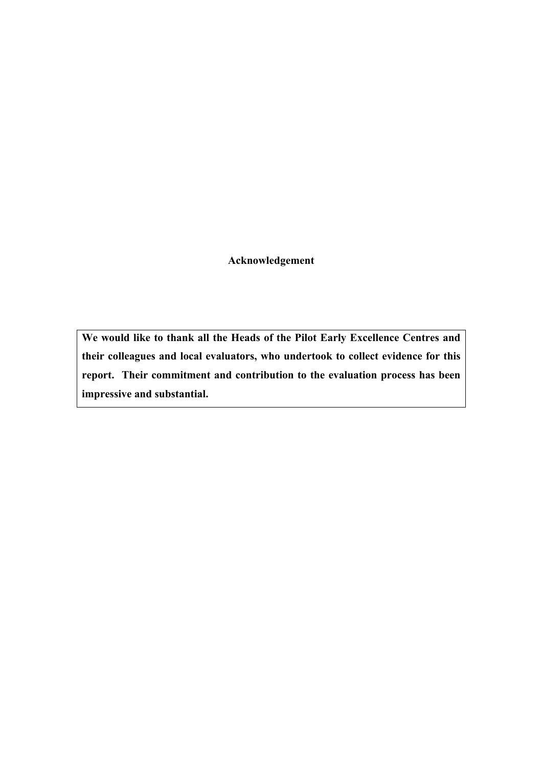**Acknowledgement** 

**We would like to thank all the Heads of the Pilot Early Excellence Centres and their colleagues and local evaluators, who undertook to collect evidence for this report. Their commitment and contribution to the evaluation process has been impressive and substantial.**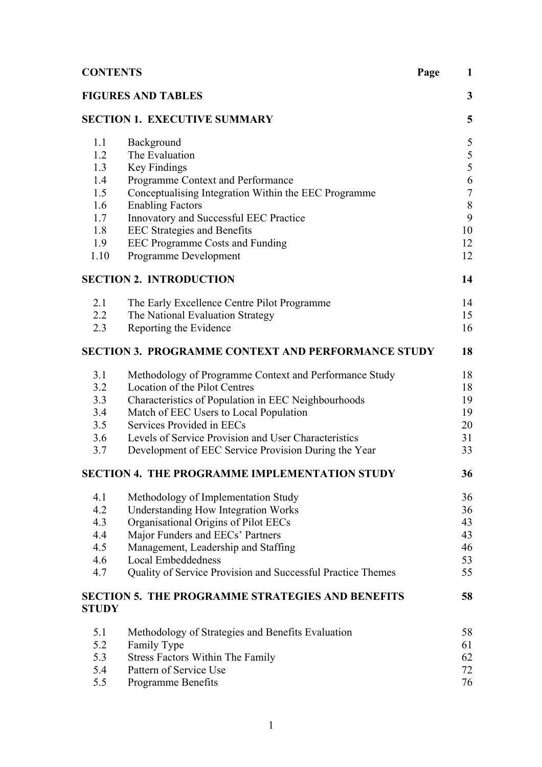| <b>CONTENTS</b> |                                                                              | Page<br>$\mathbf{1}$ |
|-----------------|------------------------------------------------------------------------------|----------------------|
|                 | <b>FIGURES AND TABLES</b>                                                    | $\mathbf{3}$         |
|                 | <b>SECTION 1. EXECUTIVE SUMMARY</b>                                          | 5                    |
| 1.1             | Background                                                                   | $\mathfrak{S}$       |
| 1.2             | The Evaluation                                                               | $\sqrt{5}$           |
| 1.3             | <b>Key Findings</b>                                                          | 5                    |
| 1.4             | Programme Context and Performance                                            | 6                    |
| 1.5             | Conceptualising Integration Within the EEC Programme                         | $\sqrt{ }$           |
| 1.6             | <b>Enabling Factors</b>                                                      | $8\,$                |
| 1.7<br>1.8      | Innovatory and Successful EEC Practice                                       | 9<br>10              |
| 1.9             | <b>EEC Strategies and Benefits</b><br><b>EEC Programme Costs and Funding</b> | 12                   |
| 1.10            | <b>Programme Development</b>                                                 | 12                   |
|                 | <b>SECTION 2. INTRODUCTION</b>                                               | 14                   |
| 2.1             | The Early Excellence Centre Pilot Programme                                  | 14                   |
| $2.2^{\circ}$   | The National Evaluation Strategy                                             | 15                   |
| 2.3             | Reporting the Evidence                                                       | 16                   |
|                 | <b>SECTION 3. PROGRAMME CONTEXT AND PERFORMANCE STUDY</b>                    | 18                   |
| 3.1             | Methodology of Programme Context and Performance Study                       | 18                   |
| 3.2             | Location of the Pilot Centres                                                | 18                   |
| 3.3             | Characteristics of Population in EEC Neighbourhoods                          | 19                   |
| 3.4             | Match of EEC Users to Local Population                                       | 19                   |
| 3.5             | Services Provided in EECs                                                    | 20                   |
| 3.6             | Levels of Service Provision and User Characteristics                         | 31                   |
| 3.7             | Development of EEC Service Provision During the Year                         | 33                   |
|                 | <b>SECTION 4. THE PROGRAMME IMPLEMENTATION STUDY</b>                         | 36                   |
| 4.1             | Methodology of Implementation Study                                          | 36                   |
| 4.2             | <b>Understanding How Integration Works</b>                                   | 36                   |
| 4.3             | Organisational Origins of Pilot EECs                                         | 43                   |
| 4.4             | Major Funders and EECs' Partners                                             | 43                   |
| 4.5             | Management, Leadership and Staffing                                          | 46                   |
| 4.6             | <b>Local Embeddedness</b>                                                    | 53                   |
| 4.7             | Quality of Service Provision and Successful Practice Themes                  | 55                   |
| <b>STUDY</b>    | <b>SECTION 5. THE PROGRAMME STRATEGIES AND BENEFITS</b>                      | 58                   |
| 5.1             | Methodology of Strategies and Benefits Evaluation                            | 58                   |
| 5.2             | Family Type                                                                  | 61                   |
| 5.3             | <b>Stress Factors Within The Family</b>                                      | 62                   |
| 5.4             | Pattern of Service Use                                                       | 72                   |
| 5.5             | Programme Benefits                                                           | 76                   |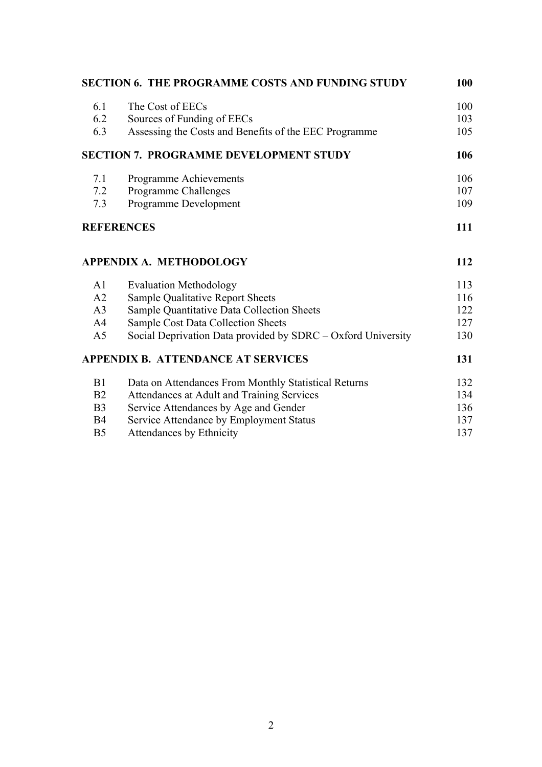|                | <b>SECTION 6. THE PROGRAMME COSTS AND FUNDING STUDY</b>      | 100 |
|----------------|--------------------------------------------------------------|-----|
| 6.1            | The Cost of EECs                                             | 100 |
| 6.2            | Sources of Funding of EECs                                   | 103 |
| 6.3            | Assessing the Costs and Benefits of the EEC Programme        | 105 |
|                | <b>SECTION 7. PROGRAMME DEVELOPMENT STUDY</b>                | 106 |
| 7.1            | Programme Achievements                                       | 106 |
| 7.2            | Programme Challenges                                         | 107 |
| 7.3            | Programme Development                                        | 109 |
|                | <b>REFERENCES</b>                                            | 111 |
|                | <b>APPENDIX A. METHODOLOGY</b>                               | 112 |
| A1             | <b>Evaluation Methodology</b>                                | 113 |
| A2             | Sample Qualitative Report Sheets                             | 116 |
| A <sub>3</sub> | Sample Quantitative Data Collection Sheets                   | 122 |
| A <sup>4</sup> | <b>Sample Cost Data Collection Sheets</b>                    | 127 |
| A <sub>5</sub> | Social Deprivation Data provided by SDRC – Oxford University | 130 |
|                | <b>APPENDIX B. ATTENDANCE AT SERVICES</b>                    | 131 |
| B1             | Data on Attendances From Monthly Statistical Returns         | 132 |
| B <sub>2</sub> | Attendances at Adult and Training Services                   | 134 |
| B <sub>3</sub> | Service Attendances by Age and Gender                        | 136 |
| <b>B4</b>      | Service Attendance by Employment Status                      | 137 |
| B <sub>5</sub> | <b>Attendances by Ethnicity</b>                              | 137 |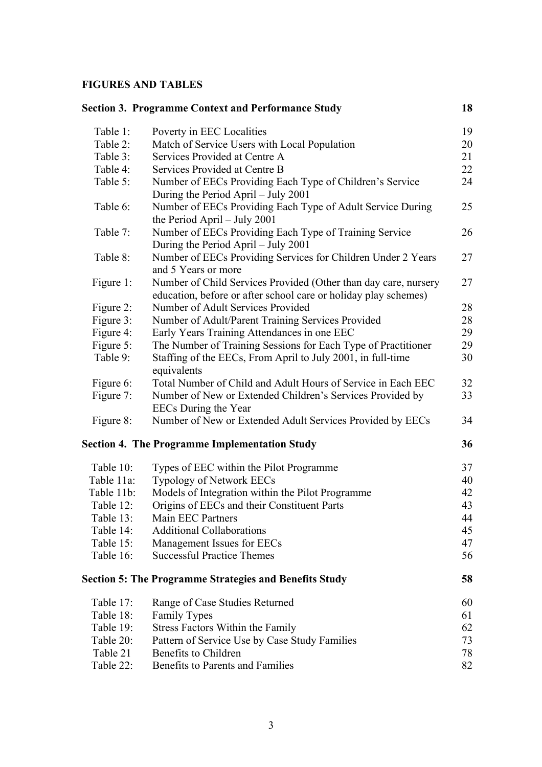# **FIGURES AND TABLES**

|            | <b>Section 3. Programme Context and Performance Study</b>                                                                          | 18 |
|------------|------------------------------------------------------------------------------------------------------------------------------------|----|
| Table 1:   | Poverty in EEC Localities                                                                                                          | 19 |
| Table 2:   | Match of Service Users with Local Population                                                                                       | 20 |
| Table 3:   | Services Provided at Centre A                                                                                                      | 21 |
| Table 4:   | Services Provided at Centre B                                                                                                      | 22 |
| Table 5:   | Number of EECs Providing Each Type of Children's Service<br>During the Period April – July 2001                                    | 24 |
| Table 6:   | Number of EECs Providing Each Type of Adult Service During<br>the Period April $-$ July 2001                                       | 25 |
| Table 7:   | Number of EECs Providing Each Type of Training Service<br>During the Period April – July 2001                                      | 26 |
| Table 8:   | Number of EECs Providing Services for Children Under 2 Years<br>and 5 Years or more                                                | 27 |
| Figure 1:  | Number of Child Services Provided (Other than day care, nursery<br>education, before or after school care or holiday play schemes) | 27 |
| Figure 2:  | Number of Adult Services Provided                                                                                                  | 28 |
| Figure 3:  | Number of Adult/Parent Training Services Provided                                                                                  | 28 |
| Figure 4:  | Early Years Training Attendances in one EEC                                                                                        | 29 |
| Figure 5:  | The Number of Training Sessions for Each Type of Practitioner                                                                      | 29 |
| Table 9:   | Staffing of the EECs, From April to July 2001, in full-time<br>equivalents                                                         | 30 |
| Figure 6:  | Total Number of Child and Adult Hours of Service in Each EEC                                                                       | 32 |
| Figure 7:  | Number of New or Extended Children's Services Provided by<br><b>EECs</b> During the Year                                           | 33 |
| Figure 8:  | Number of New or Extended Adult Services Provided by EECs                                                                          | 34 |
|            | <b>Section 4. The Programme Implementation Study</b>                                                                               | 36 |
| Table 10:  | Types of EEC within the Pilot Programme                                                                                            | 37 |
| Table 11a: | <b>Typology of Network EECs</b>                                                                                                    | 40 |
| Table 11b: | Models of Integration within the Pilot Programme                                                                                   | 42 |
| Table 12:  | Origins of EECs and their Constituent Parts                                                                                        | 43 |
| Table 13:  | Main EEC Partners                                                                                                                  | 44 |
| Table 14:  | <b>Additional Collaborations</b>                                                                                                   | 45 |
| Table 15:  | Management Issues for EECs                                                                                                         | 47 |
| Table 16:  | <b>Successful Practice Themes</b>                                                                                                  | 56 |
|            | <b>Section 5: The Programme Strategies and Benefits Study</b>                                                                      | 58 |
| Table 17:  | Range of Case Studies Returned                                                                                                     | 60 |
| Table 18:  | <b>Family Types</b>                                                                                                                | 61 |
| Table 19:  | Stress Factors Within the Family                                                                                                   | 62 |
| Table 20:  | Pattern of Service Use by Case Study Families                                                                                      | 73 |
| Table 21   | Benefits to Children                                                                                                               | 78 |
| Table 22:  | Benefits to Parents and Families                                                                                                   | 82 |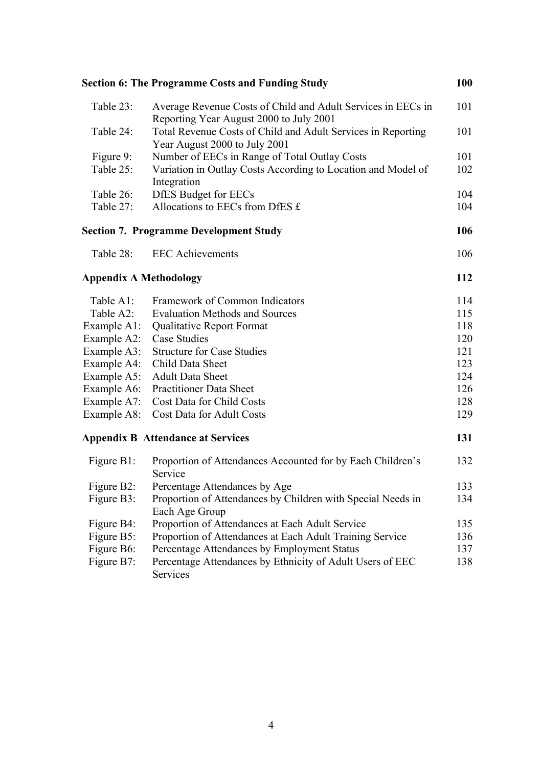|                               | <b>Section 6: The Programme Costs and Funding Study</b>                                                 | 100 |
|-------------------------------|---------------------------------------------------------------------------------------------------------|-----|
| Table 23:                     | Average Revenue Costs of Child and Adult Services in EECs in<br>Reporting Year August 2000 to July 2001 | 101 |
| Table 24:                     | Total Revenue Costs of Child and Adult Services in Reporting<br>Year August 2000 to July 2001           | 101 |
| Figure 9:                     | Number of EECs in Range of Total Outlay Costs                                                           | 101 |
| Table 25:                     | Variation in Outlay Costs According to Location and Model of<br>Integration                             | 102 |
| Table 26:                     | <b>DfES</b> Budget for EECs                                                                             | 104 |
| Table 27:                     | Allocations to EECs from DfES £                                                                         | 104 |
|                               | <b>Section 7. Programme Development Study</b>                                                           | 106 |
| Table 28:                     | <b>EEC</b> Achievements                                                                                 | 106 |
| <b>Appendix A Methodology</b> |                                                                                                         | 112 |
| Table A1:                     | Framework of Common Indicators                                                                          | 114 |
| Table A2:                     | <b>Evaluation Methods and Sources</b>                                                                   | 115 |
| Example A1:                   | Qualitative Report Format                                                                               | 118 |
| Example A2:                   | <b>Case Studies</b>                                                                                     | 120 |
| Example A3:                   | <b>Structure for Case Studies</b>                                                                       | 121 |
| Example A4:                   | Child Data Sheet                                                                                        | 123 |
| Example A5:                   | <b>Adult Data Sheet</b>                                                                                 | 124 |
| Example A6:                   | <b>Practitioner Data Sheet</b>                                                                          | 126 |
| Example A7:                   | Cost Data for Child Costs                                                                               | 128 |
| Example A8:                   | Cost Data for Adult Costs                                                                               | 129 |
|                               | <b>Appendix B Attendance at Services</b>                                                                | 131 |
| Figure B1:                    | Proportion of Attendances Accounted for by Each Children's<br>Service                                   | 132 |
| Figure B2:                    | Percentage Attendances by Age                                                                           | 133 |
| Figure B3:                    | Proportion of Attendances by Children with Special Needs in                                             | 134 |
|                               | Each Age Group                                                                                          |     |
| Figure B4:                    | Proportion of Attendances at Each Adult Service                                                         | 135 |
| Figure B5:                    | Proportion of Attendances at Each Adult Training Service                                                | 136 |
| Figure B6:                    | Percentage Attendances by Employment Status                                                             | 137 |
| Figure B7:                    | Percentage Attendances by Ethnicity of Adult Users of EEC                                               | 138 |
|                               | Services                                                                                                |     |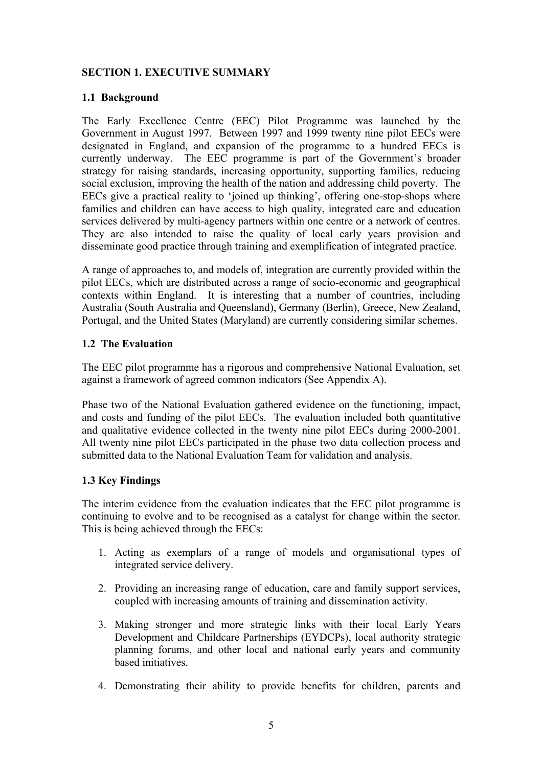# **SECTION 1. EXECUTIVE SUMMARY**

#### **1.1 Background**

The Early Excellence Centre (EEC) Pilot Programme was launched by the Government in August 1997. Between 1997 and 1999 twenty nine pilot EECs were designated in England, and expansion of the programme to a hundred EECs is currently underway. The EEC programme is part of the Government's broader strategy for raising standards, increasing opportunity, supporting families, reducing social exclusion, improving the health of the nation and addressing child poverty. The EECs give a practical reality to 'joined up thinking', offering one-stop-shops where families and children can have access to high quality, integrated care and education services delivered by multi-agency partners within one centre or a network of centres. They are also intended to raise the quality of local early years provision and disseminate good practice through training and exemplification of integrated practice.

A range of approaches to, and models of, integration are currently provided within the pilot EECs, which are distributed across a range of socio-economic and geographical contexts within England. It is interesting that a number of countries, including Australia (South Australia and Queensland), Germany (Berlin), Greece, New Zealand, Portugal, and the United States (Maryland) are currently considering similar schemes.

# **1.2 The Evaluation**

The EEC pilot programme has a rigorous and comprehensive National Evaluation, set against a framework of agreed common indicators (See Appendix A).

Phase two of the National Evaluation gathered evidence on the functioning, impact, and costs and funding of the pilot EECs. The evaluation included both quantitative and qualitative evidence collected in the twenty nine pilot EECs during 2000-2001. All twenty nine pilot EECs participated in the phase two data collection process and submitted data to the National Evaluation Team for validation and analysis.

# **1.3 Key Findings**

The interim evidence from the evaluation indicates that the EEC pilot programme is continuing to evolve and to be recognised as a catalyst for change within the sector. This is being achieved through the EECs:

- 1. Acting as exemplars of a range of models and organisational types of integrated service delivery.
- 2. Providing an increasing range of education, care and family support services, coupled with increasing amounts of training and dissemination activity.
- 3. Making stronger and more strategic links with their local Early Years Development and Childcare Partnerships (EYDCPs), local authority strategic planning forums, and other local and national early years and community based initiatives.
- 4. Demonstrating their ability to provide benefits for children, parents and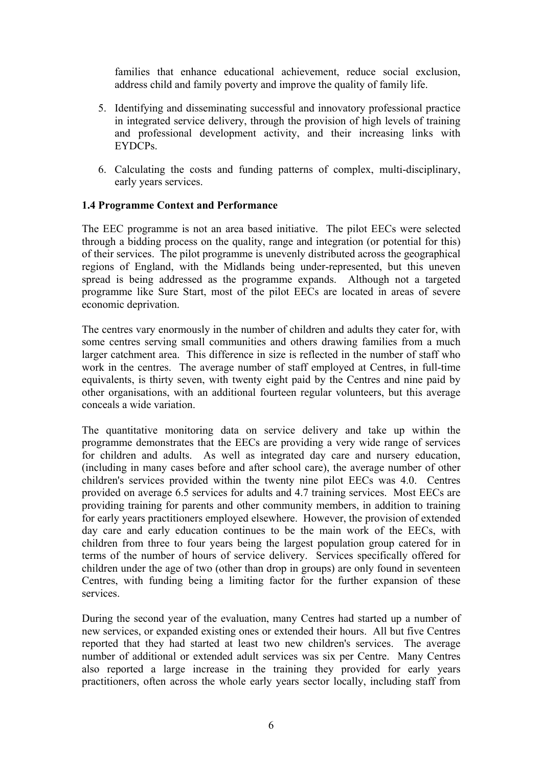families that enhance educational achievement, reduce social exclusion, address child and family poverty and improve the quality of family life.

- 5. Identifying and disseminating successful and innovatory professional practice in integrated service delivery, through the provision of high levels of training and professional development activity, and their increasing links with EYDCPs.
- 6. Calculating the costs and funding patterns of complex, multi-disciplinary, early years services.

#### **1.4 Programme Context and Performance**

The EEC programme is not an area based initiative. The pilot EECs were selected through a bidding process on the quality, range and integration (or potential for this) of their services. The pilot programme is unevenly distributed across the geographical regions of England, with the Midlands being under-represented, but this uneven spread is being addressed as the programme expands. Although not a targeted programme like Sure Start, most of the pilot EECs are located in areas of severe economic deprivation.

The centres vary enormously in the number of children and adults they cater for, with some centres serving small communities and others drawing families from a much larger catchment area. This difference in size is reflected in the number of staff who work in the centres. The average number of staff employed at Centres, in full-time equivalents, is thirty seven, with twenty eight paid by the Centres and nine paid by other organisations, with an additional fourteen regular volunteers, but this average conceals a wide variation.

The quantitative monitoring data on service delivery and take up within the programme demonstrates that the EECs are providing a very wide range of services for children and adults. As well as integrated day care and nursery education, (including in many cases before and after school care), the average number of other children's services provided within the twenty nine pilot EECs was 4.0. Centres provided on average 6.5 services for adults and 4.7 training services. Most EECs are providing training for parents and other community members, in addition to training for early years practitioners employed elsewhere. However, the provision of extended day care and early education continues to be the main work of the EECs, with children from three to four years being the largest population group catered for in terms of the number of hours of service delivery. Services specifically offered for children under the age of two (other than drop in groups) are only found in seventeen Centres, with funding being a limiting factor for the further expansion of these services.

During the second year of the evaluation, many Centres had started up a number of new services, or expanded existing ones or extended their hours. All but five Centres reported that they had started at least two new children's services. The average number of additional or extended adult services was six per Centre. Many Centres also reported a large increase in the training they provided for early years practitioners, often across the whole early years sector locally, including staff from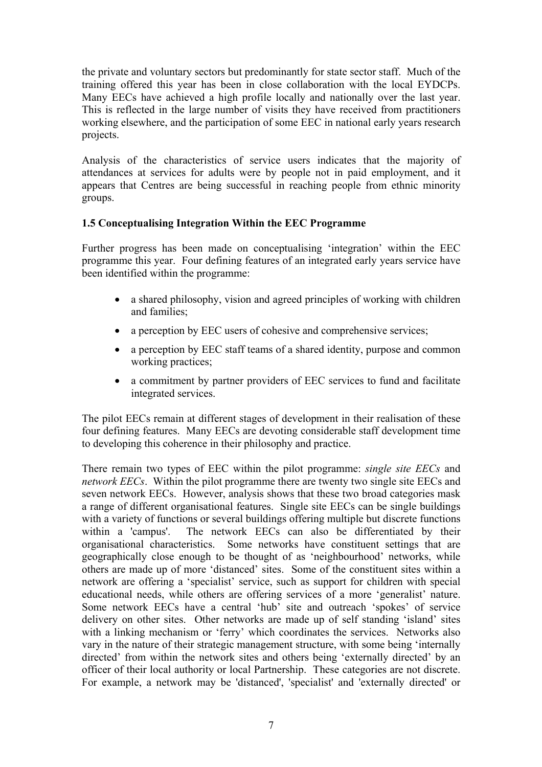the private and voluntary sectors but predominantly for state sector staff. Much of the training offered this year has been in close collaboration with the local EYDCPs. Many EECs have achieved a high profile locally and nationally over the last year. This is reflected in the large number of visits they have received from practitioners working elsewhere, and the participation of some EEC in national early years research projects.

Analysis of the characteristics of service users indicates that the majority of attendances at services for adults were by people not in paid employment, and it appears that Centres are being successful in reaching people from ethnic minority groups.

# **1.5 Conceptualising Integration Within the EEC Programme**

Further progress has been made on conceptualising 'integration' within the EEC programme this year. Four defining features of an integrated early years service have been identified within the programme:

- a shared philosophy, vision and agreed principles of working with children and families;
- a perception by EEC users of cohesive and comprehensive services;
- a perception by EEC staff teams of a shared identity, purpose and common working practices;
- a commitment by partner providers of EEC services to fund and facilitate integrated services.

The pilot EECs remain at different stages of development in their realisation of these four defining features. Many EECs are devoting considerable staff development time to developing this coherence in their philosophy and practice.

There remain two types of EEC within the pilot programme: *single site EECs* and *network EECs*. Within the pilot programme there are twenty two single site EECs and seven network EECs. However, analysis shows that these two broad categories mask a range of different organisational features. Single site EECs can be single buildings with a variety of functions or several buildings offering multiple but discrete functions within a 'campus'. The network EECs can also be differentiated by their organisational characteristics. Some networks have constituent settings that are geographically close enough to be thought of as 'neighbourhood' networks, while others are made up of more 'distanced' sites. Some of the constituent sites within a network are offering a 'specialist' service, such as support for children with special educational needs, while others are offering services of a more 'generalist' nature. Some network EECs have a central 'hub' site and outreach 'spokes' of service delivery on other sites. Other networks are made up of self standing 'island' sites with a linking mechanism or 'ferry' which coordinates the services. Networks also vary in the nature of their strategic management structure, with some being 'internally directed' from within the network sites and others being 'externally directed' by an officer of their local authority or local Partnership. These categories are not discrete. For example, a network may be 'distanced', 'specialist' and 'externally directed' or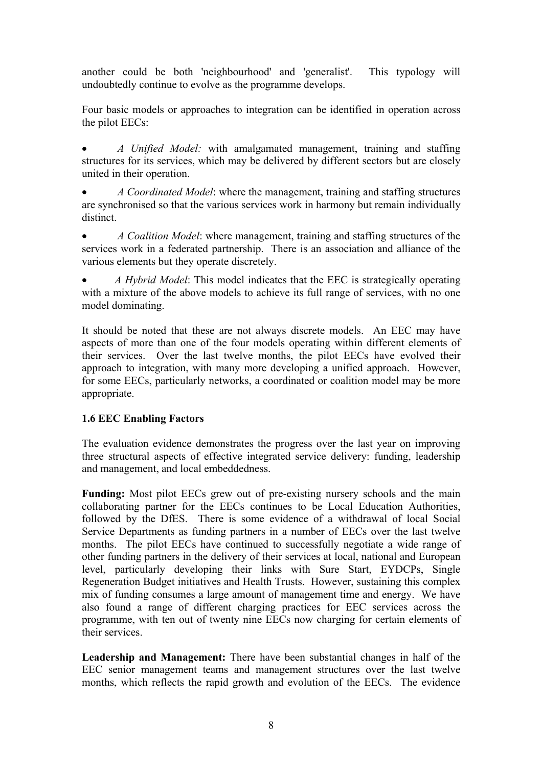another could be both 'neighbourhood' and 'generalist'. This typology will undoubtedly continue to evolve as the programme develops.

Four basic models or approaches to integration can be identified in operation across the pilot EECs:

• *A Unified Model:* with amalgamated management, training and staffing structures for its services, which may be delivered by different sectors but are closely united in their operation.

• *A Coordinated Model*: where the management, training and staffing structures are synchronised so that the various services work in harmony but remain individually distinct.

• *A Coalition Model*: where management, training and staffing structures of the services work in a federated partnership. There is an association and alliance of the various elements but they operate discretely.

• *A Hybrid Model*: This model indicates that the EEC is strategically operating with a mixture of the above models to achieve its full range of services, with no one model dominating.

It should be noted that these are not always discrete models. An EEC may have aspects of more than one of the four models operating within different elements of their services. Over the last twelve months, the pilot EECs have evolved their approach to integration, with many more developing a unified approach. However, for some EECs, particularly networks, a coordinated or coalition model may be more appropriate.

# **1.6 EEC Enabling Factors**

The evaluation evidence demonstrates the progress over the last year on improving three structural aspects of effective integrated service delivery: funding, leadership and management, and local embeddedness.

**Funding:** Most pilot EECs grew out of pre-existing nursery schools and the main collaborating partner for the EECs continues to be Local Education Authorities, followed by the DfES. There is some evidence of a withdrawal of local Social Service Departments as funding partners in a number of EECs over the last twelve months. The pilot EECs have continued to successfully negotiate a wide range of other funding partners in the delivery of their services at local, national and European level, particularly developing their links with Sure Start, EYDCPs, Single Regeneration Budget initiatives and Health Trusts. However, sustaining this complex mix of funding consumes a large amount of management time and energy. We have also found a range of different charging practices for EEC services across the programme, with ten out of twenty nine EECs now charging for certain elements of their services.

**Leadership and Management:** There have been substantial changes in half of the EEC senior management teams and management structures over the last twelve months, which reflects the rapid growth and evolution of the EECs. The evidence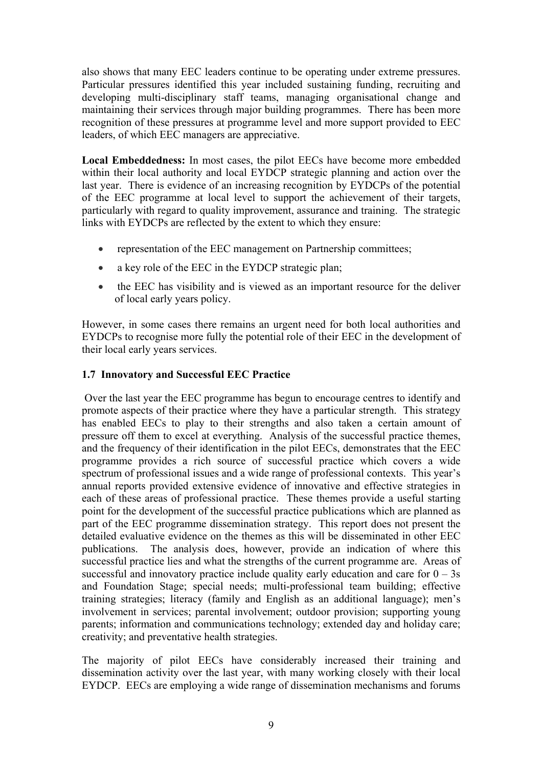also shows that many EEC leaders continue to be operating under extreme pressures. Particular pressures identified this year included sustaining funding, recruiting and developing multi-disciplinary staff teams, managing organisational change and maintaining their services through major building programmes. There has been more recognition of these pressures at programme level and more support provided to EEC leaders, of which EEC managers are appreciative.

**Local Embeddedness:** In most cases, the pilot EECs have become more embedded within their local authority and local EYDCP strategic planning and action over the last year. There is evidence of an increasing recognition by EYDCPs of the potential of the EEC programme at local level to support the achievement of their targets, particularly with regard to quality improvement, assurance and training. The strategic links with EYDCPs are reflected by the extent to which they ensure:

- representation of the EEC management on Partnership committees;
- a key role of the EEC in the EYDCP strategic plan;
- the EEC has visibility and is viewed as an important resource for the deliver of local early years policy.

However, in some cases there remains an urgent need for both local authorities and EYDCPs to recognise more fully the potential role of their EEC in the development of their local early years services.

# **1.7 Innovatory and Successful EEC Practice**

Over the last year the EEC programme has begun to encourage centres to identify and promote aspects of their practice where they have a particular strength. This strategy has enabled EECs to play to their strengths and also taken a certain amount of pressure off them to excel at everything. Analysis of the successful practice themes, and the frequency of their identification in the pilot EECs, demonstrates that the EEC programme provides a rich source of successful practice which covers a wide spectrum of professional issues and a wide range of professional contexts. This year's annual reports provided extensive evidence of innovative and effective strategies in each of these areas of professional practice. These themes provide a useful starting point for the development of the successful practice publications which are planned as part of the EEC programme dissemination strategy. This report does not present the detailed evaluative evidence on the themes as this will be disseminated in other EEC publications. The analysis does, however, provide an indication of where this successful practice lies and what the strengths of the current programme are. Areas of successful and innovatory practice include quality early education and care for  $0 - 3s$ and Foundation Stage; special needs; multi-professional team building; effective training strategies; literacy (family and English as an additional language); men's involvement in services; parental involvement; outdoor provision; supporting young parents; information and communications technology; extended day and holiday care; creativity; and preventative health strategies.

The majority of pilot EECs have considerably increased their training and dissemination activity over the last year, with many working closely with their local EYDCP. EECs are employing a wide range of dissemination mechanisms and forums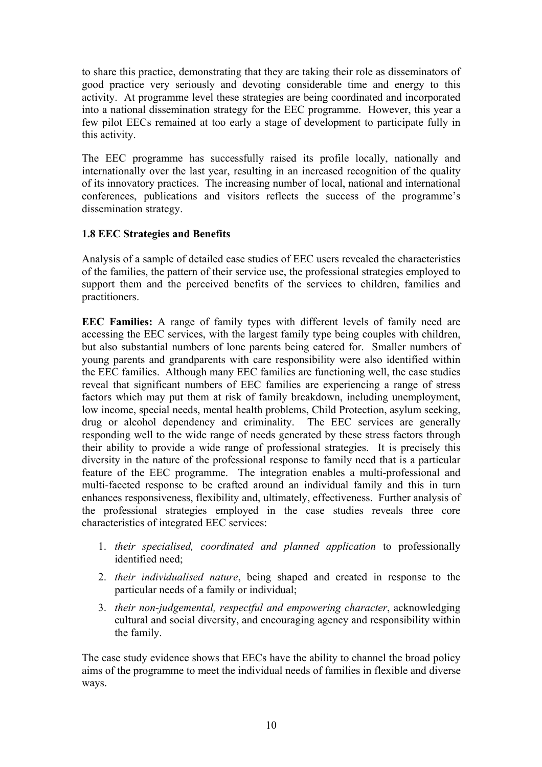to share this practice, demonstrating that they are taking their role as disseminators of good practice very seriously and devoting considerable time and energy to this activity. At programme level these strategies are being coordinated and incorporated into a national dissemination strategy for the EEC programme. However, this year a few pilot EECs remained at too early a stage of development to participate fully in this activity.

The EEC programme has successfully raised its profile locally, nationally and internationally over the last year, resulting in an increased recognition of the quality of its innovatory practices. The increasing number of local, national and international conferences, publications and visitors reflects the success of the programme's dissemination strategy.

# **1.8 EEC Strategies and Benefits**

Analysis of a sample of detailed case studies of EEC users revealed the characteristics of the families, the pattern of their service use, the professional strategies employed to support them and the perceived benefits of the services to children, families and practitioners.

**EEC Families:** A range of family types with different levels of family need are accessing the EEC services, with the largest family type being couples with children, but also substantial numbers of lone parents being catered for. Smaller numbers of young parents and grandparents with care responsibility were also identified within the EEC families. Although many EEC families are functioning well, the case studies reveal that significant numbers of EEC families are experiencing a range of stress factors which may put them at risk of family breakdown, including unemployment, low income, special needs, mental health problems, Child Protection, asylum seeking, drug or alcohol dependency and criminality. The EEC services are generally responding well to the wide range of needs generated by these stress factors through their ability to provide a wide range of professional strategies. It is precisely this diversity in the nature of the professional response to family need that is a particular feature of the EEC programme. The integration enables a multi-professional and multi-faceted response to be crafted around an individual family and this in turn enhances responsiveness, flexibility and, ultimately, effectiveness. Further analysis of the professional strategies employed in the case studies reveals three core characteristics of integrated EEC services:

- 1. *their specialised, coordinated and planned application* to professionally identified need;
- 2. *their individualised nature*, being shaped and created in response to the particular needs of a family or individual;
- 3. *their non-judgemental, respectful and empowering character*, acknowledging cultural and social diversity, and encouraging agency and responsibility within the family.

The case study evidence shows that EECs have the ability to channel the broad policy aims of the programme to meet the individual needs of families in flexible and diverse ways.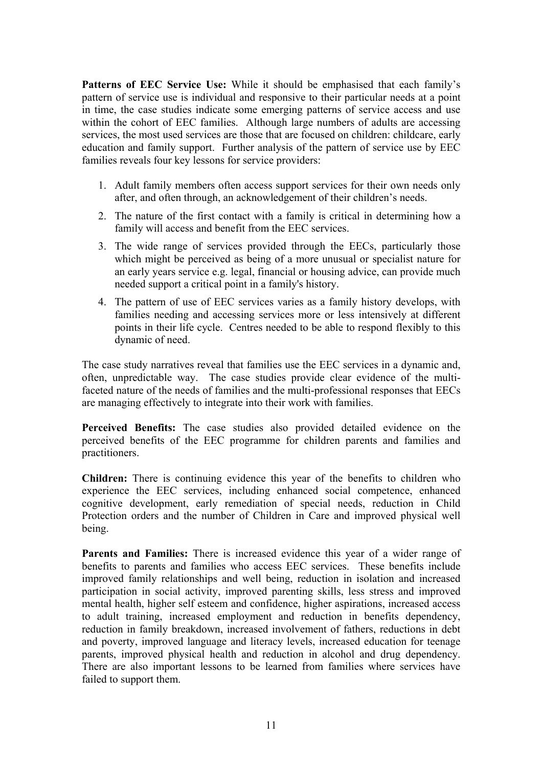Patterns of EEC Service Use: While it should be emphasised that each family's pattern of service use is individual and responsive to their particular needs at a point in time, the case studies indicate some emerging patterns of service access and use within the cohort of EEC families. Although large numbers of adults are accessing services, the most used services are those that are focused on children: childcare, early education and family support. Further analysis of the pattern of service use by EEC families reveals four key lessons for service providers:

- 1. Adult family members often access support services for their own needs only after, and often through, an acknowledgement of their children's needs.
- 2. The nature of the first contact with a family is critical in determining how a family will access and benefit from the EEC services.
- 3. The wide range of services provided through the EECs, particularly those which might be perceived as being of a more unusual or specialist nature for an early years service e.g. legal, financial or housing advice, can provide much needed support a critical point in a family's history.
- 4. The pattern of use of EEC services varies as a family history develops, with families needing and accessing services more or less intensively at different points in their life cycle. Centres needed to be able to respond flexibly to this dynamic of need.

The case study narratives reveal that families use the EEC services in a dynamic and, often, unpredictable way. The case studies provide clear evidence of the multifaceted nature of the needs of families and the multi-professional responses that EECs are managing effectively to integrate into their work with families.

**Perceived Benefits:** The case studies also provided detailed evidence on the perceived benefits of the EEC programme for children parents and families and practitioners.

**Children:** There is continuing evidence this year of the benefits to children who experience the EEC services, including enhanced social competence, enhanced cognitive development, early remediation of special needs, reduction in Child Protection orders and the number of Children in Care and improved physical well being.

**Parents and Families:** There is increased evidence this year of a wider range of benefits to parents and families who access EEC services. These benefits include improved family relationships and well being, reduction in isolation and increased participation in social activity, improved parenting skills, less stress and improved mental health, higher self esteem and confidence, higher aspirations, increased access to adult training, increased employment and reduction in benefits dependency, reduction in family breakdown, increased involvement of fathers, reductions in debt and poverty, improved language and literacy levels, increased education for teenage parents, improved physical health and reduction in alcohol and drug dependency. There are also important lessons to be learned from families where services have failed to support them.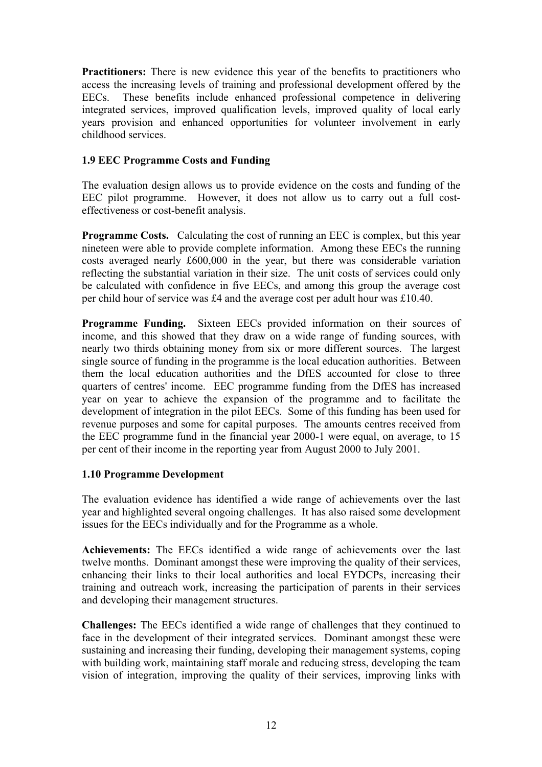**Practitioners:** There is new evidence this year of the benefits to practitioners who access the increasing levels of training and professional development offered by the EECs. These benefits include enhanced professional competence in delivering integrated services, improved qualification levels, improved quality of local early years provision and enhanced opportunities for volunteer involvement in early childhood services.

# **1.9 EEC Programme Costs and Funding**

The evaluation design allows us to provide evidence on the costs and funding of the EEC pilot programme. However, it does not allow us to carry out a full costeffectiveness or cost-benefit analysis.

**Programme Costs.** Calculating the cost of running an EEC is complex, but this year nineteen were able to provide complete information. Among these EECs the running costs averaged nearly £600,000 in the year, but there was considerable variation reflecting the substantial variation in their size. The unit costs of services could only be calculated with confidence in five EECs, and among this group the average cost per child hour of service was £4 and the average cost per adult hour was £10.40.

**Programme Funding.** Sixteen EECs provided information on their sources of income, and this showed that they draw on a wide range of funding sources, with nearly two thirds obtaining money from six or more different sources. The largest single source of funding in the programme is the local education authorities. Between them the local education authorities and the DfES accounted for close to three quarters of centres' income. EEC programme funding from the DfES has increased year on year to achieve the expansion of the programme and to facilitate the development of integration in the pilot EECs. Some of this funding has been used for revenue purposes and some for capital purposes. The amounts centres received from the EEC programme fund in the financial year 2000-1 were equal, on average, to 15 per cent of their income in the reporting year from August 2000 to July 2001.

# **1.10 Programme Development**

The evaluation evidence has identified a wide range of achievements over the last year and highlighted several ongoing challenges. It has also raised some development issues for the EECs individually and for the Programme as a whole.

**Achievements:** The EECs identified a wide range of achievements over the last twelve months. Dominant amongst these were improving the quality of their services, enhancing their links to their local authorities and local EYDCPs, increasing their training and outreach work, increasing the participation of parents in their services and developing their management structures.

**Challenges:** The EECs identified a wide range of challenges that they continued to face in the development of their integrated services. Dominant amongst these were sustaining and increasing their funding, developing their management systems, coping with building work, maintaining staff morale and reducing stress, developing the team vision of integration, improving the quality of their services, improving links with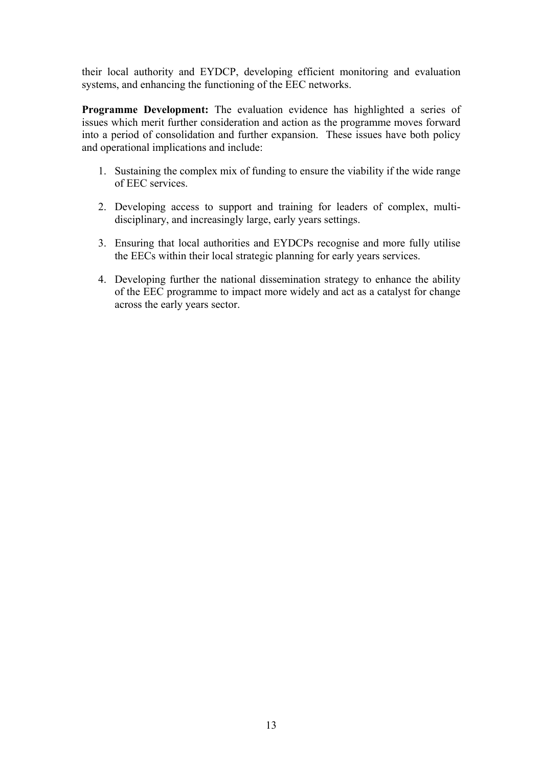their local authority and EYDCP, developing efficient monitoring and evaluation systems, and enhancing the functioning of the EEC networks.

**Programme Development:** The evaluation evidence has highlighted a series of issues which merit further consideration and action as the programme moves forward into a period of consolidation and further expansion. These issues have both policy and operational implications and include:

- 1. Sustaining the complex mix of funding to ensure the viability if the wide range of EEC services.
- 2. Developing access to support and training for leaders of complex, multidisciplinary, and increasingly large, early years settings.
- 3. Ensuring that local authorities and EYDCPs recognise and more fully utilise the EECs within their local strategic planning for early years services.
- 4. Developing further the national dissemination strategy to enhance the ability of the EEC programme to impact more widely and act as a catalyst for change across the early years sector.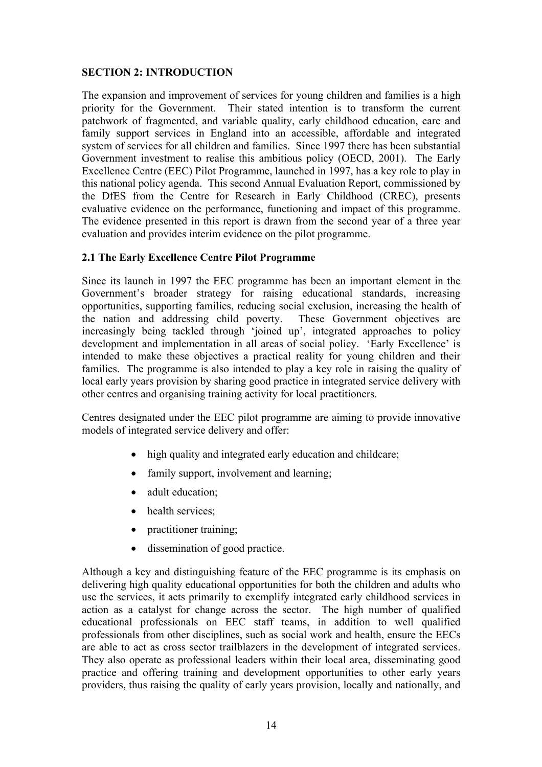# **SECTION 2: INTRODUCTION**

The expansion and improvement of services for young children and families is a high priority for the Government. Their stated intention is to transform the current patchwork of fragmented, and variable quality, early childhood education, care and family support services in England into an accessible, affordable and integrated system of services for all children and families. Since 1997 there has been substantial Government investment to realise this ambitious policy (OECD, 2001). The Early Excellence Centre (EEC) Pilot Programme, launched in 1997, has a key role to play in this national policy agenda. This second Annual Evaluation Report, commissioned by the DfES from the Centre for Research in Early Childhood (CREC), presents evaluative evidence on the performance, functioning and impact of this programme. The evidence presented in this report is drawn from the second year of a three year evaluation and provides interim evidence on the pilot programme.

#### **2.1 The Early Excellence Centre Pilot Programme**

Since its launch in 1997 the EEC programme has been an important element in the Government's broader strategy for raising educational standards, increasing opportunities, supporting families, reducing social exclusion, increasing the health of the nation and addressing child poverty. These Government objectives are increasingly being tackled through 'joined up', integrated approaches to policy development and implementation in all areas of social policy. 'Early Excellence' is intended to make these objectives a practical reality for young children and their families. The programme is also intended to play a key role in raising the quality of local early years provision by sharing good practice in integrated service delivery with other centres and organising training activity for local practitioners.

Centres designated under the EEC pilot programme are aiming to provide innovative models of integrated service delivery and offer:

- high quality and integrated early education and childcare;
- family support, involvement and learning;
- adult education;
- health services;
- practitioner training;
- dissemination of good practice.

Although a key and distinguishing feature of the EEC programme is its emphasis on delivering high quality educational opportunities for both the children and adults who use the services, it acts primarily to exemplify integrated early childhood services in action as a catalyst for change across the sector. The high number of qualified educational professionals on EEC staff teams, in addition to well qualified professionals from other disciplines, such as social work and health, ensure the EECs are able to act as cross sector trailblazers in the development of integrated services. They also operate as professional leaders within their local area, disseminating good practice and offering training and development opportunities to other early years providers, thus raising the quality of early years provision, locally and nationally, and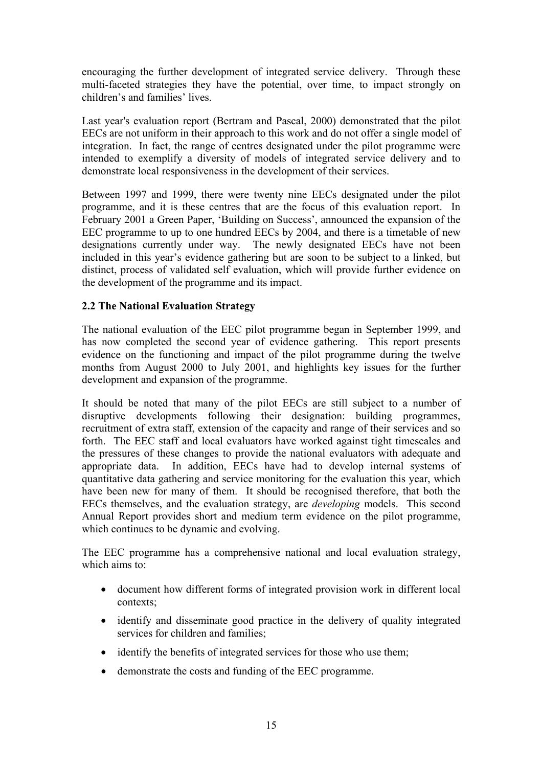encouraging the further development of integrated service delivery. Through these multi-faceted strategies they have the potential, over time, to impact strongly on children's and families' lives.

Last year's evaluation report (Bertram and Pascal, 2000) demonstrated that the pilot EECs are not uniform in their approach to this work and do not offer a single model of integration. In fact, the range of centres designated under the pilot programme were intended to exemplify a diversity of models of integrated service delivery and to demonstrate local responsiveness in the development of their services.

Between 1997 and 1999, there were twenty nine EECs designated under the pilot programme, and it is these centres that are the focus of this evaluation report. In February 2001 a Green Paper, 'Building on Success', announced the expansion of the EEC programme to up to one hundred EECs by 2004, and there is a timetable of new designations currently under way. The newly designated EECs have not been included in this year's evidence gathering but are soon to be subject to a linked, but distinct, process of validated self evaluation, which will provide further evidence on the development of the programme and its impact.

# **2.2 The National Evaluation Strategy**

The national evaluation of the EEC pilot programme began in September 1999, and has now completed the second year of evidence gathering. This report presents evidence on the functioning and impact of the pilot programme during the twelve months from August 2000 to July 2001, and highlights key issues for the further development and expansion of the programme.

It should be noted that many of the pilot EECs are still subject to a number of disruptive developments following their designation: building programmes, recruitment of extra staff, extension of the capacity and range of their services and so forth. The EEC staff and local evaluators have worked against tight timescales and the pressures of these changes to provide the national evaluators with adequate and appropriate data. In addition, EECs have had to develop internal systems of quantitative data gathering and service monitoring for the evaluation this year, which have been new for many of them. It should be recognised therefore, that both the EECs themselves, and the evaluation strategy, are *developing* models. This second Annual Report provides short and medium term evidence on the pilot programme, which continues to be dynamic and evolving.

The EEC programme has a comprehensive national and local evaluation strategy, which aims to:

- document how different forms of integrated provision work in different local contexts;
- identify and disseminate good practice in the delivery of quality integrated services for children and families;
- identify the benefits of integrated services for those who use them;
- demonstrate the costs and funding of the EEC programme.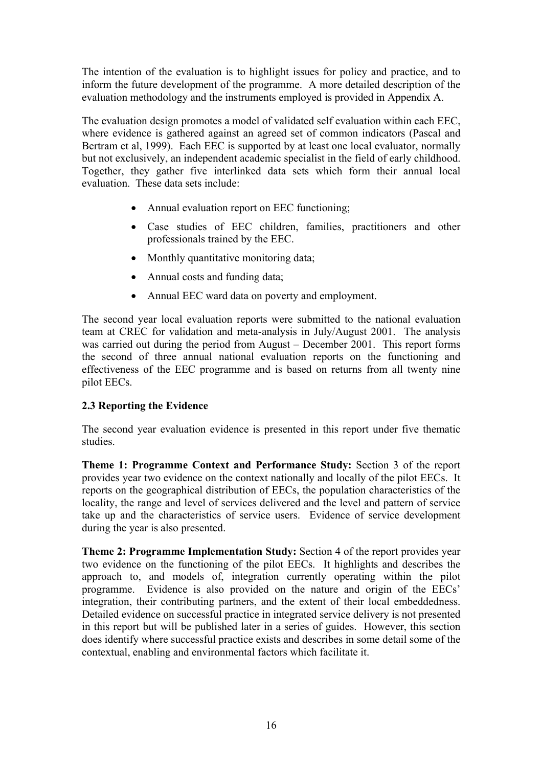The intention of the evaluation is to highlight issues for policy and practice, and to inform the future development of the programme. A more detailed description of the evaluation methodology and the instruments employed is provided in Appendix A.

The evaluation design promotes a model of validated self evaluation within each EEC, where evidence is gathered against an agreed set of common indicators (Pascal and Bertram et al, 1999). Each EEC is supported by at least one local evaluator, normally but not exclusively, an independent academic specialist in the field of early childhood. Together, they gather five interlinked data sets which form their annual local evaluation. These data sets include:

- Annual evaluation report on EEC functioning;
- Case studies of EEC children, families, practitioners and other professionals trained by the EEC.
- Monthly quantitative monitoring data;
- Annual costs and funding data;
- Annual EEC ward data on poverty and employment.

The second year local evaluation reports were submitted to the national evaluation team at CREC for validation and meta-analysis in July/August 2001. The analysis was carried out during the period from August – December 2001. This report forms the second of three annual national evaluation reports on the functioning and effectiveness of the EEC programme and is based on returns from all twenty nine pilot EECs.

# **2.3 Reporting the Evidence**

The second year evaluation evidence is presented in this report under five thematic studies.

**Theme 1: Programme Context and Performance Study:** Section 3 of the report provides year two evidence on the context nationally and locally of the pilot EECs. It reports on the geographical distribution of EECs, the population characteristics of the locality, the range and level of services delivered and the level and pattern of service take up and the characteristics of service users. Evidence of service development during the year is also presented.

**Theme 2: Programme Implementation Study:** Section 4 of the report provides year two evidence on the functioning of the pilot EECs. It highlights and describes the approach to, and models of, integration currently operating within the pilot programme. Evidence is also provided on the nature and origin of the EECs' integration, their contributing partners, and the extent of their local embeddedness. Detailed evidence on successful practice in integrated service delivery is not presented in this report but will be published later in a series of guides. However, this section does identify where successful practice exists and describes in some detail some of the contextual, enabling and environmental factors which facilitate it.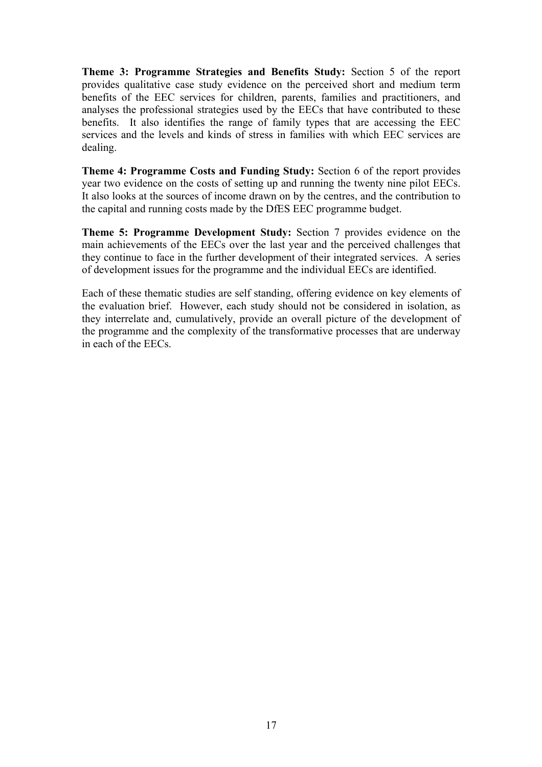**Theme 3: Programme Strategies and Benefits Study:** Section 5 of the report provides qualitative case study evidence on the perceived short and medium term benefits of the EEC services for children, parents, families and practitioners, and analyses the professional strategies used by the EECs that have contributed to these benefits. It also identifies the range of family types that are accessing the EEC services and the levels and kinds of stress in families with which EEC services are dealing.

**Theme 4: Programme Costs and Funding Study:** Section 6 of the report provides year two evidence on the costs of setting up and running the twenty nine pilot EECs. It also looks at the sources of income drawn on by the centres, and the contribution to the capital and running costs made by the DfES EEC programme budget.

**Theme 5: Programme Development Study:** Section 7 provides evidence on the main achievements of the EECs over the last year and the perceived challenges that they continue to face in the further development of their integrated services. A series of development issues for the programme and the individual EECs are identified.

Each of these thematic studies are self standing, offering evidence on key elements of the evaluation brief. However, each study should not be considered in isolation, as they interrelate and, cumulatively, provide an overall picture of the development of the programme and the complexity of the transformative processes that are underway in each of the EECs.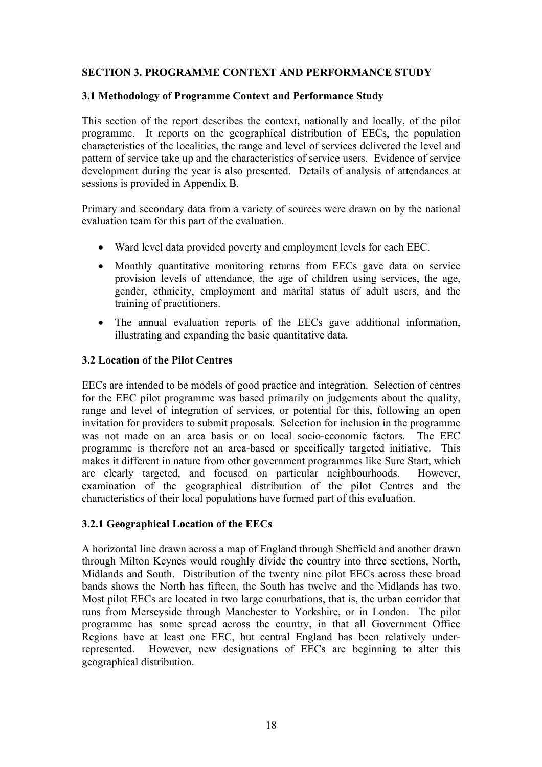# **SECTION 3. PROGRAMME CONTEXT AND PERFORMANCE STUDY**

#### **3.1 Methodology of Programme Context and Performance Study**

This section of the report describes the context, nationally and locally, of the pilot programme. It reports on the geographical distribution of EECs, the population characteristics of the localities, the range and level of services delivered the level and pattern of service take up and the characteristics of service users. Evidence of service development during the year is also presented. Details of analysis of attendances at sessions is provided in Appendix B.

Primary and secondary data from a variety of sources were drawn on by the national evaluation team for this part of the evaluation.

- Ward level data provided poverty and employment levels for each EEC.
- Monthly quantitative monitoring returns from EECs gave data on service provision levels of attendance, the age of children using services, the age, gender, ethnicity, employment and marital status of adult users, and the training of practitioners.
- The annual evaluation reports of the EECs gave additional information, illustrating and expanding the basic quantitative data.

#### **3.2 Location of the Pilot Centres**

EECs are intended to be models of good practice and integration. Selection of centres for the EEC pilot programme was based primarily on judgements about the quality, range and level of integration of services, or potential for this, following an open invitation for providers to submit proposals. Selection for inclusion in the programme was not made on an area basis or on local socio-economic factors. The EEC programme is therefore not an area-based or specifically targeted initiative. This makes it different in nature from other government programmes like Sure Start, which are clearly targeted, and focused on particular neighbourhoods. However, examination of the geographical distribution of the pilot Centres and the characteristics of their local populations have formed part of this evaluation.

# **3.2.1 Geographical Location of the EECs**

A horizontal line drawn across a map of England through Sheffield and another drawn through Milton Keynes would roughly divide the country into three sections, North, Midlands and South. Distribution of the twenty nine pilot EECs across these broad bands shows the North has fifteen, the South has twelve and the Midlands has two. Most pilot EECs are located in two large conurbations, that is, the urban corridor that runs from Merseyside through Manchester to Yorkshire, or in London. The pilot programme has some spread across the country, in that all Government Office Regions have at least one EEC, but central England has been relatively underrepresented. However, new designations of EECs are beginning to alter this geographical distribution.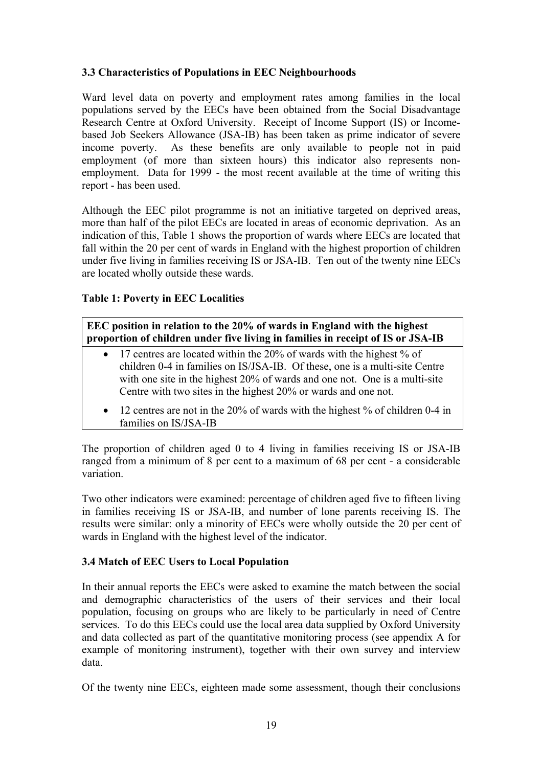# **3.3 Characteristics of Populations in EEC Neighbourhoods**

Ward level data on poverty and employment rates among families in the local populations served by the EECs have been obtained from the Social Disadvantage Research Centre at Oxford University. Receipt of Income Support (IS) or Incomebased Job Seekers Allowance (JSA-IB) has been taken as prime indicator of severe income poverty. As these benefits are only available to people not in paid employment (of more than sixteen hours) this indicator also represents nonemployment. Data for 1999 - the most recent available at the time of writing this report - has been used.

Although the EEC pilot programme is not an initiative targeted on deprived areas, more than half of the pilot EECs are located in areas of economic deprivation. As an indication of this, Table 1 shows the proportion of wards where EECs are located that fall within the 20 per cent of wards in England with the highest proportion of children under five living in families receiving IS or JSA-IB. Ten out of the twenty nine EECs are located wholly outside these wards.

# **Table 1: Poverty in EEC Localities**

**EEC position in relation to the 20% of wards in England with the highest proportion of children under five living in families in receipt of IS or JSA-IB** 

- 17 centres are located within the 20% of wards with the highest % of children 0-4 in families on IS/JSA-IB. Of these, one is a multi-site Centre with one site in the highest 20% of wards and one not. One is a multi-site Centre with two sites in the highest 20% or wards and one not.
- 12 centres are not in the 20% of wards with the highest % of children 0-4 in families on IS/JSA-IB

The proportion of children aged 0 to 4 living in families receiving IS or JSA-IB ranged from a minimum of 8 per cent to a maximum of 68 per cent - a considerable variation.

Two other indicators were examined: percentage of children aged five to fifteen living in families receiving IS or JSA-IB, and number of lone parents receiving IS. The results were similar: only a minority of EECs were wholly outside the 20 per cent of wards in England with the highest level of the indicator.

# **3.4 Match of EEC Users to Local Population**

In their annual reports the EECs were asked to examine the match between the social and demographic characteristics of the users of their services and their local population, focusing on groups who are likely to be particularly in need of Centre services. To do this EECs could use the local area data supplied by Oxford University and data collected as part of the quantitative monitoring process (see appendix A for example of monitoring instrument), together with their own survey and interview data.

Of the twenty nine EECs, eighteen made some assessment, though their conclusions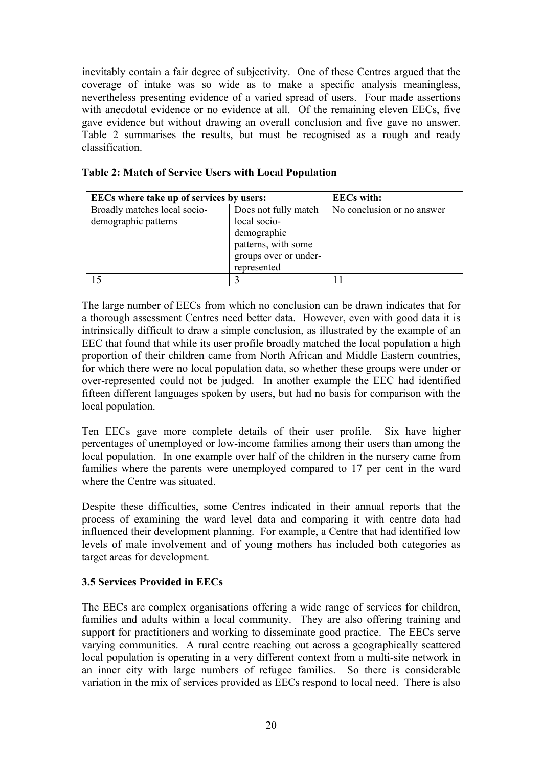inevitably contain a fair degree of subjectivity. One of these Centres argued that the coverage of intake was so wide as to make a specific analysis meaningless, nevertheless presenting evidence of a varied spread of users. Four made assertions with anecdotal evidence or no evidence at all. Of the remaining eleven EECs, five gave evidence but without drawing an overall conclusion and five gave no answer. Table 2 summarises the results, but must be recognised as a rough and ready classification.

| <b>EECs</b> where take up of services by users: | <b>EECs</b> with:     |                            |
|-------------------------------------------------|-----------------------|----------------------------|
| Broadly matches local socio-                    | Does not fully match  | No conclusion or no answer |
| demographic patterns                            | local socio-          |                            |
|                                                 | demographic           |                            |
|                                                 | patterns, with some   |                            |
|                                                 | groups over or under- |                            |
|                                                 | represented           |                            |
|                                                 |                       |                            |

#### **Table 2: Match of Service Users with Local Population**

The large number of EECs from which no conclusion can be drawn indicates that for a thorough assessment Centres need better data. However, even with good data it is intrinsically difficult to draw a simple conclusion, as illustrated by the example of an EEC that found that while its user profile broadly matched the local population a high proportion of their children came from North African and Middle Eastern countries, for which there were no local population data, so whether these groups were under or over-represented could not be judged. In another example the EEC had identified fifteen different languages spoken by users, but had no basis for comparison with the local population.

Ten EECs gave more complete details of their user profile. Six have higher percentages of unemployed or low-income families among their users than among the local population. In one example over half of the children in the nursery came from families where the parents were unemployed compared to 17 per cent in the ward where the Centre was situated.

Despite these difficulties, some Centres indicated in their annual reports that the process of examining the ward level data and comparing it with centre data had influenced their development planning. For example, a Centre that had identified low levels of male involvement and of young mothers has included both categories as target areas for development.

# **3.5 Services Provided in EECs**

The EECs are complex organisations offering a wide range of services for children, families and adults within a local community. They are also offering training and support for practitioners and working to disseminate good practice. The EECs serve varying communities. A rural centre reaching out across a geographically scattered local population is operating in a very different context from a multi-site network in an inner city with large numbers of refugee families. So there is considerable variation in the mix of services provided as EECs respond to local need. There is also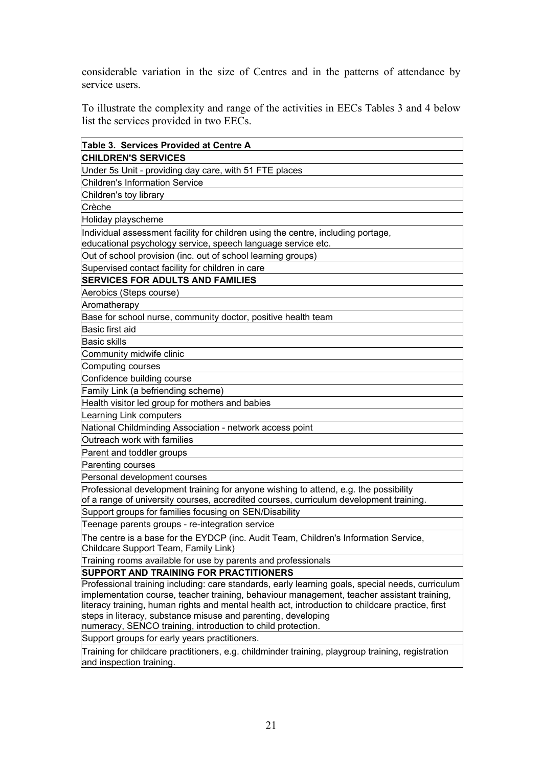considerable variation in the size of Centres and in the patterns of attendance by service users.

To illustrate the complexity and range of the activities in EECs Tables 3 and 4 below list the services provided in two EECs.

| Table 3. Services Provided at Centre A                                                                                                                                                                                                                                                                                                                                                                                             |
|------------------------------------------------------------------------------------------------------------------------------------------------------------------------------------------------------------------------------------------------------------------------------------------------------------------------------------------------------------------------------------------------------------------------------------|
| <b>CHILDREN'S SERVICES</b>                                                                                                                                                                                                                                                                                                                                                                                                         |
| Under 5s Unit - providing day care, with 51 FTE places                                                                                                                                                                                                                                                                                                                                                                             |
| <b>Children's Information Service</b>                                                                                                                                                                                                                                                                                                                                                                                              |
| Children's toy library                                                                                                                                                                                                                                                                                                                                                                                                             |
| Crèche                                                                                                                                                                                                                                                                                                                                                                                                                             |
| Holiday playscheme                                                                                                                                                                                                                                                                                                                                                                                                                 |
| Individual assessment facility for children using the centre, including portage,<br>educational psychology service, speech language service etc.                                                                                                                                                                                                                                                                                   |
| Out of school provision (inc. out of school learning groups)                                                                                                                                                                                                                                                                                                                                                                       |
| Supervised contact facility for children in care                                                                                                                                                                                                                                                                                                                                                                                   |
| <b>SERVICES FOR ADULTS AND FAMILIES</b>                                                                                                                                                                                                                                                                                                                                                                                            |
| Aerobics (Steps course)                                                                                                                                                                                                                                                                                                                                                                                                            |
| Aromatherapy                                                                                                                                                                                                                                                                                                                                                                                                                       |
| Base for school nurse, community doctor, positive health team                                                                                                                                                                                                                                                                                                                                                                      |
| Basic first aid                                                                                                                                                                                                                                                                                                                                                                                                                    |
| <b>Basic skills</b>                                                                                                                                                                                                                                                                                                                                                                                                                |
| Community midwife clinic                                                                                                                                                                                                                                                                                                                                                                                                           |
| Computing courses                                                                                                                                                                                                                                                                                                                                                                                                                  |
| Confidence building course                                                                                                                                                                                                                                                                                                                                                                                                         |
| Family Link (a befriending scheme)                                                                                                                                                                                                                                                                                                                                                                                                 |
| Health visitor led group for mothers and babies                                                                                                                                                                                                                                                                                                                                                                                    |
| Learning Link computers                                                                                                                                                                                                                                                                                                                                                                                                            |
| National Childminding Association - network access point                                                                                                                                                                                                                                                                                                                                                                           |
| Outreach work with families                                                                                                                                                                                                                                                                                                                                                                                                        |
| Parent and toddler groups                                                                                                                                                                                                                                                                                                                                                                                                          |
| Parenting courses                                                                                                                                                                                                                                                                                                                                                                                                                  |
| Personal development courses                                                                                                                                                                                                                                                                                                                                                                                                       |
| Professional development training for anyone wishing to attend, e.g. the possibility<br>of a range of university courses, accredited courses, curriculum development training.                                                                                                                                                                                                                                                     |
| Support groups for families focusing on SEN/Disability                                                                                                                                                                                                                                                                                                                                                                             |
| Teenage parents groups - re-integration service                                                                                                                                                                                                                                                                                                                                                                                    |
| The centre is a base for the EYDCP (inc. Audit Team, Children's Information Service,<br>Childcare Support Team, Family Link)                                                                                                                                                                                                                                                                                                       |
| Training rooms available for use by parents and professionals                                                                                                                                                                                                                                                                                                                                                                      |
| SUPPORT AND TRAINING FOR PRACTITIONERS                                                                                                                                                                                                                                                                                                                                                                                             |
| Professional training including: care standards, early learning goals, special needs, curriculum<br>implementation course, teacher training, behaviour management, teacher assistant training,<br>literacy training, human rights and mental health act, introduction to childcare practice, first<br>steps in literacy, substance misuse and parenting, developing<br>numeracy, SENCO training, introduction to child protection. |
| Support groups for early years practitioners.                                                                                                                                                                                                                                                                                                                                                                                      |
| Training for childcare practitioners, e.g. childminder training, playgroup training, registration<br>and inspection training.                                                                                                                                                                                                                                                                                                      |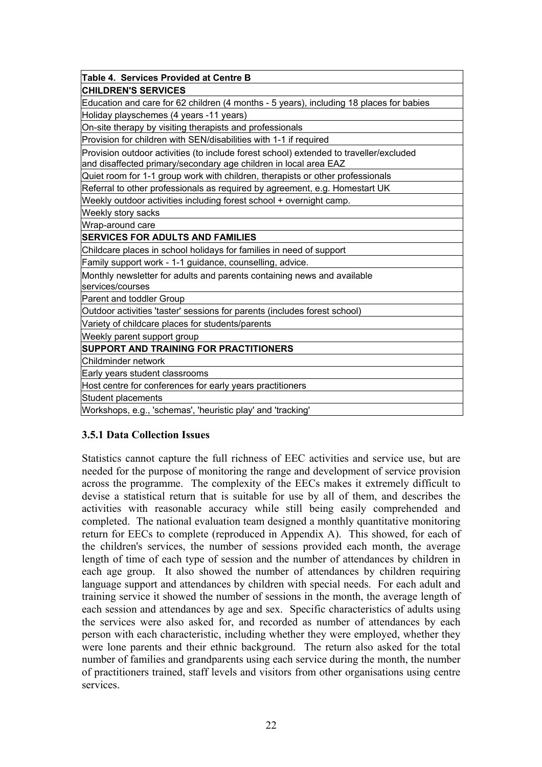| Table 4. Services Provided at Centre B                                                                                                                     |
|------------------------------------------------------------------------------------------------------------------------------------------------------------|
| <b>CHILDREN'S SERVICES</b>                                                                                                                                 |
| Education and care for 62 children (4 months - 5 years), including 18 places for babies                                                                    |
| Holiday playschemes (4 years -11 years)                                                                                                                    |
| On-site therapy by visiting therapists and professionals                                                                                                   |
| Provision for children with SEN/disabilities with 1-1 if required                                                                                          |
| Provision outdoor activities (to include forest school) extended to traveller/excluded<br>and disaffected primary/secondary age children in local area EAZ |
| Quiet room for 1-1 group work with children, therapists or other professionals                                                                             |
| Referral to other professionals as required by agreement, e.g. Homestart UK                                                                                |
| Weekly outdoor activities including forest school + overnight camp.                                                                                        |
| Weekly story sacks                                                                                                                                         |
| Wrap-around care                                                                                                                                           |
| <b>SERVICES FOR ADULTS AND FAMILIES</b>                                                                                                                    |
| Childcare places in school holidays for families in need of support                                                                                        |
| Family support work - 1-1 guidance, counselling, advice.                                                                                                   |
| Monthly newsletter for adults and parents containing news and available<br>services/courses                                                                |
| Parent and toddler Group                                                                                                                                   |
| Outdoor activities 'taster' sessions for parents (includes forest school)                                                                                  |
| Variety of childcare places for students/parents                                                                                                           |
| Weekly parent support group                                                                                                                                |
| SUPPORT AND TRAINING FOR PRACTITIONERS                                                                                                                     |
| Childminder network                                                                                                                                        |
| Early years student classrooms                                                                                                                             |
| Host centre for conferences for early years practitioners                                                                                                  |
| Student placements                                                                                                                                         |
| Workshops, e.g., 'schemas', 'heuristic play' and 'tracking'                                                                                                |

# **3.5.1 Data Collection Issues**

Statistics cannot capture the full richness of EEC activities and service use, but are needed for the purpose of monitoring the range and development of service provision across the programme. The complexity of the EECs makes it extremely difficult to devise a statistical return that is suitable for use by all of them, and describes the activities with reasonable accuracy while still being easily comprehended and completed. The national evaluation team designed a monthly quantitative monitoring return for EECs to complete (reproduced in Appendix A). This showed, for each of the children's services, the number of sessions provided each month, the average length of time of each type of session and the number of attendances by children in each age group. It also showed the number of attendances by children requiring language support and attendances by children with special needs. For each adult and training service it showed the number of sessions in the month, the average length of each session and attendances by age and sex. Specific characteristics of adults using the services were also asked for, and recorded as number of attendances by each person with each characteristic, including whether they were employed, whether they were lone parents and their ethnic background. The return also asked for the total number of families and grandparents using each service during the month, the number of practitioners trained, staff levels and visitors from other organisations using centre services.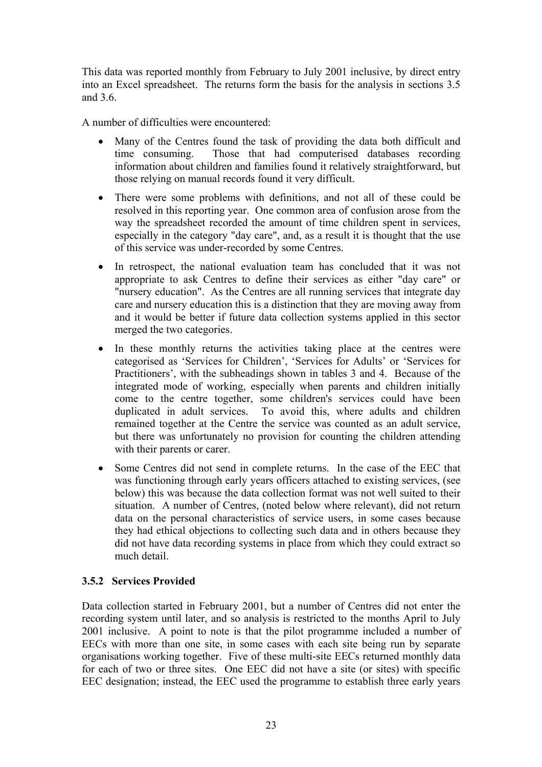This data was reported monthly from February to July 2001 inclusive, by direct entry into an Excel spreadsheet. The returns form the basis for the analysis in sections 3.5 and 3.6.

A number of difficulties were encountered:

- Many of the Centres found the task of providing the data both difficult and time consuming. Those that had computerised databases recording Those that had computerised databases recording. information about children and families found it relatively straightforward, but those relying on manual records found it very difficult.
- There were some problems with definitions, and not all of these could be resolved in this reporting year. One common area of confusion arose from the way the spreadsheet recorded the amount of time children spent in services, especially in the category "day care", and, as a result it is thought that the use of this service was under-recorded by some Centres.
- In retrospect, the national evaluation team has concluded that it was not appropriate to ask Centres to define their services as either "day care" or "nursery education". As the Centres are all running services that integrate day care and nursery education this is a distinction that they are moving away from and it would be better if future data collection systems applied in this sector merged the two categories.
- In these monthly returns the activities taking place at the centres were categorised as 'Services for Children', 'Services for Adults' or 'Services for Practitioners', with the subheadings shown in tables 3 and 4. Because of the integrated mode of working, especially when parents and children initially come to the centre together, some children's services could have been duplicated in adult services. To avoid this, where adults and children remained together at the Centre the service was counted as an adult service, but there was unfortunately no provision for counting the children attending with their parents or carer.
- Some Centres did not send in complete returns. In the case of the EEC that was functioning through early years officers attached to existing services, (see below) this was because the data collection format was not well suited to their situation. A number of Centres, (noted below where relevant), did not return data on the personal characteristics of service users, in some cases because they had ethical objections to collecting such data and in others because they did not have data recording systems in place from which they could extract so much detail.

# **3.5.2 Services Provided**

Data collection started in February 2001, but a number of Centres did not enter the recording system until later, and so analysis is restricted to the months April to July 2001 inclusive. A point to note is that the pilot programme included a number of EECs with more than one site, in some cases with each site being run by separate organisations working together. Five of these multi-site EECs returned monthly data for each of two or three sites. One EEC did not have a site (or sites) with specific EEC designation; instead, the EEC used the programme to establish three early years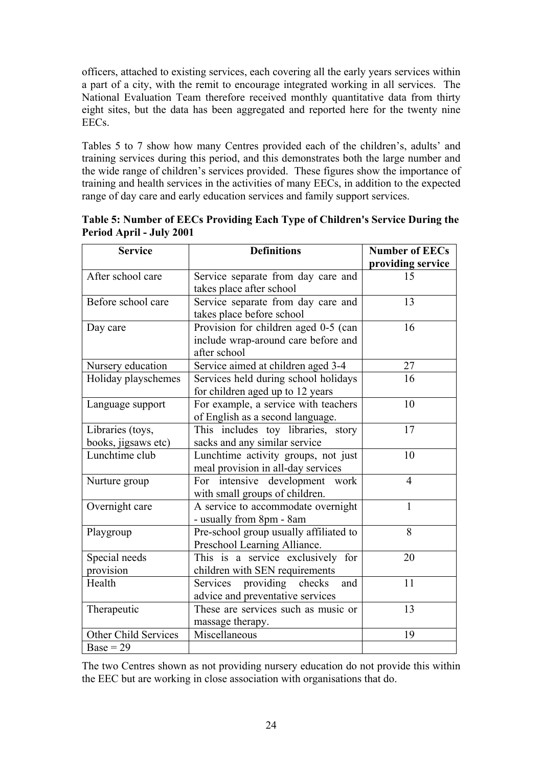officers, attached to existing services, each covering all the early years services within a part of a city, with the remit to encourage integrated working in all services. The National Evaluation Team therefore received monthly quantitative data from thirty eight sites, but the data has been aggregated and reported here for the twenty nine EECs.

Tables 5 to 7 show how many Centres provided each of the children's, adults' and training services during this period, and this demonstrates both the large number and the wide range of children's services provided. These figures show the importance of training and health services in the activities of many EECs, in addition to the expected range of day care and early education services and family support services.

| <b>Service</b>       | <b>Definitions</b>                     | <b>Number of EECs</b> |
|----------------------|----------------------------------------|-----------------------|
|                      |                                        | providing service     |
| After school care    | Service separate from day care and     | 15                    |
|                      | takes place after school               |                       |
| Before school care   | Service separate from day care and     | 13                    |
|                      | takes place before school              |                       |
| Day care             | Provision for children aged 0-5 (can   | 16                    |
|                      | include wrap-around care before and    |                       |
|                      | after school                           |                       |
| Nursery education    | Service aimed at children aged 3-4     | 27                    |
| Holiday playschemes  | Services held during school holidays   | 16                    |
|                      | for children aged up to 12 years       |                       |
| Language support     | For example, a service with teachers   | 10                    |
|                      | of English as a second language.       |                       |
| Libraries (toys,     | This includes toy libraries, story     | 17                    |
| books, jigsaws etc)  | sacks and any similar service          |                       |
| Lunchtime club       | Lunchtime activity groups, not just    | 10                    |
|                      | meal provision in all-day services     |                       |
| Nurture group        | For intensive development<br>work      | $\overline{4}$        |
|                      | with small groups of children.         |                       |
| Overnight care       | A service to accommodate overnight     | $\mathbf{1}$          |
|                      | - usually from 8pm - 8am               |                       |
| Playgroup            | Pre-school group usually affiliated to | 8                     |
|                      | Preschool Learning Alliance.           |                       |
| Special needs        | This is a service exclusively for      | 20                    |
| provision            | children with SEN requirements         |                       |
| Health               | Services providing checks<br>and       | 11                    |
|                      | advice and preventative services       |                       |
| Therapeutic          | These are services such as music or    | 13                    |
|                      | massage therapy.                       |                       |
| Other Child Services | Miscellaneous                          | 19                    |
| $Base = 29$          |                                        |                       |

**Table 5: Number of EECs Providing Each Type of Children's Service During the Period April - July 2001** 

The two Centres shown as not providing nursery education do not provide this within the EEC but are working in close association with organisations that do.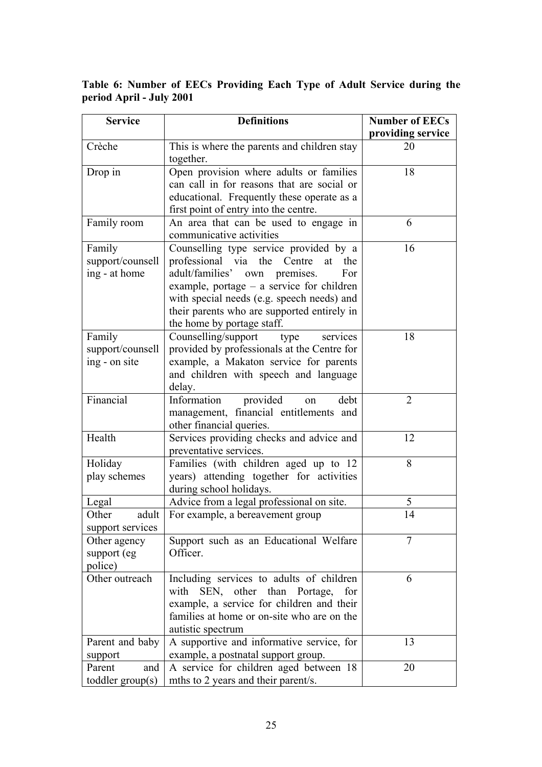**Table 6: Number of EECs Providing Each Type of Adult Service during the period April - July 2001** 

| <b>Service</b>     | <b>Definitions</b>                                                                      | <b>Number of EECs</b> |
|--------------------|-----------------------------------------------------------------------------------------|-----------------------|
|                    |                                                                                         | providing service     |
| Crèche             | This is where the parents and children stay                                             | 20                    |
|                    | together.                                                                               |                       |
| Drop in            | Open provision where adults or families                                                 | 18                    |
|                    | can call in for reasons that are social or                                              |                       |
|                    | educational. Frequently these operate as a                                              |                       |
|                    | first point of entry into the centre.                                                   |                       |
| Family room        | An area that can be used to engage in                                                   | 6                     |
|                    | communicative activities                                                                |                       |
| Family             | Counselling type service provided by a                                                  | 16                    |
| support/counsell   | professional via the Centre<br>at<br>the                                                |                       |
| ing - at home      | adult/families' own premises.<br>For                                                    |                       |
|                    | example, portage $-$ a service for children                                             |                       |
|                    | with special needs (e.g. speech needs) and                                              |                       |
|                    | their parents who are supported entirely in                                             |                       |
|                    | the home by portage staff.                                                              |                       |
| Family             | Counselling/support<br>type<br>services                                                 | 18                    |
| support/counsell   | provided by professionals at the Centre for                                             |                       |
| ing - on site      | example, a Makaton service for parents                                                  |                       |
|                    | and children with speech and language                                                   |                       |
|                    | delay.                                                                                  |                       |
| Financial          | Information<br>provided<br>debt<br>on                                                   | $\overline{2}$        |
|                    | management, financial entitlements and                                                  |                       |
|                    | other financial queries.                                                                |                       |
| Health             | Services providing checks and advice and                                                | 12                    |
|                    | preventative services.                                                                  |                       |
| Holiday            | Families (with children aged up to 12                                                   | 8                     |
| play schemes       | years) attending together for activities                                                |                       |
|                    | during school holidays.                                                                 |                       |
| Legal              | Advice from a legal professional on site.                                               | 5                     |
| Other<br>adult     | For example, a bereavement group                                                        | 14                    |
| support services   |                                                                                         | $\overline{7}$        |
| Other agency       | Support such as an Educational Welfare                                                  |                       |
| support (eg        | Officer.                                                                                |                       |
| police)            |                                                                                         |                       |
| Other outreach     | Including services to adults of children                                                | 6                     |
|                    | SEN, other than Portage,<br>with<br>for                                                 |                       |
|                    | example, a service for children and their<br>families at home or on-site who are on the |                       |
|                    | autistic spectrum                                                                       |                       |
|                    |                                                                                         | 13                    |
| Parent and baby    | A supportive and informative service, for                                               |                       |
| support<br>Parent  | example, a postnatal support group.                                                     | 20                    |
| and                | A service for children aged between 18                                                  |                       |
| toddler $group(s)$ | mths to 2 years and their parent/s.                                                     |                       |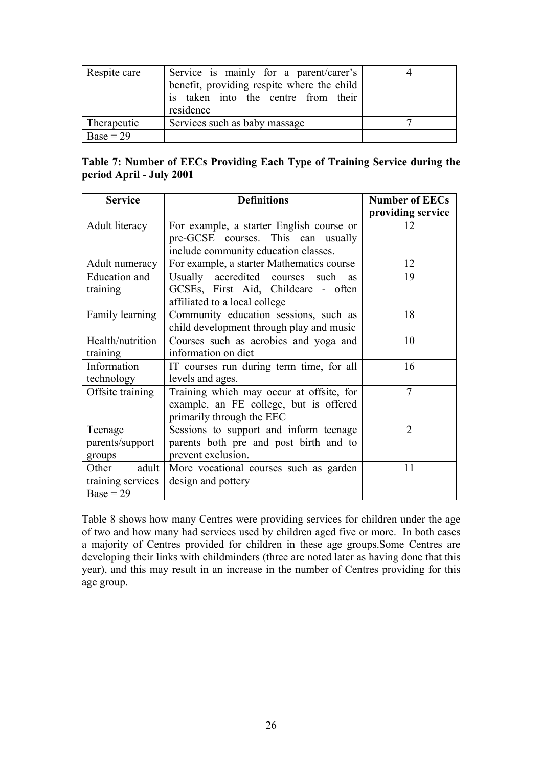| Respite care | Service is mainly for a parent/carer's<br>benefit, providing respite where the child<br>is taken into the centre from their<br>residence |  |
|--------------|------------------------------------------------------------------------------------------------------------------------------------------|--|
| Therapeutic  | Services such as baby massage                                                                                                            |  |
| $Base = 29$  |                                                                                                                                          |  |

# **Table 7: Number of EECs Providing Each Type of Training Service during the period April - July 2001**

| <b>Service</b>                 | <b>Definitions</b>                              | <b>Number of EECs</b> |
|--------------------------------|-------------------------------------------------|-----------------------|
|                                |                                                 | providing service     |
| Adult literacy                 | For example, a starter English course or        | 12                    |
|                                | pre-GCSE courses. This can usually              |                       |
|                                | include community education classes.            |                       |
| Adult numeracy                 | For example, a starter Mathematics course       | 12                    |
| Education and                  | Usually accredited courses<br>such<br><b>as</b> | 19                    |
| training                       | GCSEs, First Aid, Childcare - often             |                       |
|                                | affiliated to a local college                   |                       |
| Family learning                | Community education sessions, such as           | 18                    |
|                                | child development through play and music        |                       |
| Health/nutrition               | Courses such as aerobics and yoga and           | 10                    |
| training                       | information on diet                             |                       |
| Information                    | IT courses run during term time, for all        | 16                    |
| technology<br>levels and ages. |                                                 |                       |
| Offsite training               | Training which may occur at offsite, for        | $\overline{7}$        |
|                                | example, an FE college, but is offered          |                       |
|                                | primarily through the EEC                       |                       |
| Teenage                        | Sessions to support and inform teenage          | $\overline{2}$        |
| parents/support                | parents both pre and post birth and to          |                       |
| groups                         | prevent exclusion.                              |                       |
| adult<br>Other                 | More vocational courses such as garden          | 11                    |
| training services              | design and pottery                              |                       |
| $Base = 29$                    |                                                 |                       |

Table 8 shows how many Centres were providing services for children under the age of two and how many had services used by children aged five or more. In both cases a majority of Centres provided for children in these age groups.Some Centres are developing their links with childminders (three are noted later as having done that this year), and this may result in an increase in the number of Centres providing for this age group.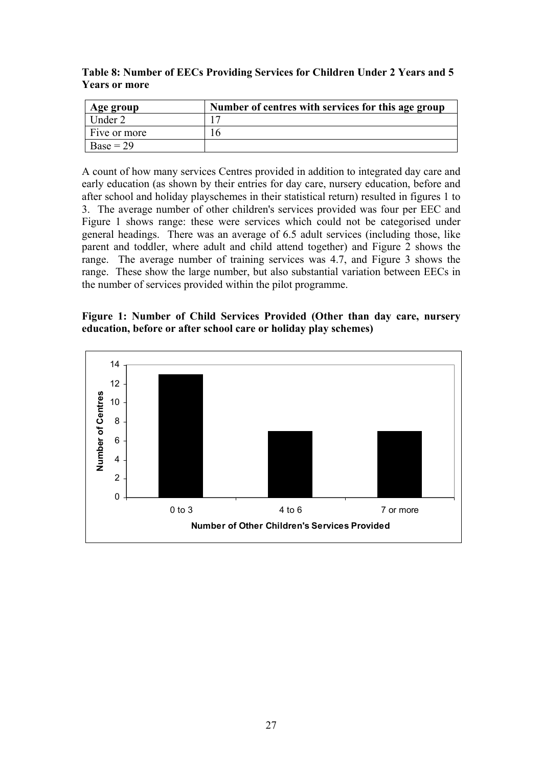**Table 8: Number of EECs Providing Services for Children Under 2 Years and 5 Years or more** 

| Age group    | Number of centres with services for this age group |
|--------------|----------------------------------------------------|
| Under 2      |                                                    |
| Five or more | h                                                  |
| $Base = 29$  |                                                    |

A count of how many services Centres provided in addition to integrated day care and early education (as shown by their entries for day care, nursery education, before and after school and holiday playschemes in their statistical return) resulted in figures 1 to 3. The average number of other children's services provided was four per EEC and Figure 1 shows range: these were services which could not be categorised under general headings. There was an average of 6.5 adult services (including those, like parent and toddler, where adult and child attend together) and Figure 2 shows the range. The average number of training services was 4.7, and Figure 3 shows the range. These show the large number, but also substantial variation between EECs in the number of services provided within the pilot programme.

#### **Figure 1: Number of Child Services Provided (Other than day care, nursery education, before or after school care or holiday play schemes)**

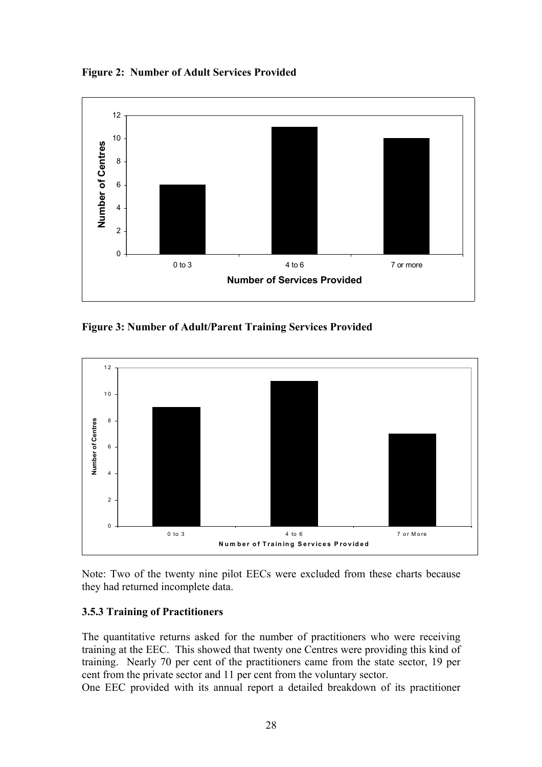**Figure 2: Number of Adult Services Provided** 



**Figure 3: Number of Adult/Parent Training Services Provided** 

![](_page_31_Figure_3.jpeg)

Note: Two of the twenty nine pilot EECs were excluded from these charts because they had returned incomplete data.

# **3.5.3 Training of Practitioners**

The quantitative returns asked for the number of practitioners who were receiving training at the EEC. This showed that twenty one Centres were providing this kind of training. Nearly 70 per cent of the practitioners came from the state sector, 19 per cent from the private sector and 11 per cent from the voluntary sector.

One EEC provided with its annual report a detailed breakdown of its practitioner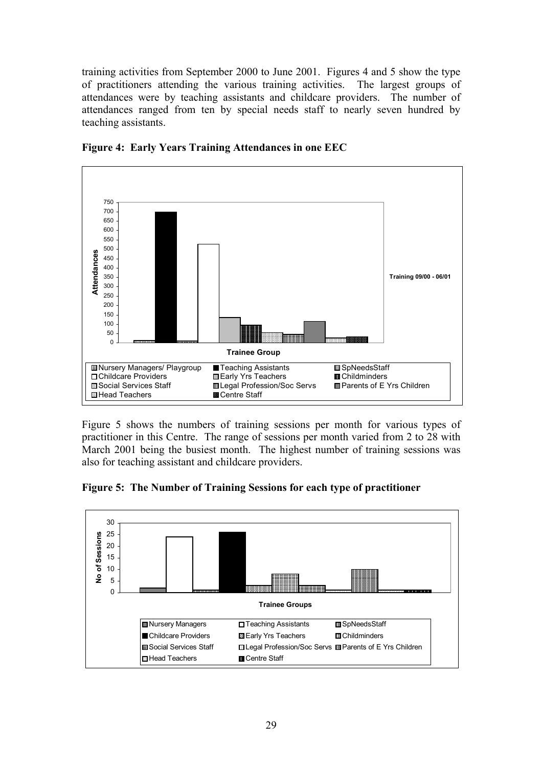training activities from September 2000 to June 2001. Figures 4 and 5 show the type of practitioners attending the various training activities. The largest groups of attendances were by teaching assistants and childcare providers. The number of attendances ranged from ten by special needs staff to nearly seven hundred by teaching assistants.

![](_page_32_Figure_1.jpeg)

**Figure 4: Early Years Training Attendances in one EEC** 

Figure 5 shows the numbers of training sessions per month for various types of practitioner in this Centre. The range of sessions per month varied from 2 to 28 with March 2001 being the busiest month. The highest number of training sessions was also for teaching assistant and childcare providers.

**Figure 5: The Number of Training Sessions for each type of practitioner** 

![](_page_32_Figure_5.jpeg)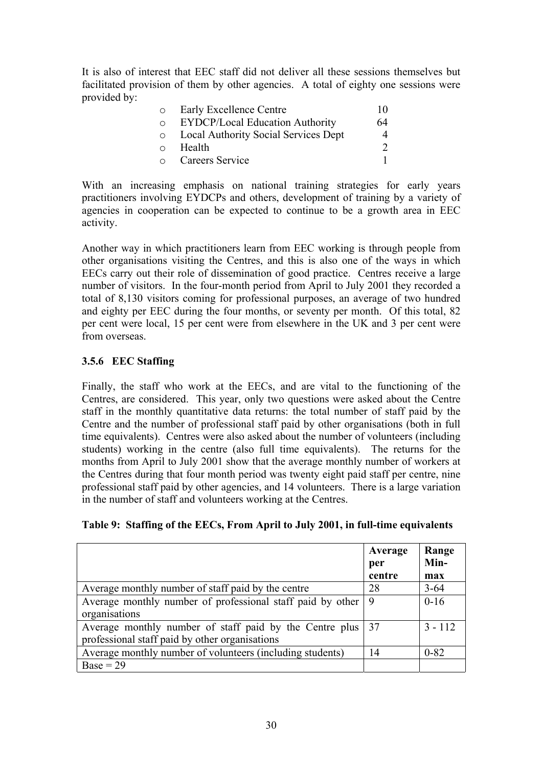It is also of interest that EEC staff did not deliver all these sessions themselves but facilitated provision of them by other agencies. A total of eighty one sessions were provided by:

| $\circ$ | Early Excellence Centre                               | 1() |
|---------|-------------------------------------------------------|-----|
| $\circ$ | <b>EYDCP/Local Education Authority</b>                | 64  |
|         | <b>Example 2</b> Local Authority Social Services Dept | 4   |
| $\circ$ | Health                                                |     |
|         | <b>Careers Service</b>                                |     |

With an increasing emphasis on national training strategies for early years practitioners involving EYDCPs and others, development of training by a variety of agencies in cooperation can be expected to continue to be a growth area in EEC activity.

Another way in which practitioners learn from EEC working is through people from other organisations visiting the Centres, and this is also one of the ways in which EECs carry out their role of dissemination of good practice. Centres receive a large number of visitors. In the four-month period from April to July 2001 they recorded a total of 8,130 visitors coming for professional purposes, an average of two hundred and eighty per EEC during the four months, or seventy per month. Of this total, 82 per cent were local, 15 per cent were from elsewhere in the UK and 3 per cent were from overseas.

# **3.5.6 EEC Staffing**

Finally, the staff who work at the EECs, and are vital to the functioning of the Centres, are considered. This year, only two questions were asked about the Centre staff in the monthly quantitative data returns: the total number of staff paid by the Centre and the number of professional staff paid by other organisations (both in full time equivalents). Centres were also asked about the number of volunteers (including students) working in the centre (also full time equivalents). The returns for the months from April to July 2001 show that the average monthly number of workers at the Centres during that four month period was twenty eight paid staff per centre, nine professional staff paid by other agencies, and 14 volunteers. There is a large variation in the number of staff and volunteers working at the Centres.

|  |  |  |  |  |  | Table 9: Staffing of the EECs, From April to July 2001, in full-time equivalents |
|--|--|--|--|--|--|----------------------------------------------------------------------------------|
|--|--|--|--|--|--|----------------------------------------------------------------------------------|

|                                                            | Average | Range     |
|------------------------------------------------------------|---------|-----------|
|                                                            | per     | Min-      |
|                                                            | centre  | max       |
| Average monthly number of staff paid by the centre         | 28      | $3 - 64$  |
| Average monthly number of professional staff paid by other | -9      | $0 - 16$  |
| organisations                                              |         |           |
| Average monthly number of staff paid by the Centre plus    | 37      | $3 - 112$ |
| professional staff paid by other organisations             |         |           |
| Average monthly number of volunteers (including students)  | 14      | $0 - 82$  |
| $Base = 29$                                                |         |           |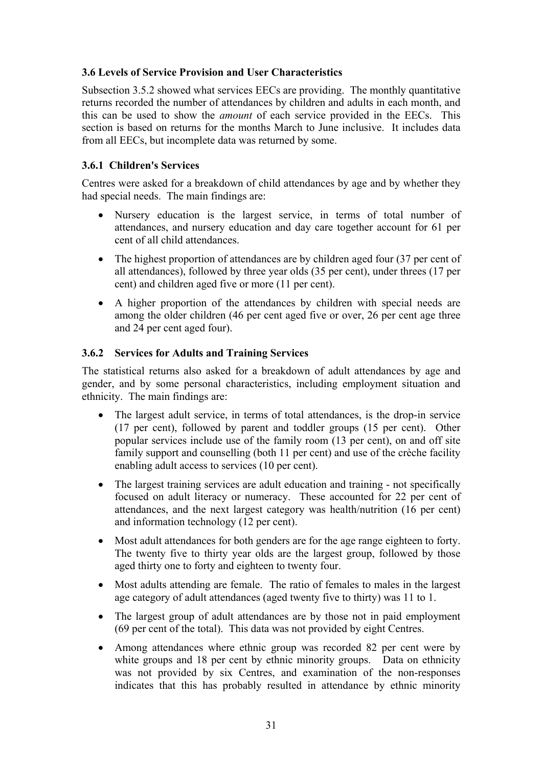# **3.6 Levels of Service Provision and User Characteristics**

Subsection 3.5.2 showed what services EECs are providing. The monthly quantitative returns recorded the number of attendances by children and adults in each month, and this can be used to show the *amount* of each service provided in the EECs. This section is based on returns for the months March to June inclusive. It includes data from all EECs, but incomplete data was returned by some.

# **3.6.1 Children's Services**

Centres were asked for a breakdown of child attendances by age and by whether they had special needs. The main findings are:

- Nursery education is the largest service, in terms of total number of attendances, and nursery education and day care together account for 61 per cent of all child attendances.
- The highest proportion of attendances are by children aged four (37 per cent of all attendances), followed by three year olds (35 per cent), under threes (17 per cent) and children aged five or more (11 per cent).
- A higher proportion of the attendances by children with special needs are among the older children (46 per cent aged five or over, 26 per cent age three and 24 per cent aged four).

# **3.6.2 Services for Adults and Training Services**

The statistical returns also asked for a breakdown of adult attendances by age and gender, and by some personal characteristics, including employment situation and ethnicity. The main findings are:

- The largest adult service, in terms of total attendances, is the drop-in service (17 per cent), followed by parent and toddler groups (15 per cent). Other popular services include use of the family room (13 per cent), on and off site family support and counselling (both 11 per cent) and use of the crèche facility enabling adult access to services (10 per cent).
- The largest training services are adult education and training not specifically focused on adult literacy or numeracy. These accounted for 22 per cent of attendances, and the next largest category was health/nutrition (16 per cent) and information technology (12 per cent).
- Most adult attendances for both genders are for the age range eighteen to forty. The twenty five to thirty year olds are the largest group, followed by those aged thirty one to forty and eighteen to twenty four.
- Most adults attending are female. The ratio of females to males in the largest age category of adult attendances (aged twenty five to thirty) was 11 to 1.
- The largest group of adult attendances are by those not in paid employment (69 per cent of the total). This data was not provided by eight Centres.
- Among attendances where ethnic group was recorded 82 per cent were by white groups and 18 per cent by ethnic minority groups. Data on ethnicity was not provided by six Centres, and examination of the non-responses indicates that this has probably resulted in attendance by ethnic minority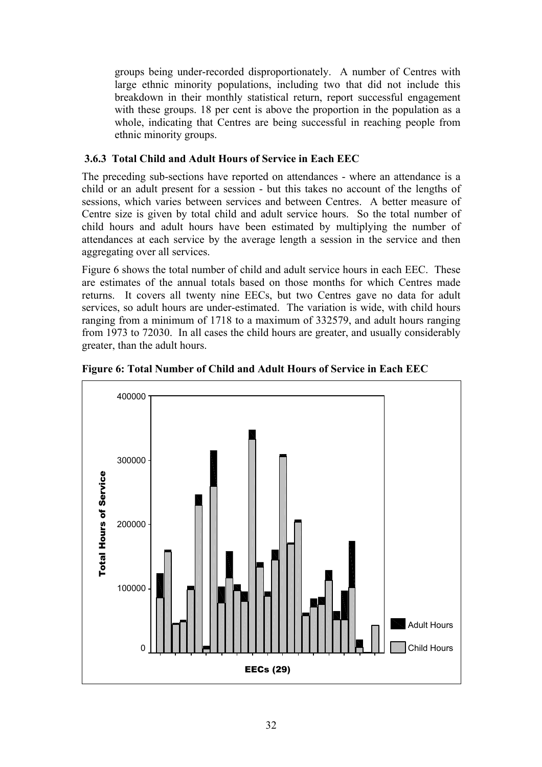groups being under-recorded disproportionately. A number of Centres with large ethnic minority populations, including two that did not include this breakdown in their monthly statistical return, report successful engagement with these groups. 18 per cent is above the proportion in the population as a whole, indicating that Centres are being successful in reaching people from ethnic minority groups.

# **3.6.3 Total Child and Adult Hours of Service in Each EEC**

The preceding sub-sections have reported on attendances - where an attendance is a child or an adult present for a session - but this takes no account of the lengths of sessions, which varies between services and between Centres. A better measure of Centre size is given by total child and adult service hours. So the total number of child hours and adult hours have been estimated by multiplying the number of attendances at each service by the average length a session in the service and then aggregating over all services.

Figure 6 shows the total number of child and adult service hours in each EEC. These are estimates of the annual totals based on those months for which Centres made returns. It covers all twenty nine EECs, but two Centres gave no data for adult services, so adult hours are under-estimated. The variation is wide, with child hours ranging from a minimum of 1718 to a maximum of 332579, and adult hours ranging from 1973 to 72030. In all cases the child hours are greater, and usually considerably greater, than the adult hours.

![](_page_35_Figure_4.jpeg)

**Figure 6: Total Number of Child and Adult Hours of Service in Each EEC**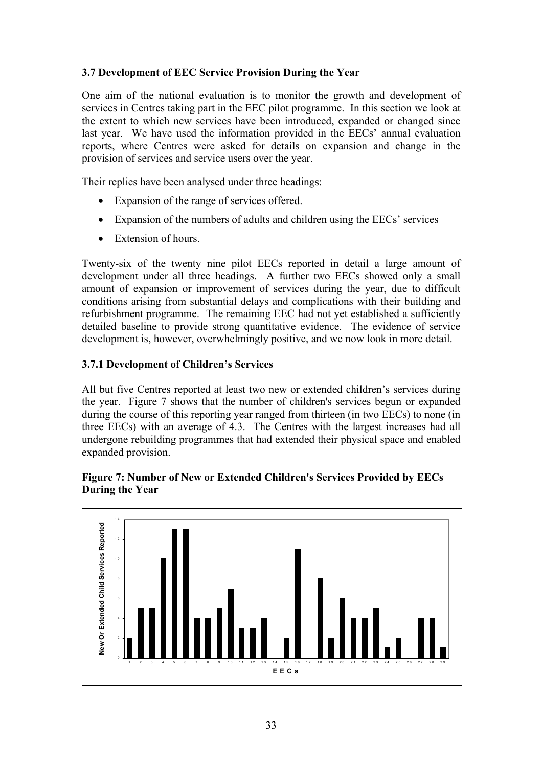## **3.7 Development of EEC Service Provision During the Year**

One aim of the national evaluation is to monitor the growth and development of services in Centres taking part in the EEC pilot programme. In this section we look at the extent to which new services have been introduced, expanded or changed since last year. We have used the information provided in the EECs' annual evaluation reports, where Centres were asked for details on expansion and change in the provision of services and service users over the year.

Their replies have been analysed under three headings:

- Expansion of the range of services offered.
- Expansion of the numbers of adults and children using the EECs' services
- Extension of hours.

Twenty-six of the twenty nine pilot EECs reported in detail a large amount of development under all three headings. A further two EECs showed only a small amount of expansion or improvement of services during the year, due to difficult conditions arising from substantial delays and complications with their building and refurbishment programme. The remaining EEC had not yet established a sufficiently detailed baseline to provide strong quantitative evidence. The evidence of service development is, however, overwhelmingly positive, and we now look in more detail.

## **3.7.1 Development of Children's Services**

All but five Centres reported at least two new or extended children's services during the year. Figure 7 shows that the number of children's services begun or expanded during the course of this reporting year ranged from thirteen (in two EECs) to none (in three EECs) with an average of 4.3. The Centres with the largest increases had all undergone rebuilding programmes that had extended their physical space and enabled expanded provision.

### **Figure 7: Number of New or Extended Children's Services Provided by EECs During the Year**

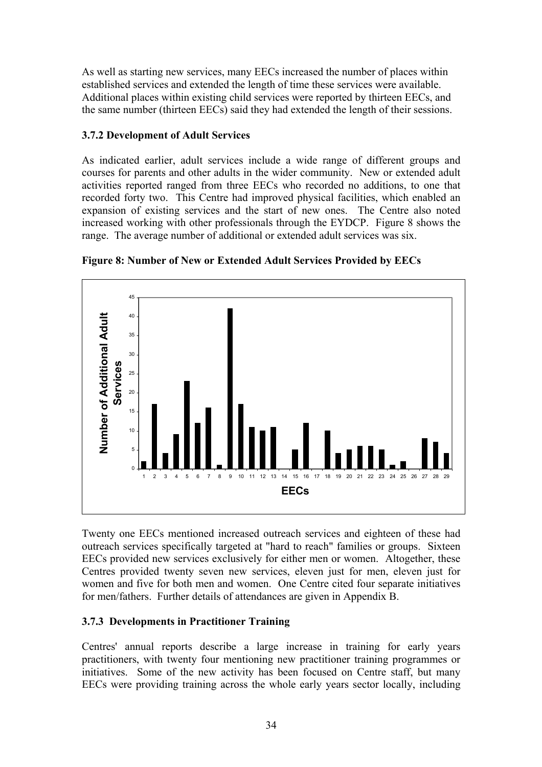As well as starting new services, many EECs increased the number of places within established services and extended the length of time these services were available. Additional places within existing child services were reported by thirteen EECs, and the same number (thirteen EECs) said they had extended the length of their sessions.

## **3.7.2 Development of Adult Services**

As indicated earlier, adult services include a wide range of different groups and courses for parents and other adults in the wider community. New or extended adult activities reported ranged from three EECs who recorded no additions, to one that recorded forty two. This Centre had improved physical facilities, which enabled an expansion of existing services and the start of new ones. The Centre also noted increased working with other professionals through the EYDCP. Figure 8 shows the range. The average number of additional or extended adult services was six.



**Figure 8: Number of New or Extended Adult Services Provided by EECs** 

Twenty one EECs mentioned increased outreach services and eighteen of these had outreach services specifically targeted at "hard to reach" families or groups. Sixteen EECs provided new services exclusively for either men or women. Altogether, these Centres provided twenty seven new services, eleven just for men, eleven just for women and five for both men and women. One Centre cited four separate initiatives for men/fathers. Further details of attendances are given in Appendix B.

# **3.7.3 Developments in Practitioner Training**

Centres' annual reports describe a large increase in training for early years practitioners, with twenty four mentioning new practitioner training programmes or initiatives. Some of the new activity has been focused on Centre staff, but many EECs were providing training across the whole early years sector locally, including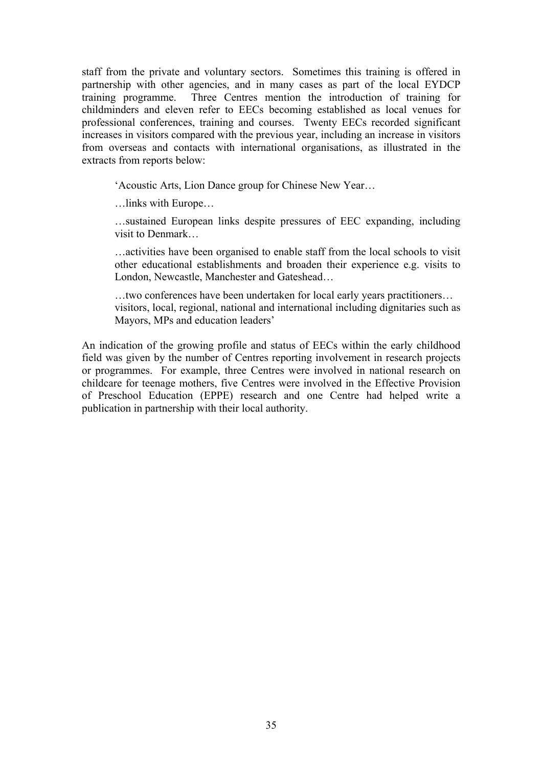staff from the private and voluntary sectors. Sometimes this training is offered in partnership with other agencies, and in many cases as part of the local EYDCP training programme. Three Centres mention the introduction of training for childminders and eleven refer to EECs becoming established as local venues for professional conferences, training and courses. Twenty EECs recorded significant increases in visitors compared with the previous year, including an increase in visitors from overseas and contacts with international organisations, as illustrated in the extracts from reports below:

'Acoustic Arts, Lion Dance group for Chinese New Year…

…links with Europe…

…sustained European links despite pressures of EEC expanding, including visit to Denmark…

…activities have been organised to enable staff from the local schools to visit other educational establishments and broaden their experience e.g. visits to London, Newcastle, Manchester and Gateshead…

…two conferences have been undertaken for local early years practitioners… visitors, local, regional, national and international including dignitaries such as Mayors, MPs and education leaders'

An indication of the growing profile and status of EECs within the early childhood field was given by the number of Centres reporting involvement in research projects or programmes. For example, three Centres were involved in national research on childcare for teenage mothers, five Centres were involved in the Effective Provision of Preschool Education (EPPE) research and one Centre had helped write a publication in partnership with their local authority.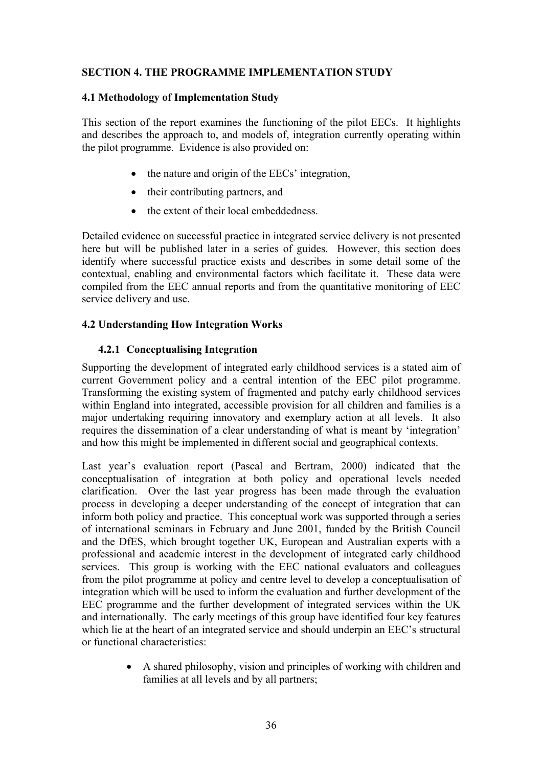## **SECTION 4. THE PROGRAMME IMPLEMENTATION STUDY**

#### **4.1 Methodology of Implementation Study**

This section of the report examines the functioning of the pilot EECs. It highlights and describes the approach to, and models of, integration currently operating within the pilot programme. Evidence is also provided on:

- the nature and origin of the EECs' integration,
- their contributing partners, and
- the extent of their local embeddedness.

Detailed evidence on successful practice in integrated service delivery is not presented here but will be published later in a series of guides. However, this section does identify where successful practice exists and describes in some detail some of the contextual, enabling and environmental factors which facilitate it. These data were compiled from the EEC annual reports and from the quantitative monitoring of EEC service delivery and use.

### **4.2 Understanding How Integration Works**

## **4.2.1 Conceptualising Integration**

Supporting the development of integrated early childhood services is a stated aim of current Government policy and a central intention of the EEC pilot programme. Transforming the existing system of fragmented and patchy early childhood services within England into integrated, accessible provision for all children and families is a major undertaking requiring innovatory and exemplary action at all levels. It also requires the dissemination of a clear understanding of what is meant by 'integration' and how this might be implemented in different social and geographical contexts.

Last year's evaluation report (Pascal and Bertram, 2000) indicated that the conceptualisation of integration at both policy and operational levels needed clarification. Over the last year progress has been made through the evaluation process in developing a deeper understanding of the concept of integration that can inform both policy and practice. This conceptual work was supported through a series of international seminars in February and June 2001, funded by the British Council and the DfES, which brought together UK, European and Australian experts with a professional and academic interest in the development of integrated early childhood services. This group is working with the EEC national evaluators and colleagues from the pilot programme at policy and centre level to develop a conceptualisation of integration which will be used to inform the evaluation and further development of the EEC programme and the further development of integrated services within the UK and internationally. The early meetings of this group have identified four key features which lie at the heart of an integrated service and should underpin an EEC's structural or functional characteristics:

> • A shared philosophy, vision and principles of working with children and families at all levels and by all partners;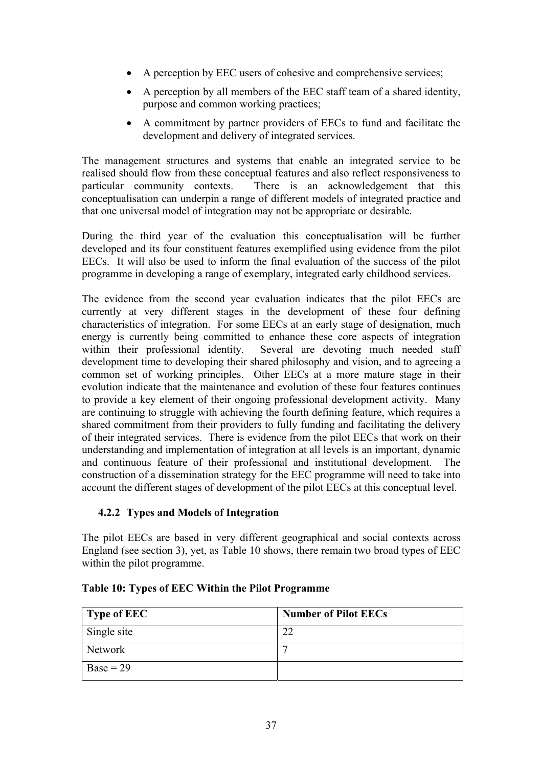- A perception by EEC users of cohesive and comprehensive services;
- A perception by all members of the EEC staff team of a shared identity, purpose and common working practices;
- A commitment by partner providers of EECs to fund and facilitate the development and delivery of integrated services.

The management structures and systems that enable an integrated service to be realised should flow from these conceptual features and also reflect responsiveness to particular community contexts. There is an acknowledgement that this conceptualisation can underpin a range of different models of integrated practice and that one universal model of integration may not be appropriate or desirable.

During the third year of the evaluation this conceptualisation will be further developed and its four constituent features exemplified using evidence from the pilot EECs. It will also be used to inform the final evaluation of the success of the pilot programme in developing a range of exemplary, integrated early childhood services.

The evidence from the second year evaluation indicates that the pilot EECs are currently at very different stages in the development of these four defining characteristics of integration. For some EECs at an early stage of designation, much energy is currently being committed to enhance these core aspects of integration within their professional identity. Several are devoting much needed staff development time to developing their shared philosophy and vision, and to agreeing a common set of working principles. Other EECs at a more mature stage in their evolution indicate that the maintenance and evolution of these four features continues to provide a key element of their ongoing professional development activity. Many are continuing to struggle with achieving the fourth defining feature, which requires a shared commitment from their providers to fully funding and facilitating the delivery of their integrated services. There is evidence from the pilot EECs that work on their understanding and implementation of integration at all levels is an important, dynamic and continuous feature of their professional and institutional development. The construction of a dissemination strategy for the EEC programme will need to take into account the different stages of development of the pilot EECs at this conceptual level.

### **4.2.2 Types and Models of Integration**

The pilot EECs are based in very different geographical and social contexts across England (see section 3), yet, as Table 10 shows, there remain two broad types of EEC within the pilot programme.

| $\vert$ Type of EEC | <b>Number of Pilot EECs</b> |
|---------------------|-----------------------------|
| Single site         | $\cap$                      |
| <b>Network</b>      |                             |
| $Base = 29$         |                             |

### **Table 10: Types of EEC Within the Pilot Programme**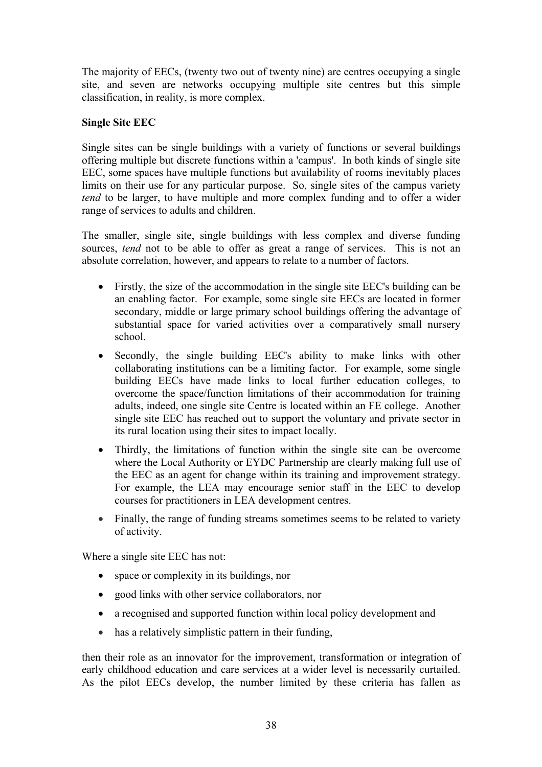The majority of EECs, (twenty two out of twenty nine) are centres occupying a single site, and seven are networks occupying multiple site centres but this simple classification, in reality, is more complex.

## **Single Site EEC**

Single sites can be single buildings with a variety of functions or several buildings offering multiple but discrete functions within a 'campus'. In both kinds of single site EEC, some spaces have multiple functions but availability of rooms inevitably places limits on their use for any particular purpose. So, single sites of the campus variety *tend* to be larger, to have multiple and more complex funding and to offer a wider range of services to adults and children.

The smaller, single site, single buildings with less complex and diverse funding sources, *tend* not to be able to offer as great a range of services. This is not an absolute correlation, however, and appears to relate to a number of factors.

- Firstly, the size of the accommodation in the single site EEC's building can be an enabling factor. For example, some single site EECs are located in former secondary, middle or large primary school buildings offering the advantage of substantial space for varied activities over a comparatively small nursery school.
- Secondly, the single building EEC's ability to make links with other collaborating institutions can be a limiting factor. For example, some single building EECs have made links to local further education colleges, to overcome the space/function limitations of their accommodation for training adults, indeed, one single site Centre is located within an FE college. Another single site EEC has reached out to support the voluntary and private sector in its rural location using their sites to impact locally.
- Thirdly, the limitations of function within the single site can be overcome where the Local Authority or EYDC Partnership are clearly making full use of the EEC as an agent for change within its training and improvement strategy. For example, the LEA may encourage senior staff in the EEC to develop courses for practitioners in LEA development centres.
- Finally, the range of funding streams sometimes seems to be related to variety of activity.

Where a single site EEC has not:

- space or complexity in its buildings, nor
- good links with other service collaborators, nor
- a recognised and supported function within local policy development and
- has a relatively simplistic pattern in their funding,

then their role as an innovator for the improvement, transformation or integration of early childhood education and care services at a wider level is necessarily curtailed. As the pilot EECs develop, the number limited by these criteria has fallen as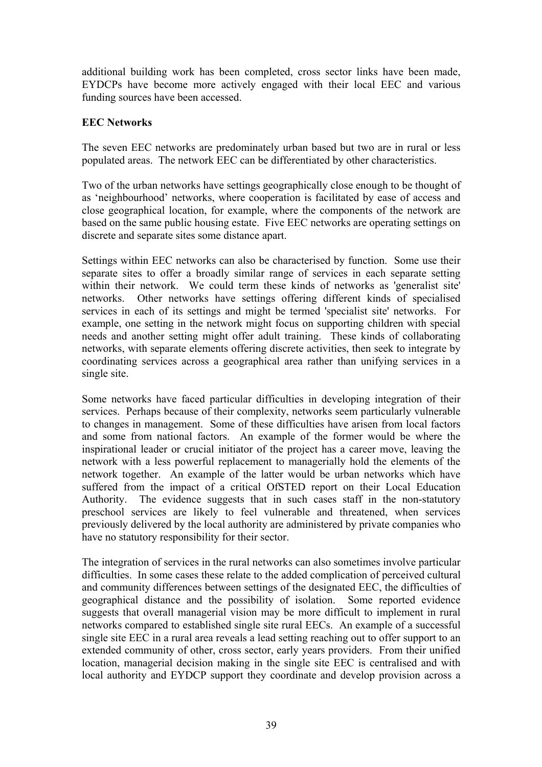additional building work has been completed, cross sector links have been made, EYDCPs have become more actively engaged with their local EEC and various funding sources have been accessed.

#### **EEC Networks**

The seven EEC networks are predominately urban based but two are in rural or less populated areas. The network EEC can be differentiated by other characteristics.

Two of the urban networks have settings geographically close enough to be thought of as 'neighbourhood' networks, where cooperation is facilitated by ease of access and close geographical location, for example, where the components of the network are based on the same public housing estate. Five EEC networks are operating settings on discrete and separate sites some distance apart.

Settings within EEC networks can also be characterised by function. Some use their separate sites to offer a broadly similar range of services in each separate setting within their network. We could term these kinds of networks as 'generalist site' networks. Other networks have settings offering different kinds of specialised services in each of its settings and might be termed 'specialist site' networks. For example, one setting in the network might focus on supporting children with special needs and another setting might offer adult training. These kinds of collaborating networks, with separate elements offering discrete activities, then seek to integrate by coordinating services across a geographical area rather than unifying services in a single site.

Some networks have faced particular difficulties in developing integration of their services. Perhaps because of their complexity, networks seem particularly vulnerable to changes in management. Some of these difficulties have arisen from local factors and some from national factors. An example of the former would be where the inspirational leader or crucial initiator of the project has a career move, leaving the network with a less powerful replacement to managerially hold the elements of the network together. An example of the latter would be urban networks which have suffered from the impact of a critical OfSTED report on their Local Education Authority. The evidence suggests that in such cases staff in the non-statutory preschool services are likely to feel vulnerable and threatened, when services previously delivered by the local authority are administered by private companies who have no statutory responsibility for their sector.

The integration of services in the rural networks can also sometimes involve particular difficulties. In some cases these relate to the added complication of perceived cultural and community differences between settings of the designated EEC, the difficulties of geographical distance and the possibility of isolation. Some reported evidence suggests that overall managerial vision may be more difficult to implement in rural networks compared to established single site rural EECs. An example of a successful single site EEC in a rural area reveals a lead setting reaching out to offer support to an extended community of other, cross sector, early years providers. From their unified location, managerial decision making in the single site EEC is centralised and with local authority and EYDCP support they coordinate and develop provision across a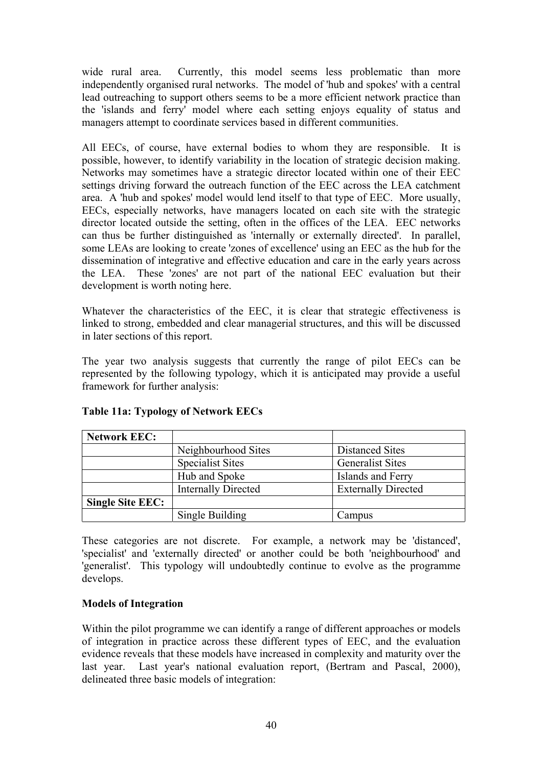wide rural area. Currently, this model seems less problematic than more independently organised rural networks. The model of 'hub and spokes' with a central lead outreaching to support others seems to be a more efficient network practice than the 'islands and ferry' model where each setting enjoys equality of status and managers attempt to coordinate services based in different communities.

All EECs, of course, have external bodies to whom they are responsible. It is possible, however, to identify variability in the location of strategic decision making. Networks may sometimes have a strategic director located within one of their EEC settings driving forward the outreach function of the EEC across the LEA catchment area. A 'hub and spokes' model would lend itself to that type of EEC. More usually, EECs, especially networks, have managers located on each site with the strategic director located outside the setting, often in the offices of the LEA. EEC networks can thus be further distinguished as 'internally or externally directed'. In parallel, some LEAs are looking to create 'zones of excellence' using an EEC as the hub for the dissemination of integrative and effective education and care in the early years across the LEA. These 'zones' are not part of the national EEC evaluation but their development is worth noting here.

Whatever the characteristics of the EEC, it is clear that strategic effectiveness is linked to strong, embedded and clear managerial structures, and this will be discussed in later sections of this report.

The year two analysis suggests that currently the range of pilot EECs can be represented by the following typology, which it is anticipated may provide a useful framework for further analysis:

| <b>Network EEC:</b>     |                            |                            |  |
|-------------------------|----------------------------|----------------------------|--|
|                         | Neighbourhood Sites        | <b>Distanced Sites</b>     |  |
|                         | <b>Specialist Sites</b>    | <b>Generalist Sites</b>    |  |
|                         | Hub and Spoke              | Islands and Ferry          |  |
|                         | <b>Internally Directed</b> | <b>Externally Directed</b> |  |
| <b>Single Site EEC:</b> |                            |                            |  |
|                         | Single Building            | Campus                     |  |

# **Table 11a: Typology of Network EECs**

These categories are not discrete. For example, a network may be 'distanced', 'specialist' and 'externally directed' or another could be both 'neighbourhood' and 'generalist'. This typology will undoubtedly continue to evolve as the programme develops.

### **Models of Integration**

Within the pilot programme we can identify a range of different approaches or models of integration in practice across these different types of EEC, and the evaluation evidence reveals that these models have increased in complexity and maturity over the last year. Last year's national evaluation report, (Bertram and Pascal, 2000), delineated three basic models of integration: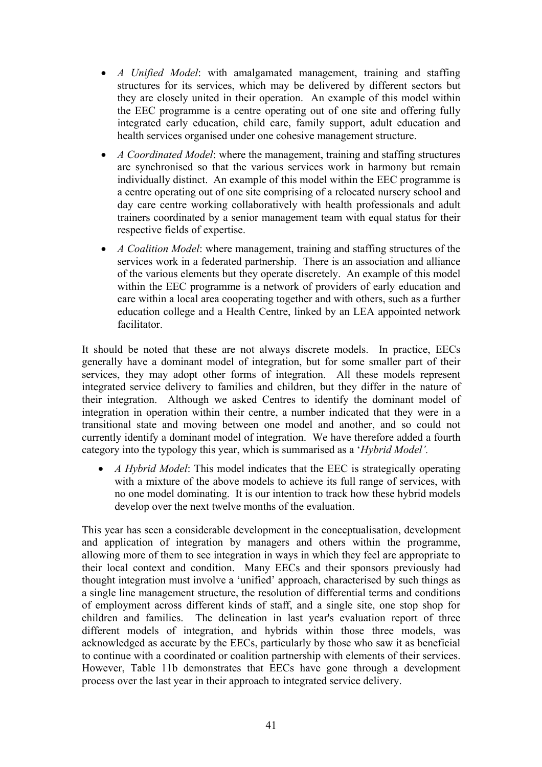- *A Unified Model*: with amalgamated management, training and staffing structures for its services, which may be delivered by different sectors but they are closely united in their operation. An example of this model within the EEC programme is a centre operating out of one site and offering fully integrated early education, child care, family support, adult education and health services organised under one cohesive management structure.
- *A Coordinated Model*: where the management, training and staffing structures are synchronised so that the various services work in harmony but remain individually distinct. An example of this model within the EEC programme is a centre operating out of one site comprising of a relocated nursery school and day care centre working collaboratively with health professionals and adult trainers coordinated by a senior management team with equal status for their respective fields of expertise.
- *A Coalition Model*: where management, training and staffing structures of the services work in a federated partnership. There is an association and alliance of the various elements but they operate discretely. An example of this model within the EEC programme is a network of providers of early education and care within a local area cooperating together and with others, such as a further education college and a Health Centre, linked by an LEA appointed network facilitator.

It should be noted that these are not always discrete models. In practice, EECs generally have a dominant model of integration, but for some smaller part of their services, they may adopt other forms of integration. All these models represent integrated service delivery to families and children, but they differ in the nature of their integration. Although we asked Centres to identify the dominant model of integration in operation within their centre, a number indicated that they were in a transitional state and moving between one model and another, and so could not currently identify a dominant model of integration. We have therefore added a fourth category into the typology this year, which is summarised as a '*Hybrid Model'.* 

• *A Hybrid Model*: This model indicates that the EEC is strategically operating with a mixture of the above models to achieve its full range of services, with no one model dominating. It is our intention to track how these hybrid models develop over the next twelve months of the evaluation.

This year has seen a considerable development in the conceptualisation, development and application of integration by managers and others within the programme, allowing more of them to see integration in ways in which they feel are appropriate to their local context and condition. Many EECs and their sponsors previously had thought integration must involve a 'unified' approach, characterised by such things as a single line management structure, the resolution of differential terms and conditions of employment across different kinds of staff, and a single site, one stop shop for children and families. The delineation in last year's evaluation report of three different models of integration, and hybrids within those three models, was acknowledged as accurate by the EECs, particularly by those who saw it as beneficial to continue with a coordinated or coalition partnership with elements of their services. However, Table 11b demonstrates that EECs have gone through a development process over the last year in their approach to integrated service delivery.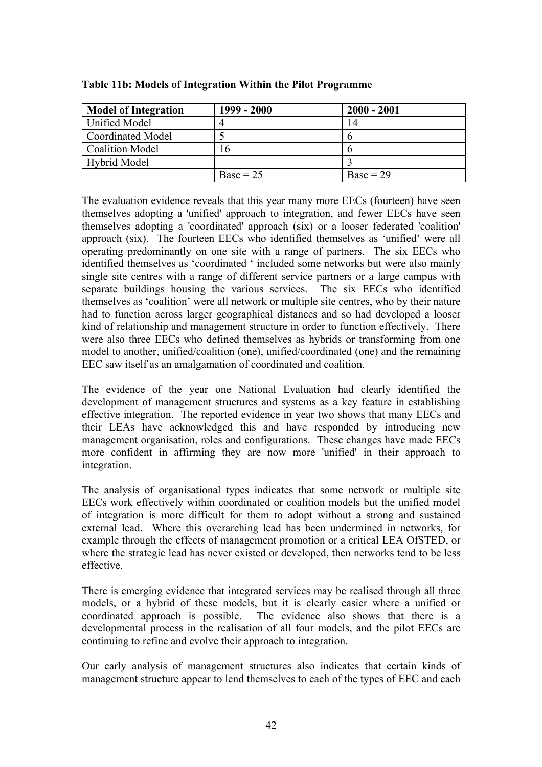| <b>Model of Integration</b> | 1999 - 2000 | $2000 - 2001$ |
|-----------------------------|-------------|---------------|
| <b>Unified Model</b>        |             | 14            |
| <b>Coordinated Model</b>    |             |               |
| <b>Coalition Model</b>      | 16          |               |
| <b>Hybrid Model</b>         |             |               |
|                             | $Base = 25$ | $Base = 29$   |

#### **Table 11b: Models of Integration Within the Pilot Programme**

The evaluation evidence reveals that this year many more EECs (fourteen) have seen themselves adopting a 'unified' approach to integration, and fewer EECs have seen themselves adopting a 'coordinated' approach (six) or a looser federated 'coalition' approach (six). The fourteen EECs who identified themselves as 'unified' were all operating predominantly on one site with a range of partners. The six EECs who identified themselves as 'coordinated ' included some networks but were also mainly single site centres with a range of different service partners or a large campus with separate buildings housing the various services. The six EECs who identified themselves as 'coalition' were all network or multiple site centres, who by their nature had to function across larger geographical distances and so had developed a looser kind of relationship and management structure in order to function effectively. There were also three EECs who defined themselves as hybrids or transforming from one model to another, unified/coalition (one), unified/coordinated (one) and the remaining EEC saw itself as an amalgamation of coordinated and coalition.

The evidence of the year one National Evaluation had clearly identified the development of management structures and systems as a key feature in establishing effective integration. The reported evidence in year two shows that many EECs and their LEAs have acknowledged this and have responded by introducing new management organisation, roles and configurations. These changes have made EECs more confident in affirming they are now more 'unified' in their approach to integration.

The analysis of organisational types indicates that some network or multiple site EECs work effectively within coordinated or coalition models but the unified model of integration is more difficult for them to adopt without a strong and sustained external lead. Where this overarching lead has been undermined in networks, for example through the effects of management promotion or a critical LEA OfSTED, or where the strategic lead has never existed or developed, then networks tend to be less effective.

There is emerging evidence that integrated services may be realised through all three models, or a hybrid of these models, but it is clearly easier where a unified or coordinated approach is possible. The evidence also shows that there is a developmental process in the realisation of all four models, and the pilot EECs are continuing to refine and evolve their approach to integration.

Our early analysis of management structures also indicates that certain kinds of management structure appear to lend themselves to each of the types of EEC and each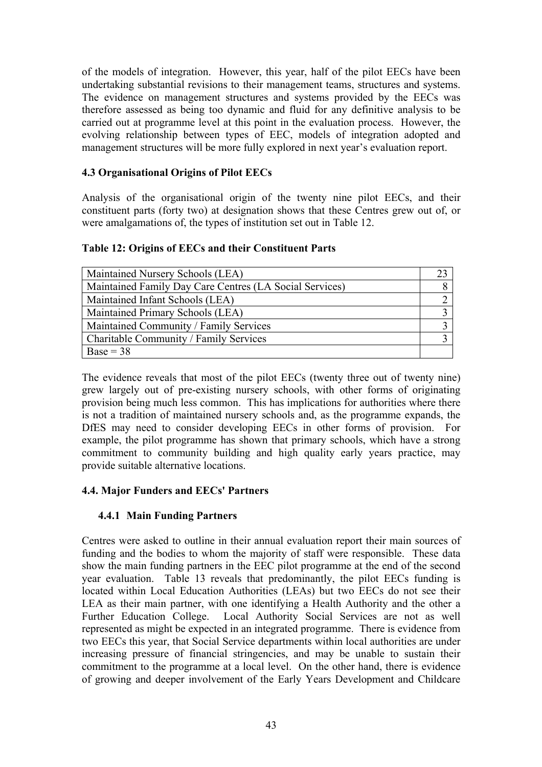of the models of integration. However, this year, half of the pilot EECs have been undertaking substantial revisions to their management teams, structures and systems. The evidence on management structures and systems provided by the EECs was therefore assessed as being too dynamic and fluid for any definitive analysis to be carried out at programme level at this point in the evaluation process. However, the evolving relationship between types of EEC, models of integration adopted and management structures will be more fully explored in next year's evaluation report.

## **4.3 Organisational Origins of Pilot EECs**

Analysis of the organisational origin of the twenty nine pilot EECs, and their constituent parts (forty two) at designation shows that these Centres grew out of, or were amalgamations of, the types of institution set out in Table 12.

### **Table 12: Origins of EECs and their Constituent Parts**

| Maintained Nursery Schools (LEA)                        |  |
|---------------------------------------------------------|--|
| Maintained Family Day Care Centres (LA Social Services) |  |
| Maintained Infant Schools (LEA)                         |  |
| Maintained Primary Schools (LEA)                        |  |
| Maintained Community / Family Services                  |  |
| Charitable Community / Family Services                  |  |
| $Base = 38$                                             |  |

The evidence reveals that most of the pilot EECs (twenty three out of twenty nine) grew largely out of pre-existing nursery schools, with other forms of originating provision being much less common. This has implications for authorities where there is not a tradition of maintained nursery schools and, as the programme expands, the DfES may need to consider developing EECs in other forms of provision. For example, the pilot programme has shown that primary schools, which have a strong commitment to community building and high quality early years practice, may provide suitable alternative locations.

### **4.4. Major Funders and EECs' Partners**

### **4.4.1 Main Funding Partners**

Centres were asked to outline in their annual evaluation report their main sources of funding and the bodies to whom the majority of staff were responsible. These data show the main funding partners in the EEC pilot programme at the end of the second year evaluation. Table 13 reveals that predominantly, the pilot EECs funding is located within Local Education Authorities (LEAs) but two EECs do not see their LEA as their main partner, with one identifying a Health Authority and the other a Further Education College. Local Authority Social Services are not as well represented as might be expected in an integrated programme. There is evidence from two EECs this year, that Social Service departments within local authorities are under increasing pressure of financial stringencies, and may be unable to sustain their commitment to the programme at a local level. On the other hand, there is evidence of growing and deeper involvement of the Early Years Development and Childcare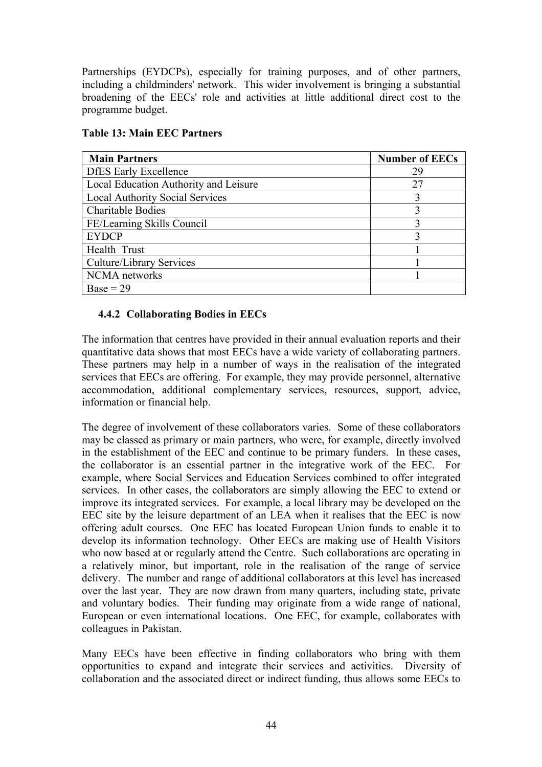Partnerships (EYDCPs), especially for training purposes, and of other partners, including a childminders' network. This wider involvement is bringing a substantial broadening of the EECs' role and activities at little additional direct cost to the programme budget.

| <b>Main Partners</b>                   | <b>Number of EECs</b> |
|----------------------------------------|-----------------------|
| <b>DfES</b> Early Excellence           | 29                    |
| Local Education Authority and Leisure  | 27                    |
| <b>Local Authority Social Services</b> |                       |
| <b>Charitable Bodies</b>               |                       |
| FE/Learning Skills Council             |                       |
| <b>EYDCP</b>                           |                       |
| Health Trust                           |                       |
| Culture/Library Services               |                       |
| NCMA networks                          |                       |
| $Base = 29$                            |                       |

## **Table 13: Main EEC Partners**

### **4.4.2 Collaborating Bodies in EECs**

The information that centres have provided in their annual evaluation reports and their quantitative data shows that most EECs have a wide variety of collaborating partners. These partners may help in a number of ways in the realisation of the integrated services that EECs are offering. For example, they may provide personnel, alternative accommodation, additional complementary services, resources, support, advice, information or financial help.

The degree of involvement of these collaborators varies. Some of these collaborators may be classed as primary or main partners, who were, for example, directly involved in the establishment of the EEC and continue to be primary funders. In these cases, the collaborator is an essential partner in the integrative work of the EEC. For example, where Social Services and Education Services combined to offer integrated services. In other cases, the collaborators are simply allowing the EEC to extend or improve its integrated services. For example, a local library may be developed on the EEC site by the leisure department of an LEA when it realises that the EEC is now offering adult courses. One EEC has located European Union funds to enable it to develop its information technology. Other EECs are making use of Health Visitors who now based at or regularly attend the Centre. Such collaborations are operating in a relatively minor, but important, role in the realisation of the range of service delivery. The number and range of additional collaborators at this level has increased over the last year. They are now drawn from many quarters, including state, private and voluntary bodies. Their funding may originate from a wide range of national, European or even international locations. One EEC, for example, collaborates with colleagues in Pakistan.

Many EECs have been effective in finding collaborators who bring with them opportunities to expand and integrate their services and activities. Diversity of collaboration and the associated direct or indirect funding, thus allows some EECs to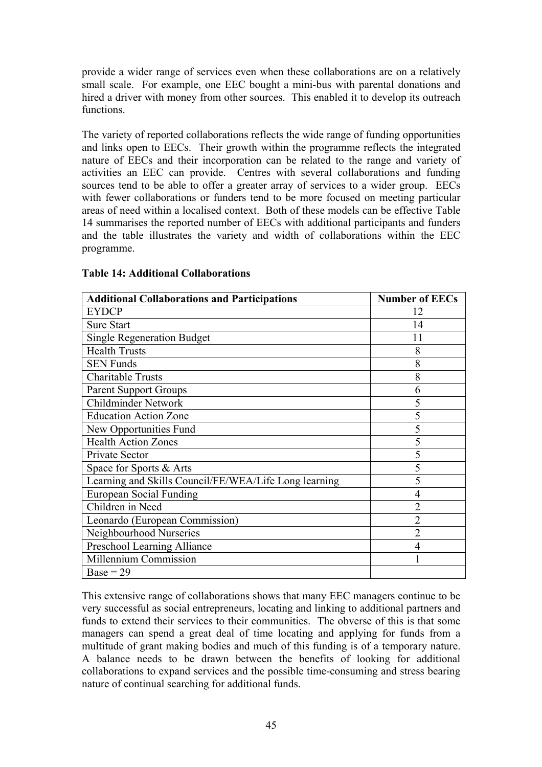provide a wider range of services even when these collaborations are on a relatively small scale. For example, one EEC bought a mini-bus with parental donations and hired a driver with money from other sources. This enabled it to develop its outreach functions.

The variety of reported collaborations reflects the wide range of funding opportunities and links open to EECs. Their growth within the programme reflects the integrated nature of EECs and their incorporation can be related to the range and variety of activities an EEC can provide. Centres with several collaborations and funding sources tend to be able to offer a greater array of services to a wider group. EECs with fewer collaborations or funders tend to be more focused on meeting particular areas of need within a localised context. Both of these models can be effective Table 14 summarises the reported number of EECs with additional participants and funders and the table illustrates the variety and width of collaborations within the EEC programme.

| <b>Additional Collaborations and Participations</b>   | <b>Number of EECs</b> |
|-------------------------------------------------------|-----------------------|
| <b>EYDCP</b>                                          | 12                    |
| <b>Sure Start</b>                                     | 14                    |
| <b>Single Regeneration Budget</b>                     | 11                    |
| <b>Health Trusts</b>                                  | 8                     |
| <b>SEN Funds</b>                                      | 8                     |
| <b>Charitable Trusts</b>                              | 8                     |
| <b>Parent Support Groups</b>                          | 6                     |
| <b>Childminder Network</b>                            | 5                     |
| <b>Education Action Zone</b>                          | 5                     |
| New Opportunities Fund                                | 5                     |
| <b>Health Action Zones</b>                            | 5                     |
| Private Sector                                        | 5                     |
| Space for Sports & Arts                               | 5                     |
| Learning and Skills Council/FE/WEA/Life Long learning | 5                     |
| <b>European Social Funding</b>                        | 4                     |
| Children in Need                                      | $\overline{2}$        |
| Leonardo (European Commission)                        | $\overline{2}$        |
| Neighbourhood Nurseries                               | $\overline{2}$        |
| Preschool Learning Alliance                           | 4                     |
| Millennium Commission                                 |                       |
| $Base = 29$                                           |                       |

#### **Table 14: Additional Collaborations**

This extensive range of collaborations shows that many EEC managers continue to be very successful as social entrepreneurs, locating and linking to additional partners and funds to extend their services to their communities. The obverse of this is that some managers can spend a great deal of time locating and applying for funds from a multitude of grant making bodies and much of this funding is of a temporary nature. A balance needs to be drawn between the benefits of looking for additional collaborations to expand services and the possible time-consuming and stress bearing nature of continual searching for additional funds.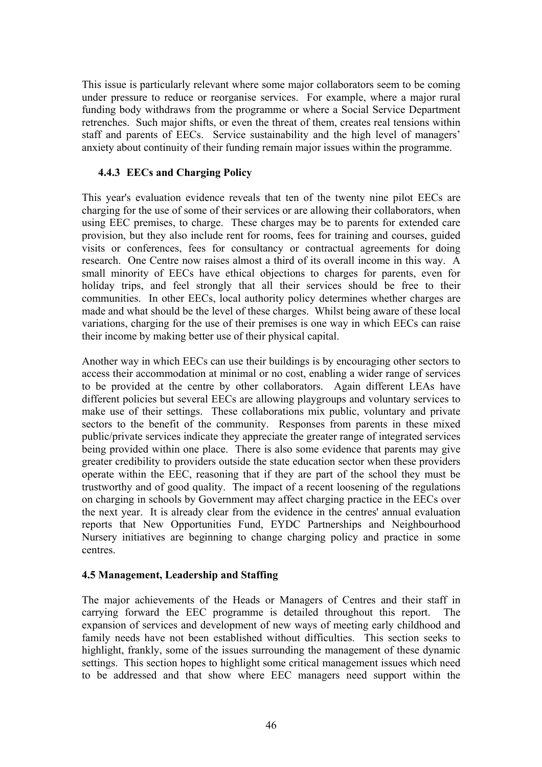This issue is particularly relevant where some major collaborators seem to be coming under pressure to reduce or reorganise services. For example, where a major rural funding body withdraws from the programme or where a Social Service Department retrenches. Such major shifts, or even the threat of them, creates real tensions within staff and parents of EECs. Service sustainability and the high level of managers' anxiety about continuity of their funding remain major issues within the programme.

## **4.4.3 EECs and Charging Policy**

This year's evaluation evidence reveals that ten of the twenty nine pilot EECs are charging for the use of some of their services or are allowing their collaborators, when using EEC premises, to charge. These charges may be to parents for extended care provision, but they also include rent for rooms, fees for training and courses, guided visits or conferences, fees for consultancy or contractual agreements for doing research. One Centre now raises almost a third of its overall income in this way. A small minority of EECs have ethical objections to charges for parents, even for holiday trips, and feel strongly that all their services should be free to their communities. In other EECs, local authority policy determines whether charges are made and what should be the level of these charges. Whilst being aware of these local variations, charging for the use of their premises is one way in which EECs can raise their income by making better use of their physical capital.

Another way in which EECs can use their buildings is by encouraging other sectors to access their accommodation at minimal or no cost, enabling a wider range of services to be provided at the centre by other collaborators. Again different LEAs have different policies but several EECs are allowing playgroups and voluntary services to make use of their settings. These collaborations mix public, voluntary and private sectors to the benefit of the community. Responses from parents in these mixed public/private services indicate they appreciate the greater range of integrated services being provided within one place. There is also some evidence that parents may give greater credibility to providers outside the state education sector when these providers operate within the EEC, reasoning that if they are part of the school they must be trustworthy and of good quality. The impact of a recent loosening of the regulations on charging in schools by Government may affect charging practice in the EECs over the next year. It is already clear from the evidence in the centres' annual evaluation reports that New Opportunities Fund, EYDC Partnerships and Neighbourhood Nursery initiatives are beginning to change charging policy and practice in some centres.

### **4.5 Management, Leadership and Staffing**

The major achievements of the Heads or Managers of Centres and their staff in carrying forward the EEC programme is detailed throughout this report. The expansion of services and development of new ways of meeting early childhood and family needs have not been established without difficulties. This section seeks to highlight, frankly, some of the issues surrounding the management of these dynamic settings. This section hopes to highlight some critical management issues which need to be addressed and that show where EEC managers need support within the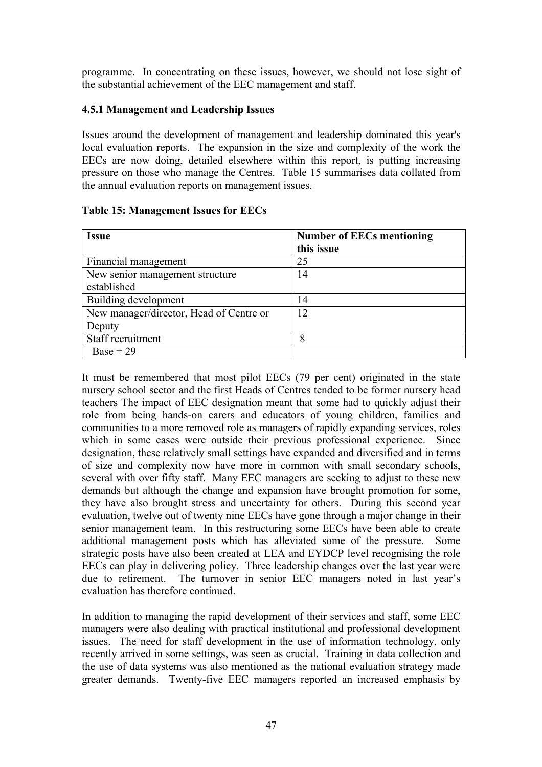programme. In concentrating on these issues, however, we should not lose sight of the substantial achievement of the EEC management and staff.

#### **4.5.1 Management and Leadership Issues**

Issues around the development of management and leadership dominated this year's local evaluation reports. The expansion in the size and complexity of the work the EECs are now doing, detailed elsewhere within this report, is putting increasing pressure on those who manage the Centres. Table 15 summarises data collated from the annual evaluation reports on management issues.

| <b>Issue</b>                            | <b>Number of EECs mentioning</b><br>this issue |
|-----------------------------------------|------------------------------------------------|
| Financial management                    | 25                                             |
| New senior management structure         | 14                                             |
| established                             |                                                |
| Building development                    | 14                                             |
| New manager/director, Head of Centre or | 12                                             |
| Deputy                                  |                                                |
| Staff recruitment                       | 8                                              |
| $Base = 29$                             |                                                |

### **Table 15: Management Issues for EECs**

It must be remembered that most pilot EECs (79 per cent) originated in the state nursery school sector and the first Heads of Centres tended to be former nursery head teachers The impact of EEC designation meant that some had to quickly adjust their role from being hands-on carers and educators of young children, families and communities to a more removed role as managers of rapidly expanding services, roles which in some cases were outside their previous professional experience. Since designation, these relatively small settings have expanded and diversified and in terms of size and complexity now have more in common with small secondary schools, several with over fifty staff. Many EEC managers are seeking to adjust to these new demands but although the change and expansion have brought promotion for some, they have also brought stress and uncertainty for others. During this second year evaluation, twelve out of twenty nine EECs have gone through a major change in their senior management team. In this restructuring some EECs have been able to create additional management posts which has alleviated some of the pressure. Some strategic posts have also been created at LEA and EYDCP level recognising the role EECs can play in delivering policy. Three leadership changes over the last year were due to retirement. The turnover in senior EEC managers noted in last year's evaluation has therefore continued.

In addition to managing the rapid development of their services and staff, some EEC managers were also dealing with practical institutional and professional development issues. The need for staff development in the use of information technology, only recently arrived in some settings, was seen as crucial. Training in data collection and the use of data systems was also mentioned as the national evaluation strategy made greater demands. Twenty-five EEC managers reported an increased emphasis by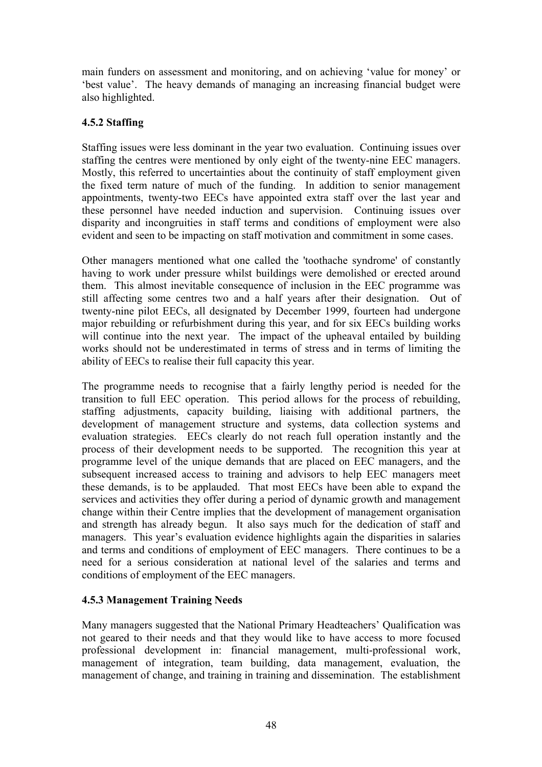main funders on assessment and monitoring, and on achieving 'value for money' or 'best value'. The heavy demands of managing an increasing financial budget were also highlighted.

## **4.5.2 Staffing**

Staffing issues were less dominant in the year two evaluation. Continuing issues over staffing the centres were mentioned by only eight of the twenty-nine EEC managers. Mostly, this referred to uncertainties about the continuity of staff employment given the fixed term nature of much of the funding. In addition to senior management appointments, twenty-two EECs have appointed extra staff over the last year and these personnel have needed induction and supervision. Continuing issues over disparity and incongruities in staff terms and conditions of employment were also evident and seen to be impacting on staff motivation and commitment in some cases.

Other managers mentioned what one called the 'toothache syndrome' of constantly having to work under pressure whilst buildings were demolished or erected around them. This almost inevitable consequence of inclusion in the EEC programme was still affecting some centres two and a half years after their designation. Out of twenty-nine pilot EECs, all designated by December 1999, fourteen had undergone major rebuilding or refurbishment during this year, and for six EECs building works will continue into the next year. The impact of the upheaval entailed by building works should not be underestimated in terms of stress and in terms of limiting the ability of EECs to realise their full capacity this year.

The programme needs to recognise that a fairly lengthy period is needed for the transition to full EEC operation. This period allows for the process of rebuilding, staffing adjustments, capacity building, liaising with additional partners, the development of management structure and systems, data collection systems and evaluation strategies. EECs clearly do not reach full operation instantly and the process of their development needs to be supported. The recognition this year at programme level of the unique demands that are placed on EEC managers, and the subsequent increased access to training and advisors to help EEC managers meet these demands, is to be applauded. That most EECs have been able to expand the services and activities they offer during a period of dynamic growth and management change within their Centre implies that the development of management organisation and strength has already begun. It also says much for the dedication of staff and managers. This year's evaluation evidence highlights again the disparities in salaries and terms and conditions of employment of EEC managers. There continues to be a need for a serious consideration at national level of the salaries and terms and conditions of employment of the EEC managers.

### **4.5.3 Management Training Needs**

Many managers suggested that the National Primary Headteachers' Qualification was not geared to their needs and that they would like to have access to more focused professional development in: financial management, multi-professional work, management of integration, team building, data management, evaluation, the management of change, and training in training and dissemination. The establishment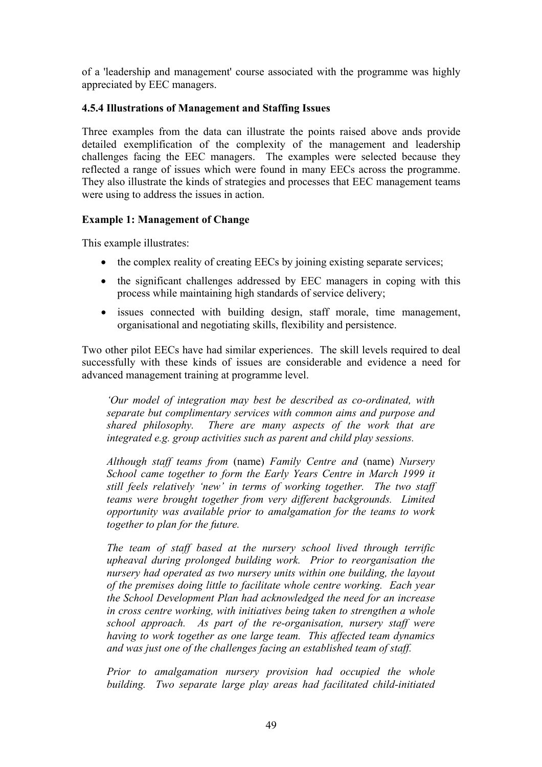of a 'leadership and management' course associated with the programme was highly appreciated by EEC managers.

#### **4.5.4 Illustrations of Management and Staffing Issues**

Three examples from the data can illustrate the points raised above ands provide detailed exemplification of the complexity of the management and leadership challenges facing the EEC managers. The examples were selected because they reflected a range of issues which were found in many EECs across the programme. They also illustrate the kinds of strategies and processes that EEC management teams were using to address the issues in action.

#### **Example 1: Management of Change**

This example illustrates:

- the complex reality of creating EECs by joining existing separate services;
- the significant challenges addressed by EEC managers in coping with this process while maintaining high standards of service delivery;
- issues connected with building design, staff morale, time management, organisational and negotiating skills, flexibility and persistence.

Two other pilot EECs have had similar experiences. The skill levels required to deal successfully with these kinds of issues are considerable and evidence a need for advanced management training at programme level.

*'Our model of integration may best be described as co-ordinated, with separate but complimentary services with common aims and purpose and shared philosophy. There are many aspects of the work that are integrated e.g. group activities such as parent and child play sessions.* 

*Although staff teams from* (name) *Family Centre and* (name) *Nursery School came together to form the Early Years Centre in March 1999 it still feels relatively 'new' in terms of working together. The two staff teams were brought together from very different backgrounds. Limited opportunity was available prior to amalgamation for the teams to work together to plan for the future.* 

*The team of staff based at the nursery school lived through terrific upheaval during prolonged building work. Prior to reorganisation the nursery had operated as two nursery units within one building, the layout of the premises doing little to facilitate whole centre working. Each year the School Development Plan had acknowledged the need for an increase in cross centre working, with initiatives being taken to strengthen a whole school approach. As part of the re-organisation, nursery staff were having to work together as one large team. This affected team dynamics and was just one of the challenges facing an established team of staff.* 

*Prior to amalgamation nursery provision had occupied the whole building. Two separate large play areas had facilitated child-initiated*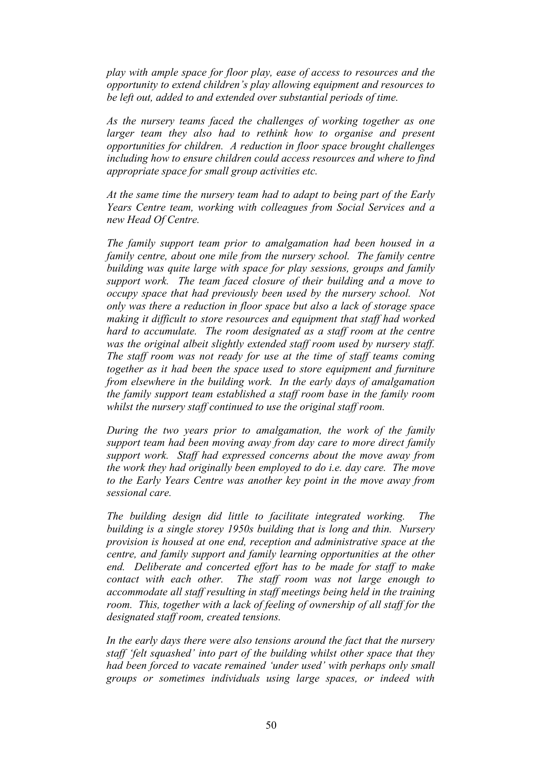*play with ample space for floor play, ease of access to resources and the opportunity to extend children's play allowing equipment and resources to be left out, added to and extended over substantial periods of time.* 

*As the nursery teams faced the challenges of working together as one*  larger team they also had to rethink how to organise and present *opportunities for children. A reduction in floor space brought challenges including how to ensure children could access resources and where to find appropriate space for small group activities etc.* 

*At the same time the nursery team had to adapt to being part of the Early Years Centre team, working with colleagues from Social Services and a new Head Of Centre.* 

*The family support team prior to amalgamation had been housed in a family centre, about one mile from the nursery school. The family centre building was quite large with space for play sessions, groups and family support work. The team faced closure of their building and a move to occupy space that had previously been used by the nursery school. Not only was there a reduction in floor space but also a lack of storage space making it difficult to store resources and equipment that staff had worked hard to accumulate. The room designated as a staff room at the centre was the original albeit slightly extended staff room used by nursery staff. The staff room was not ready for use at the time of staff teams coming together as it had been the space used to store equipment and furniture from elsewhere in the building work. In the early days of amalgamation the family support team established a staff room base in the family room whilst the nursery staff continued to use the original staff room.* 

*During the two years prior to amalgamation, the work of the family support team had been moving away from day care to more direct family support work. Staff had expressed concerns about the move away from the work they had originally been employed to do i.e. day care. The move to the Early Years Centre was another key point in the move away from sessional care.* 

*The building design did little to facilitate integrated working. The building is a single storey 1950s building that is long and thin. Nursery provision is housed at one end, reception and administrative space at the centre, and family support and family learning opportunities at the other end. Deliberate and concerted effort has to be made for staff to make contact with each other. The staff room was not large enough to accommodate all staff resulting in staff meetings being held in the training room. This, together with a lack of feeling of ownership of all staff for the designated staff room, created tensions.* 

*In the early days there were also tensions around the fact that the nursery staff 'felt squashed' into part of the building whilst other space that they had been forced to vacate remained 'under used' with perhaps only small groups or sometimes individuals using large spaces, or indeed with*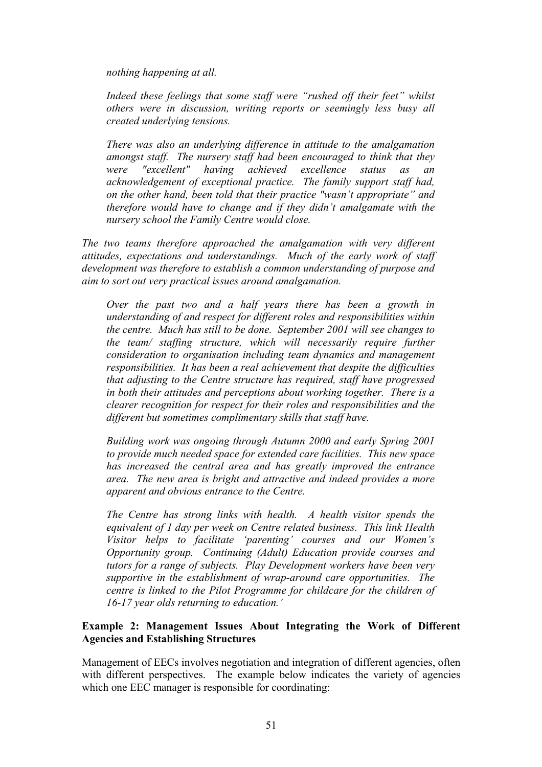*nothing happening at all.* 

*Indeed these feelings that some staff were "rushed off their feet" whilst others were in discussion, writing reports or seemingly less busy all created underlying tensions.* 

*There was also an underlying difference in attitude to the amalgamation amongst staff. The nursery staff had been encouraged to think that they were "excellent" having achieved excellence status as an acknowledgement of exceptional practice. The family support staff had, on the other hand, been told that their practice "wasn't appropriate" and therefore would have to change and if they didn't amalgamate with the nursery school the Family Centre would close.* 

*The two teams therefore approached the amalgamation with very different attitudes, expectations and understandings. Much of the early work of staff development was therefore to establish a common understanding of purpose and aim to sort out very practical issues around amalgamation.* 

*Over the past two and a half years there has been a growth in understanding of and respect for different roles and responsibilities within the centre. Much has still to be done. September 2001 will see changes to the team/ staffing structure, which will necessarily require further consideration to organisation including team dynamics and management responsibilities. It has been a real achievement that despite the difficulties that adjusting to the Centre structure has required, staff have progressed in both their attitudes and perceptions about working together. There is a clearer recognition for respect for their roles and responsibilities and the different but sometimes complimentary skills that staff have.* 

*Building work was ongoing through Autumn 2000 and early Spring 2001 to provide much needed space for extended care facilities. This new space has increased the central area and has greatly improved the entrance area. The new area is bright and attractive and indeed provides a more apparent and obvious entrance to the Centre.* 

*The Centre has strong links with health. A health visitor spends the equivalent of 1 day per week on Centre related business. This link Health Visitor helps to facilitate 'parenting' courses and our Women's Opportunity group. Continuing (Adult) Education provide courses and tutors for a range of subjects. Play Development workers have been very supportive in the establishment of wrap-around care opportunities. The centre is linked to the Pilot Programme for childcare for the children of 16-17 year olds returning to education.'* 

### **Example 2: Management Issues About Integrating the Work of Different Agencies and Establishing Structures**

Management of EECs involves negotiation and integration of different agencies, often with different perspectives. The example below indicates the variety of agencies which one EEC manager is responsible for coordinating: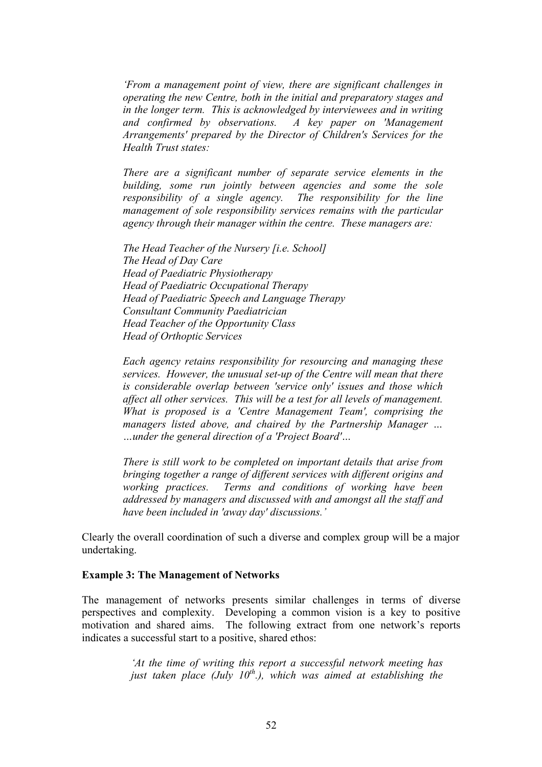*'From a management point of view, there are significant challenges in operating the new Centre, both in the initial and preparatory stages and in the longer term. This is acknowledged by interviewees and in writing and confirmed by observations. A key paper on 'Management Arrangements' prepared by the Director of Children's Services for the Health Trust states:* 

*There are a significant number of separate service elements in the building, some run jointly between agencies and some the sole responsibility of a single agency. The responsibility for the line management of sole responsibility services remains with the particular agency through their manager within the centre. These managers are:* 

*The Head Teacher of the Nursery [i.e. School] The Head of Day Care Head of Paediatric Physiotherapy Head of Paediatric Occupational Therapy Head of Paediatric Speech and Language Therapy Consultant Community Paediatrician Head Teacher of the Opportunity Class Head of Orthoptic Services*

*Each agency retains responsibility for resourcing and managing these services. However, the unusual set-up of the Centre will mean that there is considerable overlap between 'service only' issues and those which affect all other services. This will be a test for all levels of management. What is proposed is a 'Centre Management Team', comprising the managers listed above, and chaired by the Partnership Manager … …under the general direction of a 'Project Board'…* 

*There is still work to be completed on important details that arise from bringing together a range of different services with different origins and working practices. Terms and conditions of working have been addressed by managers and discussed with and amongst all the staff and have been included in 'away day' discussions.'*

Clearly the overall coordination of such a diverse and complex group will be a major undertaking.

#### **Example 3: The Management of Networks**

The management of networks presents similar challenges in terms of diverse perspectives and complexity. Developing a common vision is a key to positive motivation and shared aims. The following extract from one network's reports indicates a successful start to a positive, shared ethos:

> *'At the time of writing this report a successful network meeting has just taken place (July 10th.), which was aimed at establishing the*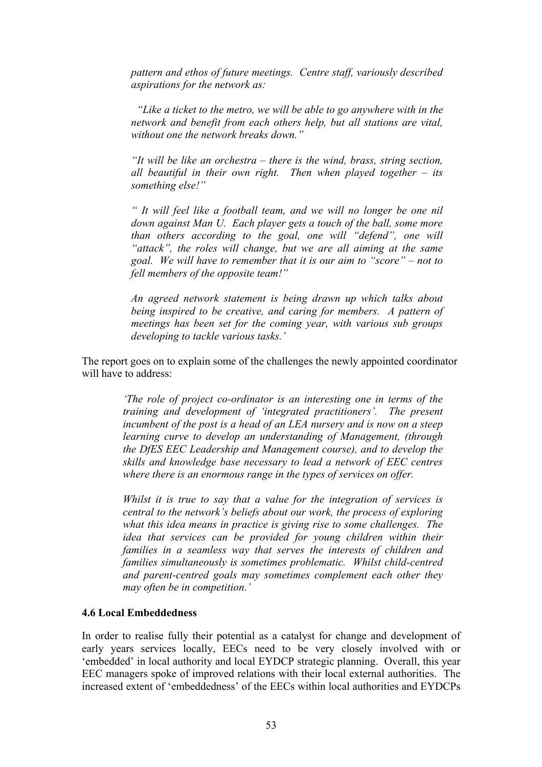*pattern and ethos of future meetings. Centre staff, variously described aspirations for the network as:* 

 *"Like a ticket to the metro, we will be able to go anywhere with in the network and benefit from each others help, but all stations are vital, without one the network breaks down."* 

*"It will be like an orchestra – there is the wind, brass, string section, all beautiful in their own right. Then when played together – its something else!"* 

*" It will feel like a football team, and we will no longer be one nil down against Man U. Each player gets a touch of the ball, some more than others according to the goal, one will "defend", one will "attack", the roles will change, but we are all aiming at the same goal. We will have to remember that it is our aim to "score" – not to fell members of the opposite team!"* 

*An agreed network statement is being drawn up which talks about being inspired to be creative, and caring for members. A pattern of meetings has been set for the coming year, with various sub groups developing to tackle various tasks.'* 

The report goes on to explain some of the challenges the newly appointed coordinator will have to address:

> *'The role of project co-ordinator is an interesting one in terms of the training and development of 'integrated practitioners'. The present*  incumbent of the post is a head of an LEA nursery and is now on a steep *learning curve to develop an understanding of Management, (through the DfES EEC Leadership and Management course), and to develop the skills and knowledge base necessary to lead a network of EEC centres where there is an enormous range in the types of services on offer.*

> *Whilst it is true to say that a value for the integration of services is central to the network's beliefs about our work, the process of exploring what this idea means in practice is giving rise to some challenges. The idea that services can be provided for young children within their families in a seamless way that serves the interests of children and families simultaneously is sometimes problematic. Whilst child-centred and parent-centred goals may sometimes complement each other they may often be in competition.'*

#### **4.6 Local Embeddedness**

In order to realise fully their potential as a catalyst for change and development of early years services locally, EECs need to be very closely involved with or 'embedded' in local authority and local EYDCP strategic planning. Overall, this year EEC managers spoke of improved relations with their local external authorities. The increased extent of 'embeddedness' of the EECs within local authorities and EYDCPs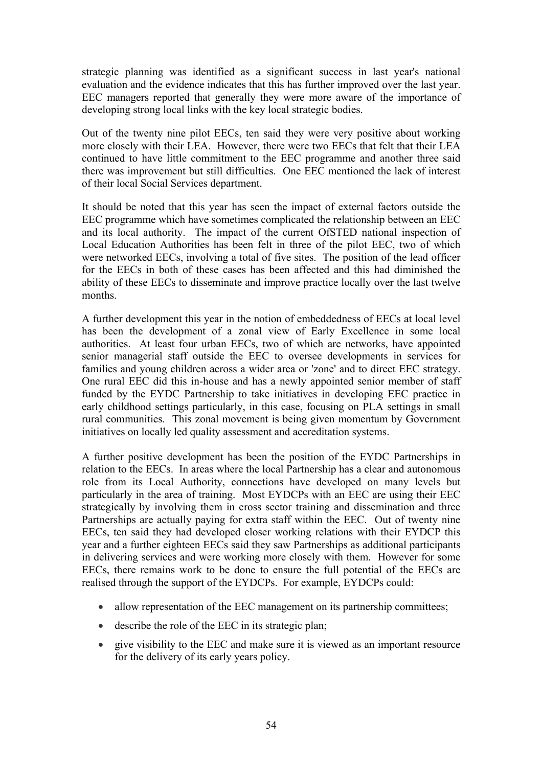strategic planning was identified as a significant success in last year's national evaluation and the evidence indicates that this has further improved over the last year. EEC managers reported that generally they were more aware of the importance of developing strong local links with the key local strategic bodies.

Out of the twenty nine pilot EECs, ten said they were very positive about working more closely with their LEA. However, there were two EECs that felt that their LEA continued to have little commitment to the EEC programme and another three said there was improvement but still difficulties. One EEC mentioned the lack of interest of their local Social Services department.

It should be noted that this year has seen the impact of external factors outside the EEC programme which have sometimes complicated the relationship between an EEC and its local authority. The impact of the current OfSTED national inspection of Local Education Authorities has been felt in three of the pilot EEC, two of which were networked EECs, involving a total of five sites. The position of the lead officer for the EECs in both of these cases has been affected and this had diminished the ability of these EECs to disseminate and improve practice locally over the last twelve months.

A further development this year in the notion of embeddedness of EECs at local level has been the development of a zonal view of Early Excellence in some local authorities. At least four urban EECs, two of which are networks, have appointed senior managerial staff outside the EEC to oversee developments in services for families and young children across a wider area or 'zone' and to direct EEC strategy. One rural EEC did this in-house and has a newly appointed senior member of staff funded by the EYDC Partnership to take initiatives in developing EEC practice in early childhood settings particularly, in this case, focusing on PLA settings in small rural communities. This zonal movement is being given momentum by Government initiatives on locally led quality assessment and accreditation systems.

A further positive development has been the position of the EYDC Partnerships in relation to the EECs. In areas where the local Partnership has a clear and autonomous role from its Local Authority, connections have developed on many levels but particularly in the area of training. Most EYDCPs with an EEC are using their EEC strategically by involving them in cross sector training and dissemination and three Partnerships are actually paying for extra staff within the EEC. Out of twenty nine EECs, ten said they had developed closer working relations with their EYDCP this year and a further eighteen EECs said they saw Partnerships as additional participants in delivering services and were working more closely with them. However for some EECs, there remains work to be done to ensure the full potential of the EECs are realised through the support of the EYDCPs. For example, EYDCPs could:

- allow representation of the EEC management on its partnership committees;
- describe the role of the EEC in its strategic plan;
- give visibility to the EEC and make sure it is viewed as an important resource for the delivery of its early years policy.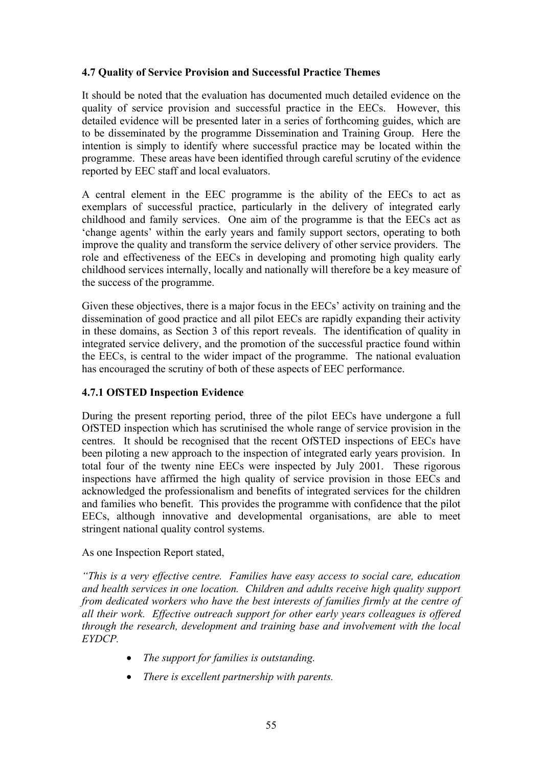## **4.7 Quality of Service Provision and Successful Practice Themes**

It should be noted that the evaluation has documented much detailed evidence on the quality of service provision and successful practice in the EECs. However, this detailed evidence will be presented later in a series of forthcoming guides, which are to be disseminated by the programme Dissemination and Training Group. Here the intention is simply to identify where successful practice may be located within the programme. These areas have been identified through careful scrutiny of the evidence reported by EEC staff and local evaluators.

A central element in the EEC programme is the ability of the EECs to act as exemplars of successful practice, particularly in the delivery of integrated early childhood and family services. One aim of the programme is that the EECs act as 'change agents' within the early years and family support sectors, operating to both improve the quality and transform the service delivery of other service providers. The role and effectiveness of the EECs in developing and promoting high quality early childhood services internally, locally and nationally will therefore be a key measure of the success of the programme.

Given these objectives, there is a major focus in the EECs' activity on training and the dissemination of good practice and all pilot EECs are rapidly expanding their activity in these domains, as Section 3 of this report reveals. The identification of quality in integrated service delivery, and the promotion of the successful practice found within the EECs, is central to the wider impact of the programme. The national evaluation has encouraged the scrutiny of both of these aspects of EEC performance.

### **4.7.1 OfSTED Inspection Evidence**

During the present reporting period, three of the pilot EECs have undergone a full OfSTED inspection which has scrutinised the whole range of service provision in the centres. It should be recognised that the recent OfSTED inspections of EECs have been piloting a new approach to the inspection of integrated early years provision. In total four of the twenty nine EECs were inspected by July 2001. These rigorous inspections have affirmed the high quality of service provision in those EECs and acknowledged the professionalism and benefits of integrated services for the children and families who benefit. This provides the programme with confidence that the pilot EECs, although innovative and developmental organisations, are able to meet stringent national quality control systems.

### As one Inspection Report stated,

*"This is a very effective centre. Families have easy access to social care, education and health services in one location. Children and adults receive high quality support from dedicated workers who have the best interests of families firmly at the centre of all their work. Effective outreach support for other early years colleagues is offered through the research, development and training base and involvement with the local EYDCP.* 

- *The support for families is outstanding.*
- *There is excellent partnership with parents.*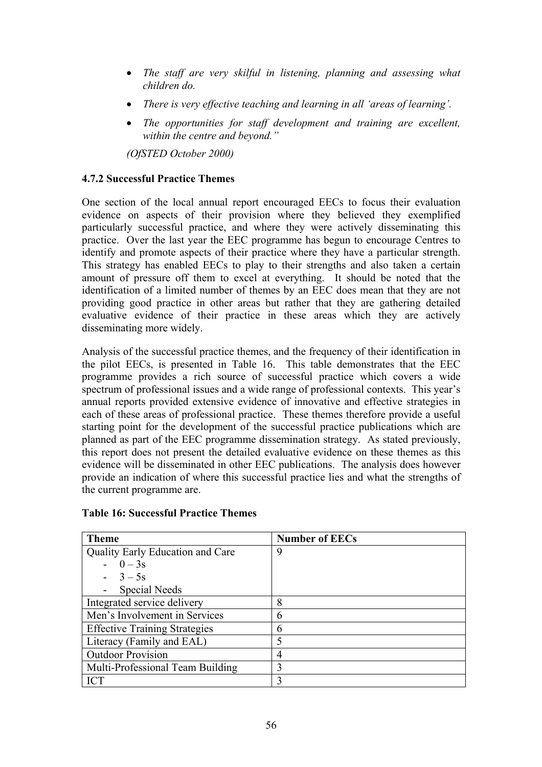- *The staff are very skilful in listening, planning and assessing what children do.*
- *There is very effective teaching and learning in all 'areas of learning'.*
- *The opportunities for staff development and training are excellent, within the centre and beyond."*

*(OfSTED October 2000)* 

### **4.7.2 Successful Practice Themes**

One section of the local annual report encouraged EECs to focus their evaluation evidence on aspects of their provision where they believed they exemplified particularly successful practice, and where they were actively disseminating this practice. Over the last year the EEC programme has begun to encourage Centres to identify and promote aspects of their practice where they have a particular strength. This strategy has enabled EECs to play to their strengths and also taken a certain amount of pressure off them to excel at everything. It should be noted that the identification of a limited number of themes by an EEC does mean that they are not providing good practice in other areas but rather that they are gathering detailed evaluative evidence of their practice in these areas which they are actively disseminating more widely.

Analysis of the successful practice themes, and the frequency of their identification in the pilot EECs, is presented in Table 16. This table demonstrates that the EEC programme provides a rich source of successful practice which covers a wide spectrum of professional issues and a wide range of professional contexts. This year's annual reports provided extensive evidence of innovative and effective strategies in each of these areas of professional practice. These themes therefore provide a useful starting point for the development of the successful practice publications which are planned as part of the EEC programme dissemination strategy. As stated previously, this report does not present the detailed evaluative evidence on these themes as this evidence will be disseminated in other EEC publications. The analysis does however provide an indication of where this successful practice lies and what the strengths of the current programme are.

| <b>Theme</b>                         | <b>Number of EECs</b> |
|--------------------------------------|-----------------------|
| Quality Early Education and Care     | 9                     |
| $-0-3s$                              |                       |
| $-3-5s$                              |                       |
| - Special Needs                      |                       |
| Integrated service delivery          | 8                     |
| Men's Involvement in Services        | 6                     |
| <b>Effective Training Strategies</b> | 6                     |
| Literacy (Family and EAL)            | 5                     |
| <b>Outdoor Provision</b>             | 4                     |
| Multi-Professional Team Building     | 3                     |
| <b>ICT</b>                           | 3                     |

#### **Table 16: Successful Practice Themes**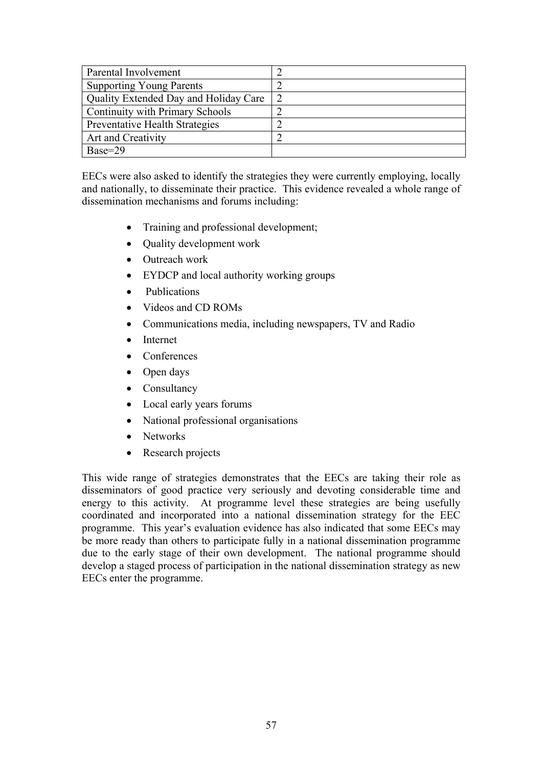| Parental Involvement                   |  |
|----------------------------------------|--|
| <b>Supporting Young Parents</b>        |  |
| Quality Extended Day and Holiday Care  |  |
| <b>Continuity with Primary Schools</b> |  |
| Preventative Health Strategies         |  |
| Art and Creativity                     |  |
| $Base=29$                              |  |

EECs were also asked to identify the strategies they were currently employing, locally and nationally, to disseminate their practice. This evidence revealed a whole range of dissemination mechanisms and forums including:

- Training and professional development;
- Quality development work
- Outreach work
- EYDCP and local authority working groups
- Publications
- Videos and CD ROMs
- Communications media, including newspapers, TV and Radio
- Internet
- Conferences
- Open days
- Consultancy
- Local early years forums
- National professional organisations
- Networks
- Research projects

This wide range of strategies demonstrates that the EECs are taking their role as disseminators of good practice very seriously and devoting considerable time and energy to this activity. At programme level these strategies are being usefully coordinated and incorporated into a national dissemination strategy for the EEC programme. This year's evaluation evidence has also indicated that some EECs may be more ready than others to participate fully in a national dissemination programme due to the early stage of their own development. The national programme should develop a staged process of participation in the national dissemination strategy as new EECs enter the programme.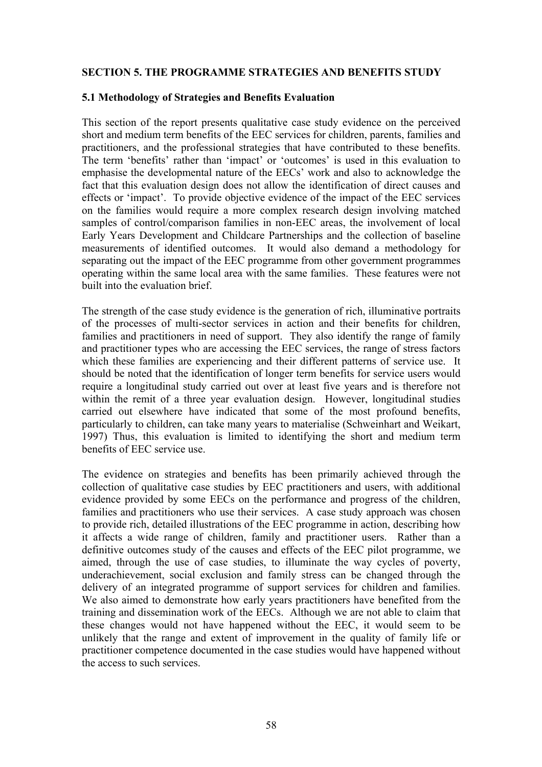#### **SECTION 5. THE PROGRAMME STRATEGIES AND BENEFITS STUDY**

#### **5.1 Methodology of Strategies and Benefits Evaluation**

This section of the report presents qualitative case study evidence on the perceived short and medium term benefits of the EEC services for children, parents, families and practitioners, and the professional strategies that have contributed to these benefits. The term 'benefits' rather than 'impact' or 'outcomes' is used in this evaluation to emphasise the developmental nature of the EECs' work and also to acknowledge the fact that this evaluation design does not allow the identification of direct causes and effects or 'impact'. To provide objective evidence of the impact of the EEC services on the families would require a more complex research design involving matched samples of control/comparison families in non-EEC areas, the involvement of local Early Years Development and Childcare Partnerships and the collection of baseline measurements of identified outcomes. It would also demand a methodology for separating out the impact of the EEC programme from other government programmes operating within the same local area with the same families. These features were not built into the evaluation brief.

The strength of the case study evidence is the generation of rich, illuminative portraits of the processes of multi-sector services in action and their benefits for children, families and practitioners in need of support. They also identify the range of family and practitioner types who are accessing the EEC services, the range of stress factors which these families are experiencing and their different patterns of service use. It should be noted that the identification of longer term benefits for service users would require a longitudinal study carried out over at least five years and is therefore not within the remit of a three year evaluation design. However, longitudinal studies carried out elsewhere have indicated that some of the most profound benefits, particularly to children, can take many years to materialise (Schweinhart and Weikart, 1997) Thus, this evaluation is limited to identifying the short and medium term benefits of EEC service use.

The evidence on strategies and benefits has been primarily achieved through the collection of qualitative case studies by EEC practitioners and users, with additional evidence provided by some EECs on the performance and progress of the children, families and practitioners who use their services. A case study approach was chosen to provide rich, detailed illustrations of the EEC programme in action, describing how it affects a wide range of children, family and practitioner users. Rather than a definitive outcomes study of the causes and effects of the EEC pilot programme, we aimed, through the use of case studies, to illuminate the way cycles of poverty, underachievement, social exclusion and family stress can be changed through the delivery of an integrated programme of support services for children and families. We also aimed to demonstrate how early years practitioners have benefited from the training and dissemination work of the EECs. Although we are not able to claim that these changes would not have happened without the EEC, it would seem to be unlikely that the range and extent of improvement in the quality of family life or practitioner competence documented in the case studies would have happened without the access to such services.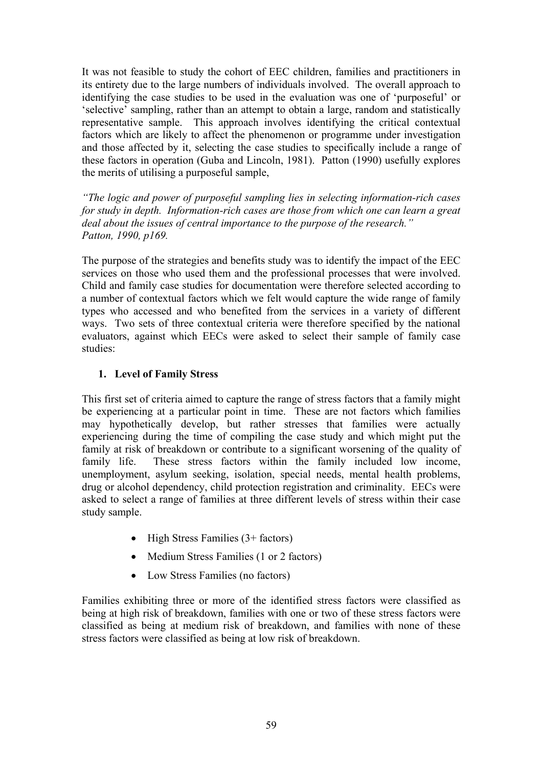It was not feasible to study the cohort of EEC children, families and practitioners in its entirety due to the large numbers of individuals involved. The overall approach to identifying the case studies to be used in the evaluation was one of 'purposeful' or 'selective' sampling, rather than an attempt to obtain a large, random and statistically representative sample. This approach involves identifying the critical contextual factors which are likely to affect the phenomenon or programme under investigation and those affected by it, selecting the case studies to specifically include a range of these factors in operation (Guba and Lincoln, 1981). Patton (1990) usefully explores the merits of utilising a purposeful sample,

*"The logic and power of purposeful sampling lies in selecting information-rich cases for study in depth. Information-rich cases are those from which one can learn a great deal about the issues of central importance to the purpose of the research." Patton, 1990, p169.* 

The purpose of the strategies and benefits study was to identify the impact of the EEC services on those who used them and the professional processes that were involved. Child and family case studies for documentation were therefore selected according to a number of contextual factors which we felt would capture the wide range of family types who accessed and who benefited from the services in a variety of different ways. Two sets of three contextual criteria were therefore specified by the national evaluators, against which EECs were asked to select their sample of family case studies:

## **1. Level of Family Stress**

This first set of criteria aimed to capture the range of stress factors that a family might be experiencing at a particular point in time. These are not factors which families may hypothetically develop, but rather stresses that families were actually experiencing during the time of compiling the case study and which might put the family at risk of breakdown or contribute to a significant worsening of the quality of family life. These stress factors within the family included low income, unemployment, asylum seeking, isolation, special needs, mental health problems, drug or alcohol dependency, child protection registration and criminality. EECs were asked to select a range of families at three different levels of stress within their case study sample.

- High Stress Families  $(3 + factors)$
- Medium Stress Families (1 or 2 factors)
- Low Stress Families (no factors)

Families exhibiting three or more of the identified stress factors were classified as being at high risk of breakdown, families with one or two of these stress factors were classified as being at medium risk of breakdown, and families with none of these stress factors were classified as being at low risk of breakdown.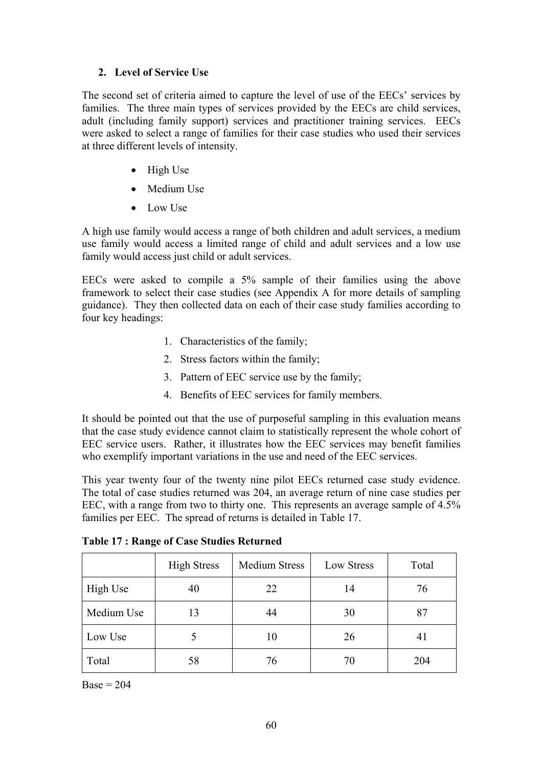## **2. Level of Service Use**

The second set of criteria aimed to capture the level of use of the EECs' services by families. The three main types of services provided by the EECs are child services, adult (including family support) services and practitioner training services. EECs were asked to select a range of families for their case studies who used their services at three different levels of intensity.

- High Use
- Medium Use
- Low Use

A high use family would access a range of both children and adult services, a medium use family would access a limited range of child and adult services and a low use family would access just child or adult services.

EECs were asked to compile a 5% sample of their families using the above framework to select their case studies (see Appendix A for more details of sampling guidance). They then collected data on each of their case study families according to four key headings:

- 1. Characteristics of the family;
- 2. Stress factors within the family;
- 3. Pattern of EEC service use by the family;
- 4. Benefits of EEC services for family members.

It should be pointed out that the use of purposeful sampling in this evaluation means that the case study evidence cannot claim to statistically represent the whole cohort of EEC service users. Rather, it illustrates how the EEC services may benefit families who exemplify important variations in the use and need of the EEC services.

This year twenty four of the twenty nine pilot EECs returned case study evidence. The total of case studies returned was 204, an average return of nine case studies per EEC, with a range from two to thirty one. This represents an average sample of 4.5% families per EEC. The spread of returns is detailed in Table 17.

|            | <b>High Stress</b> | <b>Medium Stress</b> | Low Stress | Total |
|------------|--------------------|----------------------|------------|-------|
| High Use   | 40                 | 22                   | 14         | 76    |
| Medium Use | 13                 | 44                   | 30         | 87    |
| Low Use    |                    | 10                   | 26         | 41    |
| Total      | 58                 | 76                   | 70         | 204   |

**Table 17 : Range of Case Studies Returned** 

 $Base = 204$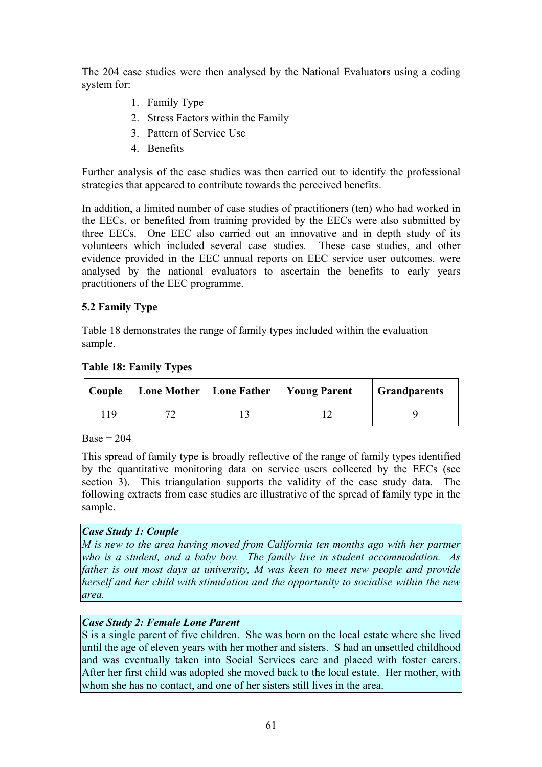The 204 case studies were then analysed by the National Evaluators using a coding system for:

- 1. Family Type
- 2. Stress Factors within the Family
- 3. Pattern of Service Use
- 4. Benefits

Further analysis of the case studies was then carried out to identify the professional strategies that appeared to contribute towards the perceived benefits.

In addition, a limited number of case studies of practitioners (ten) who had worked in the EECs, or benefited from training provided by the EECs were also submitted by three EECs. One EEC also carried out an innovative and in depth study of its volunteers which included several case studies. These case studies, and other evidence provided in the EEC annual reports on EEC service user outcomes, were analysed by the national evaluators to ascertain the benefits to early years practitioners of the EEC programme.

# **5.2 Family Type**

Table 18 demonstrates the range of family types included within the evaluation sample.

## **Table 18: Family Types**

| Couple | Lone Mother   Lone Father   Young Parent |  | <b>Grandparents</b> |  |
|--------|------------------------------------------|--|---------------------|--|
| 119    |                                          |  |                     |  |

 $Base = 204$ 

This spread of family type is broadly reflective of the range of family types identified by the quantitative monitoring data on service users collected by the EECs (see section 3). This triangulation supports the validity of the case study data. The following extracts from case studies are illustrative of the spread of family type in the sample.

### *Case Study 1: Couple*

*M is new to the area having moved from California ten months ago with her partner who is a student, and a baby boy. The family live in student accommodation. As father is out most days at university, M was keen to meet new people and provide herself and her child with stimulation and the opportunity to socialise within the new area.*

# *Case Study 2: Female Lone Parent*

S is a single parent of five children. She was born on the local estate where she lived until the age of eleven years with her mother and sisters. S had an unsettled childhood and was eventually taken into Social Services care and placed with foster carers. After her first child was adopted she moved back to the local estate. Her mother, with whom she has no contact, and one of her sisters still lives in the area.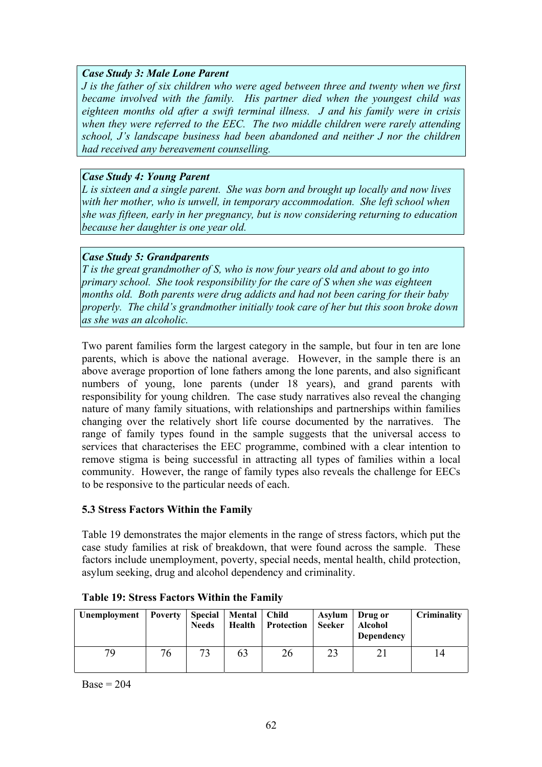#### *Case Study 3: Male Lone Parent*

*J is the father of six children who were aged between three and twenty when we first became involved with the family. His partner died when the youngest child was eighteen months old after a swift terminal illness. J and his family were in crisis when they were referred to the EEC. The two middle children were rarely attending school, J's landscape business had been abandoned and neither J nor the children had received any bereavement counselling.*

#### *Case Study 4: Young Parent*

*L is sixteen and a single parent. She was born and brought up locally and now lives with her mother, who is unwell, in temporary accommodation. She left school when she was fifteen, early in her pregnancy, but is now considering returning to education because her daughter is one year old.*

### *Case Study 5: Grandparents*

*T is the great grandmother of S, who is now four years old and about to go into primary school. She took responsibility for the care of S when she was eighteen months old. Both parents were drug addicts and had not been caring for their baby properly. The child's grandmother initially took care of her but this soon broke down as she was an alcoholic.*

Two parent families form the largest category in the sample, but four in ten are lone parents, which is above the national average. However, in the sample there is an above average proportion of lone fathers among the lone parents, and also significant numbers of young, lone parents (under 18 years), and grand parents with responsibility for young children. The case study narratives also reveal the changing nature of many family situations, with relationships and partnerships within families changing over the relatively short life course documented by the narratives. The range of family types found in the sample suggests that the universal access to services that characterises the EEC programme, combined with a clear intention to remove stigma is being successful in attracting all types of families within a local community. However, the range of family types also reveals the challenge for EECs to be responsive to the particular needs of each.

### **5.3 Stress Factors Within the Family**

Table 19 demonstrates the major elements in the range of stress factors, which put the case study families at risk of breakdown, that were found across the sample. These factors include unemployment, poverty, special needs, mental health, child protection, asylum seeking, drug and alcohol dependency and criminality.

| Unemployment   Poverty |    | <b>Needs</b> | Special   Mental   Child<br>Health | Protection | Asylum<br>Seeker | Drug or<br><b>Alcohol</b><br><b>Dependency</b> | Criminality |
|------------------------|----|--------------|------------------------------------|------------|------------------|------------------------------------------------|-------------|
| 79                     | 76 |              | 63                                 | 26         |                  |                                                | l 4         |

### **Table 19: Stress Factors Within the Family**

 $Base = 204$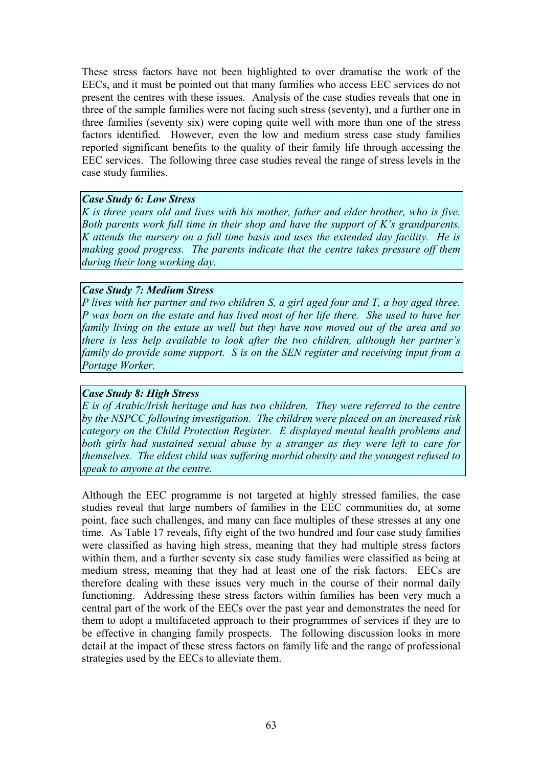These stress factors have not been highlighted to over dramatise the work of the EECs, and it must be pointed out that many families who access EEC services do not present the centres with these issues. Analysis of the case studies reveals that one in three of the sample families were not facing such stress (seventy), and a further one in three families (seventy six) were coping quite well with more than one of the stress factors identified. However, even the low and medium stress case study families reported significant benefits to the quality of their family life through accessing the EEC services. The following three case studies reveal the range of stress levels in the case study families.

#### *Case Study 6: Low Stress*

*K is three years old and lives with his mother, father and elder brother, who is five. Both parents work full time in their shop and have the support of K's grandparents. K attends the nursery on a full time basis and uses the extended day facility. He is making good progress. The parents indicate that the centre takes pressure off them during their long working day.*

#### *Case Study 7: Medium Stress*

*P lives with her partner and two children S, a girl aged four and T, a boy aged three. P was born on the estate and has lived most of her life there. She used to have her family living on the estate as well but they have now moved out of the area and so there is less help available to look after the two children, although her partner's family do provide some support. S is on the SEN register and receiving input from a Portage Worker.* 

#### *Case Study 8: High Stress*

*E is of Arabic/Irish heritage and has two children. They were referred to the centre by the NSPCC following investigation. The children were placed on an increased risk category on the Child Protection Register. E displayed mental health problems and both girls had sustained sexual abuse by a stranger as they were left to care for themselves. The eldest child was suffering morbid obesity and the youngest refused to speak to anyone at the centre.* 

Although the EEC programme is not targeted at highly stressed families, the case studies reveal that large numbers of families in the EEC communities do, at some point, face such challenges, and many can face multiples of these stresses at any one time. As Table 17 reveals, fifty eight of the two hundred and four case study families were classified as having high stress, meaning that they had multiple stress factors within them, and a further seventy six case study families were classified as being at medium stress, meaning that they had at least one of the risk factors. EECs are therefore dealing with these issues very much in the course of their normal daily functioning. Addressing these stress factors within families has been very much a central part of the work of the EECs over the past year and demonstrates the need for them to adopt a multifaceted approach to their programmes of services if they are to be effective in changing family prospects. The following discussion looks in more detail at the impact of these stress factors on family life and the range of professional strategies used by the EECs to alleviate them.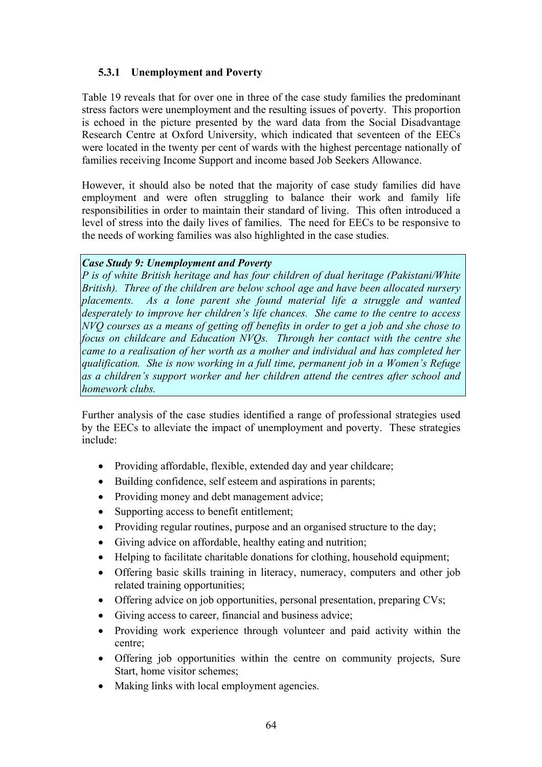## **5.3.1 Unemployment and Poverty**

Table 19 reveals that for over one in three of the case study families the predominant stress factors were unemployment and the resulting issues of poverty. This proportion is echoed in the picture presented by the ward data from the Social Disadvantage Research Centre at Oxford University, which indicated that seventeen of the EECs were located in the twenty per cent of wards with the highest percentage nationally of families receiving Income Support and income based Job Seekers Allowance.

However, it should also be noted that the majority of case study families did have employment and were often struggling to balance their work and family life responsibilities in order to maintain their standard of living. This often introduced a level of stress into the daily lives of families. The need for EECs to be responsive to the needs of working families was also highlighted in the case studies.

#### *Case Study 9: Unemployment and Poverty*

*P is of white British heritage and has four children of dual heritage (Pakistani/White British). Three of the children are below school age and have been allocated nursery placements. As a lone parent she found material life a struggle and wanted desperately to improve her children's life chances. She came to the centre to access NVQ courses as a means of getting off benefits in order to get a job and she chose to focus on childcare and Education NVQs. Through her contact with the centre she came to a realisation of her worth as a mother and individual and has completed her qualification. She is now working in a full time, permanent job in a Women's Refuge as a children's support worker and her children attend the centres after school and homework clubs.* 

Further analysis of the case studies identified a range of professional strategies used by the EECs to alleviate the impact of unemployment and poverty. These strategies include:

- Providing affordable, flexible, extended day and year childcare;
- Building confidence, self esteem and aspirations in parents;
- Providing money and debt management advice;
- Supporting access to benefit entitlement;
- Providing regular routines, purpose and an organised structure to the day;
- Giving advice on affordable, healthy eating and nutrition;
- Helping to facilitate charitable donations for clothing, household equipment;
- Offering basic skills training in literacy, numeracy, computers and other job related training opportunities;
- Offering advice on job opportunities, personal presentation, preparing CVs;
- Giving access to career, financial and business advice;
- Providing work experience through volunteer and paid activity within the centre;
- Offering job opportunities within the centre on community projects, Sure Start, home visitor schemes;
- Making links with local employment agencies.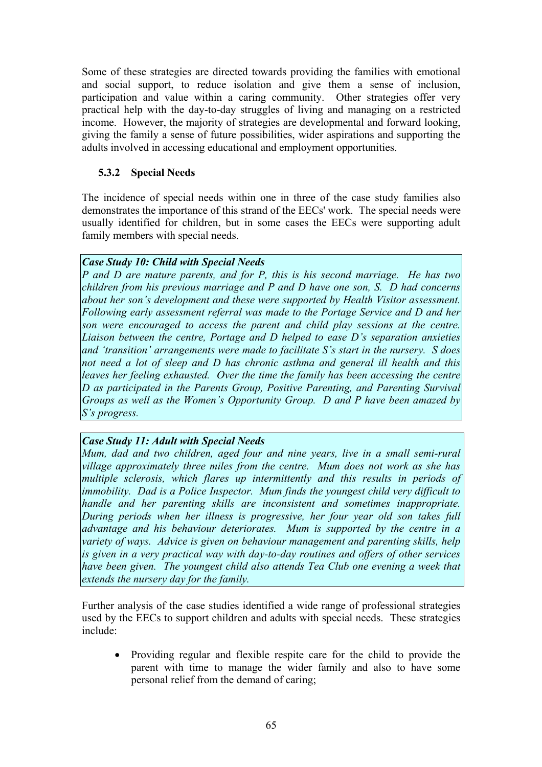Some of these strategies are directed towards providing the families with emotional and social support, to reduce isolation and give them a sense of inclusion, participation and value within a caring community. Other strategies offer very practical help with the day-to-day struggles of living and managing on a restricted income. However, the majority of strategies are developmental and forward looking, giving the family a sense of future possibilities, wider aspirations and supporting the adults involved in accessing educational and employment opportunities.

## **5.3.2 Special Needs**

The incidence of special needs within one in three of the case study families also demonstrates the importance of this strand of the EECs' work. The special needs were usually identified for children, but in some cases the EECs were supporting adult family members with special needs.

#### *Case Study 10: Child with Special Needs*

*P and D are mature parents, and for P, this is his second marriage. He has two children from his previous marriage and P and D have one son, S. D had concerns about her son's development and these were supported by Health Visitor assessment. Following early assessment referral was made to the Portage Service and D and her son were encouraged to access the parent and child play sessions at the centre. Liaison between the centre, Portage and D helped to ease D's separation anxieties and 'transition' arrangements were made to facilitate S's start in the nursery. S does not need a lot of sleep and D has chronic asthma and general ill health and this leaves her feeling exhausted. Over the time the family has been accessing the centre D as participated in the Parents Group, Positive Parenting, and Parenting Survival Groups as well as the Women's Opportunity Group. D and P have been amazed by S's progress.* 

### *Case Study 11: Adult with Special Needs*

*Mum, dad and two children, aged four and nine years, live in a small semi-rural village approximately three miles from the centre. Mum does not work as she has multiple sclerosis, which flares up intermittently and this results in periods of immobility. Dad is a Police Inspector. Mum finds the youngest child very difficult to handle and her parenting skills are inconsistent and sometimes inappropriate. During periods when her illness is progressive, her four year old son takes full advantage and his behaviour deteriorates. Mum is supported by the centre in a variety of ways. Advice is given on behaviour management and parenting skills, help is given in a very practical way with day-to-day routines and offers of other services have been given. The youngest child also attends Tea Club one evening a week that extends the nursery day for the family.*

Further analysis of the case studies identified a wide range of professional strategies used by the EECs to support children and adults with special needs. These strategies include:

• Providing regular and flexible respite care for the child to provide the parent with time to manage the wider family and also to have some personal relief from the demand of caring;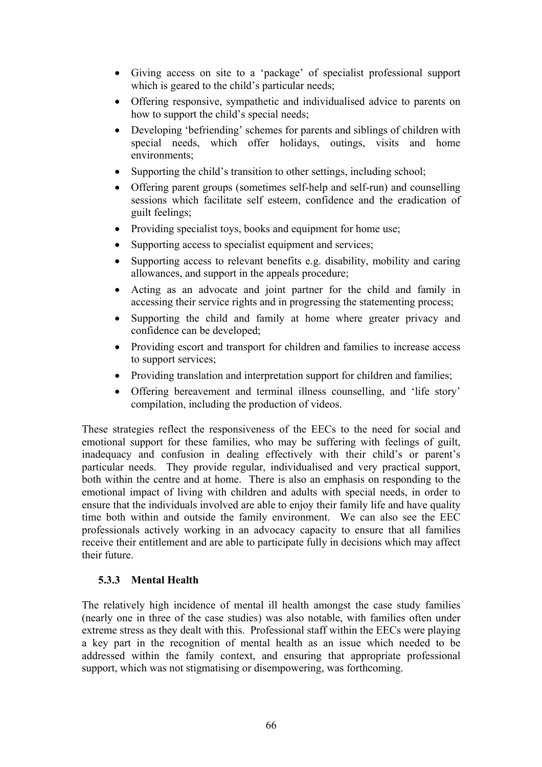- Giving access on site to a 'package' of specialist professional support which is geared to the child's particular needs;
- Offering responsive, sympathetic and individualised advice to parents on how to support the child's special needs;
- Developing 'befriending' schemes for parents and siblings of children with special needs, which offer holidays, outings, visits and home environments;
- Supporting the child's transition to other settings, including school;
- Offering parent groups (sometimes self-help and self-run) and counselling sessions which facilitate self esteem, confidence and the eradication of guilt feelings;
- Providing specialist toys, books and equipment for home use;
- Supporting access to specialist equipment and services;
- Supporting access to relevant benefits e.g. disability, mobility and caring allowances, and support in the appeals procedure;
- Acting as an advocate and joint partner for the child and family in accessing their service rights and in progressing the statementing process;
- Supporting the child and family at home where greater privacy and confidence can be developed;
- Providing escort and transport for children and families to increase access to support services;
- Providing translation and interpretation support for children and families;
- Offering bereavement and terminal illness counselling, and 'life story' compilation, including the production of videos.

These strategies reflect the responsiveness of the EECs to the need for social and emotional support for these families, who may be suffering with feelings of guilt, inadequacy and confusion in dealing effectively with their child's or parent's particular needs. They provide regular, individualised and very practical support, both within the centre and at home. There is also an emphasis on responding to the emotional impact of living with children and adults with special needs, in order to ensure that the individuals involved are able to enjoy their family life and have quality time both within and outside the family environment. We can also see the EEC professionals actively working in an advocacy capacity to ensure that all families receive their entitlement and are able to participate fully in decisions which may affect their future.

### **5.3.3 Mental Health**

The relatively high incidence of mental ill health amongst the case study families (nearly one in three of the case studies) was also notable, with families often under extreme stress as they dealt with this. Professional staff within the EECs were playing a key part in the recognition of mental health as an issue which needed to be addressed within the family context, and ensuring that appropriate professional support, which was not stigmatising or disempowering, was forthcoming.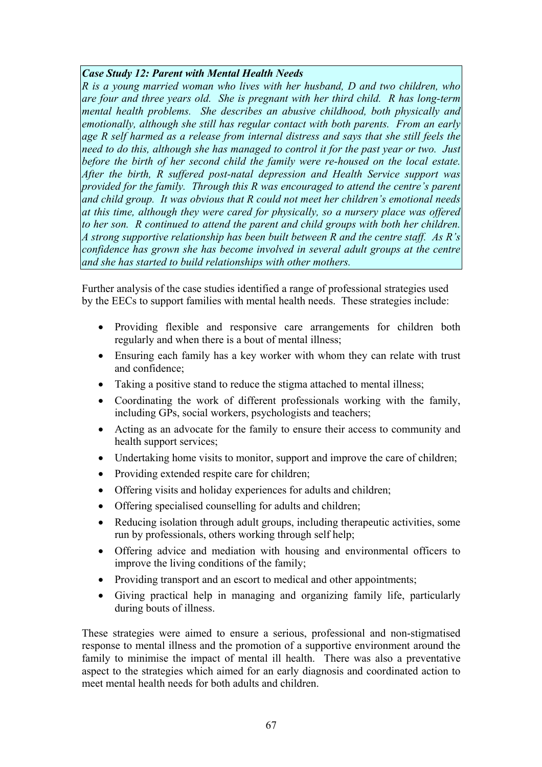#### *Case Study 12: Parent with Mental Health Needs*

*R is a young married woman who lives with her husband, D and two children, who are four and three years old. She is pregnant with her third child. R has long-term mental health problems. She describes an abusive childhood, both physically and emotionally, although she still has regular contact with both parents. From an early age R self harmed as a release from internal distress and says that she still feels the need to do this, although she has managed to control it for the past year or two. Just before the birth of her second child the family were re-housed on the local estate. After the birth, R suffered post-natal depression and Health Service support was provided for the family. Through this R was encouraged to attend the centre's parent and child group. It was obvious that R could not meet her children's emotional needs at this time, although they were cared for physically, so a nursery place was offered to her son. R continued to attend the parent and child groups with both her children. A strong supportive relationship has been built between R and the centre staff. As R's confidence has grown she has become involved in several adult groups at the centre and she has started to build relationships with other mothers.*

Further analysis of the case studies identified a range of professional strategies used by the EECs to support families with mental health needs. These strategies include:

- Providing flexible and responsive care arrangements for children both regularly and when there is a bout of mental illness;
- Ensuring each family has a key worker with whom they can relate with trust and confidence;
- Taking a positive stand to reduce the stigma attached to mental illness;
- Coordinating the work of different professionals working with the family, including GPs, social workers, psychologists and teachers;
- Acting as an advocate for the family to ensure their access to community and health support services;
- Undertaking home visits to monitor, support and improve the care of children;
- Providing extended respite care for children;
- Offering visits and holiday experiences for adults and children;
- Offering specialised counselling for adults and children;
- Reducing isolation through adult groups, including therapeutic activities, some run by professionals, others working through self help;
- Offering advice and mediation with housing and environmental officers to improve the living conditions of the family;
- Providing transport and an escort to medical and other appointments;
- Giving practical help in managing and organizing family life, particularly during bouts of illness.

These strategies were aimed to ensure a serious, professional and non-stigmatised response to mental illness and the promotion of a supportive environment around the family to minimise the impact of mental ill health. There was also a preventative aspect to the strategies which aimed for an early diagnosis and coordinated action to meet mental health needs for both adults and children.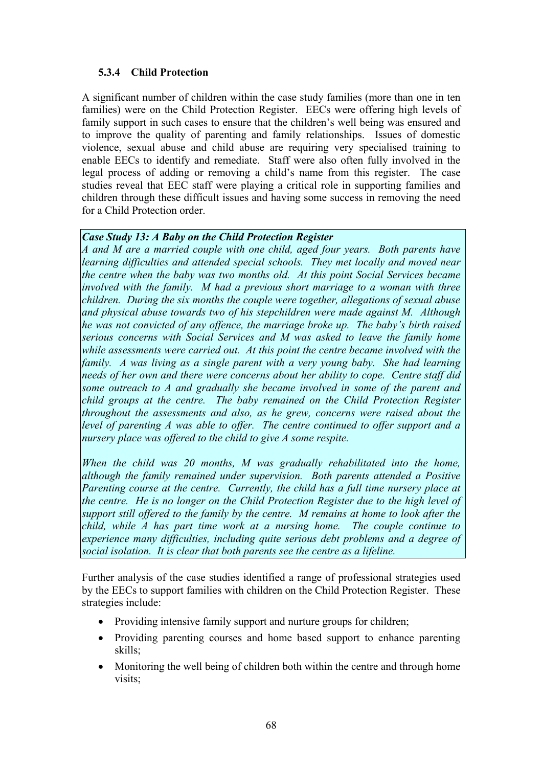## **5.3.4 Child Protection**

A significant number of children within the case study families (more than one in ten families) were on the Child Protection Register. EECs were offering high levels of family support in such cases to ensure that the children's well being was ensured and to improve the quality of parenting and family relationships. Issues of domestic violence, sexual abuse and child abuse are requiring very specialised training to enable EECs to identify and remediate. Staff were also often fully involved in the legal process of adding or removing a child's name from this register. The case studies reveal that EEC staff were playing a critical role in supporting families and children through these difficult issues and having some success in removing the need for a Child Protection order.

### *Case Study 13: A Baby on the Child Protection Register*

*A and M are a married couple with one child, aged four years. Both parents have learning difficulties and attended special schools. They met locally and moved near the centre when the baby was two months old. At this point Social Services became involved with the family. M had a previous short marriage to a woman with three children. During the six months the couple were together, allegations of sexual abuse and physical abuse towards two of his stepchildren were made against M. Although he was not convicted of any offence, the marriage broke up. The baby's birth raised serious concerns with Social Services and M was asked to leave the family home while assessments were carried out. At this point the centre became involved with the family. A was living as a single parent with a very young baby. She had learning needs of her own and there were concerns about her ability to cope. Centre staff did some outreach to A and gradually she became involved in some of the parent and child groups at the centre. The baby remained on the Child Protection Register throughout the assessments and also, as he grew, concerns were raised about the level of parenting A was able to offer. The centre continued to offer support and a nursery place was offered to the child to give A some respite.* 

*When the child was 20 months, M was gradually rehabilitated into the home, although the family remained under supervision. Both parents attended a Positive Parenting course at the centre. Currently, the child has a full time nursery place at the centre. He is no longer on the Child Protection Register due to the high level of support still offered to the family by the centre. M remains at home to look after the child, while A has part time work at a nursing home. The couple continue to experience many difficulties, including quite serious debt problems and a degree of social isolation. It is clear that both parents see the centre as a lifeline.*

Further analysis of the case studies identified a range of professional strategies used by the EECs to support families with children on the Child Protection Register. These strategies include:

- Providing intensive family support and nurture groups for children;
- Providing parenting courses and home based support to enhance parenting skills;
- Monitoring the well being of children both within the centre and through home visits;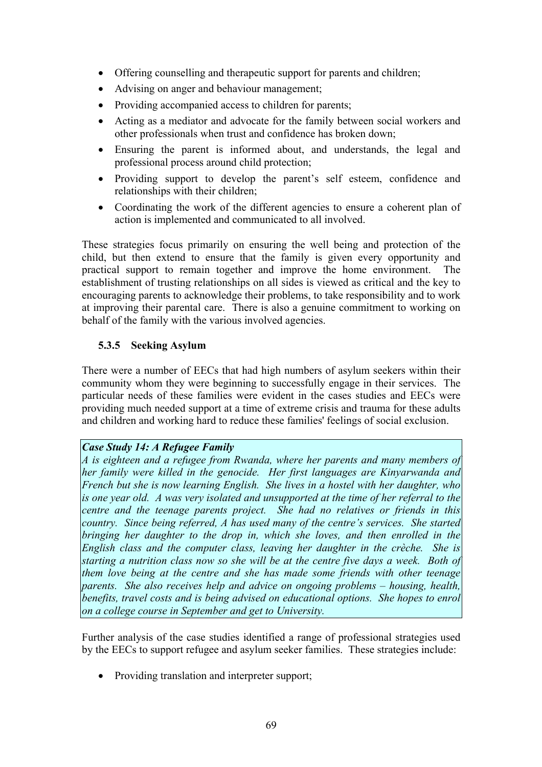- Offering counselling and therapeutic support for parents and children;
- Advising on anger and behaviour management;
- Providing accompanied access to children for parents;
- Acting as a mediator and advocate for the family between social workers and other professionals when trust and confidence has broken down;
- Ensuring the parent is informed about, and understands, the legal and professional process around child protection;
- Providing support to develop the parent's self esteem, confidence and relationships with their children;
- Coordinating the work of the different agencies to ensure a coherent plan of action is implemented and communicated to all involved.

These strategies focus primarily on ensuring the well being and protection of the child, but then extend to ensure that the family is given every opportunity and practical support to remain together and improve the home environment. The establishment of trusting relationships on all sides is viewed as critical and the key to encouraging parents to acknowledge their problems, to take responsibility and to work at improving their parental care. There is also a genuine commitment to working on behalf of the family with the various involved agencies.

# **5.3.5 Seeking Asylum**

There were a number of EECs that had high numbers of asylum seekers within their community whom they were beginning to successfully engage in their services. The particular needs of these families were evident in the cases studies and EECs were providing much needed support at a time of extreme crisis and trauma for these adults and children and working hard to reduce these families' feelings of social exclusion.

### *Case Study 14: A Refugee Family*

*A is eighteen and a refugee from Rwanda, where her parents and many members of her family were killed in the genocide. Her first languages are Kinyarwanda and French but she is now learning English. She lives in a hostel with her daughter, who is one year old. A was very isolated and unsupported at the time of her referral to the centre and the teenage parents project. She had no relatives or friends in this country. Since being referred, A has used many of the centre's services. She started bringing her daughter to the drop in, which she loves, and then enrolled in the English class and the computer class, leaving her daughter in the crèche. She is starting a nutrition class now so she will be at the centre five days a week. Both of them love being at the centre and she has made some friends with other teenage parents. She also receives help and advice on ongoing problems – housing, health, benefits, travel costs and is being advised on educational options. She hopes to enrol on a college course in September and get to University.*

Further analysis of the case studies identified a range of professional strategies used by the EECs to support refugee and asylum seeker families. These strategies include:

• Providing translation and interpreter support;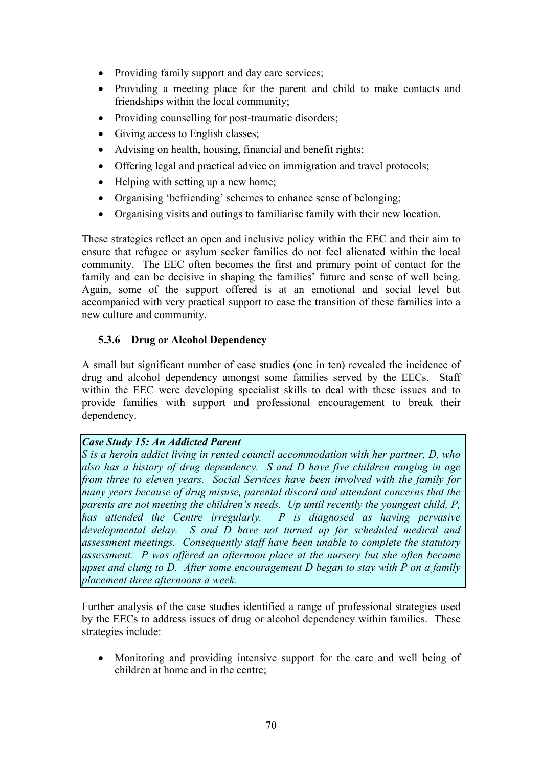- Providing family support and day care services;
- Providing a meeting place for the parent and child to make contacts and friendships within the local community;
- Providing counselling for post-traumatic disorders:
- Giving access to English classes;
- Advising on health, housing, financial and benefit rights;
- Offering legal and practical advice on immigration and travel protocols;
- Helping with setting up a new home;
- Organising 'befriending' schemes to enhance sense of belonging;
- Organising visits and outings to familiarise family with their new location.

These strategies reflect an open and inclusive policy within the EEC and their aim to ensure that refugee or asylum seeker families do not feel alienated within the local community. The EEC often becomes the first and primary point of contact for the family and can be decisive in shaping the families' future and sense of well being. Again, some of the support offered is at an emotional and social level but accompanied with very practical support to ease the transition of these families into a new culture and community.

# **5.3.6 Drug or Alcohol Dependency**

A small but significant number of case studies (one in ten) revealed the incidence of drug and alcohol dependency amongst some families served by the EECs. Staff within the EEC were developing specialist skills to deal with these issues and to provide families with support and professional encouragement to break their dependency.

### *Case Study 15: An Addicted Parent*

*S is a heroin addict living in rented council accommodation with her partner, D, who also has a history of drug dependency. S and D have five children ranging in age from three to eleven years. Social Services have been involved with the family for many years because of drug misuse, parental discord and attendant concerns that the parents are not meeting the children's needs. Up until recently the youngest child, P, has attended the Centre irregularly.* P is diagnosed as having pervasive *developmental delay. S and D have not turned up for scheduled medical and assessment meetings. Consequently staff have been unable to complete the statutory assessment. P was offered an afternoon place at the nursery but she often became upset and clung to D. After some encouragement D began to stay with P on a family placement three afternoons a week.*

Further analysis of the case studies identified a range of professional strategies used by the EECs to address issues of drug or alcohol dependency within families. These strategies include:

• Monitoring and providing intensive support for the care and well being of children at home and in the centre;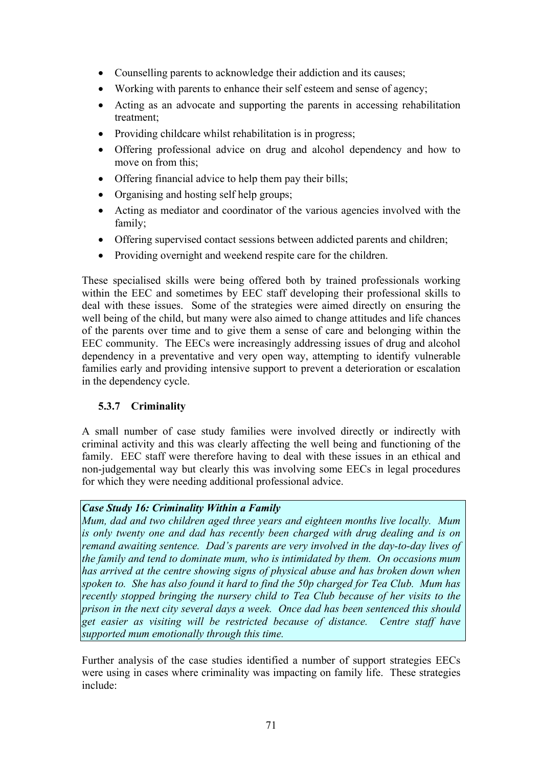- Counselling parents to acknowledge their addiction and its causes;
- Working with parents to enhance their self esteem and sense of agency:
- Acting as an advocate and supporting the parents in accessing rehabilitation treatment;
- Providing childcare whilst rehabilitation is in progress;
- Offering professional advice on drug and alcohol dependency and how to move on from this;
- Offering financial advice to help them pay their bills;
- Organising and hosting self help groups;
- Acting as mediator and coordinator of the various agencies involved with the family;
- Offering supervised contact sessions between addicted parents and children;
- Providing overnight and weekend respite care for the children.

These specialised skills were being offered both by trained professionals working within the EEC and sometimes by EEC staff developing their professional skills to deal with these issues. Some of the strategies were aimed directly on ensuring the well being of the child, but many were also aimed to change attitudes and life chances of the parents over time and to give them a sense of care and belonging within the EEC community. The EECs were increasingly addressing issues of drug and alcohol dependency in a preventative and very open way, attempting to identify vulnerable families early and providing intensive support to prevent a deterioration or escalation in the dependency cycle.

# **5.3.7 Criminality**

A small number of case study families were involved directly or indirectly with criminal activity and this was clearly affecting the well being and functioning of the family. EEC staff were therefore having to deal with these issues in an ethical and non-judgemental way but clearly this was involving some EECs in legal procedures for which they were needing additional professional advice.

### *Case Study 16: Criminality Within a Family*

*Mum, dad and two children aged three years and eighteen months live locally. Mum is only twenty one and dad has recently been charged with drug dealing and is on remand awaiting sentence. Dad's parents are very involved in the day-to-day lives of the family and tend to dominate mum, who is intimidated by them. On occasions mum has arrived at the centre showing signs of physical abuse and has broken down when spoken to. She has also found it hard to find the 50p charged for Tea Club. Mum has recently stopped bringing the nursery child to Tea Club because of her visits to the prison in the next city several days a week. Once dad has been sentenced this should get easier as visiting will be restricted because of distance. Centre staff have supported mum emotionally through this time.*

Further analysis of the case studies identified a number of support strategies EECs were using in cases where criminality was impacting on family life. These strategies include: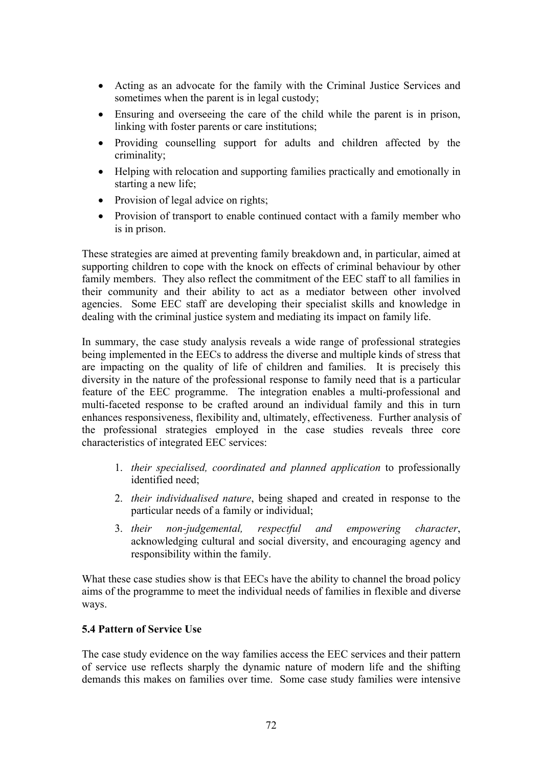- Acting as an advocate for the family with the Criminal Justice Services and sometimes when the parent is in legal custody;
- Ensuring and overseeing the care of the child while the parent is in prison, linking with foster parents or care institutions;
- Providing counselling support for adults and children affected by the criminality;
- Helping with relocation and supporting families practically and emotionally in starting a new life;
- Provision of legal advice on rights;
- Provision of transport to enable continued contact with a family member who is in prison.

These strategies are aimed at preventing family breakdown and, in particular, aimed at supporting children to cope with the knock on effects of criminal behaviour by other family members. They also reflect the commitment of the EEC staff to all families in their community and their ability to act as a mediator between other involved agencies. Some EEC staff are developing their specialist skills and knowledge in dealing with the criminal justice system and mediating its impact on family life.

In summary, the case study analysis reveals a wide range of professional strategies being implemented in the EECs to address the diverse and multiple kinds of stress that are impacting on the quality of life of children and families. It is precisely this diversity in the nature of the professional response to family need that is a particular feature of the EEC programme. The integration enables a multi-professional and multi-faceted response to be crafted around an individual family and this in turn enhances responsiveness, flexibility and, ultimately, effectiveness. Further analysis of the professional strategies employed in the case studies reveals three core characteristics of integrated EEC services:

- 1. *their specialised, coordinated and planned application* to professionally identified need;
- 2. *their individualised nature*, being shaped and created in response to the particular needs of a family or individual;
- 3. *their non-judgemental, respectful and empowering character*, acknowledging cultural and social diversity, and encouraging agency and responsibility within the family.

What these case studies show is that EECs have the ability to channel the broad policy aims of the programme to meet the individual needs of families in flexible and diverse ways.

### **5.4 Pattern of Service Use**

The case study evidence on the way families access the EEC services and their pattern of service use reflects sharply the dynamic nature of modern life and the shifting demands this makes on families over time. Some case study families were intensive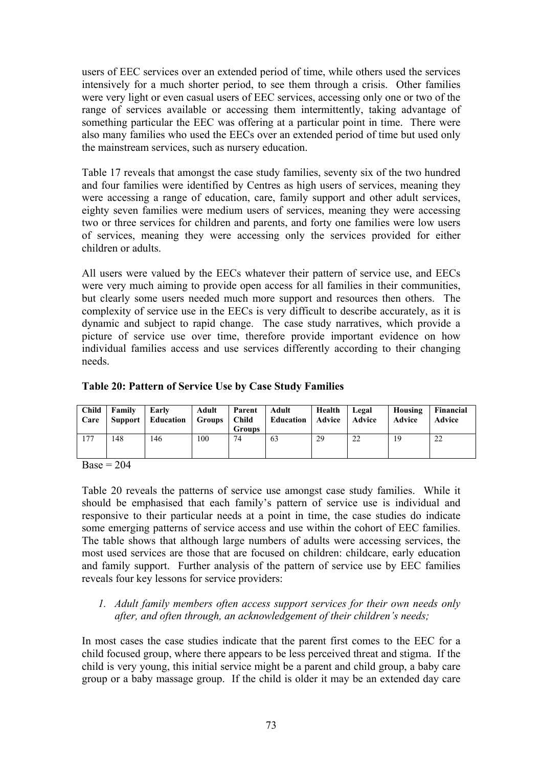users of EEC services over an extended period of time, while others used the services intensively for a much shorter period, to see them through a crisis. Other families were very light or even casual users of EEC services, accessing only one or two of the range of services available or accessing them intermittently, taking advantage of something particular the EEC was offering at a particular point in time. There were also many families who used the EECs over an extended period of time but used only the mainstream services, such as nursery education.

Table 17 reveals that amongst the case study families, seventy six of the two hundred and four families were identified by Centres as high users of services, meaning they were accessing a range of education, care, family support and other adult services, eighty seven families were medium users of services, meaning they were accessing two or three services for children and parents, and forty one families were low users of services, meaning they were accessing only the services provided for either children or adults.

All users were valued by the EECs whatever their pattern of service use, and EECs were very much aiming to provide open access for all families in their communities, but clearly some users needed much more support and resources then others. The complexity of service use in the EECs is very difficult to describe accurately, as it is dynamic and subject to rapid change. The case study narratives, which provide a picture of service use over time, therefore provide important evidence on how individual families access and use services differently according to their changing needs.

| Care | Child Family | Early<br>  Support   Education   Groups   Child | Adult | Parent Adult<br><b>Groups</b> | Education   Advice   Advice | Health   Legal |    | Housing<br>Advice | <b>Financial</b><br>Advice |
|------|--------------|-------------------------------------------------|-------|-------------------------------|-----------------------------|----------------|----|-------------------|----------------------------|
| 177  | 148          | 146                                             | 100   | 74                            | 63                          | 29             | 22 | 19                | 22                         |

#### **Table 20: Pattern of Service Use by Case Study Families**

 $Base = 204$ 

Table 20 reveals the patterns of service use amongst case study families. While it should be emphasised that each family's pattern of service use is individual and responsive to their particular needs at a point in time, the case studies do indicate some emerging patterns of service access and use within the cohort of EEC families. The table shows that although large numbers of adults were accessing services, the most used services are those that are focused on children: childcare, early education and family support. Further analysis of the pattern of service use by EEC families reveals four key lessons for service providers:

### *1. Adult family members often access support services for their own needs only after, and often through, an acknowledgement of their children's needs;*

In most cases the case studies indicate that the parent first comes to the EEC for a child focused group, where there appears to be less perceived threat and stigma. If the child is very young, this initial service might be a parent and child group, a baby care group or a baby massage group. If the child is older it may be an extended day care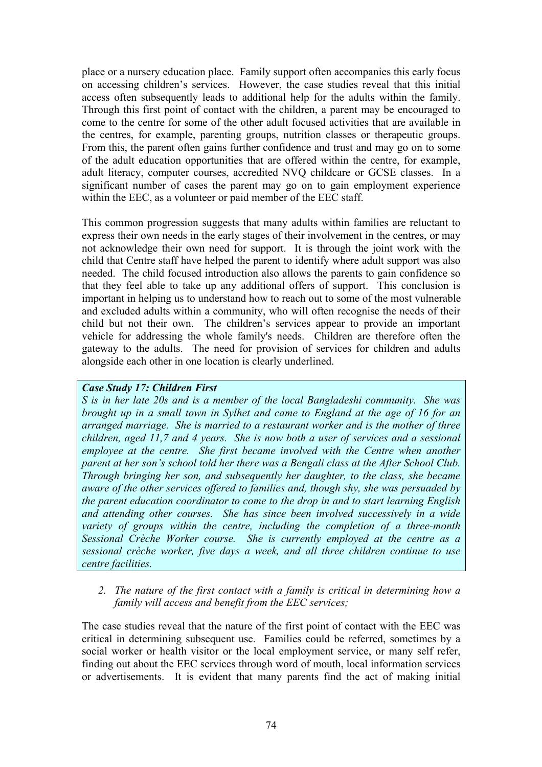place or a nursery education place. Family support often accompanies this early focus on accessing children's services. However, the case studies reveal that this initial access often subsequently leads to additional help for the adults within the family. Through this first point of contact with the children, a parent may be encouraged to come to the centre for some of the other adult focused activities that are available in the centres, for example, parenting groups, nutrition classes or therapeutic groups. From this, the parent often gains further confidence and trust and may go on to some of the adult education opportunities that are offered within the centre, for example, adult literacy, computer courses, accredited NVQ childcare or GCSE classes. In a significant number of cases the parent may go on to gain employment experience within the EEC, as a volunteer or paid member of the EEC staff.

This common progression suggests that many adults within families are reluctant to express their own needs in the early stages of their involvement in the centres, or may not acknowledge their own need for support. It is through the joint work with the child that Centre staff have helped the parent to identify where adult support was also needed. The child focused introduction also allows the parents to gain confidence so that they feel able to take up any additional offers of support. This conclusion is important in helping us to understand how to reach out to some of the most vulnerable and excluded adults within a community, who will often recognise the needs of their child but not their own. The children's services appear to provide an important vehicle for addressing the whole family's needs. Children are therefore often the gateway to the adults. The need for provision of services for children and adults alongside each other in one location is clearly underlined.

#### *Case Study 17: Children First*

*S is in her late 20s and is a member of the local Bangladeshi community. She was brought up in a small town in Sylhet and came to England at the age of 16 for an arranged marriage. She is married to a restaurant worker and is the mother of three children, aged 11,7 and 4 years. She is now both a user of services and a sessional employee at the centre. She first became involved with the Centre when another parent at her son's school told her there was a Bengali class at the After School Club. Through bringing her son, and subsequently her daughter, to the class, she became aware of the other services offered to families and, though shy, she was persuaded by the parent education coordinator to come to the drop in and to start learning English and attending other courses. She has since been involved successively in a wide variety of groups within the centre, including the completion of a three-month Sessional Crèche Worker course. She is currently employed at the centre as a sessional crèche worker, five days a week, and all three children continue to use centre facilities.*

*2. The nature of the first contact with a family is critical in determining how a family will access and benefit from the EEC services;* 

The case studies reveal that the nature of the first point of contact with the EEC was critical in determining subsequent use. Families could be referred, sometimes by a social worker or health visitor or the local employment service, or many self refer, finding out about the EEC services through word of mouth, local information services or advertisements. It is evident that many parents find the act of making initial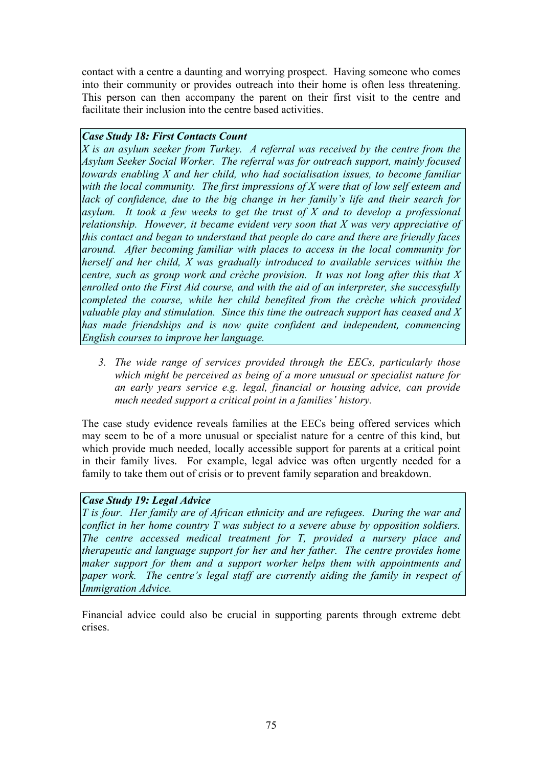contact with a centre a daunting and worrying prospect. Having someone who comes into their community or provides outreach into their home is often less threatening. This person can then accompany the parent on their first visit to the centre and facilitate their inclusion into the centre based activities.

#### *Case Study 18: First Contacts Count*

*X is an asylum seeker from Turkey. A referral was received by the centre from the Asylum Seeker Social Worker. The referral was for outreach support, mainly focused towards enabling X and her child, who had socialisation issues, to become familiar with the local community. The first impressions of X were that of low self esteem and lack of confidence, due to the big change in her family's life and their search for asylum. It took a few weeks to get the trust of X and to develop a professional relationship. However, it became evident very soon that X was very appreciative of this contact and began to understand that people do care and there are friendly faces around. After becoming familiar with places to access in the local community for herself and her child, X was gradually introduced to available services within the centre, such as group work and crèche provision. It was not long after this that X enrolled onto the First Aid course, and with the aid of an interpreter, she successfully completed the course, while her child benefited from the crèche which provided valuable play and stimulation. Since this time the outreach support has ceased and X has made friendships and is now quite confident and independent, commencing English courses to improve her language.* 

*3. The wide range of services provided through the EECs, particularly those which might be perceived as being of a more unusual or specialist nature for an early years service e.g. legal, financial or housing advice, can provide much needed support a critical point in a families' history.* 

The case study evidence reveals families at the EECs being offered services which may seem to be of a more unusual or specialist nature for a centre of this kind, but which provide much needed, locally accessible support for parents at a critical point in their family lives. For example, legal advice was often urgently needed for a family to take them out of crisis or to prevent family separation and breakdown.

### *Case Study 19: Legal Advice*

*T is four. Her family are of African ethnicity and are refugees. During the war and conflict in her home country T was subject to a severe abuse by opposition soldiers. The centre accessed medical treatment for T, provided a nursery place and therapeutic and language support for her and her father. The centre provides home maker support for them and a support worker helps them with appointments and paper work. The centre's legal staff are currently aiding the family in respect of Immigration Advice.*

Financial advice could also be crucial in supporting parents through extreme debt crises.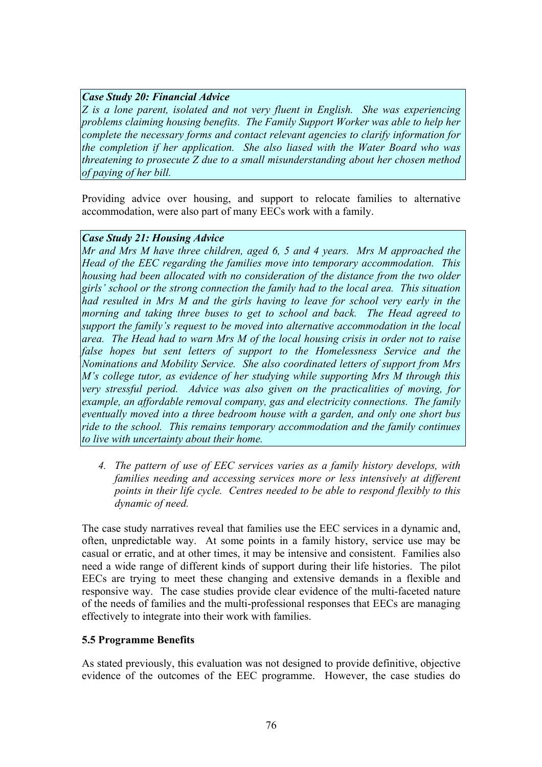## *Case Study 20: Financial Advice*

*Z is a lone parent, isolated and not very fluent in English. She was experiencing problems claiming housing benefits. The Family Support Worker was able to help her complete the necessary forms and contact relevant agencies to clarify information for the completion if her application. She also liased with the Water Board who was threatening to prosecute Z due to a small misunderstanding about her chosen method of paying of her bill.*

Providing advice over housing, and support to relocate families to alternative accommodation, were also part of many EECs work with a family.

#### *Case Study 21: Housing Advice*

*Mr and Mrs M have three children, aged 6, 5 and 4 years. Mrs M approached the Head of the EEC regarding the families move into temporary accommodation. This housing had been allocated with no consideration of the distance from the two older girls' school or the strong connection the family had to the local area. This situation had resulted in Mrs M and the girls having to leave for school very early in the morning and taking three buses to get to school and back. The Head agreed to support the family's request to be moved into alternative accommodation in the local area. The Head had to warn Mrs M of the local housing crisis in order not to raise false hopes but sent letters of support to the Homelessness Service and the Nominations and Mobility Service. She also coordinated letters of support from Mrs M's college tutor, as evidence of her studying while supporting Mrs M through this very stressful period. Advice was also given on the practicalities of moving, for example, an affordable removal company, gas and electricity connections. The family eventually moved into a three bedroom house with a garden, and only one short bus ride to the school. This remains temporary accommodation and the family continues to live with uncertainty about their home.*

*4. The pattern of use of EEC services varies as a family history develops, with families needing and accessing services more or less intensively at different points in their life cycle. Centres needed to be able to respond flexibly to this dynamic of need.* 

The case study narratives reveal that families use the EEC services in a dynamic and, often, unpredictable way. At some points in a family history, service use may be casual or erratic, and at other times, it may be intensive and consistent. Families also need a wide range of different kinds of support during their life histories. The pilot EECs are trying to meet these changing and extensive demands in a flexible and responsive way. The case studies provide clear evidence of the multi-faceted nature of the needs of families and the multi-professional responses that EECs are managing effectively to integrate into their work with families.

### **5.5 Programme Benefits**

As stated previously, this evaluation was not designed to provide definitive, objective evidence of the outcomes of the EEC programme. However, the case studies do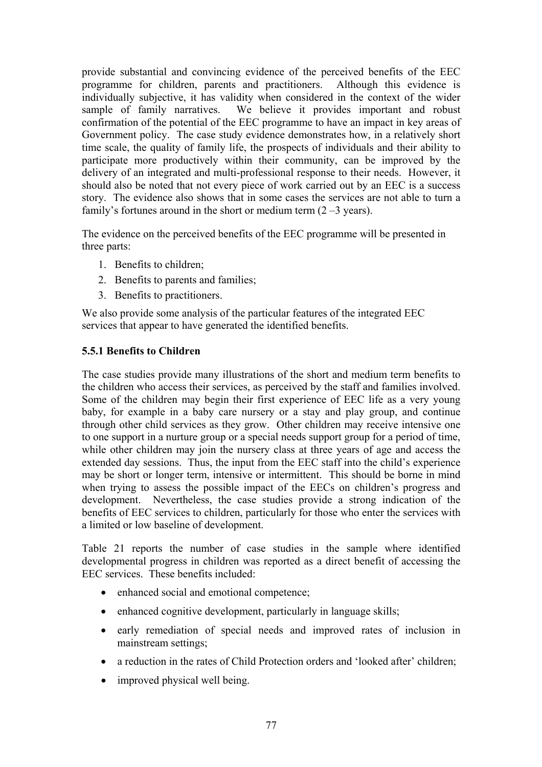provide substantial and convincing evidence of the perceived benefits of the EEC programme for children, parents and practitioners. Although this evidence is individually subjective, it has validity when considered in the context of the wider sample of family narratives. We believe it provides important and robust confirmation of the potential of the EEC programme to have an impact in key areas of Government policy. The case study evidence demonstrates how, in a relatively short time scale, the quality of family life, the prospects of individuals and their ability to participate more productively within their community, can be improved by the delivery of an integrated and multi-professional response to their needs. However, it should also be noted that not every piece of work carried out by an EEC is a success story. The evidence also shows that in some cases the services are not able to turn a family's fortunes around in the short or medium term  $(2 - 3$  years).

The evidence on the perceived benefits of the EEC programme will be presented in three parts:

- 1. Benefits to children;
- 2. Benefits to parents and families;
- 3. Benefits to practitioners.

We also provide some analysis of the particular features of the integrated EEC services that appear to have generated the identified benefits.

### **5.5.1 Benefits to Children**

The case studies provide many illustrations of the short and medium term benefits to the children who access their services, as perceived by the staff and families involved. Some of the children may begin their first experience of EEC life as a very young baby, for example in a baby care nursery or a stay and play group, and continue through other child services as they grow. Other children may receive intensive one to one support in a nurture group or a special needs support group for a period of time, while other children may join the nursery class at three years of age and access the extended day sessions. Thus, the input from the EEC staff into the child's experience may be short or longer term, intensive or intermittent. This should be borne in mind when trying to assess the possible impact of the EECs on children's progress and development. Nevertheless, the case studies provide a strong indication of the benefits of EEC services to children, particularly for those who enter the services with a limited or low baseline of development.

Table 21 reports the number of case studies in the sample where identified developmental progress in children was reported as a direct benefit of accessing the EEC services. These benefits included:

- enhanced social and emotional competence;
- enhanced cognitive development, particularly in language skills;
- early remediation of special needs and improved rates of inclusion in mainstream settings;
- a reduction in the rates of Child Protection orders and 'looked after' children;
- improved physical well being.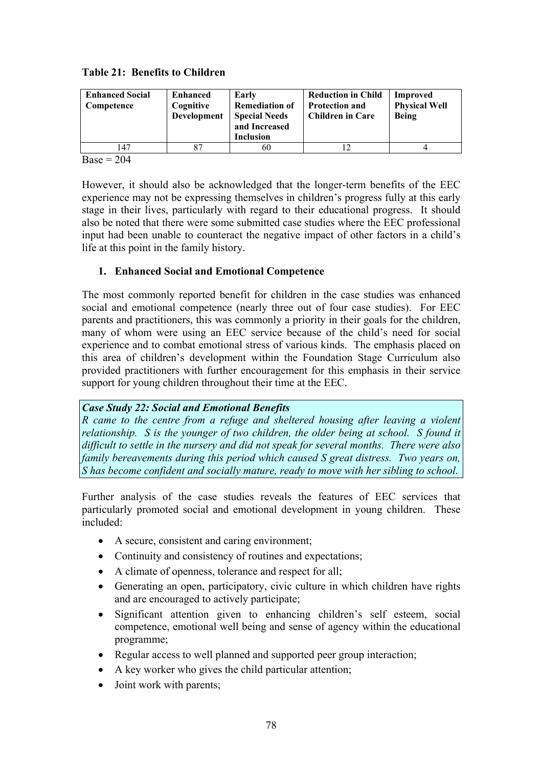|  | <b>Table 21: Benefits to Children</b> |  |
|--|---------------------------------------|--|
|--|---------------------------------------|--|

| <b>Enhanced Social</b><br>Competence | <b>Enhanced</b><br>Cognitive<br>Development | Early<br><b>Remediation of</b><br><b>Special Needs</b><br>and Increased<br><b>Inclusion</b> | <b>Reduction in Child</b><br><b>Protection and</b><br><b>Children in Care</b> | Improved<br><b>Physical Well</b><br><b>Being</b> |
|--------------------------------------|---------------------------------------------|---------------------------------------------------------------------------------------------|-------------------------------------------------------------------------------|--------------------------------------------------|
| 147                                  | 87                                          | 60                                                                                          |                                                                               |                                                  |

 $Base = 204$ 

However, it should also be acknowledged that the longer-term benefits of the EEC experience may not be expressing themselves in children's progress fully at this early stage in their lives, particularly with regard to their educational progress. It should also be noted that there were some submitted case studies where the EEC professional input had been unable to counteract the negative impact of other factors in a child's life at this point in the family history.

### **1. Enhanced Social and Emotional Competence**

The most commonly reported benefit for children in the case studies was enhanced social and emotional competence (nearly three out of four case studies). For EEC parents and practitioners, this was commonly a priority in their goals for the children, many of whom were using an EEC service because of the child's need for social experience and to combat emotional stress of various kinds. The emphasis placed on this area of children's development within the Foundation Stage Curriculum also provided practitioners with further encouragement for this emphasis in their service support for young children throughout their time at the EEC.

### *Case Study 22: Social and Emotional Benefits*

*R came to the centre from a refuge and sheltered housing after leaving a violent relationship. S is the younger of two children, the older being at school. S found it difficult to settle in the nursery and did not speak for several months. There were also family bereavements during this period which caused S great distress. Two years on, S has become confident and socially mature, ready to move with her sibling to school.*

Further analysis of the case studies reveals the features of EEC services that particularly promoted social and emotional development in young children. These included:

- A secure, consistent and caring environment;
- Continuity and consistency of routines and expectations;
- A climate of openness, tolerance and respect for all;
- Generating an open, participatory, civic culture in which children have rights and are encouraged to actively participate;
- Significant attention given to enhancing children's self esteem, social competence, emotional well being and sense of agency within the educational programme;
- Regular access to well planned and supported peer group interaction;
- A key worker who gives the child particular attention;
- Joint work with parents;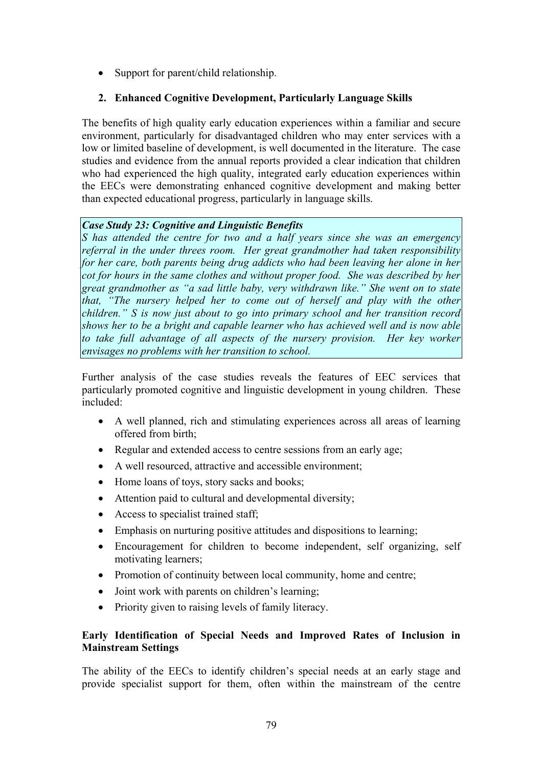• Support for parent/child relationship.

# **2. Enhanced Cognitive Development, Particularly Language Skills**

The benefits of high quality early education experiences within a familiar and secure environment, particularly for disadvantaged children who may enter services with a low or limited baseline of development, is well documented in the literature. The case studies and evidence from the annual reports provided a clear indication that children who had experienced the high quality, integrated early education experiences within the EECs were demonstrating enhanced cognitive development and making better than expected educational progress, particularly in language skills.

#### *Case Study 23: Cognitive and Linguistic Benefits*

*S has attended the centre for two and a half years since she was an emergency referral in the under threes room. Her great grandmother had taken responsibility for her care, both parents being drug addicts who had been leaving her alone in her cot for hours in the same clothes and without proper food. She was described by her great grandmother as "a sad little baby, very withdrawn like." She went on to state that, "The nursery helped her to come out of herself and play with the other children." S is now just about to go into primary school and her transition record shows her to be a bright and capable learner who has achieved well and is now able*  to take full advantage of all aspects of the nursery provision. Her key worker *envisages no problems with her transition to school.*

Further analysis of the case studies reveals the features of EEC services that particularly promoted cognitive and linguistic development in young children. These included:

- A well planned, rich and stimulating experiences across all areas of learning offered from birth;
- Regular and extended access to centre sessions from an early age;
- A well resourced, attractive and accessible environment;
- Home loans of toys, story sacks and books;
- Attention paid to cultural and developmental diversity;
- Access to specialist trained staff;
- Emphasis on nurturing positive attitudes and dispositions to learning;
- Encouragement for children to become independent, self organizing, self motivating learners;
- Promotion of continuity between local community, home and centre;
- Joint work with parents on children's learning;
- Priority given to raising levels of family literacy.

### **Early Identification of Special Needs and Improved Rates of Inclusion in Mainstream Settings**

The ability of the EECs to identify children's special needs at an early stage and provide specialist support for them, often within the mainstream of the centre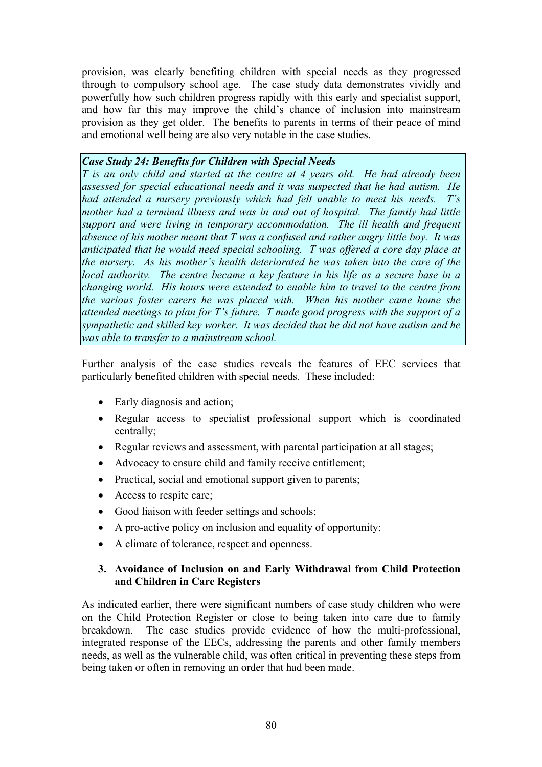provision, was clearly benefiting children with special needs as they progressed through to compulsory school age. The case study data demonstrates vividly and powerfully how such children progress rapidly with this early and specialist support, and how far this may improve the child's chance of inclusion into mainstream provision as they get older. The benefits to parents in terms of their peace of mind and emotional well being are also very notable in the case studies.

#### *Case Study 24: Benefits for Children with Special Needs*

*T is an only child and started at the centre at 4 years old. He had already been assessed for special educational needs and it was suspected that he had autism. He had attended a nursery previously which had felt unable to meet his needs. T's mother had a terminal illness and was in and out of hospital. The family had little support and were living in temporary accommodation. The ill health and frequent absence of his mother meant that T was a confused and rather angry little boy. It was anticipated that he would need special schooling. T was offered a core day place at the nursery. As his mother's health deteriorated he was taken into the care of the local authority. The centre became a key feature in his life as a secure base in a changing world. His hours were extended to enable him to travel to the centre from the various foster carers he was placed with. When his mother came home she attended meetings to plan for T's future. T made good progress with the support of a sympathetic and skilled key worker. It was decided that he did not have autism and he was able to transfer to a mainstream school.*

Further analysis of the case studies reveals the features of EEC services that particularly benefited children with special needs. These included:

- Early diagnosis and action;
- Regular access to specialist professional support which is coordinated centrally;
- Regular reviews and assessment, with parental participation at all stages;
- Advocacy to ensure child and family receive entitlement;
- Practical, social and emotional support given to parents;
- Access to respite care;
- Good liaison with feeder settings and schools;
- A pro-active policy on inclusion and equality of opportunity;
- A climate of tolerance, respect and openness.

#### **3. Avoidance of Inclusion on and Early Withdrawal from Child Protection and Children in Care Registers**

As indicated earlier, there were significant numbers of case study children who were on the Child Protection Register or close to being taken into care due to family breakdown. The case studies provide evidence of how the multi-professional, integrated response of the EECs, addressing the parents and other family members needs, as well as the vulnerable child, was often critical in preventing these steps from being taken or often in removing an order that had been made.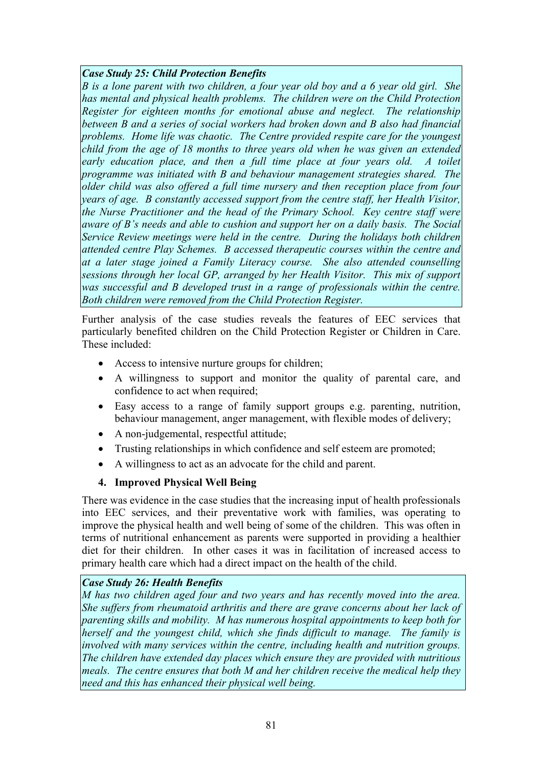## *Case Study 25: Child Protection Benefits*

*B is a lone parent with two children, a four year old boy and a 6 year old girl. She has mental and physical health problems. The children were on the Child Protection Register for eighteen months for emotional abuse and neglect. The relationship between B and a series of social workers had broken down and B also had financial problems. Home life was chaotic. The Centre provided respite care for the youngest child from the age of 18 months to three years old when he was given an extended*  early education place, and then a full time place at four years old. A toilet *programme was initiated with B and behaviour management strategies shared. The older child was also offered a full time nursery and then reception place from four years of age. B constantly accessed support from the centre staff, her Health Visitor, the Nurse Practitioner and the head of the Primary School. Key centre staff were aware of B's needs and able to cushion and support her on a daily basis. The Social Service Review meetings were held in the centre. During the holidays both children attended centre Play Schemes. B accessed therapeutic courses within the centre and at a later stage joined a Family Literacy course. She also attended counselling sessions through her local GP, arranged by her Health Visitor. This mix of support*  was successful and B developed trust in a range of professionals within the centre. *Both children were removed from the Child Protection Register.*

Further analysis of the case studies reveals the features of EEC services that particularly benefited children on the Child Protection Register or Children in Care. These included:

- Access to intensive nurture groups for children;
- A willingness to support and monitor the quality of parental care, and confidence to act when required;
- Easy access to a range of family support groups e.g. parenting, nutrition, behaviour management, anger management, with flexible modes of delivery;
- A non-judgemental, respectful attitude:
- Trusting relationships in which confidence and self esteem are promoted;
- A willingness to act as an advocate for the child and parent.

### **4. Improved Physical Well Being**

There was evidence in the case studies that the increasing input of health professionals into EEC services, and their preventative work with families, was operating to improve the physical health and well being of some of the children. This was often in terms of nutritional enhancement as parents were supported in providing a healthier diet for their children. In other cases it was in facilitation of increased access to primary health care which had a direct impact on the health of the child.

### *Case Study 26: Health Benefits*

*M has two children aged four and two years and has recently moved into the area. She suffers from rheumatoid arthritis and there are grave concerns about her lack of parenting skills and mobility. M has numerous hospital appointments to keep both for herself and the youngest child, which she finds difficult to manage. The family is involved with many services within the centre, including health and nutrition groups. The children have extended day places which ensure they are provided with nutritious meals. The centre ensures that both M and her children receive the medical help they need and this has enhanced their physical well being.*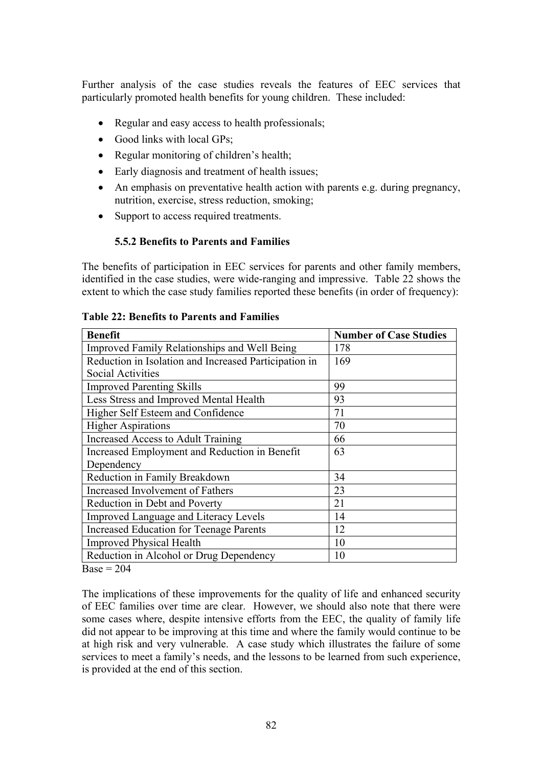Further analysis of the case studies reveals the features of EEC services that particularly promoted health benefits for young children. These included:

- Regular and easy access to health professionals;
- Good links with local GPs;
- Regular monitoring of children's health;
- Early diagnosis and treatment of health issues;
- An emphasis on preventative health action with parents e.g. during pregnancy, nutrition, exercise, stress reduction, smoking;
- Support to access required treatments.

### **5.5.2 Benefits to Parents and Families**

The benefits of participation in EEC services for parents and other family members, identified in the case studies, were wide-ranging and impressive. Table 22 shows the extent to which the case study families reported these benefits (in order of frequency):

| <b>Benefit</b>                                                  | <b>Number of Case Studies</b> |
|-----------------------------------------------------------------|-------------------------------|
| Improved Family Relationships and Well Being                    | 178                           |
| Reduction in Isolation and Increased Participation in           | 169                           |
| <b>Social Activities</b>                                        |                               |
| <b>Improved Parenting Skills</b>                                | 99                            |
| Less Stress and Improved Mental Health                          | 93                            |
| Higher Self Esteem and Confidence                               | 71                            |
| <b>Higher Aspirations</b>                                       | 70                            |
| Increased Access to Adult Training                              | 66                            |
| Increased Employment and Reduction in Benefit                   | 63                            |
| Dependency                                                      |                               |
| Reduction in Family Breakdown                                   | 34                            |
| Increased Involvement of Fathers                                | 23                            |
| Reduction in Debt and Poverty                                   | 21                            |
| <b>Improved Language and Literacy Levels</b>                    | 14                            |
| <b>Increased Education for Teenage Parents</b>                  | 12                            |
| <b>Improved Physical Health</b>                                 | 10                            |
| Reduction in Alcohol or Drug Dependency<br>$\sim$ $\sim$ $\sim$ | 10                            |

#### **Table 22: Benefits to Parents and Families**

 $Base = 204$ 

The implications of these improvements for the quality of life and enhanced security of EEC families over time are clear. However, we should also note that there were some cases where, despite intensive efforts from the EEC, the quality of family life did not appear to be improving at this time and where the family would continue to be at high risk and very vulnerable. A case study which illustrates the failure of some services to meet a family's needs, and the lessons to be learned from such experience, is provided at the end of this section.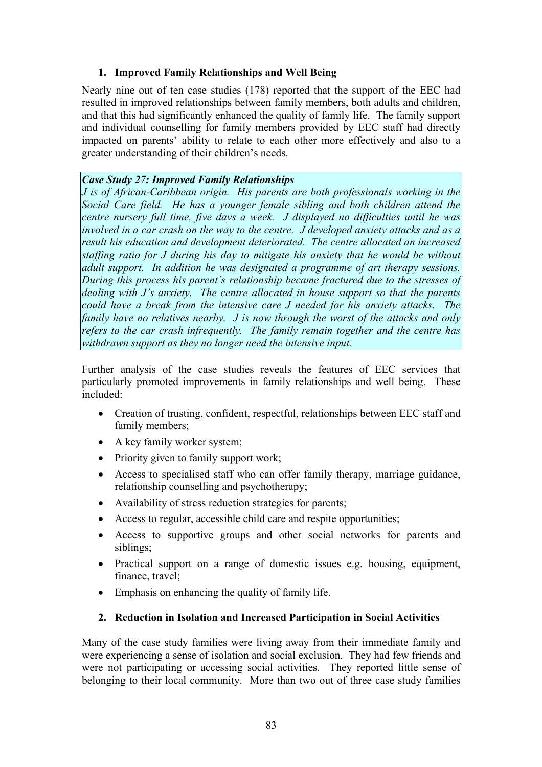# **1. Improved Family Relationships and Well Being**

Nearly nine out of ten case studies (178) reported that the support of the EEC had resulted in improved relationships between family members, both adults and children, and that this had significantly enhanced the quality of family life. The family support and individual counselling for family members provided by EEC staff had directly impacted on parents' ability to relate to each other more effectively and also to a greater understanding of their children's needs.

# *Case Study 27: Improved Family Relationships*

*J is of African-Caribbean origin. His parents are both professionals working in the Social Care field. He has a younger female sibling and both children attend the centre nursery full time, five days a week. J displayed no difficulties until he was involved in a car crash on the way to the centre. J developed anxiety attacks and as a result his education and development deteriorated. The centre allocated an increased staffing ratio for J during his day to mitigate his anxiety that he would be without adult support. In addition he was designated a programme of art therapy sessions. During this process his parent's relationship became fractured due to the stresses of dealing with J's anxiety. The centre allocated in house support so that the parents could have a break from the intensive care J needed for his anxiety attacks. The family have no relatives nearby. J is now through the worst of the attacks and only refers to the car crash infrequently. The family remain together and the centre has withdrawn support as they no longer need the intensive input.*

Further analysis of the case studies reveals the features of EEC services that particularly promoted improvements in family relationships and well being. These included:

- Creation of trusting, confident, respectful, relationships between EEC staff and family members;
- A key family worker system;
- Priority given to family support work;
- Access to specialised staff who can offer family therapy, marriage guidance, relationship counselling and psychotherapy;
- Availability of stress reduction strategies for parents;
- Access to regular, accessible child care and respite opportunities;
- Access to supportive groups and other social networks for parents and siblings;
- Practical support on a range of domestic issues e.g. housing, equipment, finance, travel;
- Emphasis on enhancing the quality of family life.

### **2. Reduction in Isolation and Increased Participation in Social Activities**

Many of the case study families were living away from their immediate family and were experiencing a sense of isolation and social exclusion. They had few friends and were not participating or accessing social activities. They reported little sense of belonging to their local community. More than two out of three case study families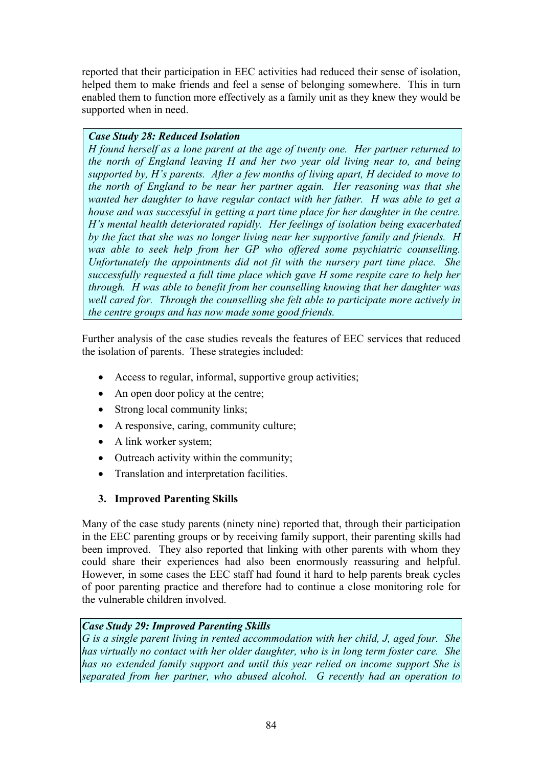reported that their participation in EEC activities had reduced their sense of isolation, helped them to make friends and feel a sense of belonging somewhere. This in turn enabled them to function more effectively as a family unit as they knew they would be supported when in need.

## *Case Study 28: Reduced Isolation*

*H found herself as a lone parent at the age of twenty one. Her partner returned to the north of England leaving H and her two year old living near to, and being supported by, H's parents. After a few months of living apart, H decided to move to the north of England to be near her partner again. Her reasoning was that she wanted her daughter to have regular contact with her father. H was able to get a house and was successful in getting a part time place for her daughter in the centre. H's mental health deteriorated rapidly. Her feelings of isolation being exacerbated by the fact that she was no longer living near her supportive family and friends. H*  was able to seek help from her GP who offered some psychiatric counselling. *Unfortunately the appointments did not fit with the nursery part time place. She successfully requested a full time place which gave H some respite care to help her through. H was able to benefit from her counselling knowing that her daughter was well cared for. Through the counselling she felt able to participate more actively in the centre groups and has now made some good friends.* 

Further analysis of the case studies reveals the features of EEC services that reduced the isolation of parents. These strategies included:

- Access to regular, informal, supportive group activities;
- An open door policy at the centre;
- Strong local community links;
- A responsive, caring, community culture;
- A link worker system;
- Outreach activity within the community;
- Translation and interpretation facilities.

# **3. Improved Parenting Skills**

Many of the case study parents (ninety nine) reported that, through their participation in the EEC parenting groups or by receiving family support, their parenting skills had been improved. They also reported that linking with other parents with whom they could share their experiences had also been enormously reassuring and helpful. However, in some cases the EEC staff had found it hard to help parents break cycles of poor parenting practice and therefore had to continue a close monitoring role for the vulnerable children involved.

# *Case Study 29: Improved Parenting Skills*

*G is a single parent living in rented accommodation with her child, J, aged four. She has virtually no contact with her older daughter, who is in long term foster care. She has no extended family support and until this year relied on income support She is separated from her partner, who abused alcohol. G recently had an operation to*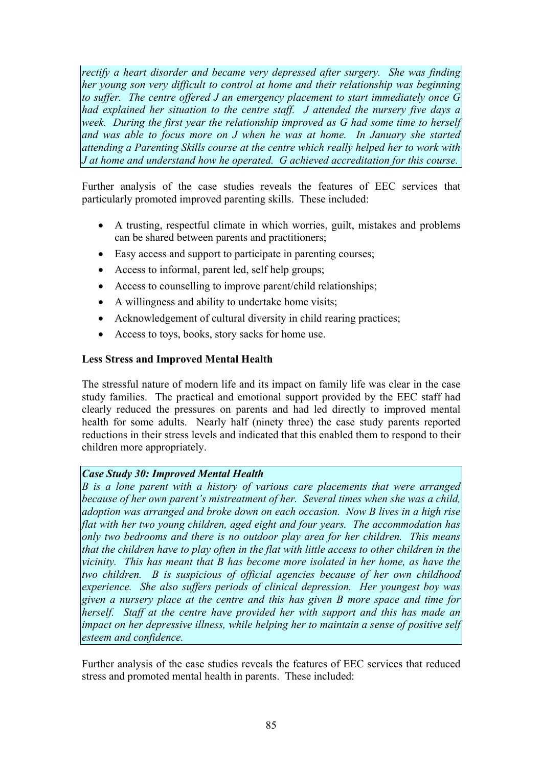*rectify a heart disorder and became very depressed after surgery. She was finding her young son very difficult to control at home and their relationship was beginning to suffer. The centre offered J an emergency placement to start immediately once G had explained her situation to the centre staff. J attended the nursery five days a week. During the first year the relationship improved as G had some time to herself* and was able to focus more on *J* when he was at home. In January she started *attending a Parenting Skills course at the centre which really helped her to work with J at home and understand how he operated. G achieved accreditation for this course.*

Further analysis of the case studies reveals the features of EEC services that particularly promoted improved parenting skills. These included:

- A trusting, respectful climate in which worries, guilt, mistakes and problems can be shared between parents and practitioners;
- Easy access and support to participate in parenting courses;
- Access to informal, parent led, self help groups;
- Access to counselling to improve parent/child relationships;
- A willingness and ability to undertake home visits;
- Acknowledgement of cultural diversity in child rearing practices;
- Access to toys, books, story sacks for home use.

#### **Less Stress and Improved Mental Health**

The stressful nature of modern life and its impact on family life was clear in the case study families. The practical and emotional support provided by the EEC staff had clearly reduced the pressures on parents and had led directly to improved mental health for some adults. Nearly half (ninety three) the case study parents reported reductions in their stress levels and indicated that this enabled them to respond to their children more appropriately.

### *Case Study 30: Improved Mental Health*

*B is a lone parent with a history of various care placements that were arranged because of her own parent's mistreatment of her. Several times when she was a child, adoption was arranged and broke down on each occasion. Now B lives in a high rise flat with her two young children, aged eight and four years. The accommodation has only two bedrooms and there is no outdoor play area for her children. This means that the children have to play often in the flat with little access to other children in the vicinity. This has meant that B has become more isolated in her home, as have the two children. B is suspicious of official agencies because of her own childhood experience. She also suffers periods of clinical depression. Her youngest boy was given a nursery place at the centre and this has given B more space and time for herself. Staff at the centre have provided her with support and this has made an impact on her depressive illness, while helping her to maintain a sense of positive self esteem and confidence.*

Further analysis of the case studies reveals the features of EEC services that reduced stress and promoted mental health in parents. These included: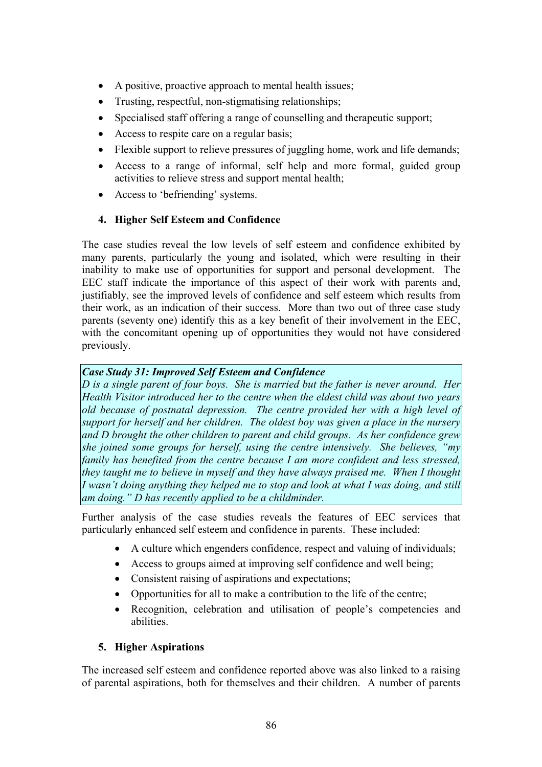- A positive, proactive approach to mental health issues;
- Trusting, respectful, non-stigmatising relationships;
- Specialised staff offering a range of counselling and therapeutic support:
- Access to respite care on a regular basis;
- Flexible support to relieve pressures of juggling home, work and life demands;
- Access to a range of informal, self help and more formal, guided group activities to relieve stress and support mental health;
- Access to 'befriending' systems.

# **4. Higher Self Esteem and Confidence**

The case studies reveal the low levels of self esteem and confidence exhibited by many parents, particularly the young and isolated, which were resulting in their inability to make use of opportunities for support and personal development. The EEC staff indicate the importance of this aspect of their work with parents and, justifiably, see the improved levels of confidence and self esteem which results from their work, as an indication of their success. More than two out of three case study parents (seventy one) identify this as a key benefit of their involvement in the EEC, with the concomitant opening up of opportunities they would not have considered previously.

# *Case Study 31: Improved Self Esteem and Confidence*

*D is a single parent of four boys. She is married but the father is never around. Her Health Visitor introduced her to the centre when the eldest child was about two years old because of postnatal depression. The centre provided her with a high level of support for herself and her children. The oldest boy was given a place in the nursery and D brought the other children to parent and child groups. As her confidence grew she joined some groups for herself, using the centre intensively. She believes, "my family has benefited from the centre because I am more confident and less stressed, they taught me to believe in myself and they have always praised me. When I thought I wasn't doing anything they helped me to stop and look at what I was doing, and still am doing." D has recently applied to be a childminder.*

Further analysis of the case studies reveals the features of EEC services that particularly enhanced self esteem and confidence in parents. These included:

- A culture which engenders confidence, respect and valuing of individuals;
- Access to groups aimed at improving self confidence and well being;
- Consistent raising of aspirations and expectations;
- Opportunities for all to make a contribution to the life of the centre;
- Recognition, celebration and utilisation of people's competencies and abilities.

### **5. Higher Aspirations**

The increased self esteem and confidence reported above was also linked to a raising of parental aspirations, both for themselves and their children. A number of parents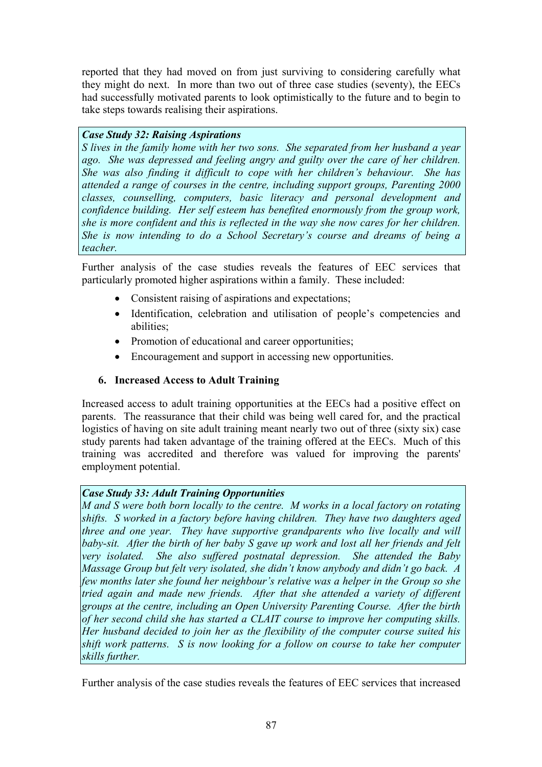reported that they had moved on from just surviving to considering carefully what they might do next. In more than two out of three case studies (seventy), the EECs had successfully motivated parents to look optimistically to the future and to begin to take steps towards realising their aspirations.

## *Case Study 32: Raising Aspirations*

*S lives in the family home with her two sons. She separated from her husband a year ago. She was depressed and feeling angry and guilty over the care of her children. She was also finding it difficult to cope with her children's behaviour. She has attended a range of courses in the centre, including support groups, Parenting 2000 classes, counselling, computers, basic literacy and personal development and confidence building. Her self esteem has benefited enormously from the group work, she is more confident and this is reflected in the way she now cares for her children. She is now intending to do a School Secretary's course and dreams of being a teacher.*

Further analysis of the case studies reveals the features of EEC services that particularly promoted higher aspirations within a family. These included:

- Consistent raising of aspirations and expectations:
- Identification, celebration and utilisation of people's competencies and abilities;
- Promotion of educational and career opportunities;
- Encouragement and support in accessing new opportunities.

# **6. Increased Access to Adult Training**

Increased access to adult training opportunities at the EECs had a positive effect on parents. The reassurance that their child was being well cared for, and the practical logistics of having on site adult training meant nearly two out of three (sixty six) case study parents had taken advantage of the training offered at the EECs. Much of this training was accredited and therefore was valued for improving the parents' employment potential.

# *Case Study 33: Adult Training Opportunities*

*M and S were both born locally to the centre. M works in a local factory on rotating shifts. S worked in a factory before having children. They have two daughters aged three and one year. They have supportive grandparents who live locally and will baby-sit. After the birth of her baby S gave up work and lost all her friends and felt very isolated. She also suffered postnatal depression. She attended the Baby Massage Group but felt very isolated, she didn't know anybody and didn't go back. A few months later she found her neighbour's relative was a helper in the Group so she tried again and made new friends. After that she attended a variety of different groups at the centre, including an Open University Parenting Course. After the birth of her second child she has started a CLAIT course to improve her computing skills. Her husband decided to join her as the flexibility of the computer course suited his shift work patterns. S is now looking for a follow on course to take her computer skills further.*

Further analysis of the case studies reveals the features of EEC services that increased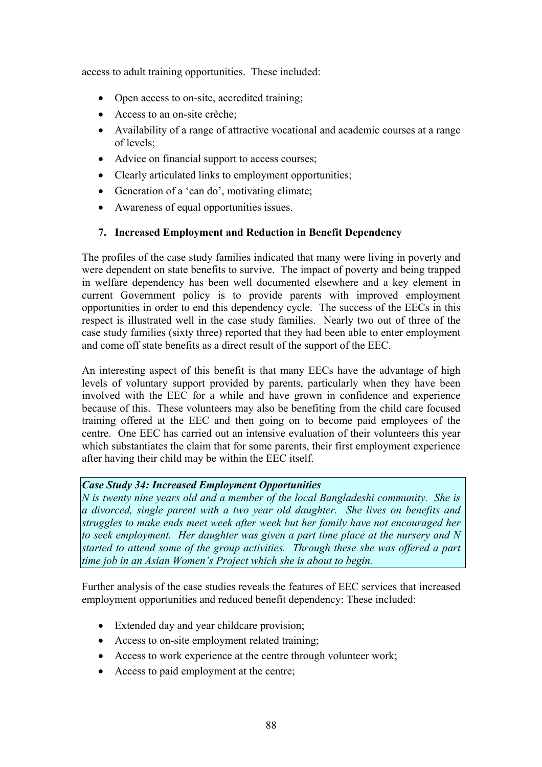access to adult training opportunities. These included:

- Open access to on-site, accredited training;
- Access to an on-site crèche;
- Availability of a range of attractive vocational and academic courses at a range of levels;
- Advice on financial support to access courses;
- Clearly articulated links to employment opportunities;
- Generation of a 'can do', motivating climate;
- Awareness of equal opportunities issues.

# **7. Increased Employment and Reduction in Benefit Dependency**

The profiles of the case study families indicated that many were living in poverty and were dependent on state benefits to survive. The impact of poverty and being trapped in welfare dependency has been well documented elsewhere and a key element in current Government policy is to provide parents with improved employment opportunities in order to end this dependency cycle. The success of the EECs in this respect is illustrated well in the case study families. Nearly two out of three of the case study families (sixty three) reported that they had been able to enter employment and come off state benefits as a direct result of the support of the EEC.

An interesting aspect of this benefit is that many EECs have the advantage of high levels of voluntary support provided by parents, particularly when they have been involved with the EEC for a while and have grown in confidence and experience because of this. These volunteers may also be benefiting from the child care focused training offered at the EEC and then going on to become paid employees of the centre. One EEC has carried out an intensive evaluation of their volunteers this year which substantiates the claim that for some parents, their first employment experience after having their child may be within the EEC itself.

### *Case Study 34: Increased Employment Opportunities*

*N is twenty nine years old and a member of the local Bangladeshi community. She is a divorced, single parent with a two year old daughter. She lives on benefits and struggles to make ends meet week after week but her family have not encouraged her to seek employment. Her daughter was given a part time place at the nursery and N started to attend some of the group activities. Through these she was offered a part time job in an Asian Women's Project which she is about to begin.*

Further analysis of the case studies reveals the features of EEC services that increased employment opportunities and reduced benefit dependency: These included:

- Extended day and year childcare provision;
- Access to on-site employment related training;
- Access to work experience at the centre through volunteer work;
- Access to paid employment at the centre;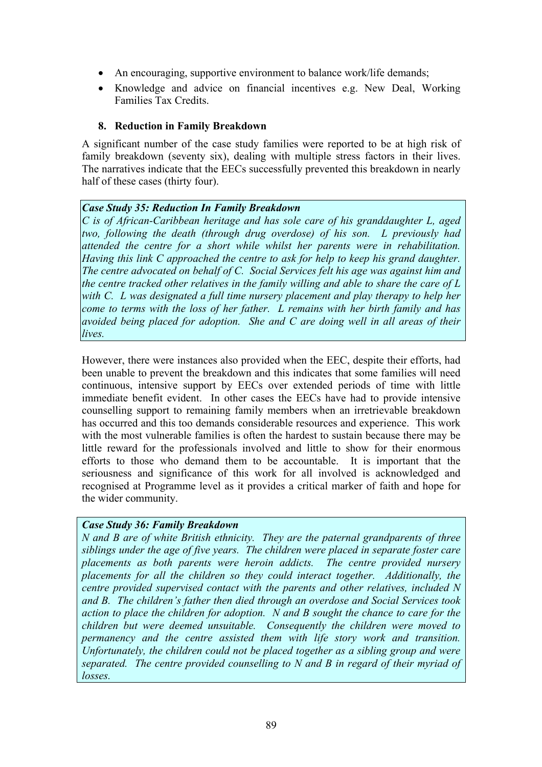- An encouraging, supportive environment to balance work/life demands;
- Knowledge and advice on financial incentives e.g. New Deal, Working Families Tax Credits.

#### **8. Reduction in Family Breakdown**

A significant number of the case study families were reported to be at high risk of family breakdown (seventy six), dealing with multiple stress factors in their lives. The narratives indicate that the EECs successfully prevented this breakdown in nearly half of these cases (thirty four).

#### *Case Study 35: Reduction In Family Breakdown*

*C is of African-Caribbean heritage and has sole care of his granddaughter L, aged two, following the death (through drug overdose) of his son. L previously had attended the centre for a short while whilst her parents were in rehabilitation. Having this link C approached the centre to ask for help to keep his grand daughter. The centre advocated on behalf of C. Social Services felt his age was against him and the centre tracked other relatives in the family willing and able to share the care of L*  with C. L was designated a full time nursery placement and play therapy to help her *come to terms with the loss of her father. L remains with her birth family and has avoided being placed for adoption. She and C are doing well in all areas of their lives.*

However, there were instances also provided when the EEC, despite their efforts, had been unable to prevent the breakdown and this indicates that some families will need continuous, intensive support by EECs over extended periods of time with little immediate benefit evident. In other cases the EECs have had to provide intensive counselling support to remaining family members when an irretrievable breakdown has occurred and this too demands considerable resources and experience. This work with the most vulnerable families is often the hardest to sustain because there may be little reward for the professionals involved and little to show for their enormous efforts to those who demand them to be accountable. It is important that the seriousness and significance of this work for all involved is acknowledged and recognised at Programme level as it provides a critical marker of faith and hope for the wider community.

# *Case Study 36: Family Breakdown*

*N and B are of white British ethnicity. They are the paternal grandparents of three siblings under the age of five years. The children were placed in separate foster care placements as both parents were heroin addicts. The centre provided nursery placements for all the children so they could interact together. Additionally, the centre provided supervised contact with the parents and other relatives, included N and B. The children's father then died through an overdose and Social Services took action to place the children for adoption. N and B sought the chance to care for the children but were deemed unsuitable. Consequently the children were moved to permanency and the centre assisted them with life story work and transition. Unfortunately, the children could not be placed together as a sibling group and were separated. The centre provided counselling to N and B in regard of their myriad of losses.*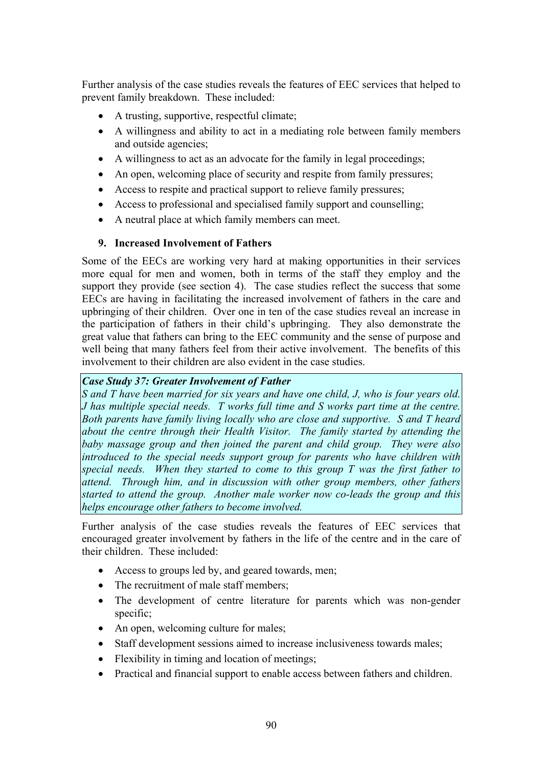Further analysis of the case studies reveals the features of EEC services that helped to prevent family breakdown. These included:

- A trusting, supportive, respectful climate;
- A willingness and ability to act in a mediating role between family members and outside agencies;
- A willingness to act as an advocate for the family in legal proceedings;
- An open, welcoming place of security and respite from family pressures;
- Access to respite and practical support to relieve family pressures;
- Access to professional and specialised family support and counselling;
- A neutral place at which family members can meet.

# **9. Increased Involvement of Fathers**

Some of the EECs are working very hard at making opportunities in their services more equal for men and women, both in terms of the staff they employ and the support they provide (see section 4). The case studies reflect the success that some EECs are having in facilitating the increased involvement of fathers in the care and upbringing of their children. Over one in ten of the case studies reveal an increase in the participation of fathers in their child's upbringing. They also demonstrate the great value that fathers can bring to the EEC community and the sense of purpose and well being that many fathers feel from their active involvement. The benefits of this involvement to their children are also evident in the case studies.

#### *Case Study 37: Greater Involvement of Father*

*S and T have been married for six years and have one child, J, who is four years old. J has multiple special needs. T works full time and S works part time at the centre. Both parents have family living locally who are close and supportive. S and T heard about the centre through their Health Visitor. The family started by attending the baby massage group and then joined the parent and child group. They were also introduced to the special needs support group for parents who have children with special needs. When they started to come to this group T was the first father to attend. Through him, and in discussion with other group members, other fathers started to attend the group. Another male worker now co-leads the group and this helps encourage other fathers to become involved.*

Further analysis of the case studies reveals the features of EEC services that encouraged greater involvement by fathers in the life of the centre and in the care of their children. These included:

- Access to groups led by, and geared towards, men;
- The recruitment of male staff members:
- The development of centre literature for parents which was non-gender specific;
- An open, welcoming culture for males;
- Staff development sessions aimed to increase inclusiveness towards males:
- Flexibility in timing and location of meetings;
- Practical and financial support to enable access between fathers and children.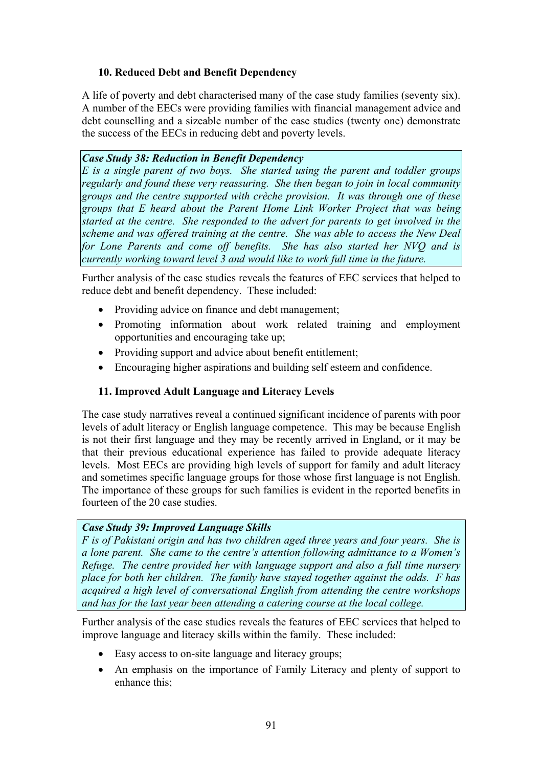# **10. Reduced Debt and Benefit Dependency**

A life of poverty and debt characterised many of the case study families (seventy six). A number of the EECs were providing families with financial management advice and debt counselling and a sizeable number of the case studies (twenty one) demonstrate the success of the EECs in reducing debt and poverty levels.

### *Case Study 38: Reduction in Benefit Dependency*

*E is a single parent of two boys. She started using the parent and toddler groups regularly and found these very reassuring. She then began to join in local community groups and the centre supported with crèche provision. It was through one of these groups that E heard about the Parent Home Link Worker Project that was being started at the centre. She responded to the advert for parents to get involved in the scheme and was offered training at the centre. She was able to access the New Deal for Lone Parents and come off benefits. She has also started her NVQ and is currently working toward level 3 and would like to work full time in the future.*

Further analysis of the case studies reveals the features of EEC services that helped to reduce debt and benefit dependency. These included:

- Providing advice on finance and debt management;
- Promoting information about work related training and employment opportunities and encouraging take up;
- Providing support and advice about benefit entitlement;
- Encouraging higher aspirations and building self esteem and confidence.

### **11. Improved Adult Language and Literacy Levels**

The case study narratives reveal a continued significant incidence of parents with poor levels of adult literacy or English language competence. This may be because English is not their first language and they may be recently arrived in England, or it may be that their previous educational experience has failed to provide adequate literacy levels. Most EECs are providing high levels of support for family and adult literacy and sometimes specific language groups for those whose first language is not English. The importance of these groups for such families is evident in the reported benefits in fourteen of the 20 case studies.

#### *Case Study 39: Improved Language Skills*

*F is of Pakistani origin and has two children aged three years and four years. She is a lone parent. She came to the centre's attention following admittance to a Women's Refuge. The centre provided her with language support and also a full time nursery place for both her children. The family have stayed together against the odds. F has acquired a high level of conversational English from attending the centre workshops and has for the last year been attending a catering course at the local college.*

Further analysis of the case studies reveals the features of EEC services that helped to improve language and literacy skills within the family. These included:

- Easy access to on-site language and literacy groups;
- An emphasis on the importance of Family Literacy and plenty of support to enhance this;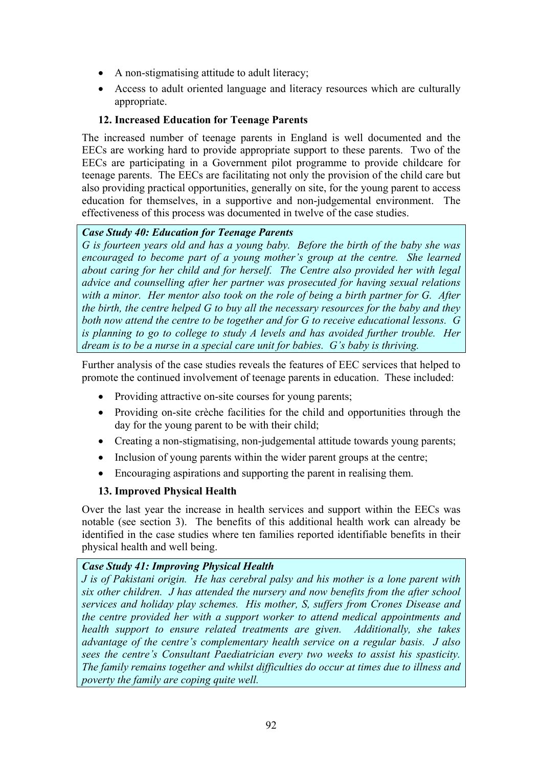- A non-stigmatising attitude to adult literacy;
- Access to adult oriented language and literacy resources which are culturally appropriate.

# **12. Increased Education for Teenage Parents**

The increased number of teenage parents in England is well documented and the EECs are working hard to provide appropriate support to these parents. Two of the EECs are participating in a Government pilot programme to provide childcare for teenage parents. The EECs are facilitating not only the provision of the child care but also providing practical opportunities, generally on site, for the young parent to access education for themselves, in a supportive and non-judgemental environment. The effectiveness of this process was documented in twelve of the case studies.

### *Case Study 40: Education for Teenage Parents*

*G is fourteen years old and has a young baby. Before the birth of the baby she was encouraged to become part of a young mother's group at the centre. She learned about caring for her child and for herself. The Centre also provided her with legal advice and counselling after her partner was prosecuted for having sexual relations with a minor. Her mentor also took on the role of being a birth partner for G. After the birth, the centre helped G to buy all the necessary resources for the baby and they both now attend the centre to be together and for G to receive educational lessons. G is planning to go to college to study A levels and has avoided further trouble. Her dream is to be a nurse in a special care unit for babies. G's baby is thriving.*

Further analysis of the case studies reveals the features of EEC services that helped to promote the continued involvement of teenage parents in education. These included:

- Providing attractive on-site courses for young parents;
- Providing on-site crèche facilities for the child and opportunities through the day for the young parent to be with their child;
- Creating a non-stigmatising, non-judgemental attitude towards young parents;
- Inclusion of young parents within the wider parent groups at the centre;
- Encouraging aspirations and supporting the parent in realising them.

### **13. Improved Physical Health**

Over the last year the increase in health services and support within the EECs was notable (see section 3). The benefits of this additional health work can already be identified in the case studies where ten families reported identifiable benefits in their physical health and well being.

### *Case Study 41: Improving Physical Health*

*J is of Pakistani origin. He has cerebral palsy and his mother is a lone parent with six other children. J has attended the nursery and now benefits from the after school services and holiday play schemes. His mother, S, suffers from Crones Disease and the centre provided her with a support worker to attend medical appointments and health support to ensure related treatments are given. Additionally, she takes advantage of the centre's complementary health service on a regular basis. J also sees the centre's Consultant Paediatrician every two weeks to assist his spasticity. The family remains together and whilst difficulties do occur at times due to illness and poverty the family are coping quite well.*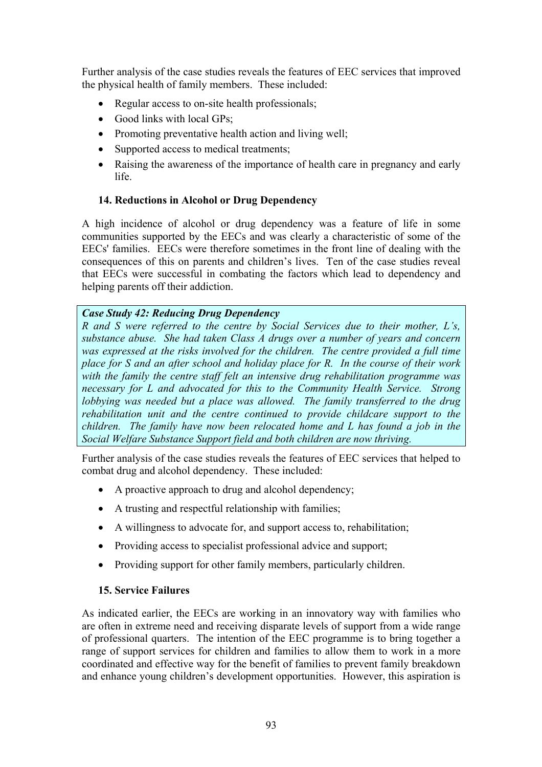Further analysis of the case studies reveals the features of EEC services that improved the physical health of family members. These included:

- Regular access to on-site health professionals;
- Good links with local GPs;
- Promoting preventative health action and living well;
- Supported access to medical treatments;
- Raising the awareness of the importance of health care in pregnancy and early life.

### **14. Reductions in Alcohol or Drug Dependency**

A high incidence of alcohol or drug dependency was a feature of life in some communities supported by the EECs and was clearly a characteristic of some of the EECs' families. EECs were therefore sometimes in the front line of dealing with the consequences of this on parents and children's lives. Ten of the case studies reveal that EECs were successful in combating the factors which lead to dependency and helping parents off their addiction.

### *Case Study 42: Reducing Drug Dependency*

*R and S were referred to the centre by Social Services due to their mother, L's, substance abuse. She had taken Class A drugs over a number of years and concern was expressed at the risks involved for the children. The centre provided a full time place for S and an after school and holiday place for R. In the course of their work with the family the centre staff felt an intensive drug rehabilitation programme was necessary for L and advocated for this to the Community Health Service. Strong lobbying was needed but a place was allowed. The family transferred to the drug rehabilitation unit and the centre continued to provide childcare support to the children. The family have now been relocated home and L has found a job in the Social Welfare Substance Support field and both children are now thriving.*

Further analysis of the case studies reveals the features of EEC services that helped to combat drug and alcohol dependency. These included:

- A proactive approach to drug and alcohol dependency;
- A trusting and respectful relationship with families;
- A willingness to advocate for, and support access to, rehabilitation;
- Providing access to specialist professional advice and support;
- Providing support for other family members, particularly children.

### **15. Service Failures**

As indicated earlier, the EECs are working in an innovatory way with families who are often in extreme need and receiving disparate levels of support from a wide range of professional quarters. The intention of the EEC programme is to bring together a range of support services for children and families to allow them to work in a more coordinated and effective way for the benefit of families to prevent family breakdown and enhance young children's development opportunities. However, this aspiration is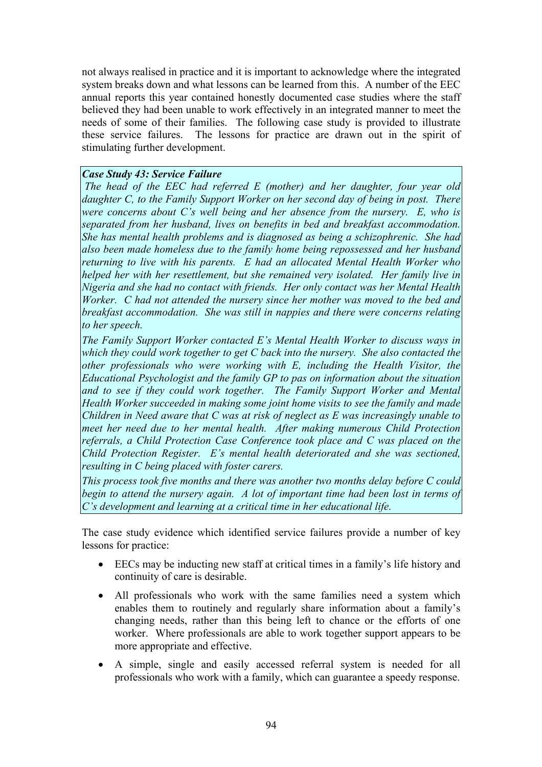not always realised in practice and it is important to acknowledge where the integrated system breaks down and what lessons can be learned from this. A number of the EEC annual reports this year contained honestly documented case studies where the staff believed they had been unable to work effectively in an integrated manner to meet the needs of some of their families. The following case study is provided to illustrate these service failures. The lessons for practice are drawn out in the spirit of stimulating further development.

## *Case Study 43: Service Failure*

*The head of the EEC had referred E (mother) and her daughter, four year old daughter C, to the Family Support Worker on her second day of being in post. There were concerns about C's well being and her absence from the nursery. E, who is separated from her husband, lives on benefits in bed and breakfast accommodation. She has mental health problems and is diagnosed as being a schizophrenic. She had also been made homeless due to the family home being repossessed and her husband returning to live with his parents. E had an allocated Mental Health Worker who helped her with her resettlement, but she remained very isolated. Her family live in Nigeria and she had no contact with friends. Her only contact was her Mental Health Worker. C had not attended the nursery since her mother was moved to the bed and breakfast accommodation. She was still in nappies and there were concerns relating to her speech.* 

*The Family Support Worker contacted E's Mental Health Worker to discuss ways in which they could work together to get C back into the nursery. She also contacted the other professionals who were working with E, including the Health Visitor, the Educational Psychologist and the family GP to pas on information about the situation*  and to see if they could work together. The Family Support Worker and Mental *Health Worker succeeded in making some joint home visits to see the family and made Children in Need aware that C was at risk of neglect as E was increasingly unable to meet her need due to her mental health. After making numerous Child Protection referrals, a Child Protection Case Conference took place and C was placed on the Child Protection Register. E's mental health deteriorated and she was sectioned, resulting in C being placed with foster carers.* 

*This process took five months and there was another two months delay before C could begin to attend the nursery again. A lot of important time had been lost in terms of C's development and learning at a critical time in her educational life.* 

The case study evidence which identified service failures provide a number of key lessons for practice:

- EECs may be inducting new staff at critical times in a family's life history and continuity of care is desirable.
- All professionals who work with the same families need a system which enables them to routinely and regularly share information about a family's changing needs, rather than this being left to chance or the efforts of one worker. Where professionals are able to work together support appears to be more appropriate and effective.
- A simple, single and easily accessed referral system is needed for all professionals who work with a family, which can guarantee a speedy response.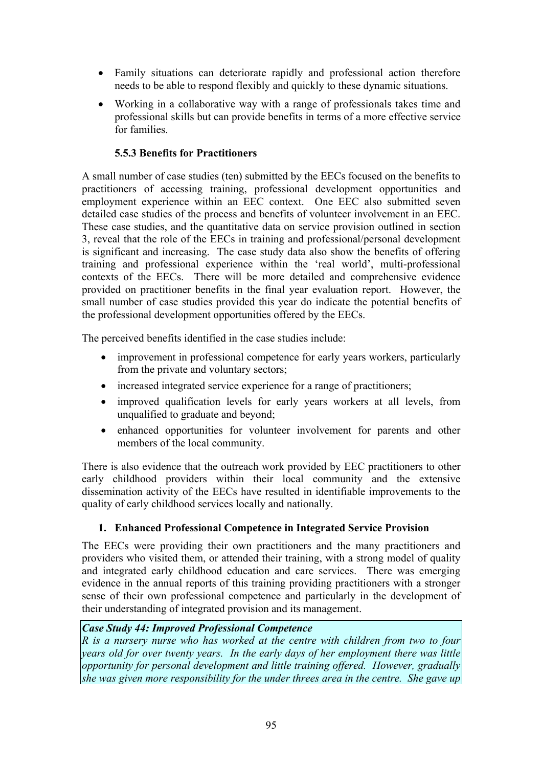- Family situations can deteriorate rapidly and professional action therefore needs to be able to respond flexibly and quickly to these dynamic situations.
- Working in a collaborative way with a range of professionals takes time and professional skills but can provide benefits in terms of a more effective service for families.

# **5.5.3 Benefits for Practitioners**

A small number of case studies (ten) submitted by the EECs focused on the benefits to practitioners of accessing training, professional development opportunities and employment experience within an EEC context. One EEC also submitted seven detailed case studies of the process and benefits of volunteer involvement in an EEC. These case studies, and the quantitative data on service provision outlined in section 3, reveal that the role of the EECs in training and professional/personal development is significant and increasing. The case study data also show the benefits of offering training and professional experience within the 'real world', multi-professional contexts of the EECs. There will be more detailed and comprehensive evidence provided on practitioner benefits in the final year evaluation report. However, the small number of case studies provided this year do indicate the potential benefits of the professional development opportunities offered by the EECs.

The perceived benefits identified in the case studies include:

- improvement in professional competence for early years workers, particularly from the private and voluntary sectors;
- increased integrated service experience for a range of practitioners;
- improved qualification levels for early years workers at all levels, from unqualified to graduate and beyond;
- enhanced opportunities for volunteer involvement for parents and other members of the local community.

There is also evidence that the outreach work provided by EEC practitioners to other early childhood providers within their local community and the extensive dissemination activity of the EECs have resulted in identifiable improvements to the quality of early childhood services locally and nationally.

### **1. Enhanced Professional Competence in Integrated Service Provision**

The EECs were providing their own practitioners and the many practitioners and providers who visited them, or attended their training, with a strong model of quality and integrated early childhood education and care services. There was emerging evidence in the annual reports of this training providing practitioners with a stronger sense of their own professional competence and particularly in the development of their understanding of integrated provision and its management.

### *Case Study 44: Improved Professional Competence*

*R is a nursery nurse who has worked at the centre with children from two to four years old for over twenty years. In the early days of her employment there was little opportunity for personal development and little training offered. However, gradually she was given more responsibility for the under threes area in the centre. She gave up*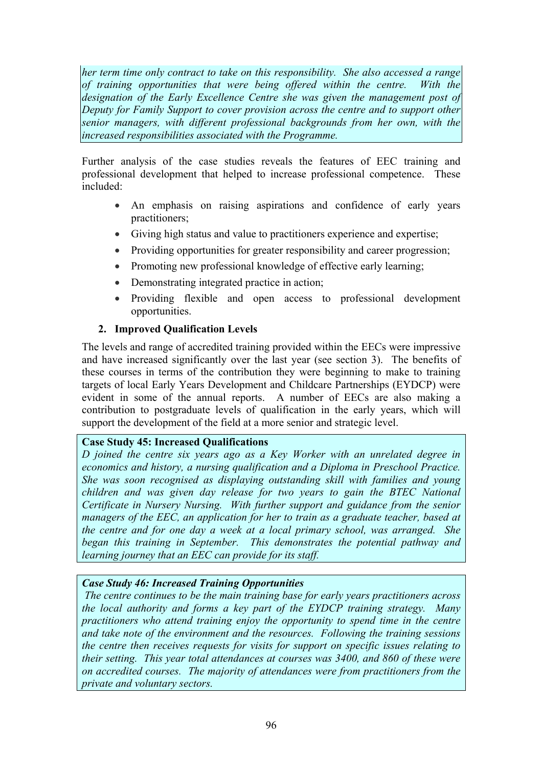*her term time only contract to take on this responsibility. She also accessed a range of training opportunities that were being offered within the centre. With the*  designation of the Early Excellence Centre she was given the management post of *Deputy for Family Support to cover provision across the centre and to support other senior managers, with different professional backgrounds from her own, with the increased responsibilities associated with the Programme.* 

Further analysis of the case studies reveals the features of EEC training and professional development that helped to increase professional competence. These included:

- An emphasis on raising aspirations and confidence of early years practitioners;
- Giving high status and value to practitioners experience and expertise;
- Providing opportunities for greater responsibility and career progression:
- Promoting new professional knowledge of effective early learning;
- Demonstrating integrated practice in action;
- Providing flexible and open access to professional development opportunities.

# **2. Improved Qualification Levels**

The levels and range of accredited training provided within the EECs were impressive and have increased significantly over the last year (see section 3). The benefits of these courses in terms of the contribution they were beginning to make to training targets of local Early Years Development and Childcare Partnerships (EYDCP) were evident in some of the annual reports. A number of EECs are also making a contribution to postgraduate levels of qualification in the early years, which will support the development of the field at a more senior and strategic level.

# **Case Study 45: Increased Qualifications**

*D joined the centre six years ago as a Key Worker with an unrelated degree in economics and history, a nursing qualification and a Diploma in Preschool Practice. She was soon recognised as displaying outstanding skill with families and young children and was given day release for two years to gain the BTEC National Certificate in Nursery Nursing. With further support and guidance from the senior managers of the EEC, an application for her to train as a graduate teacher, based at the centre and for one day a week at a local primary school, was arranged. She began this training in September. This demonstrates the potential pathway and learning journey that an EEC can provide for its staff.* 

# *Case Study 46: Increased Training Opportunities*

 *The centre continues to be the main training base for early years practitioners across the local authority and forms a key part of the EYDCP training strategy. Many practitioners who attend training enjoy the opportunity to spend time in the centre and take note of the environment and the resources. Following the training sessions the centre then receives requests for visits for support on specific issues relating to their setting. This year total attendances at courses was 3400, and 860 of these were on accredited courses. The majority of attendances were from practitioners from the private and voluntary sectors.*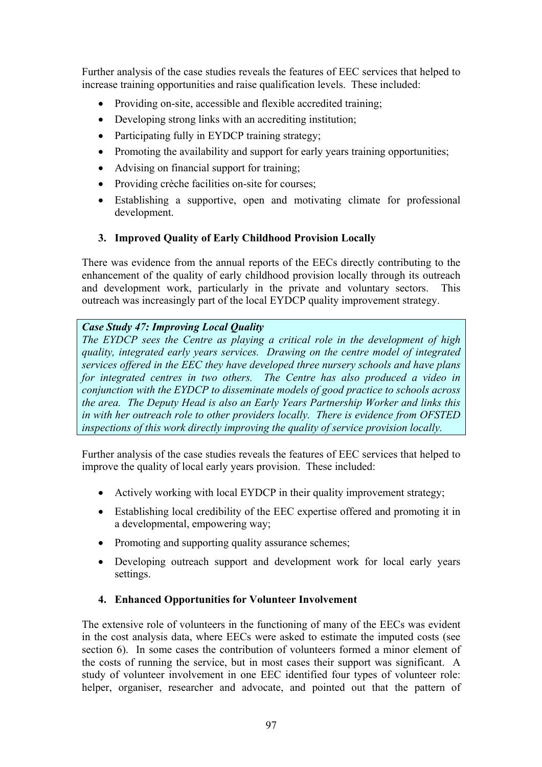Further analysis of the case studies reveals the features of EEC services that helped to increase training opportunities and raise qualification levels. These included:

- Providing on-site, accessible and flexible accredited training;
- Developing strong links with an accrediting institution:
- Participating fully in EYDCP training strategy;
- Promoting the availability and support for early years training opportunities;
- Advising on financial support for training;
- Providing crèche facilities on-site for courses;
- Establishing a supportive, open and motivating climate for professional development.

# **3. Improved Quality of Early Childhood Provision Locally**

There was evidence from the annual reports of the EECs directly contributing to the enhancement of the quality of early childhood provision locally through its outreach and development work, particularly in the private and voluntary sectors. This outreach was increasingly part of the local EYDCP quality improvement strategy.

# *Case Study 47: Improving Local Quality*

*The EYDCP sees the Centre as playing a critical role in the development of high quality, integrated early years services. Drawing on the centre model of integrated services offered in the EEC they have developed three nursery schools and have plans for integrated centres in two others. The Centre has also produced a video in conjunction with the EYDCP to disseminate models of good practice to schools across the area. The Deputy Head is also an Early Years Partnership Worker and links this in with her outreach role to other providers locally. There is evidence from OFSTED inspections of this work directly improving the quality of service provision locally.*

Further analysis of the case studies reveals the features of EEC services that helped to improve the quality of local early years provision. These included:

- Actively working with local EYDCP in their quality improvement strategy;
- Establishing local credibility of the EEC expertise offered and promoting it in a developmental, empowering way;
- Promoting and supporting quality assurance schemes;
- Developing outreach support and development work for local early years settings.

# **4. Enhanced Opportunities for Volunteer Involvement**

The extensive role of volunteers in the functioning of many of the EECs was evident in the cost analysis data, where EECs were asked to estimate the imputed costs (see section 6). In some cases the contribution of volunteers formed a minor element of the costs of running the service, but in most cases their support was significant. A study of volunteer involvement in one EEC identified four types of volunteer role: helper, organiser, researcher and advocate, and pointed out that the pattern of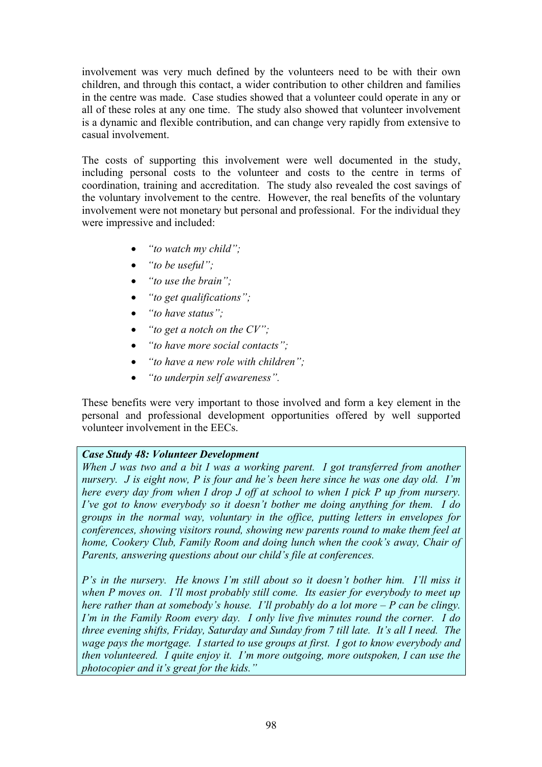involvement was very much defined by the volunteers need to be with their own children, and through this contact, a wider contribution to other children and families in the centre was made. Case studies showed that a volunteer could operate in any or all of these roles at any one time. The study also showed that volunteer involvement is a dynamic and flexible contribution, and can change very rapidly from extensive to casual involvement.

The costs of supporting this involvement were well documented in the study, including personal costs to the volunteer and costs to the centre in terms of coordination, training and accreditation. The study also revealed the cost savings of the voluntary involvement to the centre. However, the real benefits of the voluntary involvement were not monetary but personal and professional. For the individual they were impressive and included:

- *"to watch my child";*
- *"to be useful";*
- *"to use the brain";*
- *"to get qualifications";*
- *"to have status";*
- *"to get a notch on the CV";*
- *"to have more social contacts";*
- *"to have a new role with children";*
- *"to underpin self awareness".*

These benefits were very important to those involved and form a key element in the personal and professional development opportunities offered by well supported volunteer involvement in the EECs.

### *Case Study 48: Volunteer Development*

*When J was two and a bit I was a working parent. I got transferred from another nursery. J is eight now, P is four and he's been here since he was one day old. I'm here every day from when I drop J off at school to when I pick P up from nursery. I've got to know everybody so it doesn't bother me doing anything for them. I do groups in the normal way, voluntary in the office, putting letters in envelopes for conferences, showing visitors round, showing new parents round to make them feel at home, Cookery Club, Family Room and doing lunch when the cook's away, Chair of Parents, answering questions about our child's file at conferences.* 

*P's in the nursery. He knows I'm still about so it doesn't bother him. I'll miss it when P moves on. I'll most probably still come. Its easier for everybody to meet up here rather than at somebody's house. I'll probably do a lot more – P can be clingy. I'm in the Family Room every day. I only live five minutes round the corner. I do three evening shifts, Friday, Saturday and Sunday from 7 till late. It's all I need. The wage pays the mortgage. I started to use groups at first. I got to know everybody and then volunteered. I quite enjoy it. I'm more outgoing, more outspoken, I can use the photocopier and it's great for the kids."*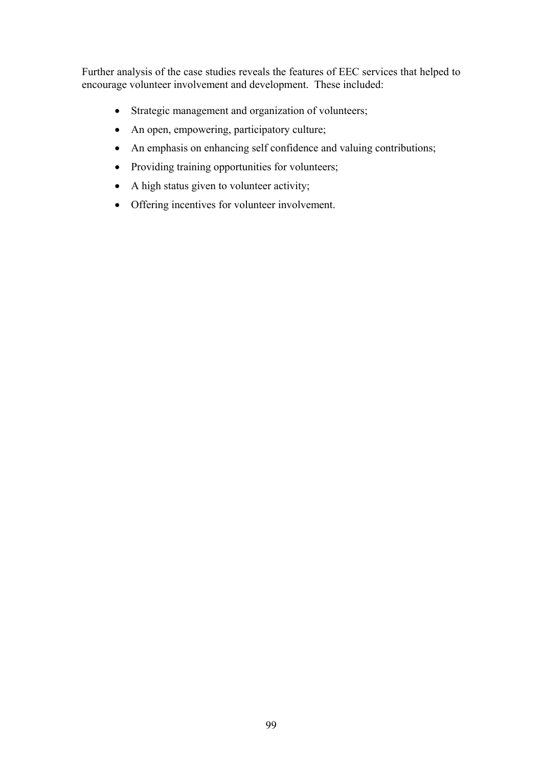Further analysis of the case studies reveals the features of EEC services that helped to encourage volunteer involvement and development. These included:

- Strategic management and organization of volunteers;
- An open, empowering, participatory culture;
- An emphasis on enhancing self confidence and valuing contributions;
- Providing training opportunities for volunteers;
- A high status given to volunteer activity;
- Offering incentives for volunteer involvement.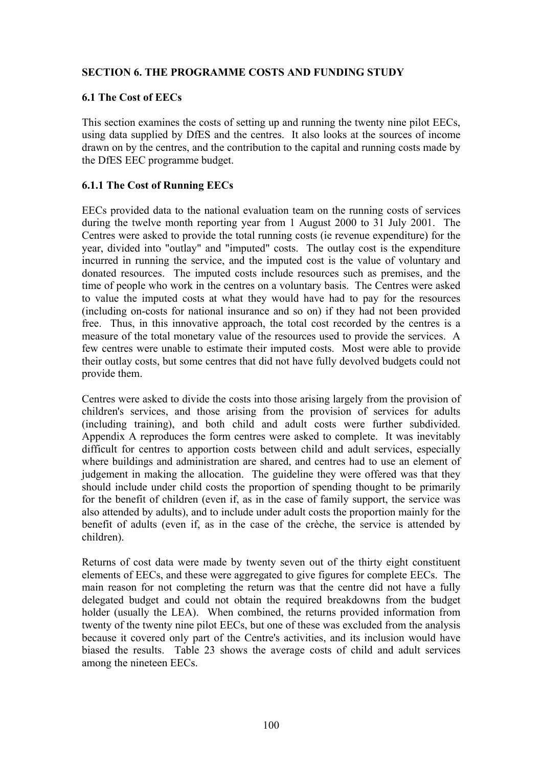### **SECTION 6. THE PROGRAMME COSTS AND FUNDING STUDY**

#### **6.1 The Cost of EECs**

This section examines the costs of setting up and running the twenty nine pilot EECs, using data supplied by DfES and the centres. It also looks at the sources of income drawn on by the centres, and the contribution to the capital and running costs made by the DfES EEC programme budget.

#### **6.1.1 The Cost of Running EECs**

EECs provided data to the national evaluation team on the running costs of services during the twelve month reporting year from 1 August 2000 to 31 July 2001. The Centres were asked to provide the total running costs (ie revenue expenditure) for the year, divided into "outlay" and "imputed" costs. The outlay cost is the expenditure incurred in running the service, and the imputed cost is the value of voluntary and donated resources. The imputed costs include resources such as premises, and the time of people who work in the centres on a voluntary basis. The Centres were asked to value the imputed costs at what they would have had to pay for the resources (including on-costs for national insurance and so on) if they had not been provided free. Thus, in this innovative approach, the total cost recorded by the centres is a measure of the total monetary value of the resources used to provide the services. A few centres were unable to estimate their imputed costs. Most were able to provide their outlay costs, but some centres that did not have fully devolved budgets could not provide them.

Centres were asked to divide the costs into those arising largely from the provision of children's services, and those arising from the provision of services for adults (including training), and both child and adult costs were further subdivided. Appendix A reproduces the form centres were asked to complete. It was inevitably difficult for centres to apportion costs between child and adult services, especially where buildings and administration are shared, and centres had to use an element of judgement in making the allocation. The guideline they were offered was that they should include under child costs the proportion of spending thought to be primarily for the benefit of children (even if, as in the case of family support, the service was also attended by adults), and to include under adult costs the proportion mainly for the benefit of adults (even if, as in the case of the crèche, the service is attended by children).

Returns of cost data were made by twenty seven out of the thirty eight constituent elements of EECs, and these were aggregated to give figures for complete EECs. The main reason for not completing the return was that the centre did not have a fully delegated budget and could not obtain the required breakdowns from the budget holder (usually the LEA). When combined, the returns provided information from twenty of the twenty nine pilot EECs, but one of these was excluded from the analysis because it covered only part of the Centre's activities, and its inclusion would have biased the results. Table 23 shows the average costs of child and adult services among the nineteen EECs.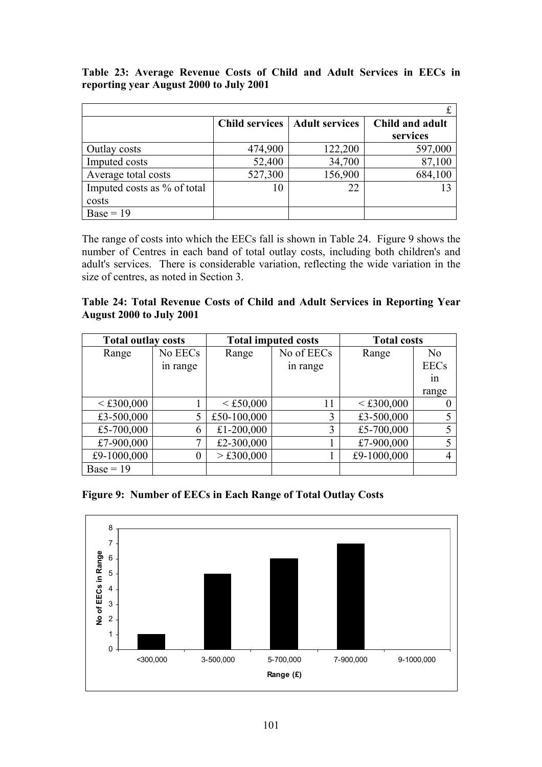**Table 23: Average Revenue Costs of Child and Adult Services in EECs in reporting year August 2000 to July 2001** 

|                             |         | <b>Child services   Adult services</b> | Child and adult |
|-----------------------------|---------|----------------------------------------|-----------------|
|                             |         |                                        | services        |
| Outlay costs                | 474,900 | 122,200                                | 597,000         |
| Imputed costs               | 52,400  | 34,700                                 | 87,100          |
| Average total costs         | 527,300 | 156,900                                | 684,100         |
| Imputed costs as % of total |         | 22                                     |                 |
| costs                       |         |                                        |                 |
| $Base = 19$                 |         |                                        |                 |

The range of costs into which the EECs fall is shown in Table 24. Figure 9 shows the number of Centres in each band of total outlay costs, including both children's and adult's services. There is considerable variation, reflecting the wide variation in the size of centres, as noted in Section 3.

**Table 24: Total Revenue Costs of Child and Adult Services in Reporting Year August 2000 to July 2001** 

| <b>Total outlay costs</b> |         |             | <b>Total imputed costs</b> | <b>Total costs</b> |             |
|---------------------------|---------|-------------|----------------------------|--------------------|-------------|
| Range                     | No EECs | Range       | No of EECs                 | Range              | No          |
| in range                  |         |             | in range                   |                    | <b>EECs</b> |
|                           |         |             |                            |                    | 1n          |
|                           |         |             |                            |                    | range       |
| < £300,000                |         | < £50,000   | 11                         | < £300,000         |             |
| £3-500,000                | 5       | £50-100,000 |                            | £3-500,000         |             |
| £5-700,000                | 6       | £1-200,000  | 3                          | £5-700,000         |             |
| £7-900,000                |         | £2-300,000  |                            | £7-900,000         |             |
| £9-1000,000               | 0       | > £300,000  |                            | £9-1000,000        | 4           |
| $Base = 19$               |         |             |                            |                    |             |

**Figure 9: Number of EECs in Each Range of Total Outlay Costs** 

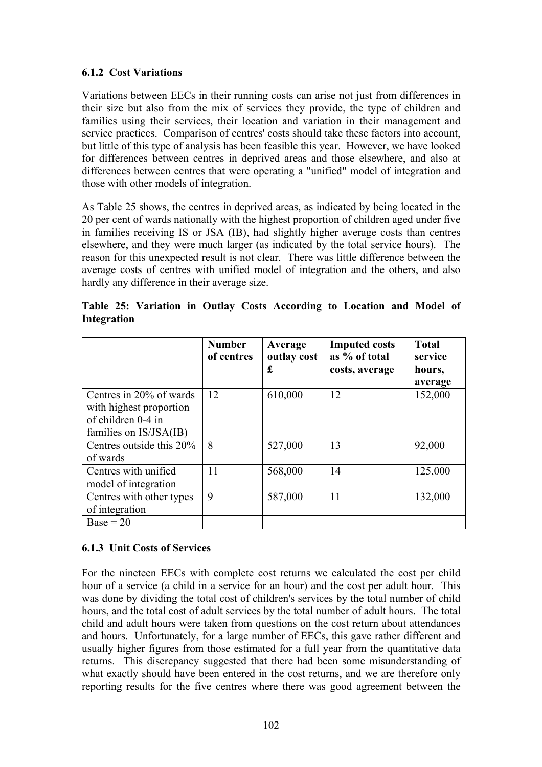### **6.1.2 Cost Variations**

Variations between EECs in their running costs can arise not just from differences in their size but also from the mix of services they provide, the type of children and families using their services, their location and variation in their management and service practices. Comparison of centres' costs should take these factors into account, but little of this type of analysis has been feasible this year. However, we have looked for differences between centres in deprived areas and those elsewhere, and also at differences between centres that were operating a "unified" model of integration and those with other models of integration.

As Table 25 shows, the centres in deprived areas, as indicated by being located in the 20 per cent of wards nationally with the highest proportion of children aged under five in families receiving IS or JSA (IB), had slightly higher average costs than centres elsewhere, and they were much larger (as indicated by the total service hours). The reason for this unexpected result is not clear. There was little difference between the average costs of centres with unified model of integration and the others, and also hardly any difference in their average size.

|                                                                                                    | <b>Number</b><br>of centres | Average<br>outlay cost<br>£ | <b>Imputed costs</b><br>as % of total<br>costs, average | <b>Total</b><br>service<br>hours,<br>average |
|----------------------------------------------------------------------------------------------------|-----------------------------|-----------------------------|---------------------------------------------------------|----------------------------------------------|
| Centres in 20% of wards<br>with highest proportion<br>of children 0-4 in<br>families on IS/JSA(IB) | 12                          | 610,000                     | 12                                                      | 152,000                                      |
| Centres outside this 20%<br>of wards                                                               | 8                           | 527,000                     | 13                                                      | 92,000                                       |
| Centres with unified<br>model of integration                                                       | 11                          | 568,000                     | 14                                                      | 125,000                                      |
| Centres with other types<br>of integration                                                         | 9                           | 587,000                     | 11                                                      | 132,000                                      |
| $Base = 20$                                                                                        |                             |                             |                                                         |                                              |

**Table 25: Variation in Outlay Costs According to Location and Model of Integration** 

# **6.1.3 Unit Costs of Services**

For the nineteen EECs with complete cost returns we calculated the cost per child hour of a service (a child in a service for an hour) and the cost per adult hour. This was done by dividing the total cost of children's services by the total number of child hours, and the total cost of adult services by the total number of adult hours. The total child and adult hours were taken from questions on the cost return about attendances and hours. Unfortunately, for a large number of EECs, this gave rather different and usually higher figures from those estimated for a full year from the quantitative data returns. This discrepancy suggested that there had been some misunderstanding of what exactly should have been entered in the cost returns, and we are therefore only reporting results for the five centres where there was good agreement between the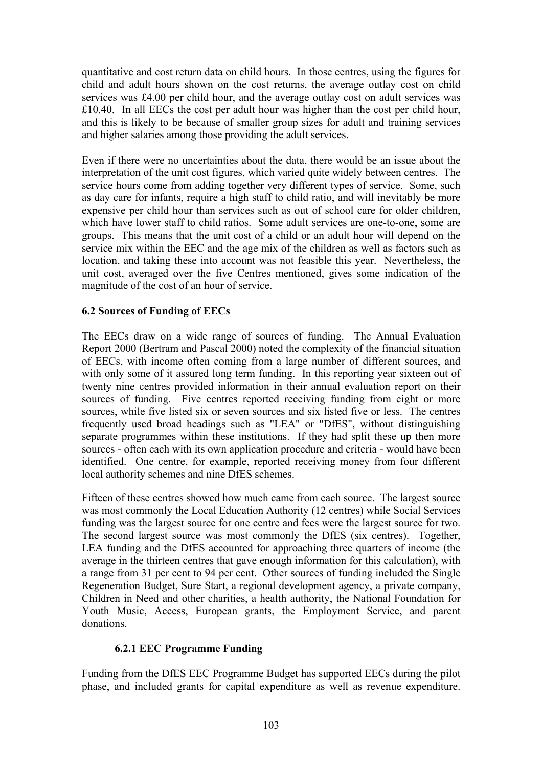quantitative and cost return data on child hours. In those centres, using the figures for child and adult hours shown on the cost returns, the average outlay cost on child services was £4.00 per child hour, and the average outlay cost on adult services was £10.40. In all EECs the cost per adult hour was higher than the cost per child hour, and this is likely to be because of smaller group sizes for adult and training services and higher salaries among those providing the adult services.

Even if there were no uncertainties about the data, there would be an issue about the interpretation of the unit cost figures, which varied quite widely between centres. The service hours come from adding together very different types of service. Some, such as day care for infants, require a high staff to child ratio, and will inevitably be more expensive per child hour than services such as out of school care for older children, which have lower staff to child ratios. Some adult services are one-to-one, some are groups. This means that the unit cost of a child or an adult hour will depend on the service mix within the EEC and the age mix of the children as well as factors such as location, and taking these into account was not feasible this year. Nevertheless, the unit cost, averaged over the five Centres mentioned, gives some indication of the magnitude of the cost of an hour of service.

#### **6.2 Sources of Funding of EECs**

The EECs draw on a wide range of sources of funding. The Annual Evaluation Report 2000 (Bertram and Pascal 2000) noted the complexity of the financial situation of EECs, with income often coming from a large number of different sources, and with only some of it assured long term funding. In this reporting year sixteen out of twenty nine centres provided information in their annual evaluation report on their sources of funding. Five centres reported receiving funding from eight or more sources, while five listed six or seven sources and six listed five or less. The centres frequently used broad headings such as "LEA" or "DfES", without distinguishing separate programmes within these institutions. If they had split these up then more sources - often each with its own application procedure and criteria - would have been identified. One centre, for example, reported receiving money from four different local authority schemes and nine DfES schemes.

Fifteen of these centres showed how much came from each source. The largest source was most commonly the Local Education Authority (12 centres) while Social Services funding was the largest source for one centre and fees were the largest source for two. The second largest source was most commonly the DfES (six centres). Together, LEA funding and the DfES accounted for approaching three quarters of income (the average in the thirteen centres that gave enough information for this calculation), with a range from 31 per cent to 94 per cent. Other sources of funding included the Single Regeneration Budget, Sure Start, a regional development agency, a private company, Children in Need and other charities, a health authority, the National Foundation for Youth Music, Access, European grants, the Employment Service, and parent donations.

#### **6.2.1 EEC Programme Funding**

Funding from the DfES EEC Programme Budget has supported EECs during the pilot phase, and included grants for capital expenditure as well as revenue expenditure.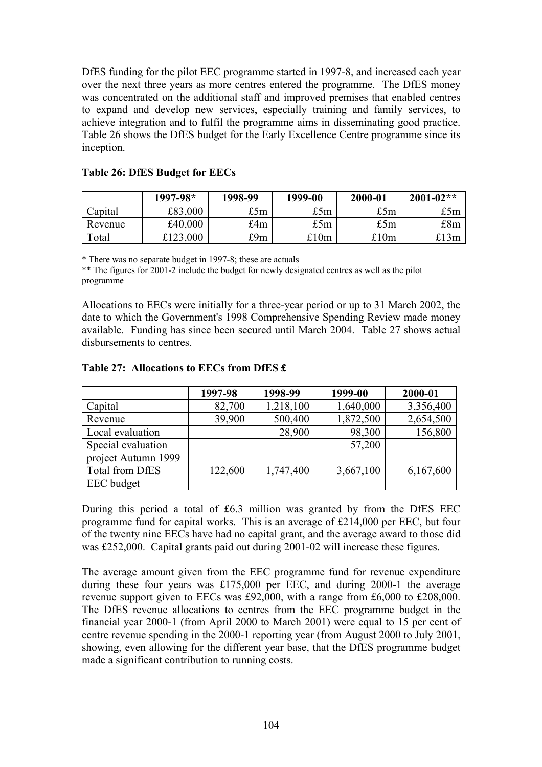DfES funding for the pilot EEC programme started in 1997-8, and increased each year over the next three years as more centres entered the programme. The DfES money was concentrated on the additional staff and improved premises that enabled centres to expand and develop new services, especially training and family services, to achieve integration and to fulfil the programme aims in disseminating good practice. Table 26 shows the DfES budget for the Early Excellence Centre programme since its inception.

|         | $1997 - 98*$ | 1998-99 | 1999-00 | 2000-01 | $2001 - 02**$ |
|---------|--------------|---------|---------|---------|---------------|
| Capital | £83,000      | £5m     | £5m     | £5m     | £5m           |
| Revenue | £40,000      | £4m     | £5m     | £5m     | £8m           |
| Total   | £123,000     | £9m     | £10m    | £10m    | £13m          |

#### **Table 26: DfES Budget for EECs**

\* There was no separate budget in 1997-8; these are actuals

\*\* The figures for 2001-2 include the budget for newly designated centres as well as the pilot programme

Allocations to EECs were initially for a three-year period or up to 31 March 2002, the date to which the Government's 1998 Comprehensive Spending Review made money available. Funding has since been secured until March 2004. Table 27 shows actual disbursements to centres.

|                        | 1997-98 | 1998-99   | 1999-00   | 2000-01   |
|------------------------|---------|-----------|-----------|-----------|
| Capital                | 82,700  | 1,218,100 | 1,640,000 | 3,356,400 |
| Revenue                | 39,900  | 500,400   | 1,872,500 | 2,654,500 |
| Local evaluation       |         | 28,900    | 98,300    | 156,800   |
| Special evaluation     |         |           | 57,200    |           |
| project Autumn 1999    |         |           |           |           |
| <b>Total from DfES</b> | 122,600 | 1,747,400 | 3,667,100 | 6,167,600 |
| EEC budget             |         |           |           |           |

#### **Table 27: Allocations to EECs from DfES £**

During this period a total of £6.3 million was granted by from the DfES EEC programme fund for capital works. This is an average of £214,000 per EEC, but four of the twenty nine EECs have had no capital grant, and the average award to those did was £252,000. Capital grants paid out during 2001-02 will increase these figures.

The average amount given from the EEC programme fund for revenue expenditure during these four years was £175,000 per EEC, and during 2000-1 the average revenue support given to EECs was £92,000, with a range from £6,000 to £208,000. The DfES revenue allocations to centres from the EEC programme budget in the financial year 2000-1 (from April 2000 to March 2001) were equal to 15 per cent of centre revenue spending in the 2000-1 reporting year (from August 2000 to July 2001, showing, even allowing for the different year base, that the DfES programme budget made a significant contribution to running costs.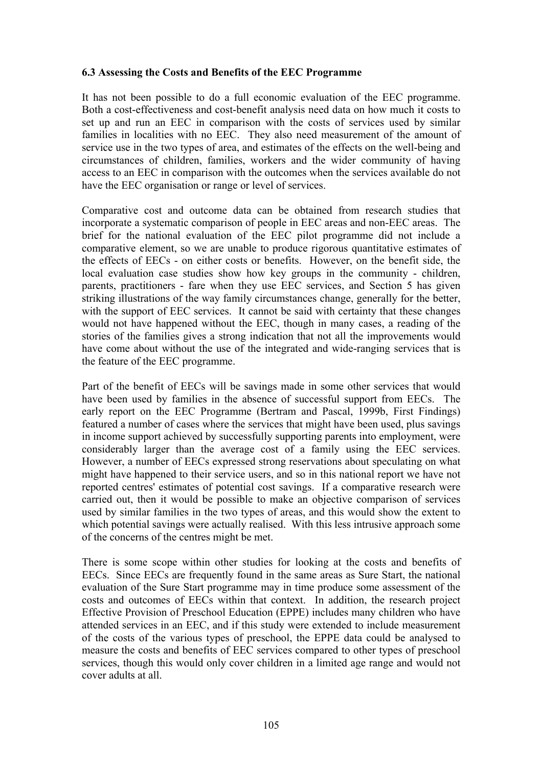#### **6.3 Assessing the Costs and Benefits of the EEC Programme**

It has not been possible to do a full economic evaluation of the EEC programme. Both a cost-effectiveness and cost-benefit analysis need data on how much it costs to set up and run an EEC in comparison with the costs of services used by similar families in localities with no EEC. They also need measurement of the amount of service use in the two types of area, and estimates of the effects on the well-being and circumstances of children, families, workers and the wider community of having access to an EEC in comparison with the outcomes when the services available do not have the EEC organisation or range or level of services.

Comparative cost and outcome data can be obtained from research studies that incorporate a systematic comparison of people in EEC areas and non-EEC areas. The brief for the national evaluation of the EEC pilot programme did not include a comparative element, so we are unable to produce rigorous quantitative estimates of the effects of EECs - on either costs or benefits. However, on the benefit side, the local evaluation case studies show how key groups in the community - children, parents, practitioners - fare when they use EEC services, and Section 5 has given striking illustrations of the way family circumstances change, generally for the better, with the support of EEC services. It cannot be said with certainty that these changes would not have happened without the EEC, though in many cases, a reading of the stories of the families gives a strong indication that not all the improvements would have come about without the use of the integrated and wide-ranging services that is the feature of the EEC programme.

Part of the benefit of EECs will be savings made in some other services that would have been used by families in the absence of successful support from EECs. The early report on the EEC Programme (Bertram and Pascal, 1999b, First Findings) featured a number of cases where the services that might have been used, plus savings in income support achieved by successfully supporting parents into employment, were considerably larger than the average cost of a family using the EEC services. However, a number of EECs expressed strong reservations about speculating on what might have happened to their service users, and so in this national report we have not reported centres' estimates of potential cost savings. If a comparative research were carried out, then it would be possible to make an objective comparison of services used by similar families in the two types of areas, and this would show the extent to which potential savings were actually realised. With this less intrusive approach some of the concerns of the centres might be met.

There is some scope within other studies for looking at the costs and benefits of EECs. Since EECs are frequently found in the same areas as Sure Start, the national evaluation of the Sure Start programme may in time produce some assessment of the costs and outcomes of EECs within that context. In addition, the research project Effective Provision of Preschool Education (EPPE) includes many children who have attended services in an EEC, and if this study were extended to include measurement of the costs of the various types of preschool, the EPPE data could be analysed to measure the costs and benefits of EEC services compared to other types of preschool services, though this would only cover children in a limited age range and would not cover adults at all.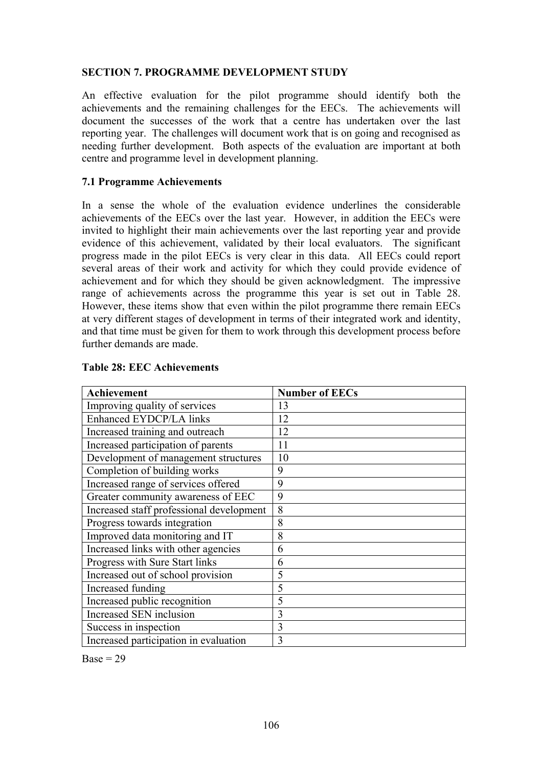#### **SECTION 7. PROGRAMME DEVELOPMENT STUDY**

An effective evaluation for the pilot programme should identify both the achievements and the remaining challenges for the EECs. The achievements will document the successes of the work that a centre has undertaken over the last reporting year. The challenges will document work that is on going and recognised as needing further development. Both aspects of the evaluation are important at both centre and programme level in development planning.

#### **7.1 Programme Achievements**

In a sense the whole of the evaluation evidence underlines the considerable achievements of the EECs over the last year. However, in addition the EECs were invited to highlight their main achievements over the last reporting year and provide evidence of this achievement, validated by their local evaluators. The significant progress made in the pilot EECs is very clear in this data. All EECs could report several areas of their work and activity for which they could provide evidence of achievement and for which they should be given acknowledgment. The impressive range of achievements across the programme this year is set out in Table 28. However, these items show that even within the pilot programme there remain EECs at very different stages of development in terms of their integrated work and identity, and that time must be given for them to work through this development process before further demands are made.

| <b>Achievement</b>                       | <b>Number of EECs</b> |
|------------------------------------------|-----------------------|
| Improving quality of services            | 13                    |
| <b>Enhanced EYDCP/LA links</b>           | 12                    |
| Increased training and outreach          | 12                    |
| Increased participation of parents       | 11                    |
| Development of management structures     | 10                    |
| Completion of building works             | 9                     |
| Increased range of services offered      | 9                     |
| Greater community awareness of EEC       | 9                     |
| Increased staff professional development | 8                     |
| Progress towards integration             | 8                     |
| Improved data monitoring and IT          | 8                     |
| Increased links with other agencies      | 6                     |
| Progress with Sure Start links           | 6                     |
| Increased out of school provision        | 5                     |
| Increased funding                        | 5                     |
| Increased public recognition             | 5                     |
| Increased SEN inclusion                  | 3                     |
| Success in inspection                    | 3                     |
| Increased participation in evaluation    | 3                     |

#### **Table 28: EEC Achievements**

 $Base = 29$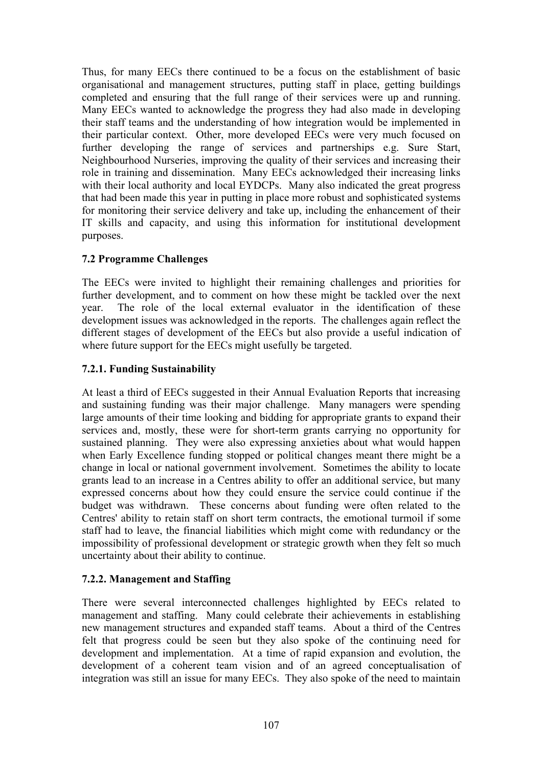Thus, for many EECs there continued to be a focus on the establishment of basic organisational and management structures, putting staff in place, getting buildings completed and ensuring that the full range of their services were up and running. Many EECs wanted to acknowledge the progress they had also made in developing their staff teams and the understanding of how integration would be implemented in their particular context. Other, more developed EECs were very much focused on further developing the range of services and partnerships e.g. Sure Start, Neighbourhood Nurseries, improving the quality of their services and increasing their role in training and dissemination. Many EECs acknowledged their increasing links with their local authority and local EYDCPs. Many also indicated the great progress that had been made this year in putting in place more robust and sophisticated systems for monitoring their service delivery and take up, including the enhancement of their IT skills and capacity, and using this information for institutional development purposes.

#### **7.2 Programme Challenges**

The EECs were invited to highlight their remaining challenges and priorities for further development, and to comment on how these might be tackled over the next year. The role of the local external evaluator in the identification of these development issues was acknowledged in the reports. The challenges again reflect the different stages of development of the EECs but also provide a useful indication of where future support for the EECs might usefully be targeted.

### **7.2.1. Funding Sustainability**

At least a third of EECs suggested in their Annual Evaluation Reports that increasing and sustaining funding was their major challenge. Many managers were spending large amounts of their time looking and bidding for appropriate grants to expand their services and, mostly, these were for short-term grants carrying no opportunity for sustained planning. They were also expressing anxieties about what would happen when Early Excellence funding stopped or political changes meant there might be a change in local or national government involvement. Sometimes the ability to locate grants lead to an increase in a Centres ability to offer an additional service, but many expressed concerns about how they could ensure the service could continue if the budget was withdrawn. These concerns about funding were often related to the Centres' ability to retain staff on short term contracts, the emotional turmoil if some staff had to leave, the financial liabilities which might come with redundancy or the impossibility of professional development or strategic growth when they felt so much uncertainty about their ability to continue.

#### **7.2.2. Management and Staffing**

There were several interconnected challenges highlighted by EECs related to management and staffing. Many could celebrate their achievements in establishing new management structures and expanded staff teams. About a third of the Centres felt that progress could be seen but they also spoke of the continuing need for development and implementation. At a time of rapid expansion and evolution, the development of a coherent team vision and of an agreed conceptualisation of integration was still an issue for many EECs. They also spoke of the need to maintain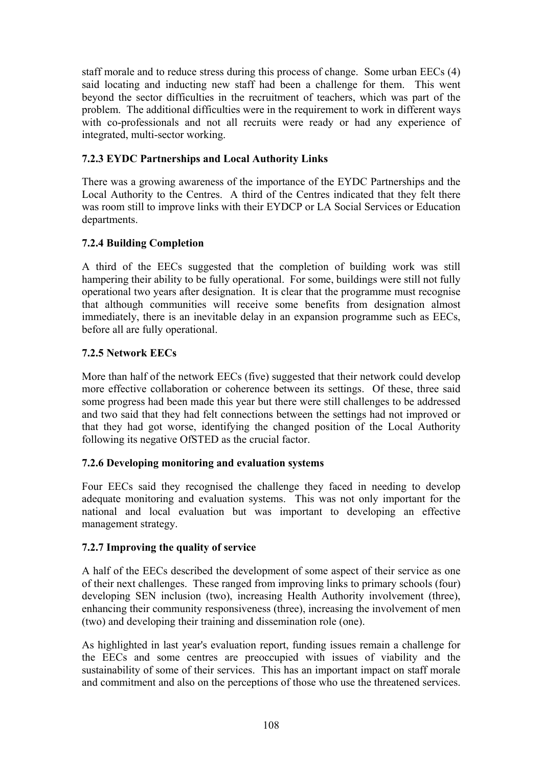staff morale and to reduce stress during this process of change. Some urban EECs (4) said locating and inducting new staff had been a challenge for them. This went beyond the sector difficulties in the recruitment of teachers, which was part of the problem. The additional difficulties were in the requirement to work in different ways with co-professionals and not all recruits were ready or had any experience of integrated, multi-sector working.

#### **7.2.3 EYDC Partnerships and Local Authority Links**

There was a growing awareness of the importance of the EYDC Partnerships and the Local Authority to the Centres. A third of the Centres indicated that they felt there was room still to improve links with their EYDCP or LA Social Services or Education departments.

### **7.2.4 Building Completion**

A third of the EECs suggested that the completion of building work was still hampering their ability to be fully operational. For some, buildings were still not fully operational two years after designation. It is clear that the programme must recognise that although communities will receive some benefits from designation almost immediately, there is an inevitable delay in an expansion programme such as EECs, before all are fully operational.

#### **7.2.5 Network EECs**

More than half of the network EECs (five) suggested that their network could develop more effective collaboration or coherence between its settings. Of these, three said some progress had been made this year but there were still challenges to be addressed and two said that they had felt connections between the settings had not improved or that they had got worse, identifying the changed position of the Local Authority following its negative OfSTED as the crucial factor.

#### **7.2.6 Developing monitoring and evaluation systems**

Four EECs said they recognised the challenge they faced in needing to develop adequate monitoring and evaluation systems. This was not only important for the national and local evaluation but was important to developing an effective management strategy.

#### **7.2.7 Improving the quality of service**

A half of the EECs described the development of some aspect of their service as one of their next challenges. These ranged from improving links to primary schools (four) developing SEN inclusion (two), increasing Health Authority involvement (three), enhancing their community responsiveness (three), increasing the involvement of men (two) and developing their training and dissemination role (one).

As highlighted in last year's evaluation report, funding issues remain a challenge for the EECs and some centres are preoccupied with issues of viability and the sustainability of some of their services. This has an important impact on staff morale and commitment and also on the perceptions of those who use the threatened services.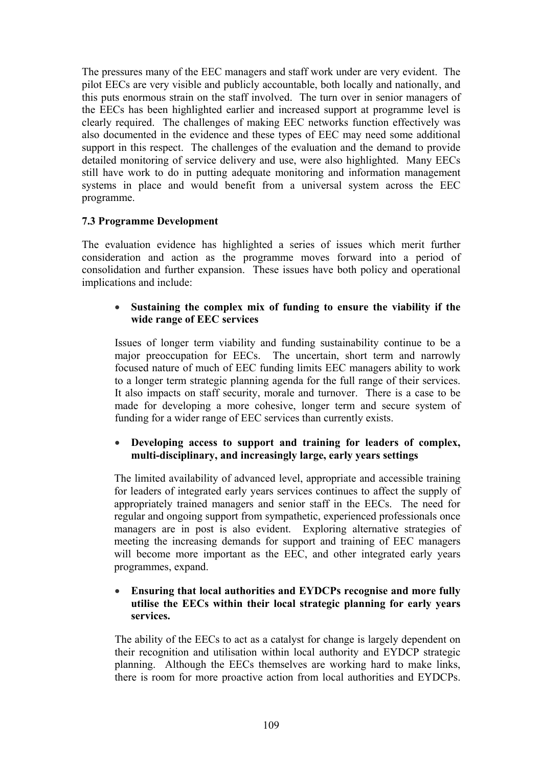The pressures many of the EEC managers and staff work under are very evident. The pilot EECs are very visible and publicly accountable, both locally and nationally, and this puts enormous strain on the staff involved. The turn over in senior managers of the EECs has been highlighted earlier and increased support at programme level is clearly required. The challenges of making EEC networks function effectively was also documented in the evidence and these types of EEC may need some additional support in this respect. The challenges of the evaluation and the demand to provide detailed monitoring of service delivery and use, were also highlighted. Many EECs still have work to do in putting adequate monitoring and information management systems in place and would benefit from a universal system across the EEC programme.

#### **7.3 Programme Development**

The evaluation evidence has highlighted a series of issues which merit further consideration and action as the programme moves forward into a period of consolidation and further expansion. These issues have both policy and operational implications and include:

#### • **Sustaining the complex mix of funding to ensure the viability if the wide range of EEC services**

Issues of longer term viability and funding sustainability continue to be a major preoccupation for EECs. The uncertain, short term and narrowly focused nature of much of EEC funding limits EEC managers ability to work to a longer term strategic planning agenda for the full range of their services. It also impacts on staff security, morale and turnover. There is a case to be made for developing a more cohesive, longer term and secure system of funding for a wider range of EEC services than currently exists.

#### • **Developing access to support and training for leaders of complex, multi-disciplinary, and increasingly large, early years settings**

The limited availability of advanced level, appropriate and accessible training for leaders of integrated early years services continues to affect the supply of appropriately trained managers and senior staff in the EECs. The need for regular and ongoing support from sympathetic, experienced professionals once managers are in post is also evident. Exploring alternative strategies of meeting the increasing demands for support and training of EEC managers will become more important as the EEC, and other integrated early years programmes, expand.

#### • **Ensuring that local authorities and EYDCPs recognise and more fully utilise the EECs within their local strategic planning for early years services.**

The ability of the EECs to act as a catalyst for change is largely dependent on their recognition and utilisation within local authority and EYDCP strategic planning. Although the EECs themselves are working hard to make links, there is room for more proactive action from local authorities and EYDCPs.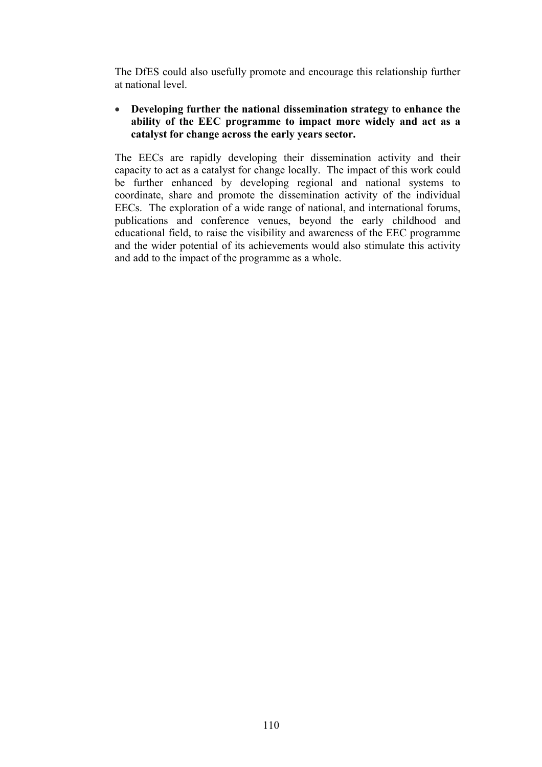The DfES could also usefully promote and encourage this relationship further at national level.

#### • **Developing further the national dissemination strategy to enhance the ability of the EEC programme to impact more widely and act as a catalyst for change across the early years sector.**

The EECs are rapidly developing their dissemination activity and their capacity to act as a catalyst for change locally. The impact of this work could be further enhanced by developing regional and national systems to coordinate, share and promote the dissemination activity of the individual EECs. The exploration of a wide range of national, and international forums, publications and conference venues, beyond the early childhood and educational field, to raise the visibility and awareness of the EEC programme and the wider potential of its achievements would also stimulate this activity and add to the impact of the programme as a whole.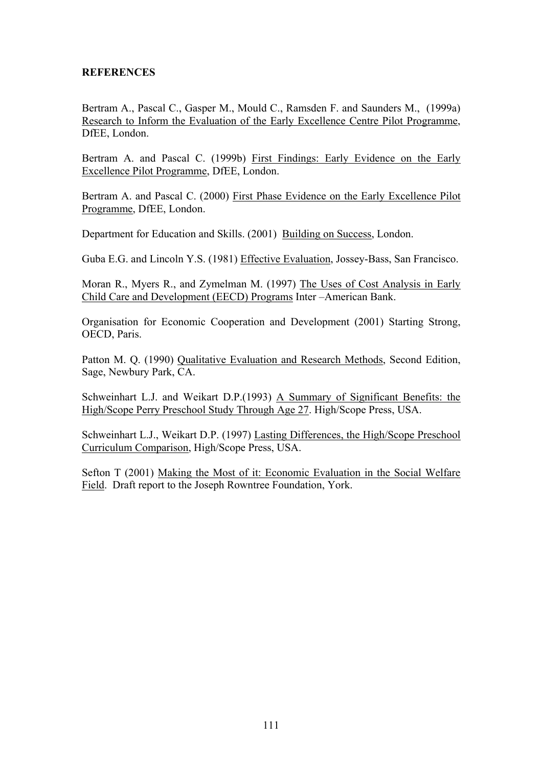#### **REFERENCES**

Bertram A., Pascal C., Gasper M., Mould C., Ramsden F. and Saunders M., (1999a) Research to Inform the Evaluation of the Early Excellence Centre Pilot Programme, DfEE, London.

Bertram A. and Pascal C. (1999b) First Findings: Early Evidence on the Early Excellence Pilot Programme, DfEE, London.

Bertram A. and Pascal C. (2000) First Phase Evidence on the Early Excellence Pilot Programme, DfEE, London.

Department for Education and Skills. (2001) Building on Success, London.

Guba E.G. and Lincoln Y.S. (1981) Effective Evaluation, Jossey-Bass, San Francisco.

Moran R., Myers R., and Zymelman M. (1997) The Uses of Cost Analysis in Early Child Care and Development (EECD) Programs Inter –American Bank.

Organisation for Economic Cooperation and Development (2001) Starting Strong, OECD, Paris.

Patton M. Q. (1990) Qualitative Evaluation and Research Methods, Second Edition, Sage, Newbury Park, CA.

Schweinhart L.J. and Weikart D.P.(1993) A Summary of Significant Benefits: the High/Scope Perry Preschool Study Through Age 27. High/Scope Press, USA.

Schweinhart L.J., Weikart D.P. (1997) Lasting Differences, the High/Scope Preschool Curriculum Comparison, High/Scope Press, USA.

Sefton T (2001) Making the Most of it: Economic Evaluation in the Social Welfare Field. Draft report to the Joseph Rowntree Foundation, York.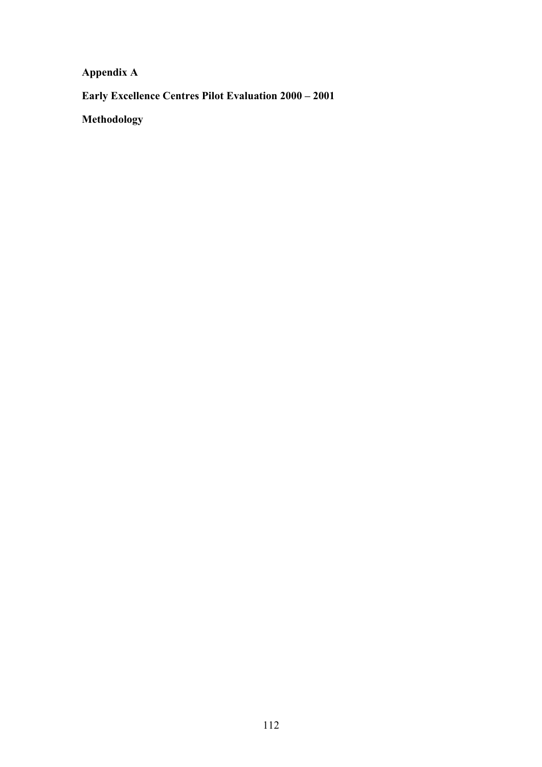**Appendix A** 

**Early Excellence Centres Pilot Evaluation 2000 – 2001** 

**Methodology**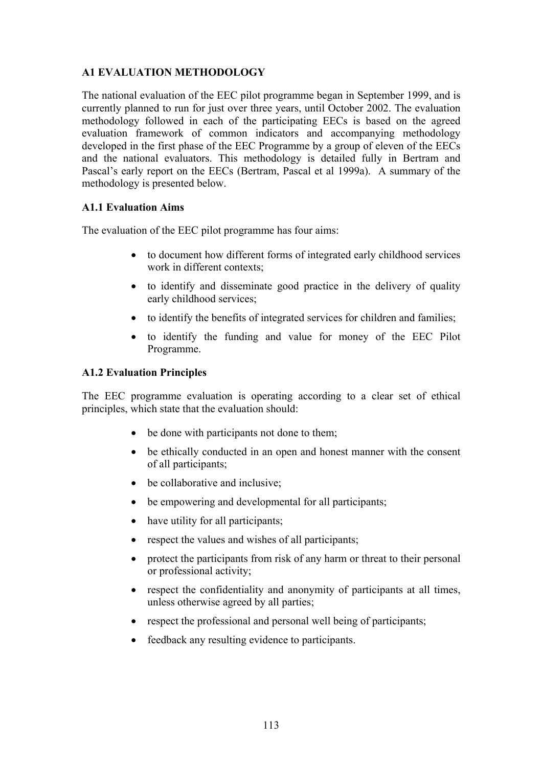### **A1 EVALUATION METHODOLOGY**

The national evaluation of the EEC pilot programme began in September 1999, and is currently planned to run for just over three years, until October 2002. The evaluation methodology followed in each of the participating EECs is based on the agreed evaluation framework of common indicators and accompanying methodology developed in the first phase of the EEC Programme by a group of eleven of the EECs and the national evaluators. This methodology is detailed fully in Bertram and Pascal's early report on the EECs (Bertram, Pascal et al 1999a). A summary of the methodology is presented below.

#### **A1.1 Evaluation Aims**

The evaluation of the EEC pilot programme has four aims:

- to document how different forms of integrated early childhood services work in different contexts;
- to identify and disseminate good practice in the delivery of quality early childhood services;
- to identify the benefits of integrated services for children and families;
- to identify the funding and value for money of the EEC Pilot Programme.

#### **A1.2 Evaluation Principles**

The EEC programme evaluation is operating according to a clear set of ethical principles, which state that the evaluation should:

- be done with participants not done to them;
- be ethically conducted in an open and honest manner with the consent of all participants;
- be collaborative and inclusive;
- be empowering and developmental for all participants;
- have utility for all participants;
- respect the values and wishes of all participants;
- protect the participants from risk of any harm or threat to their personal or professional activity;
- respect the confidentiality and anonymity of participants at all times, unless otherwise agreed by all parties;
- respect the professional and personal well being of participants;
- feedback any resulting evidence to participants.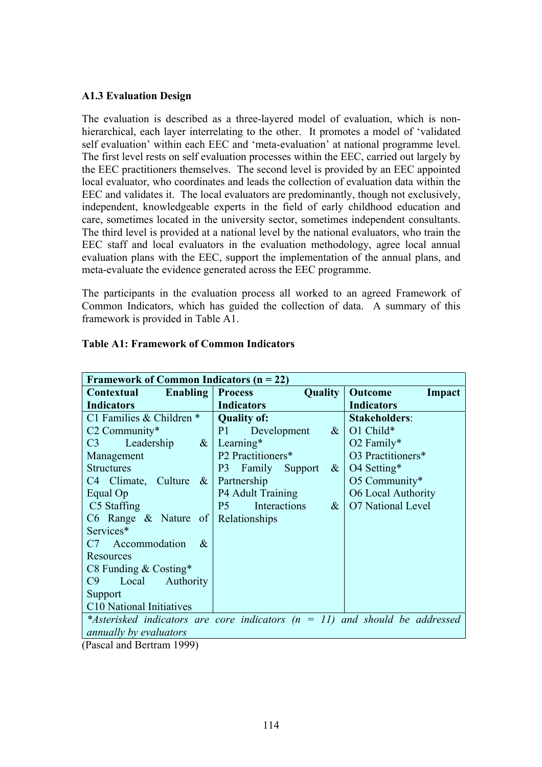#### **A1.3 Evaluation Design**

The evaluation is described as a three-layered model of evaluation, which is nonhierarchical, each layer interrelating to the other. It promotes a model of 'validated self evaluation' within each EEC and 'meta-evaluation' at national programme level. The first level rests on self evaluation processes within the EEC, carried out largely by the EEC practitioners themselves. The second level is provided by an EEC appointed local evaluator, who coordinates and leads the collection of evaluation data within the EEC and validates it. The local evaluators are predominantly, though not exclusively, independent, knowledgeable experts in the field of early childhood education and care, sometimes located in the university sector, sometimes independent consultants. The third level is provided at a national level by the national evaluators, who train the EEC staff and local evaluators in the evaluation methodology, agree local annual evaluation plans with the EEC, support the implementation of the annual plans, and meta-evaluate the evidence generated across the EEC programme.

The participants in the evaluation process all worked to an agreed Framework of Common Indicators, which has guided the collection of data. A summary of this framework is provided in Table A1.

| Framework of Common Indicators $(n = 22)$      |                                                                                 |                           |  |  |  |  |  |  |  |  |  |
|------------------------------------------------|---------------------------------------------------------------------------------|---------------------------|--|--|--|--|--|--|--|--|--|
| <b>Enabling   Process</b><br><b>Contextual</b> | <b>Quality</b>                                                                  | <b>Outcome</b><br>Impact  |  |  |  |  |  |  |  |  |  |
| <b>Indicators</b>                              | <b>Indicators</b>                                                               | <b>Indicators</b>         |  |  |  |  |  |  |  |  |  |
| C1 Families & Children *                       | <b>Quality of:</b>                                                              | <b>Stakeholders:</b>      |  |  |  |  |  |  |  |  |  |
| $C2$ Community*                                | P1<br>$\&$<br>Development                                                       | O1 Child*                 |  |  |  |  |  |  |  |  |  |
| Leadership<br>C3                               | $\&$ Learning*                                                                  | $O2$ Family*              |  |  |  |  |  |  |  |  |  |
| Management                                     | P2 Practitioners*                                                               | O3 Practitioners*         |  |  |  |  |  |  |  |  |  |
| <b>Structures</b>                              | P3 Family Support<br>$\&$                                                       | O4 Setting*               |  |  |  |  |  |  |  |  |  |
| C <sub>4</sub> Climate, Culture $\&$           | Partnership                                                                     | O5 Community*             |  |  |  |  |  |  |  |  |  |
| Equal Op                                       | <b>P4 Adult Training</b>                                                        | <b>O6 Local Authority</b> |  |  |  |  |  |  |  |  |  |
| C5 Staffing                                    | Interactions<br>$\&$<br>P <sub>5</sub>                                          | <b>O7</b> National Level  |  |  |  |  |  |  |  |  |  |
| C6 Range $\&$ Nature of Relationships          |                                                                                 |                           |  |  |  |  |  |  |  |  |  |
| Services*                                      |                                                                                 |                           |  |  |  |  |  |  |  |  |  |
| C7 Accommodation<br>$-\&$                      |                                                                                 |                           |  |  |  |  |  |  |  |  |  |
| Resources                                      |                                                                                 |                           |  |  |  |  |  |  |  |  |  |
| C8 Funding & Costing*                          |                                                                                 |                           |  |  |  |  |  |  |  |  |  |
| Authority<br>C9<br>Local                       |                                                                                 |                           |  |  |  |  |  |  |  |  |  |
| Support                                        |                                                                                 |                           |  |  |  |  |  |  |  |  |  |
| C <sub>10</sub> National Initiatives           |                                                                                 |                           |  |  |  |  |  |  |  |  |  |
|                                                | *Asterisked indicators are core indicators ( $n = 11$ ) and should be addressed |                           |  |  |  |  |  |  |  |  |  |
| <i>annually by evaluators</i>                  |                                                                                 |                           |  |  |  |  |  |  |  |  |  |

#### **Table A1: Framework of Common Indicators**

(Pascal and Bertram 1999)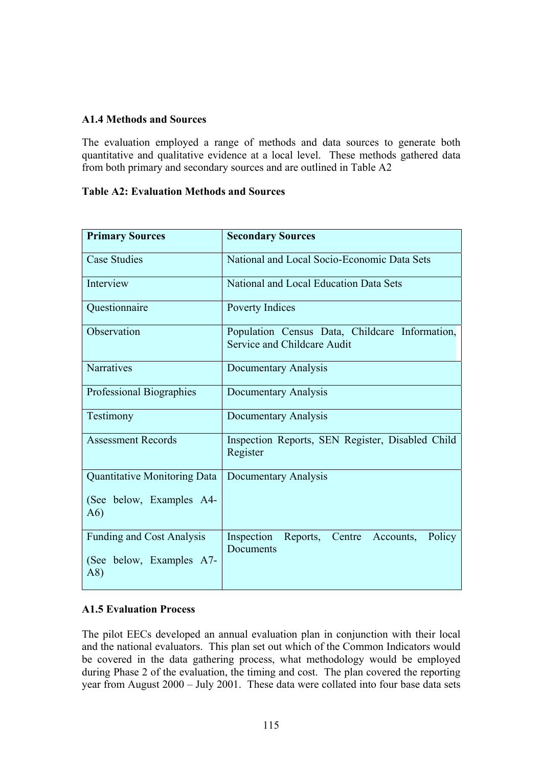#### **A1.4 Methods and Sources**

The evaluation employed a range of methods and data sources to generate both quantitative and qualitative evidence at a local level. These methods gathered data from both primary and secondary sources and are outlined in Table A2

#### **Table A2: Evaluation Methods and Sources**

| <b>Primary Sources</b>                                               | <b>Secondary Sources</b>                                                      |
|----------------------------------------------------------------------|-------------------------------------------------------------------------------|
|                                                                      |                                                                               |
| <b>Case Studies</b>                                                  | National and Local Socio-Economic Data Sets                                   |
| Interview                                                            | National and Local Education Data Sets                                        |
| Questionnaire                                                        | Poverty Indices                                                               |
| Observation                                                          | Population Census Data, Childcare Information,<br>Service and Childcare Audit |
| Narratives                                                           | Documentary Analysis                                                          |
| Professional Biographies                                             | Documentary Analysis                                                          |
| Testimony                                                            | Documentary Analysis                                                          |
| <b>Assessment Records</b>                                            | Inspection Reports, SEN Register, Disabled Child<br>Register                  |
| <b>Quantitative Monitoring Data</b>                                  | Documentary Analysis                                                          |
| (See below, Examples A4-<br>A6)                                      |                                                                               |
| <b>Funding and Cost Analysis</b><br>(See below, Examples A7-<br>(A8) | Inspection<br>Reports, Centre<br>Accounts,<br>Policy<br>Documents             |

#### **A1.5 Evaluation Process**

The pilot EECs developed an annual evaluation plan in conjunction with their local and the national evaluators. This plan set out which of the Common Indicators would be covered in the data gathering process, what methodology would be employed during Phase 2 of the evaluation, the timing and cost. The plan covered the reporting year from August 2000 – July 2001. These data were collated into four base data sets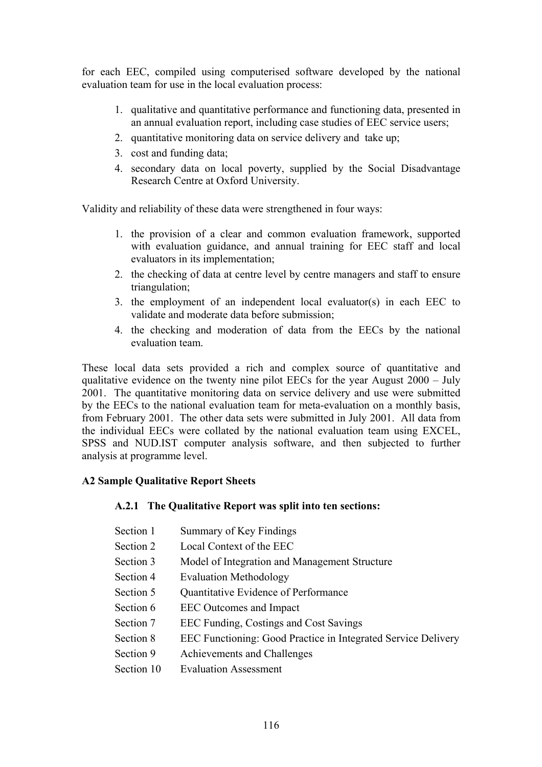for each EEC, compiled using computerised software developed by the national evaluation team for use in the local evaluation process:

- 1. qualitative and quantitative performance and functioning data, presented in an annual evaluation report, including case studies of EEC service users;
- 2. quantitative monitoring data on service delivery and take up;
- 3. cost and funding data;
- 4. secondary data on local poverty, supplied by the Social Disadvantage Research Centre at Oxford University.

Validity and reliability of these data were strengthened in four ways:

- 1. the provision of a clear and common evaluation framework, supported with evaluation guidance, and annual training for EEC staff and local evaluators in its implementation;
- 2. the checking of data at centre level by centre managers and staff to ensure triangulation;
- 3. the employment of an independent local evaluator(s) in each EEC to validate and moderate data before submission;
- 4. the checking and moderation of data from the EECs by the national evaluation team.

These local data sets provided a rich and complex source of quantitative and qualitative evidence on the twenty nine pilot EECs for the year August 2000 – July 2001. The quantitative monitoring data on service delivery and use were submitted by the EECs to the national evaluation team for meta-evaluation on a monthly basis, from February 2001. The other data sets were submitted in July 2001. All data from the individual EECs were collated by the national evaluation team using EXCEL, SPSS and NUD.IST computer analysis software, and then subjected to further analysis at programme level.

#### **A2 Sample Qualitative Report Sheets**

#### **A.2.1 The Qualitative Report was split into ten sections:**

- Section 1 Summary of Key Findings
- Section 2 Local Context of the EEC
- Section 3 Model of Integration and Management Structure
- Section 4 Evaluation Methodology
- Section 5 Ouantitative Evidence of Performance
- Section 6 EEC Outcomes and Impact
- Section 7 EEC Funding, Costings and Cost Savings
- Section 8 EEC Functioning: Good Practice in Integrated Service Delivery
- Section 9 Achievements and Challenges
- Section 10 Evaluation Assessment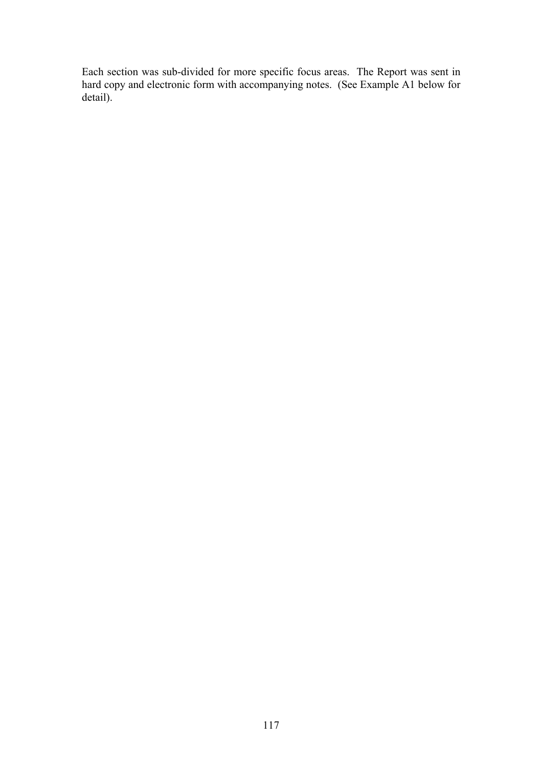Each section was sub-divided for more specific focus areas. The Report was sent in hard copy and electronic form with accompanying notes. (See Example A1 below for detail).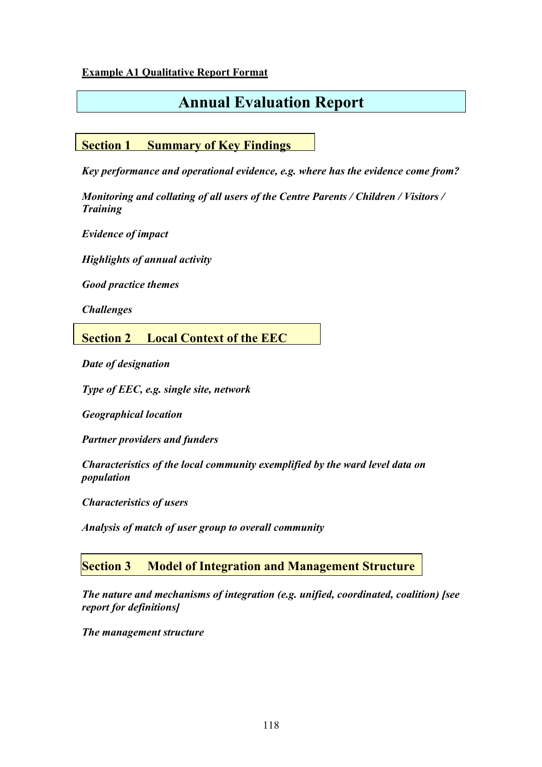#### **Example A1 Qualitative Report Format**

# **Annual Evaluation Report**

## **Section 1 Summary of Key Findings**

*Key performance and operational evidence, e.g. where has the evidence come from?* 

*Monitoring and collating of all users of the Centre Parents / Children / Visitors / Training* 

*Evidence of impact* 

*Highlights of annual activity* 

*Good practice themes* 

*Challenges*

## **Section 2 Local Context of the EEC**

*Date of designation* 

*Type of EEC, e.g. single site, network* 

*Geographical location* 

*Partner providers and funders* 

*Characteristics of the local community exemplified by the ward level data on population* 

*Characteristics of users* 

*Analysis of match of user group to overall community* 

### **Section 3 Model of Integration and Management Structure**

*The nature and mechanisms of integration (e.g. unified, coordinated, coalition) [see report for definitions]* 

*The management structure*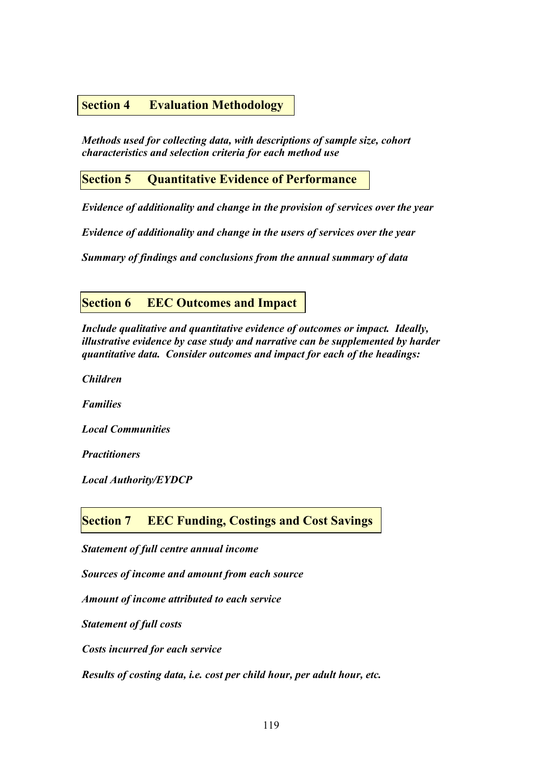#### **Section 4 Evaluation Methodology**

*Methods used for collecting data, with descriptions of sample size, cohort characteristics and selection criteria for each method use* 

#### **Section 5 Quantitative Evidence of Performance**

*Evidence of additionality and change in the provision of services over the year* 

*Evidence of additionality and change in the users of services over the year* 

*Summary of findings and conclusions from the annual summary of data* 

#### **Section 6 EEC Outcomes and Impact**

*Include qualitative and quantitative evidence of outcomes or impact. Ideally, illustrative evidence by case study and narrative can be supplemented by harder quantitative data. Consider outcomes and impact for each of the headings:* 

*Children* 

*Families* 

*Local Communities* 

*Practitioners* 

*Local Authority/EYDCP* 

**Section 7 EEC Funding, Costings and Cost Savings**

*Statement of full centre annual income* 

*Sources of income and amount from each source* 

*Amount of income attributed to each service* 

*Statement of full costs* 

*Costs incurred for each service* 

*Results of costing data, i.e. cost per child hour, per adult hour, etc.*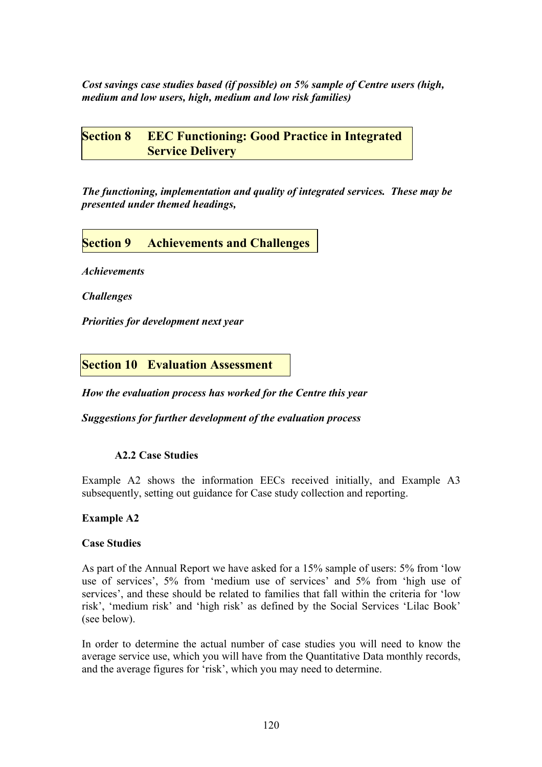*Cost savings case studies based (if possible) on 5% sample of Centre users (high, medium and low users, high, medium and low risk families)* 

**Section 8 EEC Functioning: Good Practice in Integrated Service Delivery** 

*The functioning, implementation and quality of integrated services. These may be presented under themed headings,* 

## **Section 9 Achievements and Challenges**

*Achievements* 

*Challenges* 

*Priorities for development next year* 

**Section 10 Evaluation Assessment**

*How the evaluation process has worked for the Centre this year* 

*Suggestions for further development of the evaluation process* 

#### **A2.2 Case Studies**

Example A2 shows the information EECs received initially, and Example A3 subsequently, setting out guidance for Case study collection and reporting.

#### **Example A2**

#### **Case Studies**

As part of the Annual Report we have asked for a 15% sample of users: 5% from 'low use of services', 5% from 'medium use of services' and 5% from 'high use of services', and these should be related to families that fall within the criteria for 'low risk', 'medium risk' and 'high risk' as defined by the Social Services 'Lilac Book' (see below).

In order to determine the actual number of case studies you will need to know the average service use, which you will have from the Quantitative Data monthly records, and the average figures for 'risk', which you may need to determine.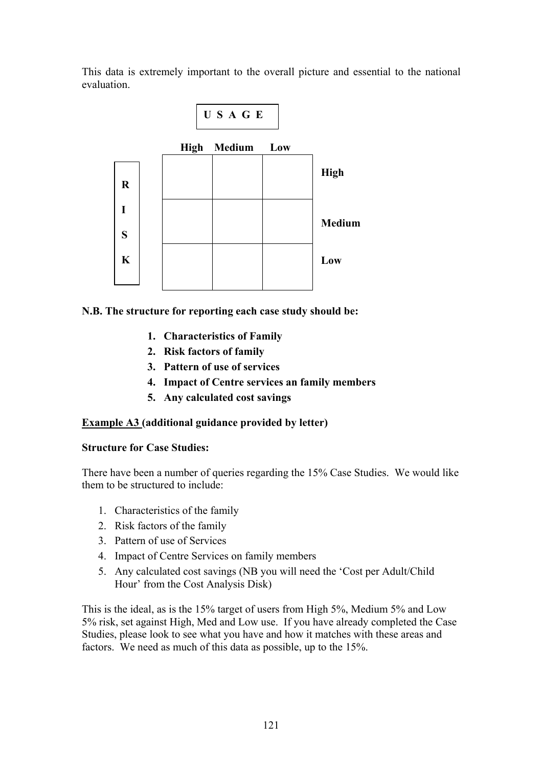This data is extremely important to the overall picture and essential to the national evaluation.



#### **N.B. The structure for reporting each case study should be:**

- **1. Characteristics of Family**
- **2. Risk factors of family**
- **3. Pattern of use of services**
- **4. Impact of Centre services an family members**
- **5. Any calculated cost savings**

#### **Example A3 (additional guidance provided by letter)**

#### **Structure for Case Studies:**

There have been a number of queries regarding the 15% Case Studies. We would like them to be structured to include:

- 1. Characteristics of the family
- 2. Risk factors of the family
- 3. Pattern of use of Services
- 4. Impact of Centre Services on family members
- 5. Any calculated cost savings (NB you will need the 'Cost per Adult/Child Hour' from the Cost Analysis Disk)

This is the ideal, as is the 15% target of users from High 5%, Medium 5% and Low 5% risk, set against High, Med and Low use. If you have already completed the Case Studies, please look to see what you have and how it matches with these areas and factors. We need as much of this data as possible, up to the 15%.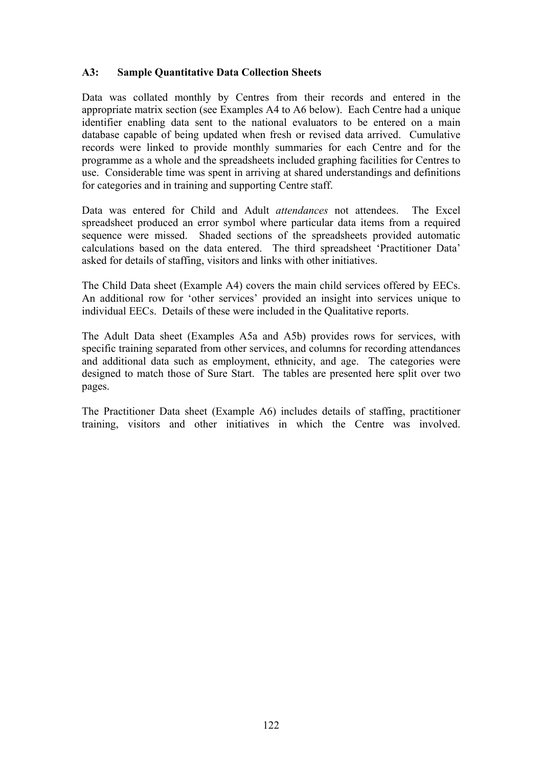#### **A3: Sample Quantitative Data Collection Sheets**

Data was collated monthly by Centres from their records and entered in the appropriate matrix section (see Examples A4 to A6 below). Each Centre had a unique identifier enabling data sent to the national evaluators to be entered on a main database capable of being updated when fresh or revised data arrived. Cumulative records were linked to provide monthly summaries for each Centre and for the programme as a whole and the spreadsheets included graphing facilities for Centres to use. Considerable time was spent in arriving at shared understandings and definitions for categories and in training and supporting Centre staff.

Data was entered for Child and Adult *attendances* not attendees. The Excel spreadsheet produced an error symbol where particular data items from a required sequence were missed. Shaded sections of the spreadsheets provided automatic calculations based on the data entered. The third spreadsheet 'Practitioner Data' asked for details of staffing, visitors and links with other initiatives.

The Child Data sheet (Example A4) covers the main child services offered by EECs. An additional row for 'other services' provided an insight into services unique to individual EECs. Details of these were included in the Qualitative reports.

The Adult Data sheet (Examples A5a and A5b) provides rows for services, with specific training separated from other services, and columns for recording attendances and additional data such as employment, ethnicity, and age. The categories were designed to match those of Sure Start. The tables are presented here split over two pages.

The Practitioner Data sheet (Example A6) includes details of staffing, practitioner training, visitors and other initiatives in which the Centre was involved.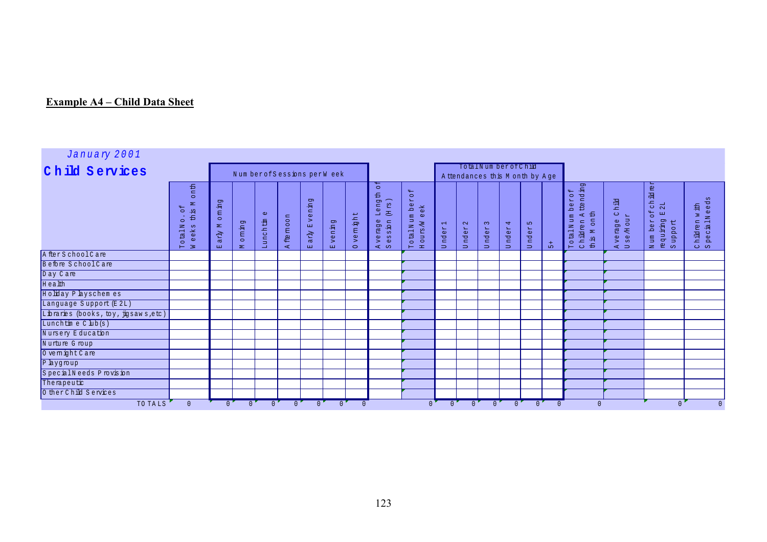## **Example A4 – Child Data Sheet**

| January 2001                         |                                                                                                                      |                                                                     |                 |                      |                         |                                               |                          |                    |                                                                                                  |                                                                                                                    |                                 |                                   |                                  |                                                        |                     |                 |                                                                                                          |                                              |                                                                    |                         |
|--------------------------------------|----------------------------------------------------------------------------------------------------------------------|---------------------------------------------------------------------|-----------------|----------------------|-------------------------|-----------------------------------------------|--------------------------|--------------------|--------------------------------------------------------------------------------------------------|--------------------------------------------------------------------------------------------------------------------|---------------------------------|-----------------------------------|----------------------------------|--------------------------------------------------------|---------------------|-----------------|----------------------------------------------------------------------------------------------------------|----------------------------------------------|--------------------------------------------------------------------|-------------------------|
| Child Services                       |                                                                                                                      |                                                                     |                 |                      |                         | Num berofSessions perW eek                    |                          |                    |                                                                                                  |                                                                                                                    |                                 |                                   |                                  | TotalNum berofChild<br>A ttendances this M onth by Age |                     |                 |                                                                                                          |                                              |                                                                    |                         |
|                                      | onth<br>$\approx$<br>$4 -$<br>出<br>13<br>$\circ$<br>$\circ$<br>z<br>eeks<br>$\rightarrow$<br>四<br>$\circ$<br>$H \ge$ | pt<br>巴<br><b>E</b><br>$\circ$<br>$\mathbf{z}$<br>$\bar{A}$ re<br>国 | oming<br>$\geq$ | $\omega$<br>Lunchtin | ftemoon<br>$\mathbf{A}$ | pų<br>Even<br>arly<br>$\mathbb{R} \mathbb{Z}$ | vening<br>$\mathbb{R}^2$ | vemight<br>$\circ$ | $\circ$<br>Length<br>$\beta$<br>国<br>verage<br>$rac{1}{2}$<br>$\frac{5}{6}$<br>$\mathbb{R}^4$ so | 44<br>$\circ$<br>$\mathbf{H}$<br>$\omega$<br>꼽<br>$\Delta$<br>otalNum<br>$\omega$<br>$\lesssim$<br>szno<br>$H$ $H$ | $\frac{1}{2}$<br>nder<br>$\Box$ | $\mathbf{\sim}$<br>nder<br>$\Box$ | $\sim$<br>nder<br>$\overline{a}$ | $\overline{4}$<br>nder<br>$\Box$                       | S<br>nder<br>$\Box$ | $+$<br>$\Omega$ | ttending<br>$\mathbb{S}^{\mathsf{C}}$<br>$\mathsf{H}$<br>eq<br>onth<br>TotalNum<br>Children A<br>th is M | <b>Child</b><br>se/Hour<br>verage<br>$A$ $D$ | ch ild rer<br>2L<br>Num berof<br><b>Gd</b><br>requiring<br>Support | Chinren<br>SpecialNeeds |
| A fter SchoolCare                    |                                                                                                                      |                                                                     |                 |                      |                         |                                               |                          |                    |                                                                                                  |                                                                                                                    |                                 |                                   |                                  |                                                        |                     |                 |                                                                                                          |                                              |                                                                    |                         |
| Before SchoolCare                    |                                                                                                                      |                                                                     |                 |                      |                         |                                               |                          |                    |                                                                                                  |                                                                                                                    |                                 |                                   |                                  |                                                        |                     |                 |                                                                                                          |                                              |                                                                    |                         |
| Day Care                             |                                                                                                                      |                                                                     |                 |                      |                         |                                               |                          |                    |                                                                                                  |                                                                                                                    |                                 |                                   |                                  |                                                        |                     |                 |                                                                                                          |                                              |                                                                    |                         |
| Health                               |                                                                                                                      |                                                                     |                 |                      |                         |                                               |                          |                    |                                                                                                  |                                                                                                                    |                                 |                                   |                                  |                                                        |                     |                 |                                                                                                          |                                              |                                                                    |                         |
| Holiday P layschem es                |                                                                                                                      |                                                                     |                 |                      |                         |                                               |                          |                    |                                                                                                  |                                                                                                                    |                                 |                                   |                                  |                                                        |                     |                 |                                                                                                          |                                              |                                                                    |                         |
| Language Support (E 2L)              |                                                                                                                      |                                                                     |                 |                      |                         |                                               |                          |                    |                                                                                                  |                                                                                                                    |                                 |                                   |                                  |                                                        |                     |                 |                                                                                                          |                                              |                                                                    |                         |
| Libraries (books, toy, jigsaws, etc) |                                                                                                                      |                                                                     |                 |                      |                         |                                               |                          |                    |                                                                                                  |                                                                                                                    |                                 |                                   |                                  |                                                        |                     |                 |                                                                                                          |                                              |                                                                    |                         |
| Lunchtim e C lub(s)                  |                                                                                                                      |                                                                     |                 |                      |                         |                                               |                          |                    |                                                                                                  |                                                                                                                    |                                 |                                   |                                  |                                                        |                     |                 |                                                                                                          |                                              |                                                                    |                         |
| Nursery Education                    |                                                                                                                      |                                                                     |                 |                      |                         |                                               |                          |                    |                                                                                                  |                                                                                                                    |                                 |                                   |                                  |                                                        |                     |                 |                                                                                                          |                                              |                                                                    |                         |
| Nurture Group                        |                                                                                                                      |                                                                     |                 |                      |                         |                                               |                          |                    |                                                                                                  |                                                                                                                    |                                 |                                   |                                  |                                                        |                     |                 |                                                                                                          |                                              |                                                                    |                         |
| O vemight Care                       |                                                                                                                      |                                                                     |                 |                      |                         |                                               |                          |                    |                                                                                                  |                                                                                                                    |                                 |                                   |                                  |                                                        |                     |                 |                                                                                                          |                                              |                                                                    |                         |
| P laygroup                           |                                                                                                                      |                                                                     |                 |                      |                         |                                               |                          |                    |                                                                                                  |                                                                                                                    |                                 |                                   |                                  |                                                        |                     |                 |                                                                                                          |                                              |                                                                    |                         |
| SpecialNeeds Provision               |                                                                                                                      |                                                                     |                 |                      |                         |                                               |                          |                    |                                                                                                  |                                                                                                                    |                                 |                                   |                                  |                                                        |                     |                 |                                                                                                          |                                              |                                                                    |                         |
| Thempeutic                           |                                                                                                                      |                                                                     |                 |                      |                         |                                               |                          |                    |                                                                                                  |                                                                                                                    |                                 |                                   |                                  |                                                        |                     |                 |                                                                                                          |                                              |                                                                    |                         |
| O ther Child Services                |                                                                                                                      |                                                                     |                 |                      |                         |                                               |                          |                    |                                                                                                  |                                                                                                                    |                                 |                                   |                                  |                                                        |                     |                 |                                                                                                          |                                              |                                                                    |                         |
| TO TALS                              | $\mathbf{0}$                                                                                                         | $0^{\circ}$                                                         | $\mathbf{0}$    | $\mathbf{0}$         | $\mathbf{0}$            | $\Omega$                                      | $\Omega$                 | $\Omega$           |                                                                                                  | $\Omega$                                                                                                           | $0^{\bullet}$                   | $0^{\bullet}$                     | $\mathbf{0}$                     | $0^{\circ}$                                            | $\overline{0}$      |                 | $\Omega$                                                                                                 |                                              | $\mathbf{0}$                                                       | $\mathbf{0}$            |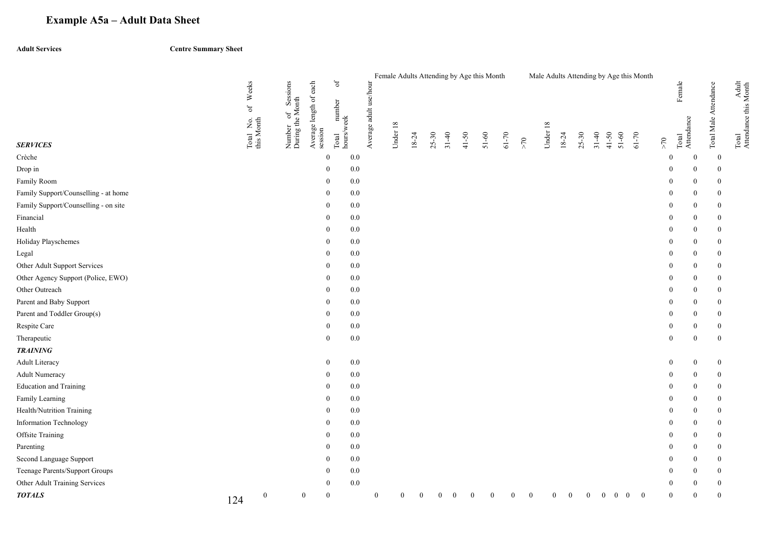## **Example A5a – Adult Data Sheet**

**Adult Services Centre Summary Sheet** 

|                                      |     |                         |                                    |                                   | $\sigma$            |         | Female Adults Attending by Age this Month |                |           |                        |          |           |           |          |          |          |                |                |                    | Male Adults Attending by Age this Month |                  |                     |                       |                                |
|--------------------------------------|-----|-------------------------|------------------------------------|-----------------------------------|---------------------|---------|-------------------------------------------|----------------|-----------|------------------------|----------|-----------|-----------|----------|----------|----------|----------------|----------------|--------------------|-----------------------------------------|------------------|---------------------|-----------------------|--------------------------------|
|                                      |     | Weeks<br>$_{\rm of}$    | Sessions                           |                                   | number              |         |                                           |                |           |                        |          |           |           |          |          |          |                |                |                    |                                         |                  | Female              |                       |                                |
| <b>SERVICES</b>                      |     | Total No.<br>this Month | Number of Sess<br>During the Month | Average length of each<br>session | hours/week<br>Total |         | Average adult use/hour<br>Under 18        |                | $18 - 24$ | $25 - 30$<br>$31 - 40$ | 41-50    | $51 - 60$ | $61 - 70$ | $>70$    | Under 18 | 18-24    | $25 - 30$      | $31 - 40$      | 41-50<br>$51 - 60$ | $61 - 70$                               | $\geq 70$        | Total<br>Attendance | Total Male Attendance | Total<br>Attendance this Month |
| Crèche                               |     |                         |                                    |                                   | $\mathbf{0}$        | 0.0     |                                           |                |           |                        |          |           |           |          |          |          |                |                |                    |                                         | $\Omega$         | $\bf{0}$            | $\bf{0}$              |                                |
| Drop in                              |     |                         |                                    |                                   | $\theta$            | 0.0     |                                           |                |           |                        |          |           |           |          |          |          |                |                |                    |                                         | $\Omega$         | $\theta$            | $\overline{0}$        |                                |
| Family Room                          |     |                         |                                    |                                   | $\Omega$            | 0.0     |                                           |                |           |                        |          |           |           |          |          |          |                |                |                    |                                         | $\theta$         | $\theta$            | $\mathbf{0}$          |                                |
| Family Support/Counselling - at home |     |                         |                                    |                                   | $\overline{0}$      | 0.0     |                                           |                |           |                        |          |           |           |          |          |          |                |                |                    |                                         | $\mathbf{0}$     | $\theta$            | $\mathbf{0}$          |                                |
| Family Support/Counselling - on site |     |                         |                                    |                                   | $\Omega$            | 0.0     |                                           |                |           |                        |          |           |           |          |          |          |                |                |                    |                                         | 0                | $\Omega$            | $\mathbf{0}$          |                                |
| Financial                            |     |                         |                                    |                                   | $\theta$            | 0.0     |                                           |                |           |                        |          |           |           |          |          |          |                |                |                    |                                         | $\Omega$         | $\theta$            | $\bf{0}$              |                                |
| Health                               |     |                         |                                    |                                   | $\overline{0}$      | 0.0     |                                           |                |           |                        |          |           |           |          |          |          |                |                |                    |                                         | $\Omega$         | $\overline{0}$      | $\mathbf{0}$          |                                |
| Holiday Playschemes                  |     |                         |                                    |                                   | $\overline{0}$      | 0.0     |                                           |                |           |                        |          |           |           |          |          |          |                |                |                    |                                         | $\bf{0}$         | $\theta$            | $\mathbf{0}$          |                                |
| Legal                                |     |                         |                                    |                                   | $\overline{0}$      | 0.0     |                                           |                |           |                        |          |           |           |          |          |          |                |                |                    |                                         | 0                | $\overline{0}$      | $\mathbf{0}$          |                                |
| Other Adult Support Services         |     |                         |                                    |                                   | $\theta$            | 0.0     |                                           |                |           |                        |          |           |           |          |          |          |                |                |                    |                                         | $\theta$         | $\Omega$            | $\mathbf{0}$          |                                |
| Other Agency Support (Police, EWO)   |     |                         |                                    |                                   | $\Omega$            | 0.0     |                                           |                |           |                        |          |           |           |          |          |          |                |                |                    |                                         | $\Omega$         | $\overline{0}$      | $\mathbf{0}$          |                                |
| Other Outreach                       |     |                         |                                    |                                   | $\theta$            | 0.0     |                                           |                |           |                        |          |           |           |          |          |          |                |                |                    |                                         | $\theta$         | $\theta$            | $\mathbf{0}$          |                                |
| Parent and Baby Support              |     |                         |                                    |                                   | $\Omega$            | 0.0     |                                           |                |           |                        |          |           |           |          |          |          |                |                |                    |                                         | $\theta$         | $\theta$            | $\mathbf{0}$          |                                |
| Parent and Toddler Group(s)          |     |                         |                                    |                                   | $\theta$            | 0.0     |                                           |                |           |                        |          |           |           |          |          |          |                |                |                    |                                         | $\mathbf{0}$     | $\theta$            | $\mathbf{0}$          |                                |
| Respite Care                         |     |                         |                                    |                                   | $\Omega$            | 0.0     |                                           |                |           |                        |          |           |           |          |          |          |                |                |                    |                                         | 0                | $\theta$            | $\boldsymbol{0}$      |                                |
| Therapeutic                          |     |                         |                                    |                                   | $\mathbf{0}$        | 0.0     |                                           |                |           |                        |          |           |           |          |          |          |                |                |                    |                                         | $\boldsymbol{0}$ | $\overline{0}$      | $\mathbf{0}$          |                                |
| <b>TRAINING</b>                      |     |                         |                                    |                                   |                     |         |                                           |                |           |                        |          |           |           |          |          |          |                |                |                    |                                         |                  |                     |                       |                                |
| <b>Adult Literacy</b>                |     |                         |                                    |                                   | $\bf{0}$            | $0.0\,$ |                                           |                |           |                        |          |           |           |          |          |          |                |                |                    |                                         | $\mathbf{0}$     | $\boldsymbol{0}$    | $\boldsymbol{0}$      |                                |
| <b>Adult Numeracy</b>                |     |                         |                                    |                                   | $\overline{0}$      | 0.0     |                                           |                |           |                        |          |           |           |          |          |          |                |                |                    |                                         | $\bf{0}$         | $\mathbf{0}$        | $\boldsymbol{0}$      |                                |
| <b>Education</b> and Training        |     |                         |                                    |                                   | $\theta$            | 0.0     |                                           |                |           |                        |          |           |           |          |          |          |                |                |                    |                                         | $\theta$         | $\Omega$            | $\overline{0}$        |                                |
| Family Learning                      |     |                         |                                    |                                   | $\theta$            | 0.0     |                                           |                |           |                        |          |           |           |          |          |          |                |                |                    |                                         | $\Omega$         | $\theta$            | $\overline{0}$        |                                |
| Health/Nutrition Training            |     |                         |                                    |                                   | $\theta$            | 0.0     |                                           |                |           |                        |          |           |           |          |          |          |                |                |                    |                                         | $\overline{0}$   | $\theta$            | $\bf{0}$              |                                |
| Information Technology               |     |                         |                                    |                                   | $\Omega$            | 0.0     |                                           |                |           |                        |          |           |           |          |          |          |                |                |                    |                                         | $\theta$         | $\theta$            | $\mathbf{0}$          |                                |
| Offsite Training                     |     |                         |                                    |                                   | $\Omega$            | 0.0     |                                           |                |           |                        |          |           |           |          |          |          |                |                |                    |                                         | $\Omega$         | $\overline{0}$      | $\boldsymbol{0}$      |                                |
| Parenting                            |     |                         |                                    |                                   | $\Omega$            | 0.0     |                                           |                |           |                        |          |           |           |          |          |          |                |                |                    |                                         |                  | $\Omega$            | $\mathbf{0}$          |                                |
| Second Language Support              |     |                         |                                    |                                   | $\theta$            | 0.0     |                                           |                |           |                        |          |           |           |          |          |          |                |                |                    |                                         | $\mathbf{0}$     | $\theta$            | $\mathbf{0}$          |                                |
| Teenage Parents/Support Groups       |     |                         |                                    |                                   | $\Omega$            | 0.0     |                                           |                |           |                        |          |           |           |          |          |          |                |                |                    |                                         |                  | $\theta$            | $\mathbf{0}$          |                                |
| Other Adult Training Services        |     |                         |                                    |                                   | $\bf{0}$            | 0.0     |                                           |                |           |                        |          |           |           |          |          |          |                |                |                    |                                         | 0                | $\boldsymbol{0}$    | $\boldsymbol{0}$      |                                |
| <b>TOTALS</b>                        | 124 | $\boldsymbol{0}$        | $\mathbf{0}$                       |                                   | $\mathbf{0}$        |         | $\mathbf{0}$                              | $\overline{0}$ | $\bf{0}$  | $\boldsymbol{0}$       | $\theta$ |           | $\theta$  | $\bf{0}$ | $\bf{0}$ | $\theta$ | $\overline{0}$ | $\overline{0}$ | $\overline{0}$     | $\bf{0}$<br>$\bf{0}$                    | $\theta$         | $\theta$            | $\mathbf{0}$          |                                |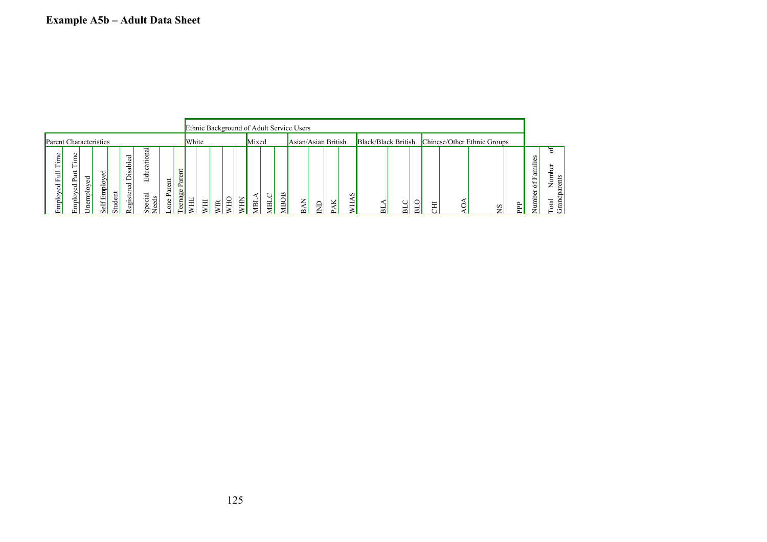|                               |                                                    |                               |                                                               |                          |                                                                                                                        |                                                               |                      |                  |           |       |   |        |             |                |   |            | Ethnic Background of Adult Service Users |        |             |   |        |                     |   |        |         |                             |   |                                                                                      |             |
|-------------------------------|----------------------------------------------------|-------------------------------|---------------------------------------------------------------|--------------------------|------------------------------------------------------------------------------------------------------------------------|---------------------------------------------------------------|----------------------|------------------|-----------|-------|---|--------|-------------|----------------|---|------------|------------------------------------------|--------|-------------|---|--------|---------------------|---|--------|---------|-----------------------------|---|--------------------------------------------------------------------------------------|-------------|
| <b>Parent Characteristics</b> |                                                    |                               |                                                               |                          |                                                                                                                        |                                                               |                      |                  | White     |       |   |        |             | Mixed          |   |            | Asian/Asian British                      |        |             |   |        | Black/Black British |   |        |         | Chinese/Other Ethnic Groups |   |                                                                                      |             |
| Time<br>Ē<br>ęd<br>Employ     | Φ<br>Ē<br>.<br>-<br>ದ<br>௨<br>ರ<br>∸<br>mpl<br>r÷۱ | ರ<br>Ō<br>mpio<br>Φ<br>▭<br>- | ರ<br>o<br>రొ<br>ر<br>Ph<br>Ξ<br>$\overline{\phantom{0}}$<br>ಕ | tudent<br>$\overline{r}$ | ರ<br>Ö<br>-<br>sab<br>. ــ<br>$\overline{\phantom{a}}$<br>−<br>ರ<br>œ<br>stei<br>.<br>bh<br>c<br>$\tilde{\phantom{a}}$ | ದ<br>右<br>⊡<br>ನ<br>٠s<br>. .<br>ပ<br>$\circ$<br>Ф<br>$\circ$ | $\sharp$<br>ದ<br>one | 5<br>ದ<br>eenage | <b>HE</b> | $\Xi$ | ≅ | ∽<br>뉸 | ⇁<br>∼<br>노 | $\overline{B}$ | E | <b>BOB</b> |                                          | z<br>m | $\Box$<br>⇁ | ⊻ | w<br>보 | $\sim$              | ᆷ | $\sim$ | Ξ<br>ΥÝ |                             | 旵 | S<br>. .<br>÷<br>۔.<br>ä<br>L.<br>$\overline{\phantom{0}}$<br>$\circ$<br>÷<br>Ë<br>∽ | 음<br>ದ<br>ಕ |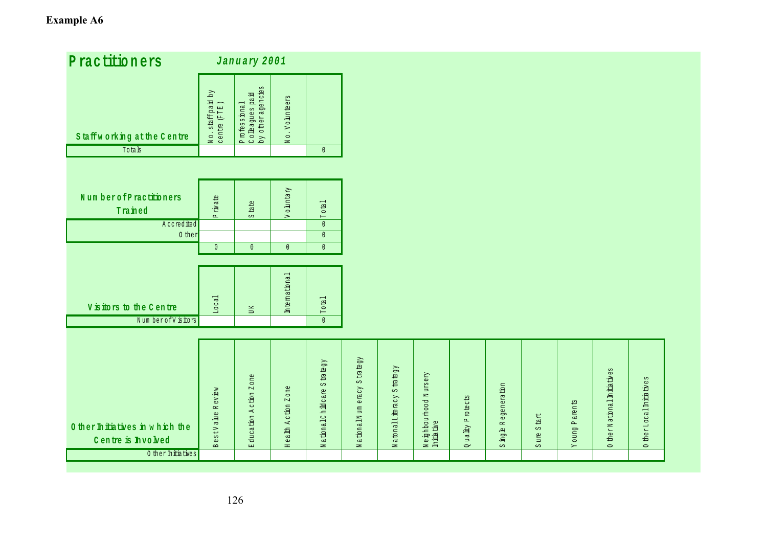# **Example A6**

| Practitioners                                         |                                       | January 2001                                        |                                     |                                       |                                                                   |                               |                                       |                                |                                          |                                         |               |                                      |                                  |  |
|-------------------------------------------------------|---------------------------------------|-----------------------------------------------------|-------------------------------------|---------------------------------------|-------------------------------------------------------------------|-------------------------------|---------------------------------------|--------------------------------|------------------------------------------|-----------------------------------------|---------------|--------------------------------------|----------------------------------|--|
| Staffworking at the Centre                            | $N_o$ . staff paid by<br>centre (FTE) | Professional<br>Colleagues paid<br>by otheragencies | No. Volunteers                      |                                       |                                                                   |                               |                                       |                                |                                          |                                         |               |                                      |                                  |  |
| Totals                                                |                                       |                                                     |                                     | $\mathbb O$                           |                                                                   |                               |                                       |                                |                                          |                                         |               |                                      |                                  |  |
|                                                       |                                       |                                                     |                                     |                                       |                                                                   |                               |                                       |                                |                                          |                                         |               |                                      |                                  |  |
|                                                       |                                       |                                                     |                                     |                                       |                                                                   |                               |                                       |                                |                                          |                                         |               |                                      |                                  |  |
| NumberofPractitioners                                 | $\dot{x}$ ate                         |                                                     | Voluntary                           |                                       |                                                                   |                               |                                       |                                |                                          |                                         |               |                                      |                                  |  |
| Trained                                               | $\Delta$                              | $\frac{1}{2}$<br>S                                  |                                     | Total                                 |                                                                   |                               |                                       |                                |                                          |                                         |               |                                      |                                  |  |
| Accredited                                            |                                       |                                                     |                                     | $\mathbb O$                           |                                                                   |                               |                                       |                                |                                          |                                         |               |                                      |                                  |  |
| 0 ther                                                |                                       |                                                     |                                     | $\mathbf{0}$                          |                                                                   |                               |                                       |                                |                                          |                                         |               |                                      |                                  |  |
|                                                       | $\mathbf{0}$                          | $\mathbb O$                                         | $\mathbb O$                         | $\mathbb O$                           |                                                                   |                               |                                       |                                |                                          |                                         |               |                                      |                                  |  |
|                                                       |                                       |                                                     |                                     |                                       |                                                                   |                               |                                       |                                |                                          |                                         |               |                                      |                                  |  |
| Visitors to the Centre                                | Local                                 | $_{\rm U~K}$                                        | International                       | Total                                 |                                                                   |                               |                                       |                                |                                          |                                         |               |                                      |                                  |  |
| Num berofV is itors                                   |                                       |                                                     |                                     | $\overline{\mathbf{0}}$               |                                                                   |                               |                                       |                                |                                          |                                         |               |                                      |                                  |  |
|                                                       |                                       |                                                     |                                     |                                       |                                                                   |                               |                                       |                                |                                          |                                         |               |                                      |                                  |  |
| 0 ther In itiatives in which the<br>Centre is hvo bed | Review<br>estVahe<br>$\mathbf{m}$     | Education Action Zone                               | ealth Action Zone<br>$\mathbb{H}^+$ | $S \tan \theta$<br>National Childcare | trategy<br>$\mathbb{C}\Omega$<br>exact<br>ationalNum<br>$\approx$ | S trategy<br>Natonal Literacy | Neighbourhood Nursery<br>In this tive | P rotects<br>ua lity<br>$\sim$ | Regenem <sub>tion</sub><br>agh<br>$\sim$ | $S$ ta $t$<br>$_{\text{ure}}$<br>$\sim$ | Young Parents | ther National Initiatives<br>$\circ$ | therLocal Initiatives<br>$\circ$ |  |
| 0 ther In itia tives                                  |                                       |                                                     |                                     |                                       |                                                                   |                               |                                       |                                |                                          |                                         |               |                                      |                                  |  |
|                                                       |                                       |                                                     |                                     |                                       |                                                                   |                               |                                       |                                |                                          |                                         |               |                                      |                                  |  |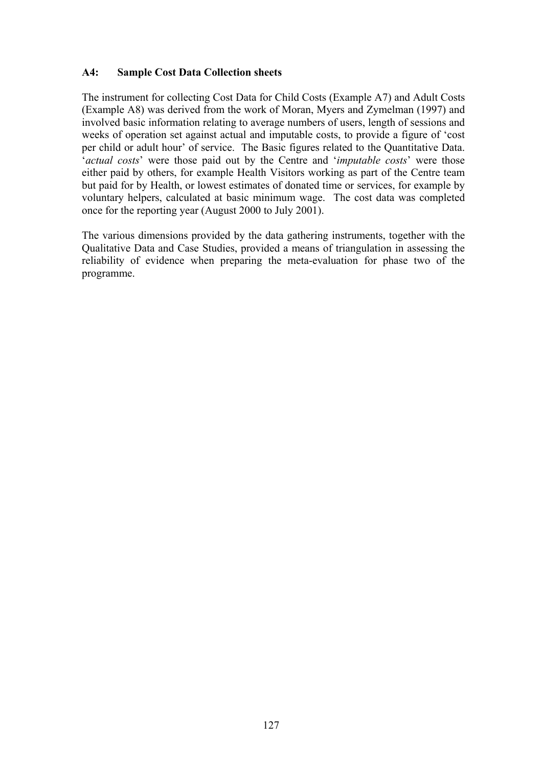#### **A4: Sample Cost Data Collection sheets**

The instrument for collecting Cost Data for Child Costs (Example A7) and Adult Costs (Example A8) was derived from the work of Moran, Myers and Zymelman (1997) and involved basic information relating to average numbers of users, length of sessions and weeks of operation set against actual and imputable costs, to provide a figure of 'cost per child or adult hour' of service. The Basic figures related to the Quantitative Data. '*actual costs*' were those paid out by the Centre and '*imputable costs*' were those either paid by others, for example Health Visitors working as part of the Centre team but paid for by Health, or lowest estimates of donated time or services, for example by voluntary helpers, calculated at basic minimum wage. The cost data was completed once for the reporting year (August 2000 to July 2001).

The various dimensions provided by the data gathering instruments, together with the Qualitative Data and Case Studies, provided a means of triangulation in assessing the reliability of evidence when preparing the meta-evaluation for phase two of the programme.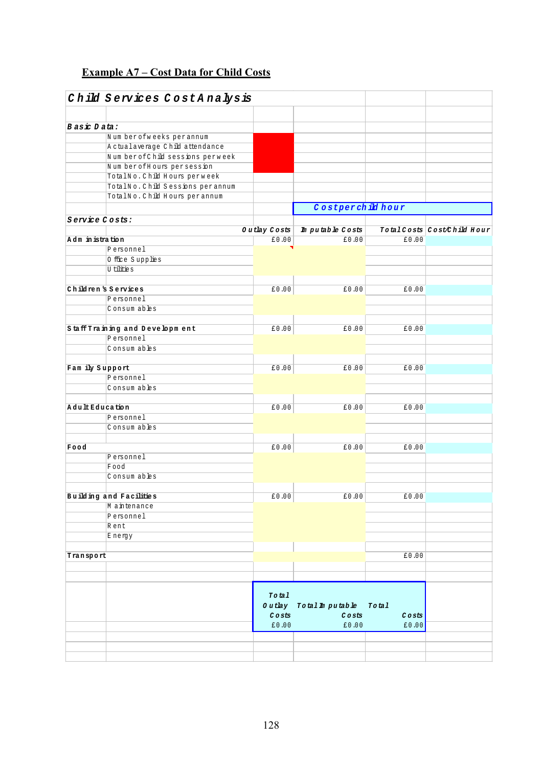## **Example A7 – Cost Data for Child Costs**

|                  | Child Services CostAnalysis      |                              |                                            |          |                             |
|------------------|----------------------------------|------------------------------|--------------------------------------------|----------|-----------------------------|
|                  |                                  |                              |                                            |          |                             |
| Basic Data:      |                                  |                              |                                            |          |                             |
|                  | Num berofweeks perannum          |                              |                                            |          |                             |
|                  | A ctualaverage Child attendance  |                              |                                            |          |                             |
|                  | Num berofChild sessions perweek  |                              |                                            |          |                             |
|                  | Num berofHours persession        |                              |                                            |          |                             |
|                  | TotalNo. Child Hours perweek     |                              |                                            |          |                             |
|                  | TotalNo. Child Sessions perannum |                              |                                            |          |                             |
|                  | TotalNo. Child Hours per annum   |                              |                                            |          |                             |
|                  |                                  |                              | Costperchild hour                          |          |                             |
| Service Costs:   |                                  |                              |                                            |          |                             |
|                  |                                  | Outlay $\cos$                | Im putable Costs                           |          | Total Costs Cost/Child Hour |
| Adm in istration |                                  | £0.00                        | £0.00                                      | £0.00    |                             |
|                  | Personnel                        |                              |                                            |          |                             |
|                  | 0 ffice Supplies                 |                              |                                            |          |                             |
|                  | U tilities                       |                              |                                            |          |                             |
|                  |                                  |                              |                                            |          |                             |
|                  | Children's Services              | £0.00                        | £0.00                                      | £0.00    |                             |
|                  | Personnel                        |                              |                                            |          |                             |
|                  | Consum ables                     |                              |                                            |          |                             |
|                  |                                  |                              |                                            |          |                             |
|                  | Staff Training and Development   | £0.00                        | £0.00                                      | £0.00    |                             |
|                  | Personnel                        |                              |                                            |          |                             |
|                  | Consum ables                     |                              |                                            |          |                             |
|                  |                                  |                              |                                            |          |                             |
| Fam ily Support  |                                  | £0.00                        | 60.00                                      | £0.00    |                             |
|                  | Personnel                        |                              |                                            |          |                             |
|                  | Consum ables                     |                              |                                            |          |                             |
|                  |                                  |                              |                                            |          |                             |
| AdultEducation   |                                  | £0.00                        | 60.00                                      | £0.00    |                             |
|                  | Personnel                        |                              |                                            |          |                             |
|                  | Consum ables                     |                              |                                            |          |                             |
|                  |                                  |                              |                                            |          |                             |
| Food             |                                  | £0.00                        | £0.00                                      | £0.00    |                             |
|                  | Personnel                        |                              |                                            |          |                             |
|                  | Food                             |                              |                                            |          |                             |
|                  | Consum ables                     |                              |                                            |          |                             |
|                  |                                  |                              |                                            |          |                             |
|                  | Building and Facilities          | $\texttt{\textsterling0.00}$ | E0.00                                      | E0.00    |                             |
|                  | M a intenance                    |                              |                                            |          |                             |
|                  | Personnel                        |                              |                                            |          |                             |
|                  | Rent                             |                              |                                            |          |                             |
|                  | Energy                           |                              |                                            |          |                             |
|                  |                                  |                              |                                            |          |                             |
| Transport        |                                  |                              |                                            | £0.00    |                             |
|                  |                                  |                              |                                            |          |                             |
|                  |                                  |                              |                                            |          |                             |
|                  |                                  |                              |                                            |          |                             |
|                  |                                  | Total                        |                                            |          |                             |
|                  |                                  |                              | Outlay Total Imputable Total               |          |                             |
|                  |                                  | Costs                        | $\mathcal C$ o $\mathtt{s}$ t $\mathtt{s}$ | $C$ osts |                             |
|                  |                                  | £0.00                        | £0.00                                      | £0.00    |                             |
|                  |                                  |                              |                                            |          |                             |
|                  |                                  |                              |                                            |          |                             |
|                  |                                  |                              |                                            |          |                             |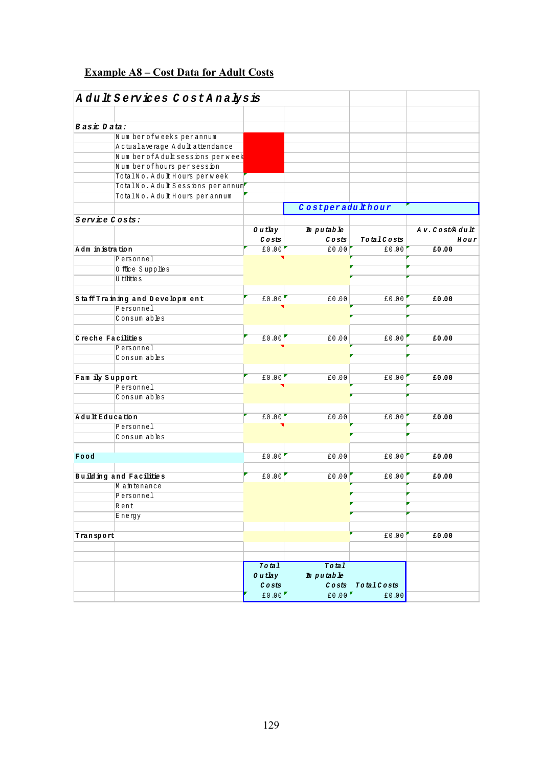## **Example A8 – Cost Data for Adult Costs**

|                   | AdultServices CostAnalysis       |                  |                  |                  |               |
|-------------------|----------------------------------|------------------|------------------|------------------|---------------|
|                   |                                  |                  |                  |                  |               |
| Basic Data:       |                                  |                  |                  |                  |               |
|                   | Num berofweeks perannum          |                  |                  |                  |               |
|                   | A ctualaverage A dult attendance |                  |                  |                  |               |
|                   | Num berofAdultsessions perweek   |                  |                  |                  |               |
|                   | Num berofhours persession        |                  |                  |                  |               |
|                   | TotalNo. Adult Hours perweek     |                  |                  |                  |               |
|                   | TotalNo. Adult Sessions perannum |                  |                  |                  |               |
|                   | TotalNo. Adult Hours per annum   |                  |                  |                  |               |
|                   |                                  |                  | Costperadulthour |                  |               |
| Service Costs:    |                                  |                  |                  |                  |               |
|                   |                                  | 0 u tlay         | Im putable       |                  | Av.Cost/Adult |
|                   |                                  | $C$ o $st$ s $t$ | Costs            | TotalCosts       | $H$ our       |
| Adm in istration  |                                  | E0.00            | £0.00            | £0.00            | £0.00         |
|                   | Personnel                        |                  |                  |                  |               |
|                   | 0 ffice Supplies                 |                  |                  |                  |               |
|                   | U tilitie s                      |                  |                  |                  |               |
|                   |                                  |                  |                  |                  |               |
|                   | Staff Training and Development   | £0.00            | £0.00            | £0.00            | £0.00         |
|                   | Personnel                        |                  |                  |                  |               |
|                   | Consum ables                     |                  |                  |                  |               |
|                   |                                  |                  |                  |                  |               |
| Creche Facilities |                                  | £0.00            | £0.00            | £0.00            | £0.00         |
|                   | Personnel                        |                  |                  |                  |               |
|                   | Consum ables                     |                  |                  |                  |               |
|                   |                                  |                  |                  |                  |               |
| Fam ily Support   |                                  | £0.00            | £0.00            | £0.00            | £0.00         |
|                   | Personnel                        |                  |                  |                  |               |
|                   | Consum ables                     |                  |                  |                  |               |
|                   |                                  |                  |                  |                  |               |
| AdultEducation    |                                  | £0.00            | £0.00            | £0.00            | £0.00         |
|                   | Personnel                        |                  |                  |                  |               |
|                   | Consum ables                     |                  |                  |                  |               |
|                   |                                  |                  |                  |                  |               |
| Food              |                                  | £0.00            | £0.00            | £0.00            | £0.00         |
|                   |                                  |                  |                  |                  |               |
|                   | Building and Facilities          | 60.00            | £0.00            | £0.00            | £0.00         |
|                   | M a intenance                    |                  |                  |                  |               |
|                   | Personnel                        |                  |                  |                  |               |
|                   | Rent                             |                  |                  |                  |               |
|                   | Energy                           |                  |                  |                  |               |
|                   |                                  |                  |                  |                  |               |
| Transport         |                                  |                  |                  | f0.00            | £0.00         |
|                   |                                  |                  |                  |                  |               |
|                   |                                  |                  |                  |                  |               |
|                   |                                  | Total            | To tal           |                  |               |
|                   |                                  | 0 u tlay         | Imputable        |                  |               |
|                   |                                  | $C$ $o$ $sts$    |                  | Costs TotalCosts |               |
|                   |                                  | £0.00            |                  | £0.00<br>£0.00   |               |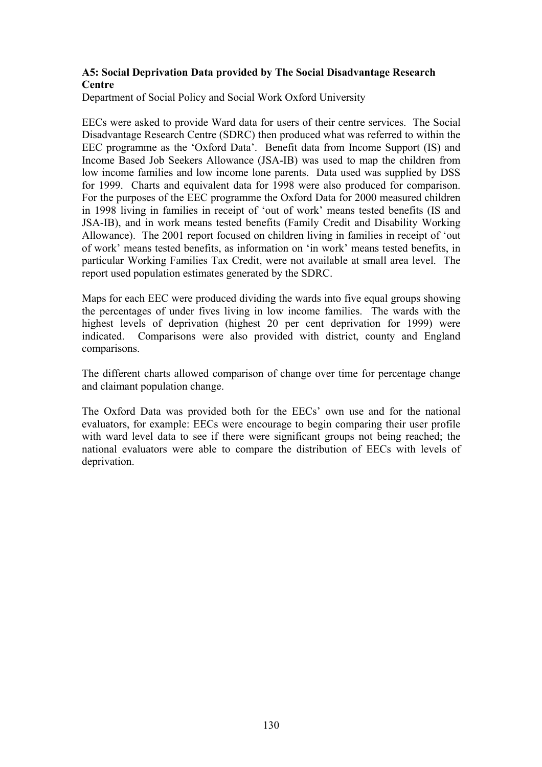#### **A5: Social Deprivation Data provided by The Social Disadvantage Research Centre**

Department of Social Policy and Social Work Oxford University

EECs were asked to provide Ward data for users of their centre services. The Social Disadvantage Research Centre (SDRC) then produced what was referred to within the EEC programme as the 'Oxford Data'. Benefit data from Income Support (IS) and Income Based Job Seekers Allowance (JSA-IB) was used to map the children from low income families and low income lone parents. Data used was supplied by DSS for 1999. Charts and equivalent data for 1998 were also produced for comparison. For the purposes of the EEC programme the Oxford Data for 2000 measured children in 1998 living in families in receipt of 'out of work' means tested benefits (IS and JSA-IB), and in work means tested benefits (Family Credit and Disability Working Allowance). The 2001 report focused on children living in families in receipt of 'out of work' means tested benefits, as information on 'in work' means tested benefits, in particular Working Families Tax Credit, were not available at small area level. The report used population estimates generated by the SDRC.

Maps for each EEC were produced dividing the wards into five equal groups showing the percentages of under fives living in low income families. The wards with the highest levels of deprivation (highest 20 per cent deprivation for 1999) were indicated. Comparisons were also provided with district, county and England comparisons.

The different charts allowed comparison of change over time for percentage change and claimant population change.

The Oxford Data was provided both for the EECs' own use and for the national evaluators, for example: EECs were encourage to begin comparing their user profile with ward level data to see if there were significant groups not being reached; the national evaluators were able to compare the distribution of EECs with levels of deprivation.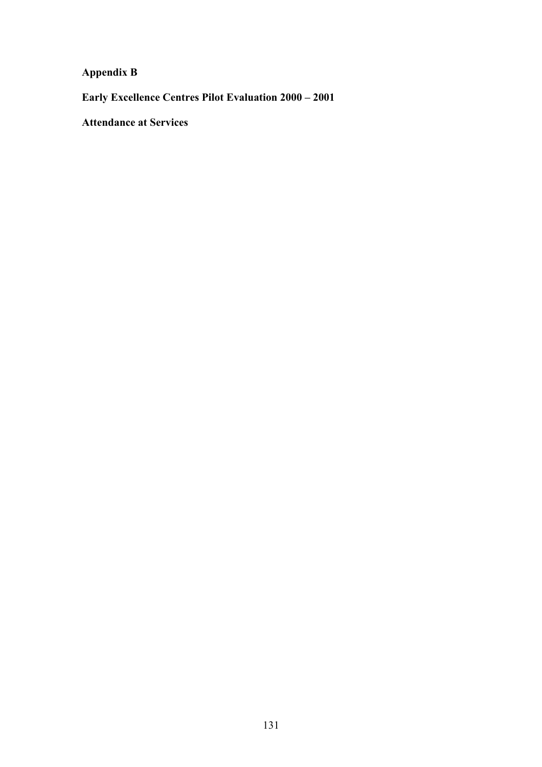**Appendix B** 

**Early Excellence Centres Pilot Evaluation 2000 – 2001** 

**Attendance at Services**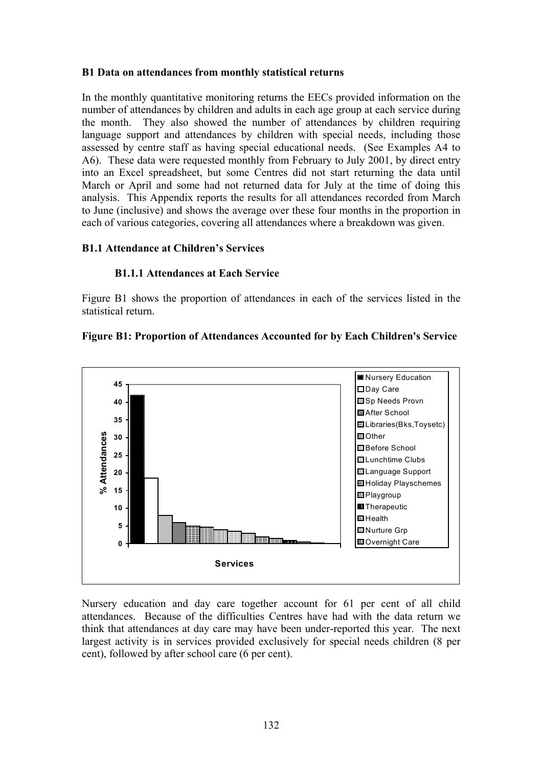#### **B1 Data on attendances from monthly statistical returns**

In the monthly quantitative monitoring returns the EECs provided information on the number of attendances by children and adults in each age group at each service during the month. They also showed the number of attendances by children requiring language support and attendances by children with special needs, including those assessed by centre staff as having special educational needs. (See Examples A4 to A6). These data were requested monthly from February to July 2001, by direct entry into an Excel spreadsheet, but some Centres did not start returning the data until March or April and some had not returned data for July at the time of doing this analysis. This Appendix reports the results for all attendances recorded from March to June (inclusive) and shows the average over these four months in the proportion in each of various categories, covering all attendances where a breakdown was given.

#### **B1.1 Attendance at Children's Services**

#### **B1.1.1 Attendances at Each Service**

Figure B1 shows the proportion of attendances in each of the services listed in the statistical return.



#### **Figure B1: Proportion of Attendances Accounted for by Each Children's Service**

Nursery education and day care together account for 61 per cent of all child attendances. Because of the difficulties Centres have had with the data return we think that attendances at day care may have been under-reported this year. The next largest activity is in services provided exclusively for special needs children (8 per cent), followed by after school care (6 per cent).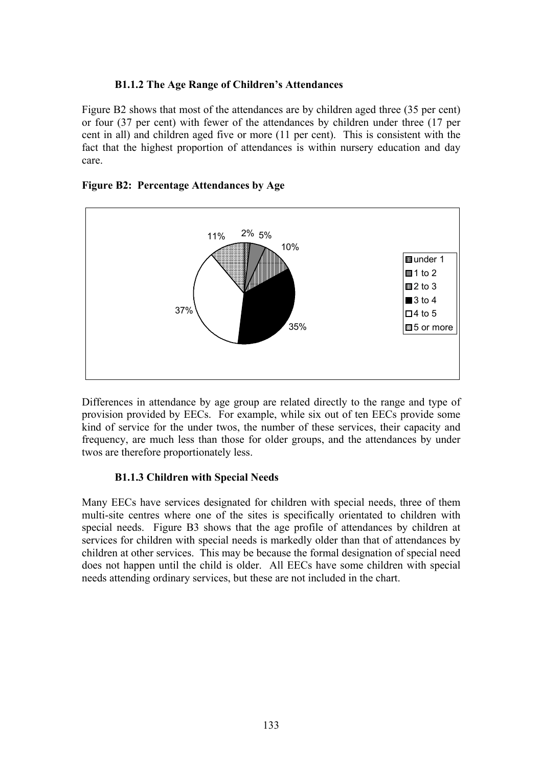#### **B1.1.2 The Age Range of Children's Attendances**

Figure B2 shows that most of the attendances are by children aged three (35 per cent) or four (37 per cent) with fewer of the attendances by children under three (17 per cent in all) and children aged five or more (11 per cent). This is consistent with the fact that the highest proportion of attendances is within nursery education and day care.

#### **Figure B2: Percentage Attendances by Age**



Differences in attendance by age group are related directly to the range and type of provision provided by EECs. For example, while six out of ten EECs provide some kind of service for the under twos, the number of these services, their capacity and frequency, are much less than those for older groups, and the attendances by under twos are therefore proportionately less.

#### **B1.1.3 Children with Special Needs**

Many EECs have services designated for children with special needs, three of them multi-site centres where one of the sites is specifically orientated to children with special needs. Figure B3 shows that the age profile of attendances by children at services for children with special needs is markedly older than that of attendances by children at other services. This may be because the formal designation of special need does not happen until the child is older. All EECs have some children with special needs attending ordinary services, but these are not included in the chart.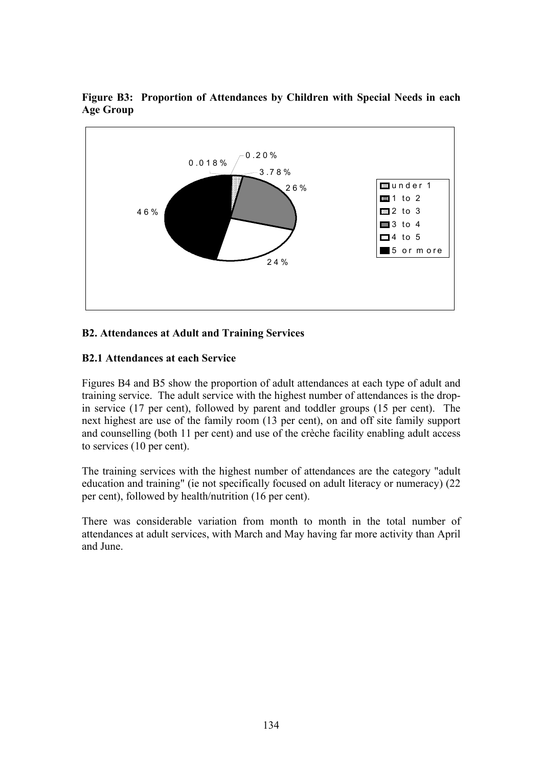

**Figure B3: Proportion of Attendances by Children with Special Needs in each Age Group** 

#### **B2. Attendances at Adult and Training Services**

#### **B2.1 Attendances at each Service**

Figures B4 and B5 show the proportion of adult attendances at each type of adult and training service. The adult service with the highest number of attendances is the dropin service (17 per cent), followed by parent and toddler groups (15 per cent). The next highest are use of the family room (13 per cent), on and off site family support and counselling (both 11 per cent) and use of the crèche facility enabling adult access to services (10 per cent).

The training services with the highest number of attendances are the category "adult education and training" (ie not specifically focused on adult literacy or numeracy) (22 per cent), followed by health/nutrition (16 per cent).

There was considerable variation from month to month in the total number of attendances at adult services, with March and May having far more activity than April and June.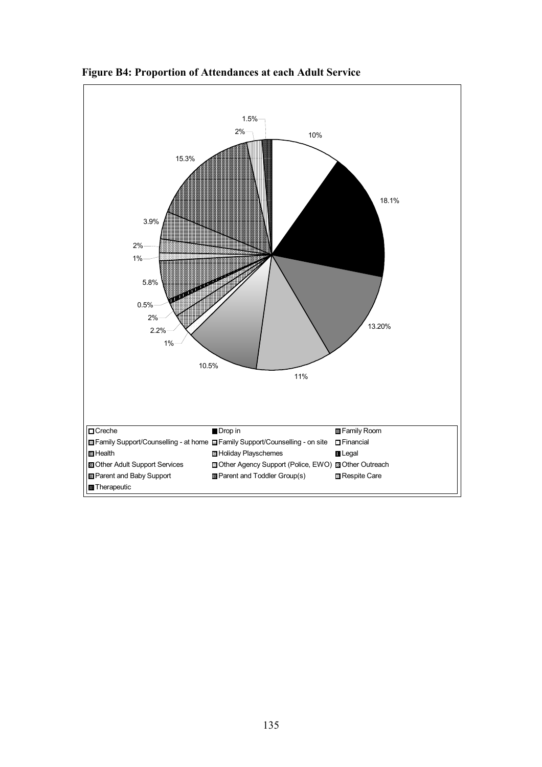

**Figure B4: Proportion of Attendances at each Adult Service**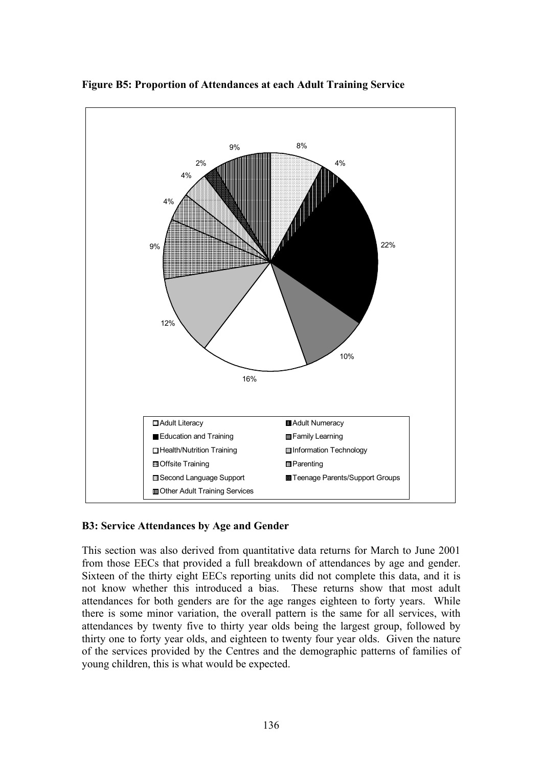

**Figure B5: Proportion of Attendances at each Adult Training Service** 

#### **B3: Service Attendances by Age and Gender**

This section was also derived from quantitative data returns for March to June 2001 from those EECs that provided a full breakdown of attendances by age and gender. Sixteen of the thirty eight EECs reporting units did not complete this data, and it is not know whether this introduced a bias. These returns show that most adult attendances for both genders are for the age ranges eighteen to forty years. While there is some minor variation, the overall pattern is the same for all services, with attendances by twenty five to thirty year olds being the largest group, followed by thirty one to forty year olds, and eighteen to twenty four year olds. Given the nature of the services provided by the Centres and the demographic patterns of families of young children, this is what would be expected.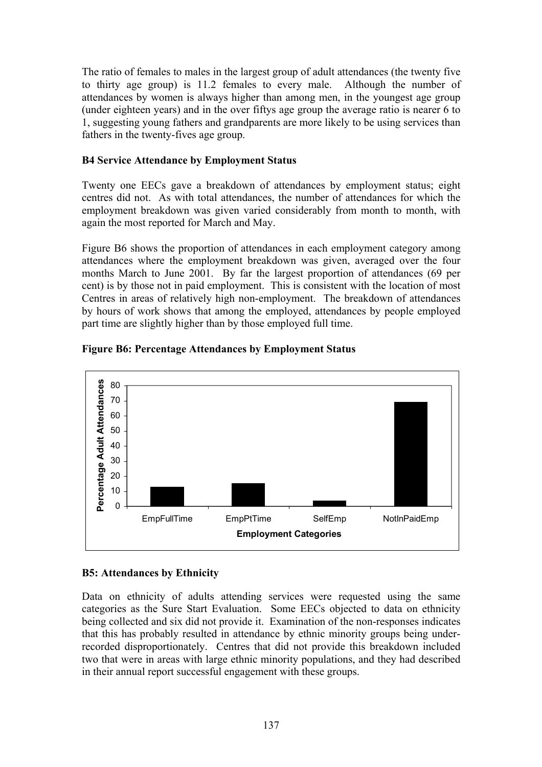The ratio of females to males in the largest group of adult attendances (the twenty five to thirty age group) is 11.2 females to every male. Although the number of attendances by women is always higher than among men, in the youngest age group (under eighteen years) and in the over fiftys age group the average ratio is nearer 6 to 1, suggesting young fathers and grandparents are more likely to be using services than fathers in the twenty-fives age group.

#### **B4 Service Attendance by Employment Status**

Twenty one EECs gave a breakdown of attendances by employment status; eight centres did not. As with total attendances, the number of attendances for which the employment breakdown was given varied considerably from month to month, with again the most reported for March and May.

Figure B6 shows the proportion of attendances in each employment category among attendances where the employment breakdown was given, averaged over the four months March to June 2001. By far the largest proportion of attendances (69 per cent) is by those not in paid employment. This is consistent with the location of most Centres in areas of relatively high non-employment. The breakdown of attendances by hours of work shows that among the employed, attendances by people employed part time are slightly higher than by those employed full time.



#### **Figure B6: Percentage Attendances by Employment Status**

#### **B5: Attendances by Ethnicity**

Data on ethnicity of adults attending services were requested using the same categories as the Sure Start Evaluation. Some EECs objected to data on ethnicity being collected and six did not provide it. Examination of the non-responses indicates that this has probably resulted in attendance by ethnic minority groups being underrecorded disproportionately. Centres that did not provide this breakdown included two that were in areas with large ethnic minority populations, and they had described in their annual report successful engagement with these groups.